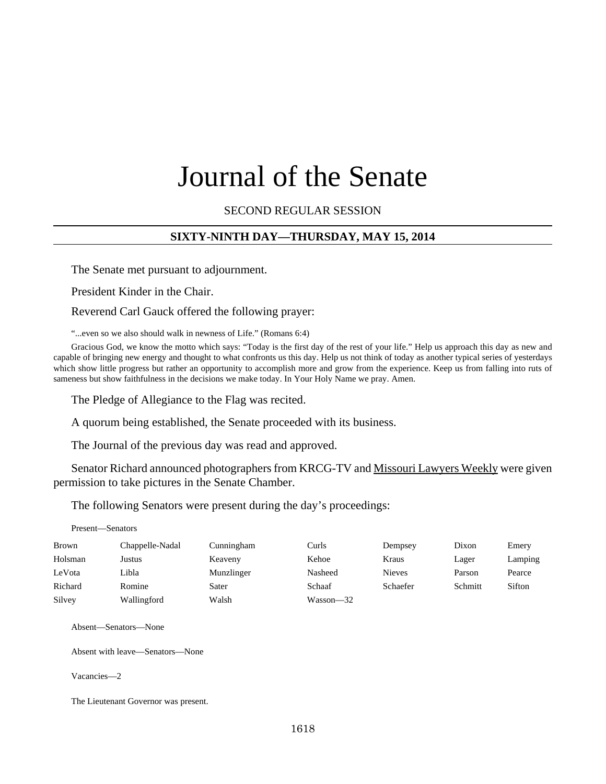# Journal of the Senate

SECOND REGULAR SESSION

## **SIXTY-NINTH DAY—THURSDAY, MAY 15, 2014**

The Senate met pursuant to adjournment.

President Kinder in the Chair.

Reverend Carl Gauck offered the following prayer:

"...even so we also should walk in newness of Life." (Romans 6:4)

Gracious God, we know the motto which says: "Today is the first day of the rest of your life." Help us approach this day as new and capable of bringing new energy and thought to what confronts us this day. Help us not think of today as another typical series of yesterdays which show little progress but rather an opportunity to accomplish more and grow from the experience. Keep us from falling into ruts of sameness but show faithfulness in the decisions we make today. In Your Holy Name we pray. Amen.

The Pledge of Allegiance to the Flag was recited.

A quorum being established, the Senate proceeded with its business.

The Journal of the previous day was read and approved.

Senator Richard announced photographers from KRCG-TV and Missouri Lawyers Weekly were given permission to take pictures in the Senate Chamber.

The following Senators were present during the day's proceedings:

Present—Senators

| <b>Brown</b> | Chappelle-Nadal | Cunningham | Curls     | Dempsey       | Dixon   | Emery   |
|--------------|-----------------|------------|-----------|---------------|---------|---------|
| Holsman      | Justus          | Keaveny    | Kehoe     | Kraus         | Lager   | Lamping |
| LeVota       | Libla           | Munzlinger | Nasheed   | <b>Nieves</b> | Parson  | Pearce  |
| Richard      | Romine          | Sater      | Schaaf    | Schaefer      | Schmitt | Sifton  |
| Silvey       | Wallingford     | Walsh      | Wasson—32 |               |         |         |

Absent—Senators—None

Absent with leave—Senators—None

Vacancies—2

The Lieutenant Governor was present.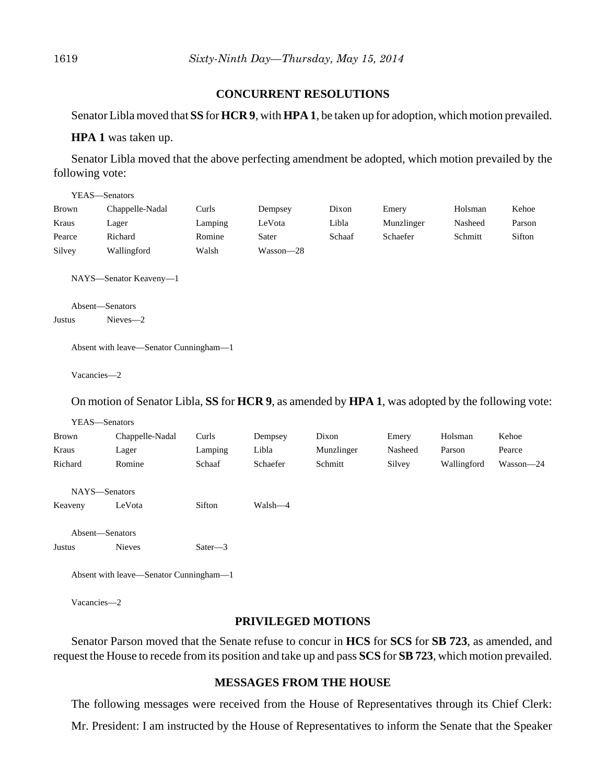#### **CONCURRENT RESOLUTIONS**

Senator Libla moved that **SS** for **HCR 9**, with **HPA 1**, be taken up for adoption, which motion prevailed.

**HPA 1** was taken up.

Senator Libla moved that the above perfecting amendment be adopted, which motion prevailed by the following vote:

| YEAS—Senators                             |                 |         |           |        |            |         |        |  |
|-------------------------------------------|-----------------|---------|-----------|--------|------------|---------|--------|--|
| <b>Brown</b>                              | Chappelle-Nadal | Curls   | Dempsey   | Dixon  | Emery      | Holsman | Kehoe  |  |
| Kraus                                     | Lager           | Lamping | LeVota    | Libla  | Munzlinger | Nasheed | Parson |  |
| Pearce                                    | Richard         | Romine  | Sater     | Schaaf | Schaefer   | Schmitt | Sifton |  |
| Silvey                                    | Wallingford     | Walsh   | Wasson-28 |        |            |         |        |  |
| NAYS-Senator Keaveny-1<br>Absent—Senators |                 |         |           |        |            |         |        |  |
| Justus                                    | $Nieves -2$     |         |           |        |            |         |        |  |
| Absent with leave—Senator Cunningham—1    |                 |         |           |        |            |         |        |  |

Vacancies—2

On motion of Senator Libla, **SS** for **HCR 9**, as amended by **HPA 1**, was adopted by the following vote:

| YEAS—Senators   |                 |             |          |            |         |             |           |  |
|-----------------|-----------------|-------------|----------|------------|---------|-------------|-----------|--|
| <b>Brown</b>    | Chappelle-Nadal | Curls       | Dempsey  | Dixon      | Emery   | Holsman     | Kehoe     |  |
| Kraus           | Lager           | Lamping     | Libla    | Munzlinger | Nasheed | Parson      | Pearce    |  |
| Richard         | Romine          | Schaaf      | Schaefer | Schmitt    | Silvey  | Wallingford | Wasson-24 |  |
|                 |                 |             |          |            |         |             |           |  |
| NAYS-Senators   |                 |             |          |            |         |             |           |  |
| Keaveny         | LeVota          | Sifton      | Walsh—4  |            |         |             |           |  |
|                 |                 |             |          |            |         |             |           |  |
| Absent-Senators |                 |             |          |            |         |             |           |  |
| Justus          | <b>Nieves</b>   | $Sater - 3$ |          |            |         |             |           |  |
|                 |                 |             |          |            |         |             |           |  |

Absent with leave—Senator Cunningham—1

Vacancies—2

#### **PRIVILEGED MOTIONS**

Senator Parson moved that the Senate refuse to concur in **HCS** for **SCS** for **SB 723**, as amended, and request the House to recede from its position and take up and pass **SCS** for **SB 723**, which motion prevailed.

#### **MESSAGES FROM THE HOUSE**

The following messages were received from the House of Representatives through its Chief Clerk: Mr. President: I am instructed by the House of Representatives to inform the Senate that the Speaker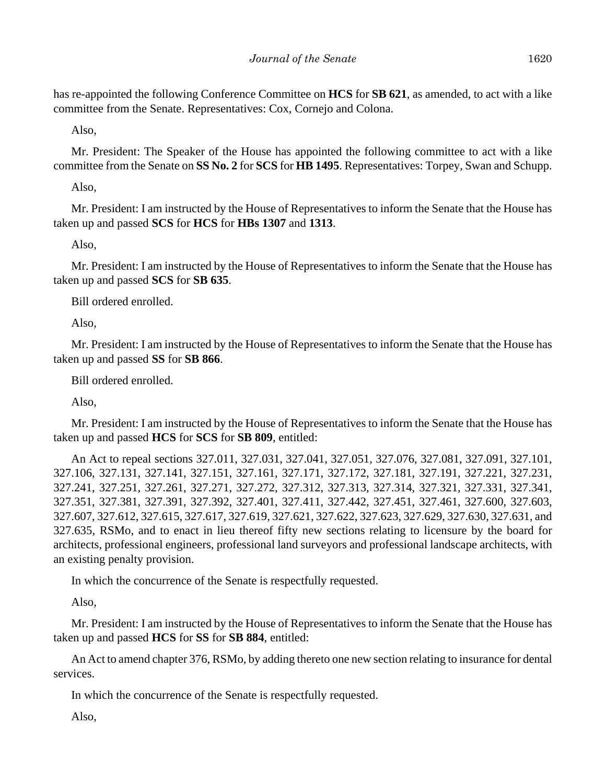has re-appointed the following Conference Committee on **HCS** for **SB 621**, as amended, to act with a like committee from the Senate. Representatives: Cox, Cornejo and Colona.

Also,

Mr. President: The Speaker of the House has appointed the following committee to act with a like committee from the Senate on **SS No. 2** for **SCS** for **HB 1495**. Representatives: Torpey, Swan and Schupp.

Also,

Mr. President: I am instructed by the House of Representatives to inform the Senate that the House has taken up and passed **SCS** for **HCS** for **HBs 1307** and **1313**.

Also,

Mr. President: I am instructed by the House of Representatives to inform the Senate that the House has taken up and passed **SCS** for **SB 635**.

Bill ordered enrolled.

Also,

Mr. President: I am instructed by the House of Representatives to inform the Senate that the House has taken up and passed **SS** for **SB 866**.

Bill ordered enrolled.

Also,

Mr. President: I am instructed by the House of Representatives to inform the Senate that the House has taken up and passed **HCS** for **SCS** for **SB 809**, entitled:

An Act to repeal sections 327.011, 327.031, 327.041, 327.051, 327.076, 327.081, 327.091, 327.101, 327.106, 327.131, 327.141, 327.151, 327.161, 327.171, 327.172, 327.181, 327.191, 327.221, 327.231, 327.241, 327.251, 327.261, 327.271, 327.272, 327.312, 327.313, 327.314, 327.321, 327.331, 327.341, 327.351, 327.381, 327.391, 327.392, 327.401, 327.411, 327.442, 327.451, 327.461, 327.600, 327.603, 327.607, 327.612, 327.615, 327.617, 327.619, 327.621, 327.622, 327.623, 327.629, 327.630, 327.631, and 327.635, RSMo, and to enact in lieu thereof fifty new sections relating to licensure by the board for architects, professional engineers, professional land surveyors and professional landscape architects, with an existing penalty provision.

In which the concurrence of the Senate is respectfully requested.

Also,

Mr. President: I am instructed by the House of Representatives to inform the Senate that the House has taken up and passed **HCS** for **SS** for **SB 884**, entitled:

An Act to amend chapter 376, RSMo, by adding thereto one new section relating to insurance for dental services.

In which the concurrence of the Senate is respectfully requested.

Also,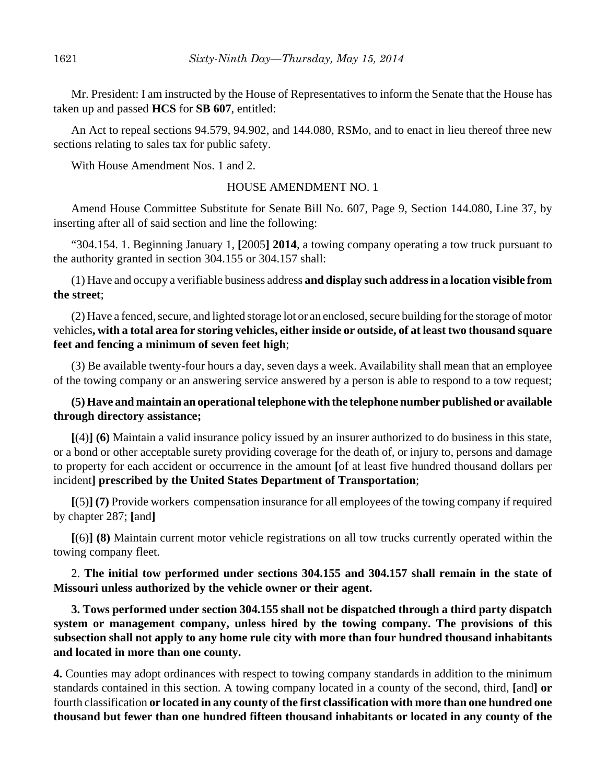Mr. President: I am instructed by the House of Representatives to inform the Senate that the House has taken up and passed **HCS** for **SB 607**, entitled:

An Act to repeal sections 94.579, 94.902, and 144.080, RSMo, and to enact in lieu thereof three new sections relating to sales tax for public safety.

With House Amendment Nos. 1 and 2.

## HOUSE AMENDMENT NO. 1

Amend House Committee Substitute for Senate Bill No. 607, Page 9, Section 144.080, Line 37, by inserting after all of said section and line the following:

"304.154. 1. Beginning January 1, **[**2005**] 2014**, a towing company operating a tow truck pursuant to the authority granted in section 304.155 or 304.157 shall:

(1) Have and occupy a verifiable business address **and display such address in a location visible from the street**;

(2) Have a fenced, secure, and lighted storage lot or an enclosed, secure building for the storage of motor vehicles**, with a total area for storing vehicles, either inside or outside, of at least two thousand square feet and fencing a minimum of seven feet high**;

(3) Be available twenty-four hours a day, seven days a week. Availability shall mean that an employee of the towing company or an answering service answered by a person is able to respond to a tow request;

# **(5) Have and maintain an operational telephone with the telephone number published or available through directory assistance;**

**[**(4)**] (6)** Maintain a valid insurance policy issued by an insurer authorized to do business in this state, or a bond or other acceptable surety providing coverage for the death of, or injury to, persons and damage to property for each accident or occurrence in the amount **[**of at least five hundred thousand dollars per incident**] prescribed by the United States Department of Transportation**;

**[**(5)**] (7)** Provide workers compensation insurance for all employees of the towing company if required by chapter 287; **[**and**]**

**[**(6)**] (8)** Maintain current motor vehicle registrations on all tow trucks currently operated within the towing company fleet.

2. **The initial tow performed under sections 304.155 and 304.157 shall remain in the state of Missouri unless authorized by the vehicle owner or their agent.**

**3. Tows performed under section 304.155 shall not be dispatched through a third party dispatch system or management company, unless hired by the towing company. The provisions of this subsection shall not apply to any home rule city with more than four hundred thousand inhabitants and located in more than one county.**

**4.** Counties may adopt ordinances with respect to towing company standards in addition to the minimum standards contained in this section. A towing company located in a county of the second, third, **[**and**] or** fourth classification **or located in any county of the first classification with more than one hundred one thousand but fewer than one hundred fifteen thousand inhabitants or located in any county of the**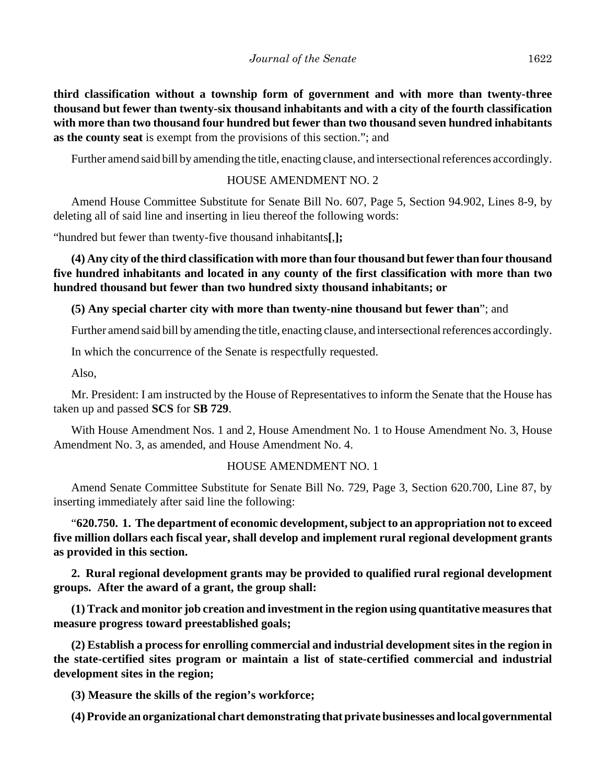**third classification without a township form of government and with more than twenty-three thousand but fewer than twenty-six thousand inhabitants and with a city of the fourth classification with more than two thousand four hundred but fewer than two thousand seven hundred inhabitants as the county seat** is exempt from the provisions of this section."; and

Further amend said bill by amending the title, enacting clause, and intersectional references accordingly.

## HOUSE AMENDMENT NO. 2

Amend House Committee Substitute for Senate Bill No. 607, Page 5, Section 94.902, Lines 8-9, by deleting all of said line and inserting in lieu thereof the following words:

"hundred but fewer than twenty-five thousand inhabitants**[**,**];**

**(4) Any city of the third classification with more than four thousand but fewer than four thousand five hundred inhabitants and located in any county of the first classification with more than two hundred thousand but fewer than two hundred sixty thousand inhabitants; or**

## **(5) Any special charter city with more than twenty-nine thousand but fewer than**"; and

Further amend said bill by amending the title, enacting clause, and intersectional references accordingly.

In which the concurrence of the Senate is respectfully requested.

Also,

Mr. President: I am instructed by the House of Representatives to inform the Senate that the House has taken up and passed **SCS** for **SB 729**.

With House Amendment Nos. 1 and 2, House Amendment No. 1 to House Amendment No. 3, House Amendment No. 3, as amended, and House Amendment No. 4.

# HOUSE AMENDMENT NO. 1

Amend Senate Committee Substitute for Senate Bill No. 729, Page 3, Section 620.700, Line 87, by inserting immediately after said line the following:

"**620.750. 1. The department of economic development, subject to an appropriation not to exceed five million dollars each fiscal year, shall develop and implement rural regional development grants as provided in this section.**

**2. Rural regional development grants may be provided to qualified rural regional development groups. After the award of a grant, the group shall:**

**(1) Track and monitor job creation and investment in the region using quantitative measures that measure progress toward preestablished goals;**

**(2) Establish a process for enrolling commercial and industrial development sites in the region in the state-certified sites program or maintain a list of state-certified commercial and industrial development sites in the region;**

**(3) Measure the skills of the region's workforce;**

**(4) Provide an organizational chart demonstrating that private businesses and local governmental**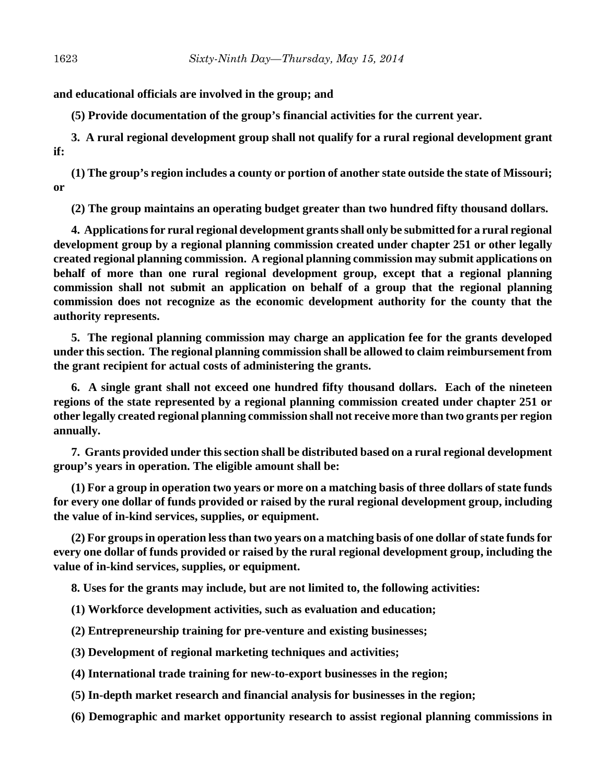**and educational officials are involved in the group; and**

**(5) Provide documentation of the group's financial activities for the current year.**

**3. A rural regional development group shall not qualify for a rural regional development grant if:**

**(1) The group's region includes a county or portion of another state outside the state of Missouri; or**

**(2) The group maintains an operating budget greater than two hundred fifty thousand dollars.**

**4. Applications for rural regional development grants shall only be submitted for a rural regional development group by a regional planning commission created under chapter 251 or other legally created regional planning commission. A regional planning commission may submit applications on behalf of more than one rural regional development group, except that a regional planning commission shall not submit an application on behalf of a group that the regional planning commission does not recognize as the economic development authority for the county that the authority represents.**

**5. The regional planning commission may charge an application fee for the grants developed under this section. The regional planning commission shall be allowed to claim reimbursement from the grant recipient for actual costs of administering the grants.**

**6. A single grant shall not exceed one hundred fifty thousand dollars. Each of the nineteen regions of the state represented by a regional planning commission created under chapter 251 or other legally created regional planning commission shall not receive more than two grants per region annually.**

**7. Grants provided under this section shall be distributed based on a rural regional development group's years in operation. The eligible amount shall be:**

**(1) For a group in operation two years or more on a matching basis of three dollars of state funds for every one dollar of funds provided or raised by the rural regional development group, including the value of in-kind services, supplies, or equipment.**

**(2) For groups in operation less than two years on a matching basis of one dollar of state funds for every one dollar of funds provided or raised by the rural regional development group, including the value of in-kind services, supplies, or equipment.**

**8. Uses for the grants may include, but are not limited to, the following activities:**

**(1) Workforce development activities, such as evaluation and education;**

**(2) Entrepreneurship training for pre-venture and existing businesses;**

**(3) Development of regional marketing techniques and activities;**

**(4) International trade training for new-to-export businesses in the region;**

**(5) In-depth market research and financial analysis for businesses in the region;**

**(6) Demographic and market opportunity research to assist regional planning commissions in**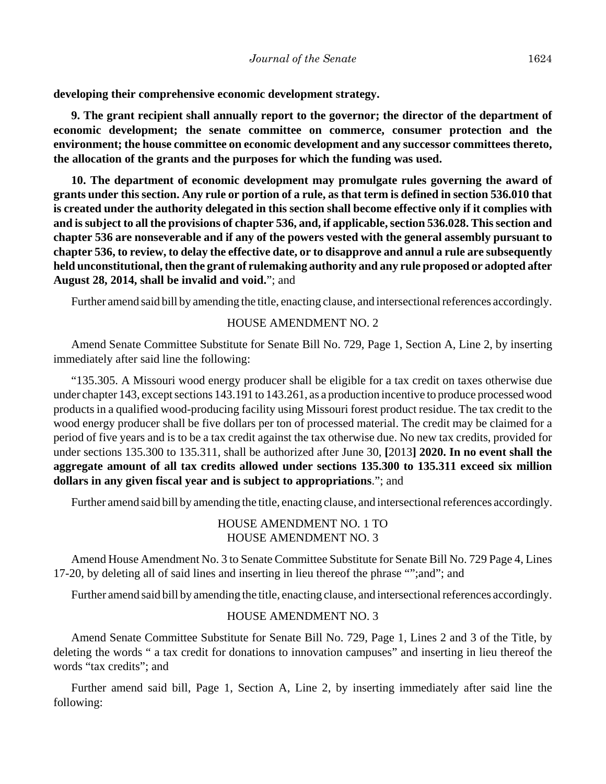**developing their comprehensive economic development strategy.**

**9. The grant recipient shall annually report to the governor; the director of the department of economic development; the senate committee on commerce, consumer protection and the environment; the house committee on economic development and any successor committees thereto, the allocation of the grants and the purposes for which the funding was used.**

**10. The department of economic development may promulgate rules governing the award of grants under this section. Any rule or portion of a rule, as that term is defined in section 536.010 that is created under the authority delegated in this section shall become effective only if it complies with and is subject to all the provisions of chapter 536, and, if applicable, section 536.028. This section and chapter 536 are nonseverable and if any of the powers vested with the general assembly pursuant to chapter 536, to review, to delay the effective date, or to disapprove and annul a rule are subsequently held unconstitutional, then the grant of rulemaking authority and any rule proposed or adopted after August 28, 2014, shall be invalid and void.**"; and

Further amend said bill by amending the title, enacting clause, and intersectional references accordingly.

## HOUSE AMENDMENT NO. 2

Amend Senate Committee Substitute for Senate Bill No. 729, Page 1, Section A, Line 2, by inserting immediately after said line the following:

"135.305. A Missouri wood energy producer shall be eligible for a tax credit on taxes otherwise due under chapter 143, except sections 143.191 to 143.261, as a production incentive to produce processed wood products in a qualified wood-producing facility using Missouri forest product residue. The tax credit to the wood energy producer shall be five dollars per ton of processed material. The credit may be claimed for a period of five years and is to be a tax credit against the tax otherwise due. No new tax credits, provided for under sections 135.300 to 135.311, shall be authorized after June 30, **[**2013**] 2020. In no event shall the aggregate amount of all tax credits allowed under sections 135.300 to 135.311 exceed six million dollars in any given fiscal year and is subject to appropriations**."; and

Further amend said bill by amending the title, enacting clause, and intersectional references accordingly.

# HOUSE AMENDMENT NO. 1 TO HOUSE AMENDMENT NO. 3

Amend House Amendment No. 3 to Senate Committee Substitute for Senate Bill No. 729 Page 4, Lines 17-20, by deleting all of said lines and inserting in lieu thereof the phrase "";and"; and

Further amend said bill by amending the title, enacting clause, and intersectional references accordingly.

#### HOUSE AMENDMENT NO. 3

Amend Senate Committee Substitute for Senate Bill No. 729, Page 1, Lines 2 and 3 of the Title, by deleting the words " a tax credit for donations to innovation campuses" and inserting in lieu thereof the words "tax credits"; and

Further amend said bill, Page 1, Section A, Line 2, by inserting immediately after said line the following: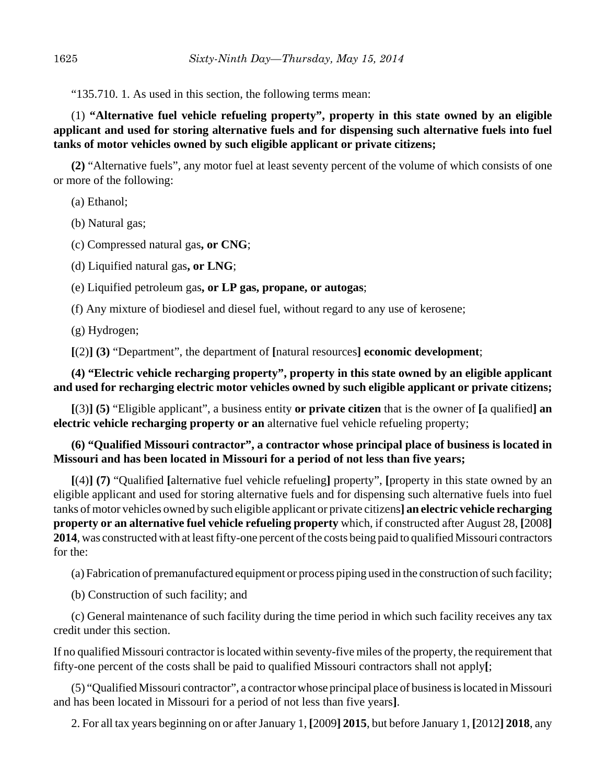"135.710. 1. As used in this section, the following terms mean:

(1) **"Alternative fuel vehicle refueling property", property in this state owned by an eligible applicant and used for storing alternative fuels and for dispensing such alternative fuels into fuel tanks of motor vehicles owned by such eligible applicant or private citizens;**

**(2)** "Alternative fuels", any motor fuel at least seventy percent of the volume of which consists of one or more of the following:

(a) Ethanol;

(b) Natural gas;

(c) Compressed natural gas**, or CNG**;

(d) Liquified natural gas**, or LNG**;

(e) Liquified petroleum gas**, or LP gas, propane, or autogas**;

(f) Any mixture of biodiesel and diesel fuel, without regard to any use of kerosene;

(g) Hydrogen;

**[**(2)**] (3)** "Department", the department of **[**natural resources**] economic development**;

## **(4) "Electric vehicle recharging property", property in this state owned by an eligible applicant and used for recharging electric motor vehicles owned by such eligible applicant or private citizens;**

**[**(3)**] (5)** "Eligible applicant", a business entity **or private citizen** that is the owner of **[**a qualified**] an electric vehicle recharging property or an** alternative fuel vehicle refueling property;

## **(6) "Qualified Missouri contractor", a contractor whose principal place of business is located in Missouri and has been located in Missouri for a period of not less than five years;**

**[**(4)**] (7)** "Qualified **[**alternative fuel vehicle refueling**]** property", **[**property in this state owned by an eligible applicant and used for storing alternative fuels and for dispensing such alternative fuels into fuel tanks of motor vehicles owned by such eligible applicant or private citizens**] an electric vehicle recharging property or an alternative fuel vehicle refueling property** which, if constructed after August 28, **[**2008**] 2014**, was constructed with at least fifty-one percent of the costs being paid to qualified Missouri contractors for the:

(a) Fabrication of premanufactured equipment or process piping used in the construction of such facility;

(b) Construction of such facility; and

(c) General maintenance of such facility during the time period in which such facility receives any tax credit under this section.

If no qualified Missouri contractor is located within seventy-five miles of the property, the requirement that fifty-one percent of the costs shall be paid to qualified Missouri contractors shall not apply**[**;

(5) "Qualified Missouri contractor", a contractor whose principal place of business is located in Missouri and has been located in Missouri for a period of not less than five years**]**.

2. For all tax years beginning on or after January 1, **[**2009**] 2015**, but before January 1, **[**2012**] 2018**, any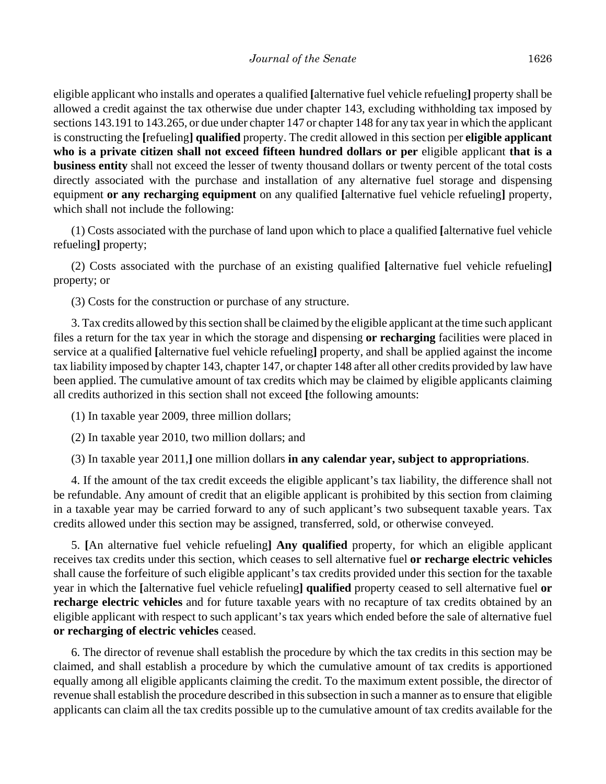eligible applicant who installs and operates a qualified **[**alternative fuel vehicle refueling**]** property shall be allowed a credit against the tax otherwise due under chapter 143, excluding withholding tax imposed by sections 143.191 to 143.265, or due under chapter 147 or chapter 148 for any tax year in which the applicant is constructing the **[**refueling**] qualified** property. The credit allowed in this section per **eligible applicant who is a private citizen shall not exceed fifteen hundred dollars or per** eligible applicant **that is a business entity** shall not exceed the lesser of twenty thousand dollars or twenty percent of the total costs directly associated with the purchase and installation of any alternative fuel storage and dispensing equipment **or any recharging equipment** on any qualified **[**alternative fuel vehicle refueling**]** property, which shall not include the following:

(1) Costs associated with the purchase of land upon which to place a qualified **[**alternative fuel vehicle refueling**]** property;

(2) Costs associated with the purchase of an existing qualified **[**alternative fuel vehicle refueling**]** property; or

(3) Costs for the construction or purchase of any structure.

3. Tax credits allowed by this section shall be claimed by the eligible applicant at the time such applicant files a return for the tax year in which the storage and dispensing **or recharging** facilities were placed in service at a qualified **[**alternative fuel vehicle refueling**]** property, and shall be applied against the income tax liability imposed by chapter 143, chapter 147, or chapter 148 after all other credits provided by law have been applied. The cumulative amount of tax credits which may be claimed by eligible applicants claiming all credits authorized in this section shall not exceed **[**the following amounts:

(1) In taxable year 2009, three million dollars;

(2) In taxable year 2010, two million dollars; and

(3) In taxable year 2011,**]** one million dollars **in any calendar year, subject to appropriations**.

4. If the amount of the tax credit exceeds the eligible applicant's tax liability, the difference shall not be refundable. Any amount of credit that an eligible applicant is prohibited by this section from claiming in a taxable year may be carried forward to any of such applicant's two subsequent taxable years. Tax credits allowed under this section may be assigned, transferred, sold, or otherwise conveyed.

5. **[**An alternative fuel vehicle refueling**] Any qualified** property, for which an eligible applicant receives tax credits under this section, which ceases to sell alternative fuel **or recharge electric vehicles** shall cause the forfeiture of such eligible applicant's tax credits provided under this section for the taxable year in which the **[**alternative fuel vehicle refueling**] qualified** property ceased to sell alternative fuel **or recharge electric vehicles** and for future taxable years with no recapture of tax credits obtained by an eligible applicant with respect to such applicant's tax years which ended before the sale of alternative fuel **or recharging of electric vehicles** ceased.

6. The director of revenue shall establish the procedure by which the tax credits in this section may be claimed, and shall establish a procedure by which the cumulative amount of tax credits is apportioned equally among all eligible applicants claiming the credit. To the maximum extent possible, the director of revenue shall establish the procedure described in this subsection in such a manner as to ensure that eligible applicants can claim all the tax credits possible up to the cumulative amount of tax credits available for the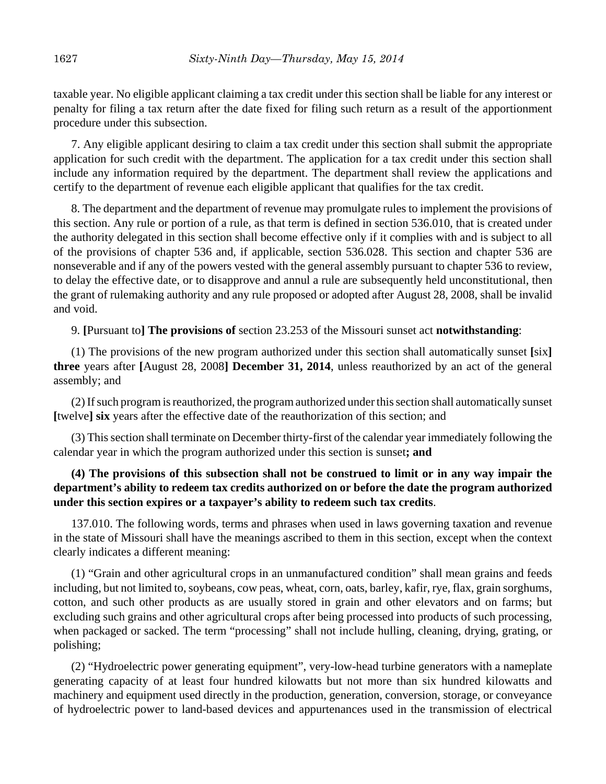taxable year. No eligible applicant claiming a tax credit under this section shall be liable for any interest or penalty for filing a tax return after the date fixed for filing such return as a result of the apportionment procedure under this subsection.

7. Any eligible applicant desiring to claim a tax credit under this section shall submit the appropriate application for such credit with the department. The application for a tax credit under this section shall include any information required by the department. The department shall review the applications and certify to the department of revenue each eligible applicant that qualifies for the tax credit.

8. The department and the department of revenue may promulgate rules to implement the provisions of this section. Any rule or portion of a rule, as that term is defined in section 536.010, that is created under the authority delegated in this section shall become effective only if it complies with and is subject to all of the provisions of chapter 536 and, if applicable, section 536.028. This section and chapter 536 are nonseverable and if any of the powers vested with the general assembly pursuant to chapter 536 to review, to delay the effective date, or to disapprove and annul a rule are subsequently held unconstitutional, then the grant of rulemaking authority and any rule proposed or adopted after August 28, 2008, shall be invalid and void.

## 9. **[**Pursuant to**] The provisions of** section 23.253 of the Missouri sunset act **notwithstanding**:

(1) The provisions of the new program authorized under this section shall automatically sunset **[**six**] three** years after **[**August 28, 2008**] December 31, 2014**, unless reauthorized by an act of the general assembly; and

(2) If such program is reauthorized, the program authorized under this section shall automatically sunset **[**twelve**] six** years after the effective date of the reauthorization of this section; and

(3) This section shall terminate on December thirty-first of the calendar year immediately following the calendar year in which the program authorized under this section is sunset**; and**

# **(4) The provisions of this subsection shall not be construed to limit or in any way impair the department's ability to redeem tax credits authorized on or before the date the program authorized under this section expires or a taxpayer's ability to redeem such tax credits**.

137.010. The following words, terms and phrases when used in laws governing taxation and revenue in the state of Missouri shall have the meanings ascribed to them in this section, except when the context clearly indicates a different meaning:

(1) "Grain and other agricultural crops in an unmanufactured condition" shall mean grains and feeds including, but not limited to, soybeans, cow peas, wheat, corn, oats, barley, kafir, rye, flax, grain sorghums, cotton, and such other products as are usually stored in grain and other elevators and on farms; but excluding such grains and other agricultural crops after being processed into products of such processing, when packaged or sacked. The term "processing" shall not include hulling, cleaning, drying, grating, or polishing;

(2) "Hydroelectric power generating equipment", very-low-head turbine generators with a nameplate generating capacity of at least four hundred kilowatts but not more than six hundred kilowatts and machinery and equipment used directly in the production, generation, conversion, storage, or conveyance of hydroelectric power to land-based devices and appurtenances used in the transmission of electrical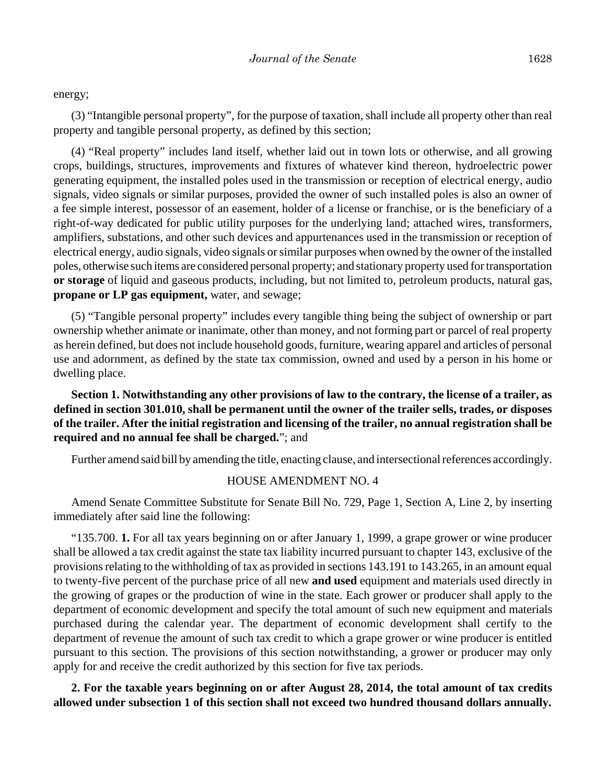energy;

(3) "Intangible personal property", for the purpose of taxation, shall include all property other than real property and tangible personal property, as defined by this section;

(4) "Real property" includes land itself, whether laid out in town lots or otherwise, and all growing crops, buildings, structures, improvements and fixtures of whatever kind thereon, hydroelectric power generating equipment, the installed poles used in the transmission or reception of electrical energy, audio signals, video signals or similar purposes, provided the owner of such installed poles is also an owner of a fee simple interest, possessor of an easement, holder of a license or franchise, or is the beneficiary of a right-of-way dedicated for public utility purposes for the underlying land; attached wires, transformers, amplifiers, substations, and other such devices and appurtenances used in the transmission or reception of electrical energy, audio signals, video signals or similar purposes when owned by the owner of the installed poles, otherwise such items are considered personal property; and stationary property used for transportation **or storage** of liquid and gaseous products, including, but not limited to, petroleum products, natural gas, **propane or LP gas equipment,** water, and sewage;

(5) "Tangible personal property" includes every tangible thing being the subject of ownership or part ownership whether animate or inanimate, other than money, and not forming part or parcel of real property as herein defined, but does not include household goods, furniture, wearing apparel and articles of personal use and adornment, as defined by the state tax commission, owned and used by a person in his home or dwelling place.

**Section 1. Notwithstanding any other provisions of law to the contrary, the license of a trailer, as defined in section 301.010, shall be permanent until the owner of the trailer sells, trades, or disposes of the trailer. After the initial registration and licensing of the trailer, no annual registration shall be required and no annual fee shall be charged.**"; and

Further amend said bill by amending the title, enacting clause, and intersectional references accordingly.

#### HOUSE AMENDMENT NO. 4

Amend Senate Committee Substitute for Senate Bill No. 729, Page 1, Section A, Line 2, by inserting immediately after said line the following:

"135.700. **1.** For all tax years beginning on or after January 1, 1999, a grape grower or wine producer shall be allowed a tax credit against the state tax liability incurred pursuant to chapter 143, exclusive of the provisions relating to the withholding of tax as provided in sections 143.191 to 143.265, in an amount equal to twenty-five percent of the purchase price of all new **and used** equipment and materials used directly in the growing of grapes or the production of wine in the state. Each grower or producer shall apply to the department of economic development and specify the total amount of such new equipment and materials purchased during the calendar year. The department of economic development shall certify to the department of revenue the amount of such tax credit to which a grape grower or wine producer is entitled pursuant to this section. The provisions of this section notwithstanding, a grower or producer may only apply for and receive the credit authorized by this section for five tax periods.

**2. For the taxable years beginning on or after August 28, 2014, the total amount of tax credits allowed under subsection 1 of this section shall not exceed two hundred thousand dollars annually.**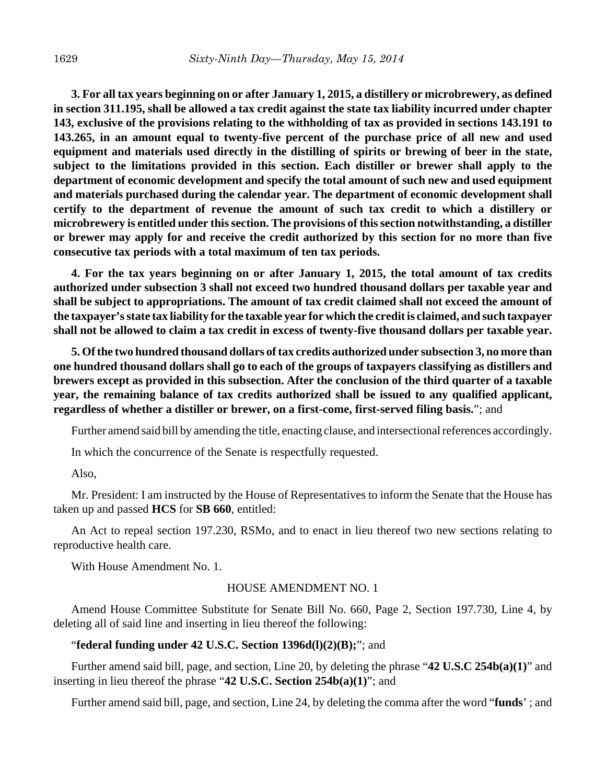**3. For all tax years beginning on or after January 1, 2015, a distillery or microbrewery, as defined in section 311.195, shall be allowed a tax credit against the state tax liability incurred under chapter 143, exclusive of the provisions relating to the withholding of tax as provided in sections 143.191 to 143.265, in an amount equal to twenty-five percent of the purchase price of all new and used equipment and materials used directly in the distilling of spirits or brewing of beer in the state, subject to the limitations provided in this section. Each distiller or brewer shall apply to the department of economic development and specify the total amount of such new and used equipment and materials purchased during the calendar year. The department of economic development shall certify to the department of revenue the amount of such tax credit to which a distillery or microbrewery is entitled under this section. The provisions of this section notwithstanding, a distiller or brewer may apply for and receive the credit authorized by this section for no more than five consecutive tax periods with a total maximum of ten tax periods.**

**4. For the tax years beginning on or after January 1, 2015, the total amount of tax credits authorized under subsection 3 shall not exceed two hundred thousand dollars per taxable year and shall be subject to appropriations. The amount of tax credit claimed shall not exceed the amount of the taxpayer's state tax liability for the taxable year for which the credit is claimed, and such taxpayer shall not be allowed to claim a tax credit in excess of twenty-five thousand dollars per taxable year.**

**5. Of the two hundred thousand dollars of tax credits authorized under subsection 3, no more than one hundred thousand dollars shall go to each of the groups of taxpayers classifying as distillers and brewers except as provided in this subsection. After the conclusion of the third quarter of a taxable year, the remaining balance of tax credits authorized shall be issued to any qualified applicant, regardless of whether a distiller or brewer, on a first-come, first-served filing basis.**"; and

Further amend said bill by amending the title, enacting clause, and intersectional references accordingly.

In which the concurrence of the Senate is respectfully requested.

Also,

Mr. President: I am instructed by the House of Representatives to inform the Senate that the House has taken up and passed **HCS** for **SB 660**, entitled:

An Act to repeal section 197.230, RSMo, and to enact in lieu thereof two new sections relating to reproductive health care.

With House Amendment No. 1.

#### HOUSE AMENDMENT NO. 1

Amend House Committee Substitute for Senate Bill No. 660, Page 2, Section 197.730, Line 4, by deleting all of said line and inserting in lieu thereof the following:

#### "**federal funding under 42 U.S.C. Section 1396d(l)(2)(B);**"; and

Further amend said bill, page, and section, Line 20, by deleting the phrase "**42 U.S.C 254b(a)(1)**" and inserting in lieu thereof the phrase "**42 U.S.C. Section 254b(a)(1)**"; and

Further amend said bill, page, and section, Line 24, by deleting the comma after the word "**funds**' ; and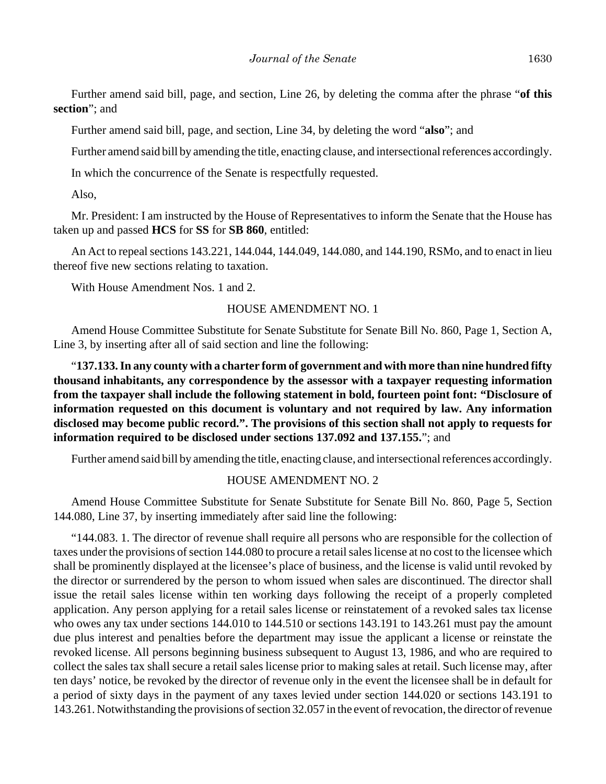Further amend said bill, page, and section, Line 26, by deleting the comma after the phrase "**of this section**"; and

Further amend said bill, page, and section, Line 34, by deleting the word "**also**"; and

Further amend said bill by amending the title, enacting clause, and intersectional references accordingly.

In which the concurrence of the Senate is respectfully requested.

Also,

Mr. President: I am instructed by the House of Representatives to inform the Senate that the House has taken up and passed **HCS** for **SS** for **SB 860**, entitled:

An Act to repeal sections 143.221, 144.044, 144.049, 144.080, and 144.190, RSMo, and to enact in lieu thereof five new sections relating to taxation.

With House Amendment Nos. 1 and 2.

#### HOUSE AMENDMENT NO. 1

Amend House Committee Substitute for Senate Substitute for Senate Bill No. 860, Page 1, Section A, Line 3, by inserting after all of said section and line the following:

"**137.133. In any county with a charter form of government and with more than nine hundred fifty thousand inhabitants, any correspondence by the assessor with a taxpayer requesting information from the taxpayer shall include the following statement in bold, fourteen point font: "Disclosure of information requested on this document is voluntary and not required by law. Any information disclosed may become public record.". The provisions of this section shall not apply to requests for information required to be disclosed under sections 137.092 and 137.155.**"; and

Further amend said bill by amending the title, enacting clause, and intersectional references accordingly.

## HOUSE AMENDMENT NO. 2

Amend House Committee Substitute for Senate Substitute for Senate Bill No. 860, Page 5, Section 144.080, Line 37, by inserting immediately after said line the following:

"144.083. 1. The director of revenue shall require all persons who are responsible for the collection of taxes under the provisions of section 144.080 to procure a retail sales license at no cost to the licensee which shall be prominently displayed at the licensee's place of business, and the license is valid until revoked by the director or surrendered by the person to whom issued when sales are discontinued. The director shall issue the retail sales license within ten working days following the receipt of a properly completed application. Any person applying for a retail sales license or reinstatement of a revoked sales tax license who owes any tax under sections 144.010 to 144.510 or sections 143.191 to 143.261 must pay the amount due plus interest and penalties before the department may issue the applicant a license or reinstate the revoked license. All persons beginning business subsequent to August 13, 1986, and who are required to collect the sales tax shall secure a retail sales license prior to making sales at retail. Such license may, after ten days' notice, be revoked by the director of revenue only in the event the licensee shall be in default for a period of sixty days in the payment of any taxes levied under section 144.020 or sections 143.191 to 143.261. Notwithstanding the provisions of section 32.057 in the event of revocation, the director of revenue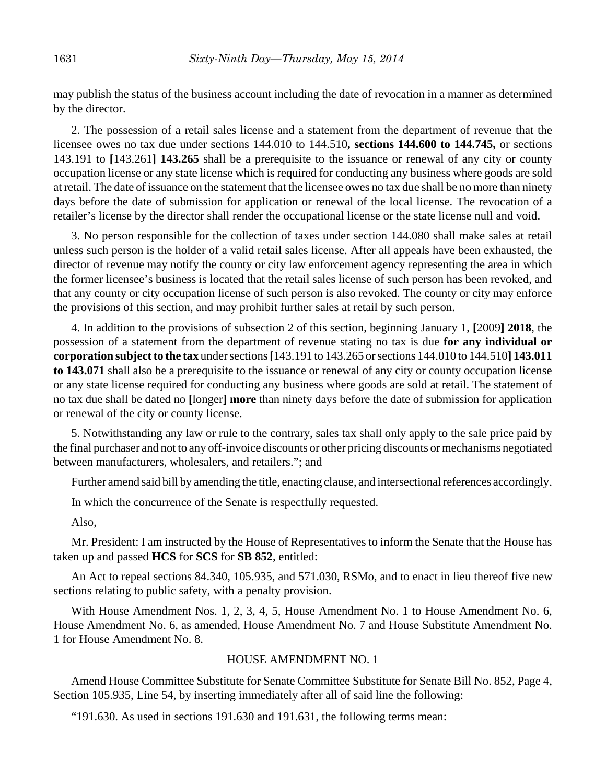may publish the status of the business account including the date of revocation in a manner as determined by the director.

2. The possession of a retail sales license and a statement from the department of revenue that the licensee owes no tax due under sections 144.010 to 144.510**, sections 144.600 to 144.745,** or sections 143.191 to **[**143.261**] 143.265** shall be a prerequisite to the issuance or renewal of any city or county occupation license or any state license which is required for conducting any business where goods are sold at retail. The date of issuance on the statement that the licensee owes no tax due shall be no more than ninety days before the date of submission for application or renewal of the local license. The revocation of a retailer's license by the director shall render the occupational license or the state license null and void.

3. No person responsible for the collection of taxes under section 144.080 shall make sales at retail unless such person is the holder of a valid retail sales license. After all appeals have been exhausted, the director of revenue may notify the county or city law enforcement agency representing the area in which the former licensee's business is located that the retail sales license of such person has been revoked, and that any county or city occupation license of such person is also revoked. The county or city may enforce the provisions of this section, and may prohibit further sales at retail by such person.

4. In addition to the provisions of subsection 2 of this section, beginning January 1, **[**2009**] 2018**, the possession of a statement from the department of revenue stating no tax is due **for any individual or corporation subject to the tax** under sections **[**143.191 to 143.265 or sections 144.010 to 144.510**] 143.011 to 143.071** shall also be a prerequisite to the issuance or renewal of any city or county occupation license or any state license required for conducting any business where goods are sold at retail. The statement of no tax due shall be dated no **[**longer**] more** than ninety days before the date of submission for application or renewal of the city or county license.

5. Notwithstanding any law or rule to the contrary, sales tax shall only apply to the sale price paid by the final purchaser and not to any off-invoice discounts or other pricing discounts or mechanisms negotiated between manufacturers, wholesalers, and retailers."; and

Further amend said bill by amending the title, enacting clause, and intersectional references accordingly.

In which the concurrence of the Senate is respectfully requested.

Also,

Mr. President: I am instructed by the House of Representatives to inform the Senate that the House has taken up and passed **HCS** for **SCS** for **SB 852**, entitled:

An Act to repeal sections 84.340, 105.935, and 571.030, RSMo, and to enact in lieu thereof five new sections relating to public safety, with a penalty provision.

With House Amendment Nos. 1, 2, 3, 4, 5, House Amendment No. 1 to House Amendment No. 6, House Amendment No. 6, as amended, House Amendment No. 7 and House Substitute Amendment No. 1 for House Amendment No. 8.

#### HOUSE AMENDMENT NO. 1

Amend House Committee Substitute for Senate Committee Substitute for Senate Bill No. 852, Page 4, Section 105.935, Line 54, by inserting immediately after all of said line the following:

"191.630. As used in sections 191.630 and 191.631, the following terms mean: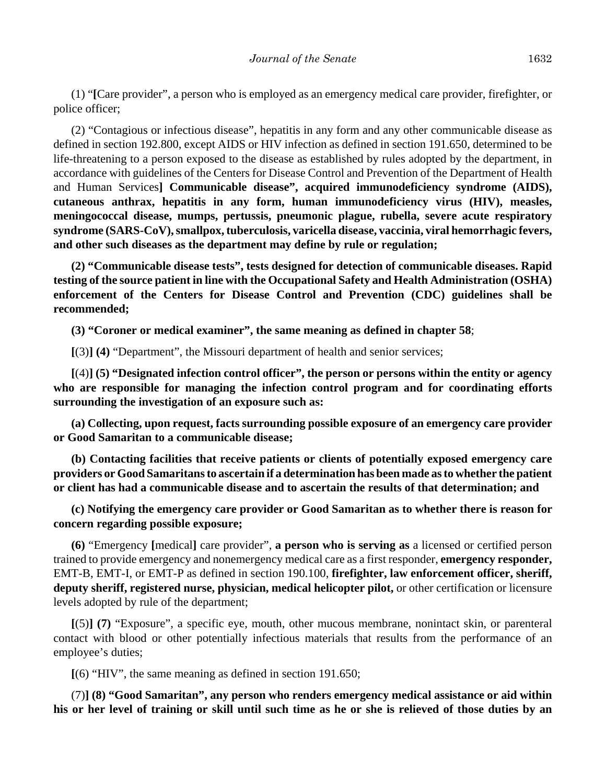(1) "**[**Care provider", a person who is employed as an emergency medical care provider, firefighter, or police officer;

(2) "Contagious or infectious disease", hepatitis in any form and any other communicable disease as defined in section 192.800, except AIDS or HIV infection as defined in section 191.650, determined to be life-threatening to a person exposed to the disease as established by rules adopted by the department, in accordance with guidelines of the Centers for Disease Control and Prevention of the Department of Health and Human Services**] Communicable disease", acquired immunodeficiency syndrome (AIDS), cutaneous anthrax, hepatitis in any form, human immunodeficiency virus (HIV), measles, meningococcal disease, mumps, pertussis, pneumonic plague, rubella, severe acute respiratory syndrome (SARS-CoV), smallpox, tuberculosis, varicella disease, vaccinia, viral hemorrhagic fevers, and other such diseases as the department may define by rule or regulation;**

**(2) "Communicable disease tests", tests designed for detection of communicable diseases. Rapid testing of the source patient in line with the Occupational Safety and Health Administration (OSHA) enforcement of the Centers for Disease Control and Prevention (CDC) guidelines shall be recommended;**

**(3) "Coroner or medical examiner", the same meaning as defined in chapter 58**;

**[**(3)**] (4)** "Department", the Missouri department of health and senior services;

**[**(4)**] (5) "Designated infection control officer", the person or persons within the entity or agency who are responsible for managing the infection control program and for coordinating efforts surrounding the investigation of an exposure such as:**

**(a) Collecting, upon request, facts surrounding possible exposure of an emergency care provider or Good Samaritan to a communicable disease;**

**(b) Contacting facilities that receive patients or clients of potentially exposed emergency care providers or Good Samaritans to ascertain if a determination has been made as to whether the patient or client has had a communicable disease and to ascertain the results of that determination; and**

**(c) Notifying the emergency care provider or Good Samaritan as to whether there is reason for concern regarding possible exposure;**

**(6)** "Emergency **[**medical**]** care provider", **a person who is serving as** a licensed or certified person trained to provide emergency and nonemergency medical care as a first responder, **emergency responder,** EMT-B, EMT-I, or EMT-P as defined in section 190.100, **firefighter, law enforcement officer, sheriff, deputy sheriff, registered nurse, physician, medical helicopter pilot,** or other certification or licensure levels adopted by rule of the department;

**[**(5)**] (7)** "Exposure", a specific eye, mouth, other mucous membrane, nonintact skin, or parenteral contact with blood or other potentially infectious materials that results from the performance of an employee's duties;

**[**(6) "HIV", the same meaning as defined in section 191.650;

(7)**] (8) "Good Samaritan", any person who renders emergency medical assistance or aid within his or her level of training or skill until such time as he or she is relieved of those duties by an**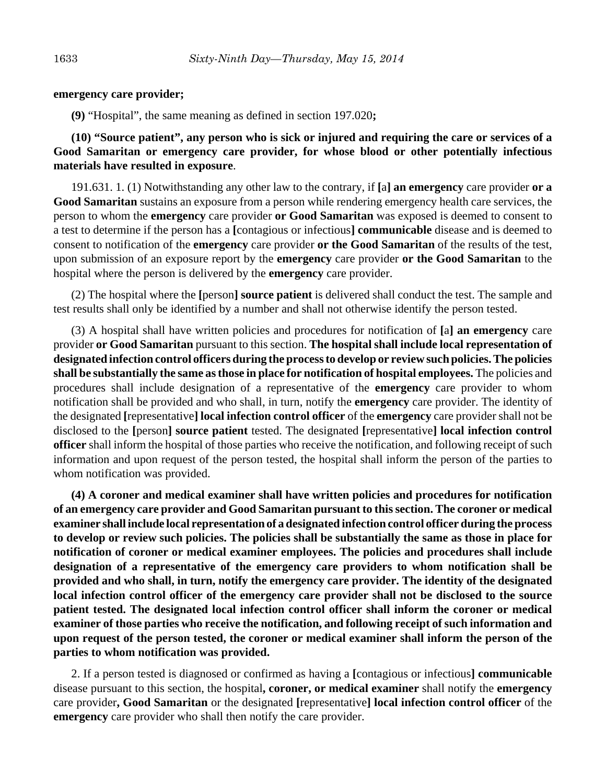#### **emergency care provider;**

**(9)** "Hospital", the same meaning as defined in section 197.020**;**

**(10) "Source patient", any person who is sick or injured and requiring the care or services of a Good Samaritan or emergency care provider, for whose blood or other potentially infectious materials have resulted in exposure**.

191.631. 1. (1) Notwithstanding any other law to the contrary, if **[**a**] an emergency** care provider **or a Good Samaritan** sustains an exposure from a person while rendering emergency health care services, the person to whom the **emergency** care provider **or Good Samaritan** was exposed is deemed to consent to a test to determine if the person has a **[**contagious or infectious**] communicable** disease and is deemed to consent to notification of the **emergency** care provider **or the Good Samaritan** of the results of the test, upon submission of an exposure report by the **emergency** care provider **or the Good Samaritan** to the hospital where the person is delivered by the **emergency** care provider.

(2) The hospital where the **[**person**] source patient** is delivered shall conduct the test. The sample and test results shall only be identified by a number and shall not otherwise identify the person tested.

(3) A hospital shall have written policies and procedures for notification of **[**a**] an emergency** care provider **or Good Samaritan** pursuant to this section. **The hospital shall include local representation of designated infection control officers during the process to develop or review such policies. The policies shall be substantially the same as those in place for notification of hospital employees.** The policies and procedures shall include designation of a representative of the **emergency** care provider to whom notification shall be provided and who shall, in turn, notify the **emergency** care provider. The identity of the designated **[**representative**] local infection control officer** of the **emergency** care provider shall not be disclosed to the **[**person**] source patient** tested. The designated **[**representative**] local infection control officer** shall inform the hospital of those parties who receive the notification, and following receipt of such information and upon request of the person tested, the hospital shall inform the person of the parties to whom notification was provided.

**(4) A coroner and medical examiner shall have written policies and procedures for notification of an emergency care provider and Good Samaritan pursuant to this section. The coroner or medical examiner shall include local representation of a designated infection control officer during the process to develop or review such policies. The policies shall be substantially the same as those in place for notification of coroner or medical examiner employees. The policies and procedures shall include designation of a representative of the emergency care providers to whom notification shall be provided and who shall, in turn, notify the emergency care provider. The identity of the designated local infection control officer of the emergency care provider shall not be disclosed to the source patient tested. The designated local infection control officer shall inform the coroner or medical examiner of those parties who receive the notification, and following receipt of such information and upon request of the person tested, the coroner or medical examiner shall inform the person of the parties to whom notification was provided.**

2. If a person tested is diagnosed or confirmed as having a **[**contagious or infectious**] communicable** disease pursuant to this section, the hospital**, coroner, or medical examiner** shall notify the **emergency** care provider**, Good Samaritan** or the designated **[**representative**] local infection control officer** of the **emergency** care provider who shall then notify the care provider.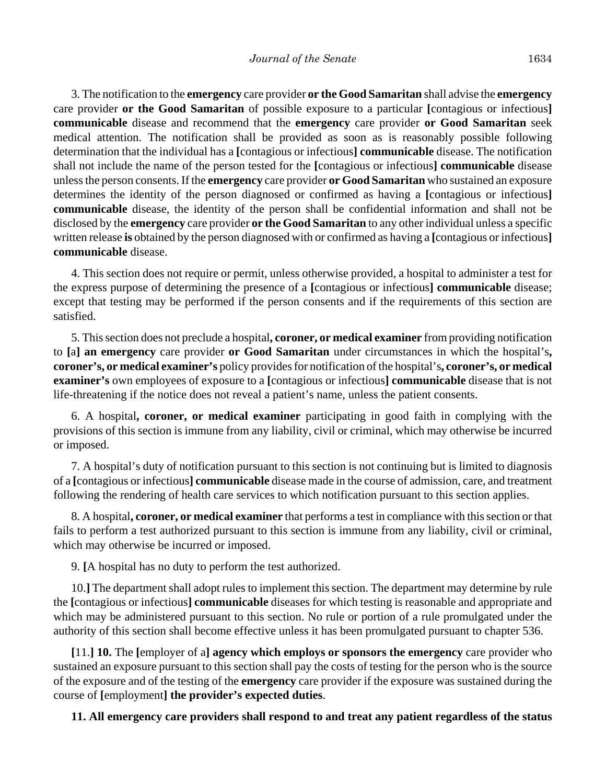3. The notification to the **emergency** care provider **or the Good Samaritan** shall advise the **emergency** care provider **or the Good Samaritan** of possible exposure to a particular **[**contagious or infectious**] communicable** disease and recommend that the **emergency** care provider **or Good Samaritan** seek medical attention. The notification shall be provided as soon as is reasonably possible following determination that the individual has a **[**contagious or infectious**] communicable** disease. The notification shall not include the name of the person tested for the **[**contagious or infectious**] communicable** disease unless the person consents. If the **emergency** care provider **or Good Samaritan** who sustained an exposure determines the identity of the person diagnosed or confirmed as having a **[**contagious or infectious**] communicable** disease, the identity of the person shall be confidential information and shall not be disclosed by the **emergency** care provider **or the Good Samaritan** to any other individual unless a specific written release **is** obtained by the person diagnosed with or confirmed as having a **[**contagious or infectious**] communicable** disease.

4. This section does not require or permit, unless otherwise provided, a hospital to administer a test for the express purpose of determining the presence of a **[**contagious or infectious**] communicable** disease; except that testing may be performed if the person consents and if the requirements of this section are satisfied.

5. This section does not preclude a hospital**, coroner, or medical examiner** from providing notification to **[**a**] an emergency** care provider **or Good Samaritan** under circumstances in which the hospital's**, coroner's, or medical examiner's** policy provides for notification of the hospital's**, coroner's, or medical examiner's** own employees of exposure to a **[**contagious or infectious**] communicable** disease that is not life-threatening if the notice does not reveal a patient's name, unless the patient consents.

6. A hospital**, coroner, or medical examiner** participating in good faith in complying with the provisions of this section is immune from any liability, civil or criminal, which may otherwise be incurred or imposed.

7. A hospital's duty of notification pursuant to this section is not continuing but is limited to diagnosis of a **[**contagious or infectious**] communicable** disease made in the course of admission, care, and treatment following the rendering of health care services to which notification pursuant to this section applies.

8. A hospital**, coroner, or medical examiner** that performs a test in compliance with this section or that fails to perform a test authorized pursuant to this section is immune from any liability, civil or criminal, which may otherwise be incurred or imposed.

9. **[**A hospital has no duty to perform the test authorized.

10.**]** The department shall adopt rules to implement this section. The department may determine by rule the **[**contagious or infectious**] communicable** diseases for which testing is reasonable and appropriate and which may be administered pursuant to this section. No rule or portion of a rule promulgated under the authority of this section shall become effective unless it has been promulgated pursuant to chapter 536.

**[**11.**] 10.** The **[**employer of a**] agency which employs or sponsors the emergency** care provider who sustained an exposure pursuant to this section shall pay the costs of testing for the person who is the source of the exposure and of the testing of the **emergency** care provider if the exposure was sustained during the course of **[**employment**] the provider's expected duties**.

**11. All emergency care providers shall respond to and treat any patient regardless of the status**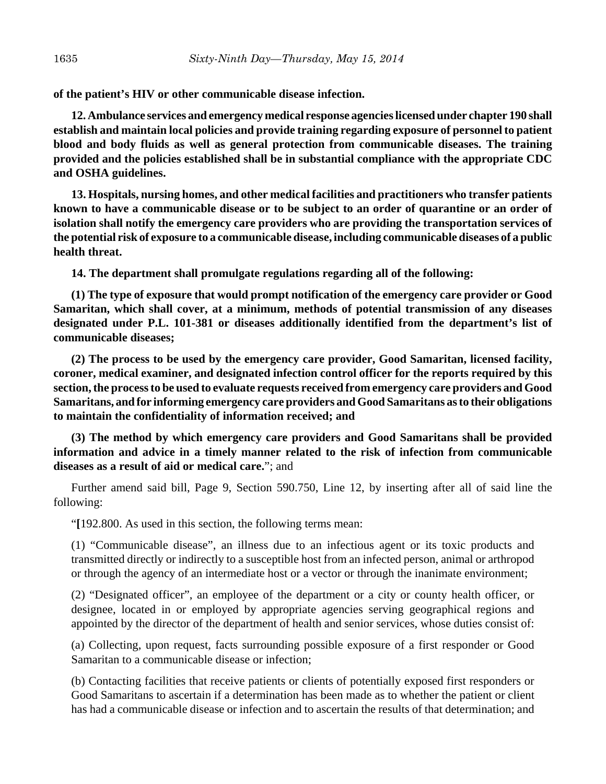**of the patient's HIV or other communicable disease infection.**

**12. Ambulance services and emergency medical response agencies licensed under chapter 190 shall establish and maintain local policies and provide training regarding exposure of personnel to patient blood and body fluids as well as general protection from communicable diseases. The training provided and the policies established shall be in substantial compliance with the appropriate CDC and OSHA guidelines.**

**13. Hospitals, nursing homes, and other medical facilities and practitioners who transfer patients known to have a communicable disease or to be subject to an order of quarantine or an order of isolation shall notify the emergency care providers who are providing the transportation services of the potential risk of exposure to a communicable disease, including communicable diseases of a public health threat.**

**14. The department shall promulgate regulations regarding all of the following:**

**(1) The type of exposure that would prompt notification of the emergency care provider or Good Samaritan, which shall cover, at a minimum, methods of potential transmission of any diseases designated under P.L. 101-381 or diseases additionally identified from the department's list of communicable diseases;**

**(2) The process to be used by the emergency care provider, Good Samaritan, licensed facility, coroner, medical examiner, and designated infection control officer for the reports required by this section, the process to be used to evaluate requests received from emergency care providers and Good Samaritans, and for informing emergency care providers and Good Samaritans as to their obligations to maintain the confidentiality of information received; and**

**(3) The method by which emergency care providers and Good Samaritans shall be provided information and advice in a timely manner related to the risk of infection from communicable diseases as a result of aid or medical care.**"; and

Further amend said bill, Page 9, Section 590.750, Line 12, by inserting after all of said line the following:

"**[**192.800. As used in this section, the following terms mean:

(1) "Communicable disease", an illness due to an infectious agent or its toxic products and transmitted directly or indirectly to a susceptible host from an infected person, animal or arthropod or through the agency of an intermediate host or a vector or through the inanimate environment;

(2) "Designated officer", an employee of the department or a city or county health officer, or designee, located in or employed by appropriate agencies serving geographical regions and appointed by the director of the department of health and senior services, whose duties consist of:

(a) Collecting, upon request, facts surrounding possible exposure of a first responder or Good Samaritan to a communicable disease or infection;

(b) Contacting facilities that receive patients or clients of potentially exposed first responders or Good Samaritans to ascertain if a determination has been made as to whether the patient or client has had a communicable disease or infection and to ascertain the results of that determination; and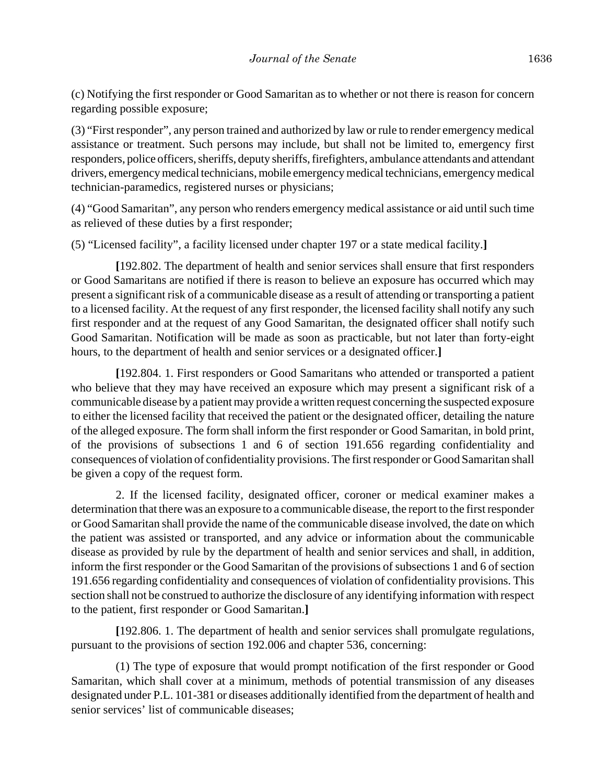(c) Notifying the first responder or Good Samaritan as to whether or not there is reason for concern regarding possible exposure;

(3) "First responder", any person trained and authorized by law or rule to render emergency medical assistance or treatment. Such persons may include, but shall not be limited to, emergency first responders, police officers, sheriffs, deputy sheriffs, firefighters, ambulance attendants and attendant drivers, emergency medical technicians, mobile emergency medical technicians, emergency medical technician-paramedics, registered nurses or physicians;

(4) "Good Samaritan", any person who renders emergency medical assistance or aid until such time as relieved of these duties by a first responder;

(5) "Licensed facility", a facility licensed under chapter 197 or a state medical facility.**]**

**[**192.802. The department of health and senior services shall ensure that first responders or Good Samaritans are notified if there is reason to believe an exposure has occurred which may present a significant risk of a communicable disease as a result of attending or transporting a patient to a licensed facility. At the request of any first responder, the licensed facility shall notify any such first responder and at the request of any Good Samaritan, the designated officer shall notify such Good Samaritan. Notification will be made as soon as practicable, but not later than forty-eight hours, to the department of health and senior services or a designated officer.**]**

**[**192.804. 1. First responders or Good Samaritans who attended or transported a patient who believe that they may have received an exposure which may present a significant risk of a communicable disease by a patient may provide a written request concerning the suspected exposure to either the licensed facility that received the patient or the designated officer, detailing the nature of the alleged exposure. The form shall inform the first responder or Good Samaritan, in bold print, of the provisions of subsections 1 and 6 of section 191.656 regarding confidentiality and consequences of violation of confidentiality provisions. The first responder or Good Samaritan shall be given a copy of the request form.

2. If the licensed facility, designated officer, coroner or medical examiner makes a determination that there was an exposure to a communicable disease, the report to the first responder or Good Samaritan shall provide the name of the communicable disease involved, the date on which the patient was assisted or transported, and any advice or information about the communicable disease as provided by rule by the department of health and senior services and shall, in addition, inform the first responder or the Good Samaritan of the provisions of subsections 1 and 6 of section 191.656 regarding confidentiality and consequences of violation of confidentiality provisions. This section shall not be construed to authorize the disclosure of any identifying information with respect to the patient, first responder or Good Samaritan.**]**

**[**192.806. 1. The department of health and senior services shall promulgate regulations, pursuant to the provisions of section 192.006 and chapter 536, concerning:

(1) The type of exposure that would prompt notification of the first responder or Good Samaritan, which shall cover at a minimum, methods of potential transmission of any diseases designated under P.L. 101-381 or diseases additionally identified from the department of health and senior services' list of communicable diseases;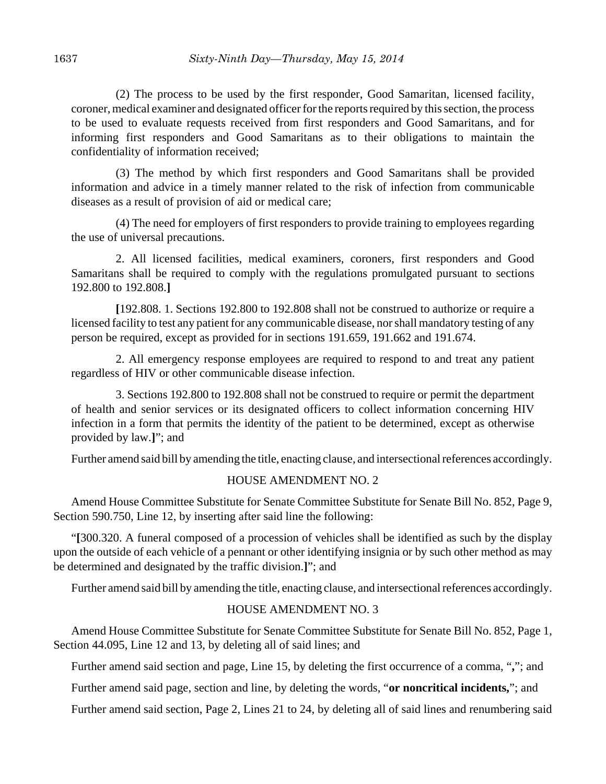(2) The process to be used by the first responder, Good Samaritan, licensed facility, coroner, medical examiner and designated officer for the reports required by this section, the process to be used to evaluate requests received from first responders and Good Samaritans, and for informing first responders and Good Samaritans as to their obligations to maintain the confidentiality of information received;

(3) The method by which first responders and Good Samaritans shall be provided information and advice in a timely manner related to the risk of infection from communicable diseases as a result of provision of aid or medical care;

(4) The need for employers of first responders to provide training to employees regarding the use of universal precautions.

2. All licensed facilities, medical examiners, coroners, first responders and Good Samaritans shall be required to comply with the regulations promulgated pursuant to sections 192.800 to 192.808.**]**

**[**192.808. 1. Sections 192.800 to 192.808 shall not be construed to authorize or require a licensed facility to test any patient for any communicable disease, nor shall mandatory testing of any person be required, except as provided for in sections 191.659, 191.662 and 191.674.

2. All emergency response employees are required to respond to and treat any patient regardless of HIV or other communicable disease infection.

3. Sections 192.800 to 192.808 shall not be construed to require or permit the department of health and senior services or its designated officers to collect information concerning HIV infection in a form that permits the identity of the patient to be determined, except as otherwise provided by law.**]**"; and

Further amend said bill by amending the title, enacting clause, and intersectional references accordingly.

## HOUSE AMENDMENT NO. 2

Amend House Committee Substitute for Senate Committee Substitute for Senate Bill No. 852, Page 9, Section 590.750, Line 12, by inserting after said line the following:

"**[**300.320. A funeral composed of a procession of vehicles shall be identified as such by the display upon the outside of each vehicle of a pennant or other identifying insignia or by such other method as may be determined and designated by the traffic division.**]**"; and

Further amend said bill by amending the title, enacting clause, and intersectional references accordingly.

## HOUSE AMENDMENT NO. 3

Amend House Committee Substitute for Senate Committee Substitute for Senate Bill No. 852, Page 1, Section 44.095, Line 12 and 13, by deleting all of said lines; and

Further amend said section and page, Line 15, by deleting the first occurrence of a comma, "**,**"; and

Further amend said page, section and line, by deleting the words, "**or noncritical incidents,**"; and

Further amend said section, Page 2, Lines 21 to 24, by deleting all of said lines and renumbering said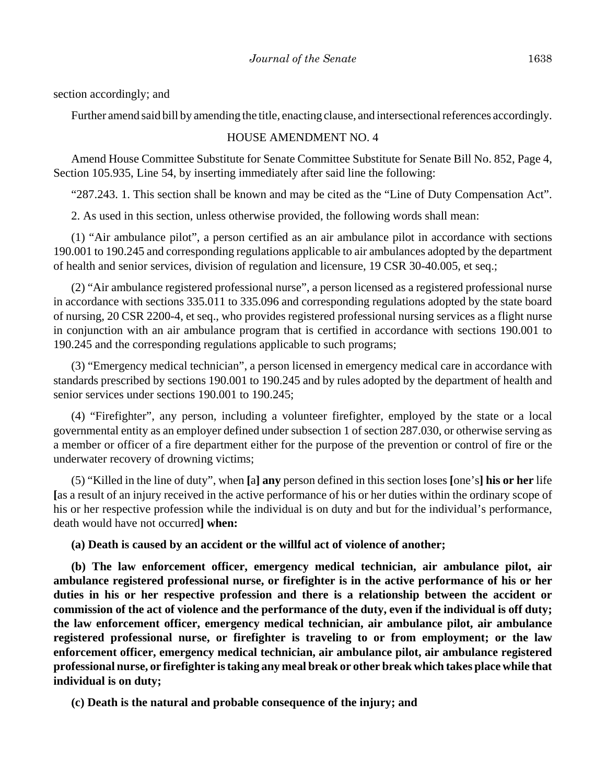section accordingly; and

Further amend said bill by amending the title, enacting clause, and intersectional references accordingly.

#### HOUSE AMENDMENT NO. 4

Amend House Committee Substitute for Senate Committee Substitute for Senate Bill No. 852, Page 4, Section 105.935, Line 54, by inserting immediately after said line the following:

"287.243. 1. This section shall be known and may be cited as the "Line of Duty Compensation Act".

2. As used in this section, unless otherwise provided, the following words shall mean:

(1) "Air ambulance pilot", a person certified as an air ambulance pilot in accordance with sections 190.001 to 190.245 and corresponding regulations applicable to air ambulances adopted by the department of health and senior services, division of regulation and licensure, 19 CSR 30-40.005, et seq.;

(2) "Air ambulance registered professional nurse", a person licensed as a registered professional nurse in accordance with sections 335.011 to 335.096 and corresponding regulations adopted by the state board of nursing, 20 CSR 2200-4, et seq., who provides registered professional nursing services as a flight nurse in conjunction with an air ambulance program that is certified in accordance with sections 190.001 to 190.245 and the corresponding regulations applicable to such programs;

(3) "Emergency medical technician", a person licensed in emergency medical care in accordance with standards prescribed by sections 190.001 to 190.245 and by rules adopted by the department of health and senior services under sections 190.001 to 190.245;

(4) "Firefighter", any person, including a volunteer firefighter, employed by the state or a local governmental entity as an employer defined under subsection 1 of section 287.030, or otherwise serving as a member or officer of a fire department either for the purpose of the prevention or control of fire or the underwater recovery of drowning victims;

(5) "Killed in the line of duty", when **[**a**] any** person defined in this section loses **[**one's**] his or her** life **[**as a result of an injury received in the active performance of his or her duties within the ordinary scope of his or her respective profession while the individual is on duty and but for the individual's performance, death would have not occurred**] when:**

**(a) Death is caused by an accident or the willful act of violence of another;**

**(b) The law enforcement officer, emergency medical technician, air ambulance pilot, air ambulance registered professional nurse, or firefighter is in the active performance of his or her duties in his or her respective profession and there is a relationship between the accident or commission of the act of violence and the performance of the duty, even if the individual is off duty; the law enforcement officer, emergency medical technician, air ambulance pilot, air ambulance registered professional nurse, or firefighter is traveling to or from employment; or the law enforcement officer, emergency medical technician, air ambulance pilot, air ambulance registered professional nurse, or firefighter is taking any meal break or other break which takes place while that individual is on duty;**

**(c) Death is the natural and probable consequence of the injury; and**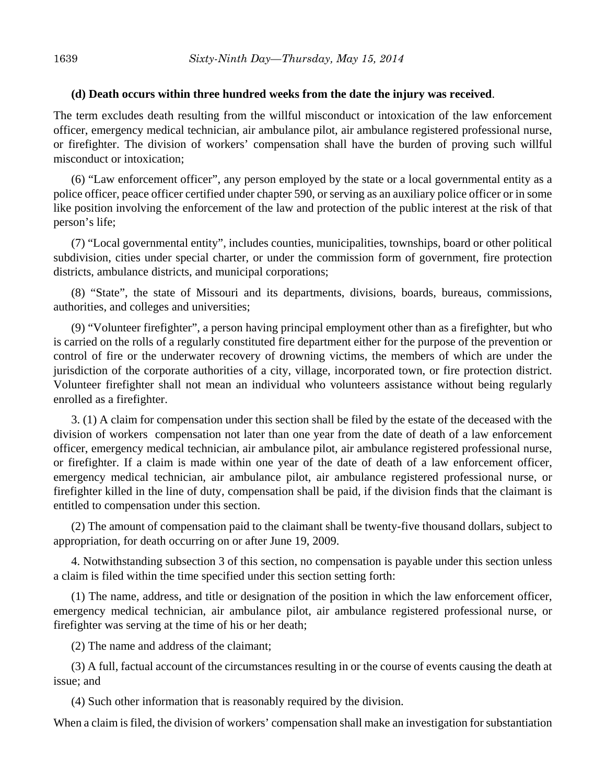## **(d) Death occurs within three hundred weeks from the date the injury was received**.

The term excludes death resulting from the willful misconduct or intoxication of the law enforcement officer, emergency medical technician, air ambulance pilot, air ambulance registered professional nurse, or firefighter. The division of workers' compensation shall have the burden of proving such willful misconduct or intoxication;

(6) "Law enforcement officer", any person employed by the state or a local governmental entity as a police officer, peace officer certified under chapter 590, or serving as an auxiliary police officer or in some like position involving the enforcement of the law and protection of the public interest at the risk of that person's life;

(7) "Local governmental entity", includes counties, municipalities, townships, board or other political subdivision, cities under special charter, or under the commission form of government, fire protection districts, ambulance districts, and municipal corporations;

(8) "State", the state of Missouri and its departments, divisions, boards, bureaus, commissions, authorities, and colleges and universities;

(9) "Volunteer firefighter", a person having principal employment other than as a firefighter, but who is carried on the rolls of a regularly constituted fire department either for the purpose of the prevention or control of fire or the underwater recovery of drowning victims, the members of which are under the jurisdiction of the corporate authorities of a city, village, incorporated town, or fire protection district. Volunteer firefighter shall not mean an individual who volunteers assistance without being regularly enrolled as a firefighter.

3. (1) A claim for compensation under this section shall be filed by the estate of the deceased with the division of workers compensation not later than one year from the date of death of a law enforcement officer, emergency medical technician, air ambulance pilot, air ambulance registered professional nurse, or firefighter. If a claim is made within one year of the date of death of a law enforcement officer, emergency medical technician, air ambulance pilot, air ambulance registered professional nurse, or firefighter killed in the line of duty, compensation shall be paid, if the division finds that the claimant is entitled to compensation under this section.

(2) The amount of compensation paid to the claimant shall be twenty-five thousand dollars, subject to appropriation, for death occurring on or after June 19, 2009.

4. Notwithstanding subsection 3 of this section, no compensation is payable under this section unless a claim is filed within the time specified under this section setting forth:

(1) The name, address, and title or designation of the position in which the law enforcement officer, emergency medical technician, air ambulance pilot, air ambulance registered professional nurse, or firefighter was serving at the time of his or her death;

(2) The name and address of the claimant;

(3) A full, factual account of the circumstances resulting in or the course of events causing the death at issue; and

(4) Such other information that is reasonably required by the division.

When a claim is filed, the division of workers' compensation shall make an investigation for substantiation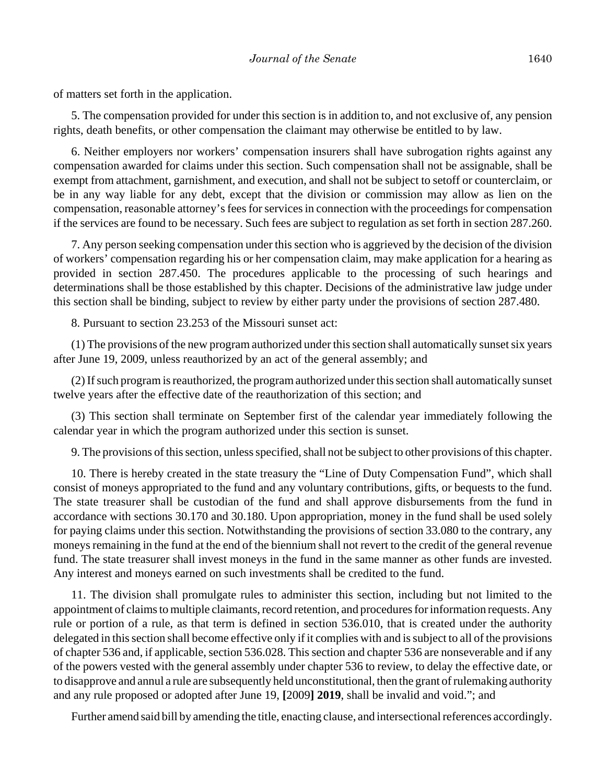of matters set forth in the application.

5. The compensation provided for under this section is in addition to, and not exclusive of, any pension rights, death benefits, or other compensation the claimant may otherwise be entitled to by law.

6. Neither employers nor workers' compensation insurers shall have subrogation rights against any compensation awarded for claims under this section. Such compensation shall not be assignable, shall be exempt from attachment, garnishment, and execution, and shall not be subject to setoff or counterclaim, or be in any way liable for any debt, except that the division or commission may allow as lien on the compensation, reasonable attorney's fees for services in connection with the proceedings for compensation if the services are found to be necessary. Such fees are subject to regulation as set forth in section 287.260.

7. Any person seeking compensation under this section who is aggrieved by the decision of the division of workers' compensation regarding his or her compensation claim, may make application for a hearing as provided in section 287.450. The procedures applicable to the processing of such hearings and determinations shall be those established by this chapter. Decisions of the administrative law judge under this section shall be binding, subject to review by either party under the provisions of section 287.480.

8. Pursuant to section 23.253 of the Missouri sunset act:

(1) The provisions of the new program authorized under this section shall automatically sunset six years after June 19, 2009, unless reauthorized by an act of the general assembly; and

(2) If such program is reauthorized, the program authorized under this section shall automatically sunset twelve years after the effective date of the reauthorization of this section; and

(3) This section shall terminate on September first of the calendar year immediately following the calendar year in which the program authorized under this section is sunset.

9. The provisions of this section, unless specified, shall not be subject to other provisions of this chapter.

10. There is hereby created in the state treasury the "Line of Duty Compensation Fund", which shall consist of moneys appropriated to the fund and any voluntary contributions, gifts, or bequests to the fund. The state treasurer shall be custodian of the fund and shall approve disbursements from the fund in accordance with sections 30.170 and 30.180. Upon appropriation, money in the fund shall be used solely for paying claims under this section. Notwithstanding the provisions of section 33.080 to the contrary, any moneys remaining in the fund at the end of the biennium shall not revert to the credit of the general revenue fund. The state treasurer shall invest moneys in the fund in the same manner as other funds are invested. Any interest and moneys earned on such investments shall be credited to the fund.

11. The division shall promulgate rules to administer this section, including but not limited to the appointment of claims to multiple claimants, record retention, and procedures for information requests. Any rule or portion of a rule, as that term is defined in section 536.010, that is created under the authority delegated in this section shall become effective only if it complies with and is subject to all of the provisions of chapter 536 and, if applicable, section 536.028. This section and chapter 536 are nonseverable and if any of the powers vested with the general assembly under chapter 536 to review, to delay the effective date, or to disapprove and annul a rule are subsequently held unconstitutional, then the grant of rulemaking authority and any rule proposed or adopted after June 19, **[**2009**] 2019**, shall be invalid and void."; and

Further amend said bill by amending the title, enacting clause, and intersectional references accordingly.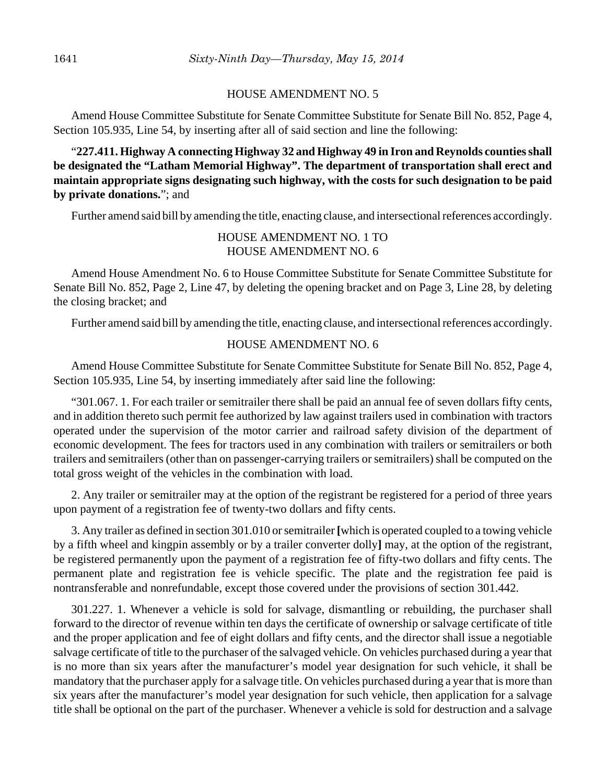#### HOUSE AMENDMENT NO. 5

Amend House Committee Substitute for Senate Committee Substitute for Senate Bill No. 852, Page 4, Section 105.935, Line 54, by inserting after all of said section and line the following:

"**227.411. Highway A connecting Highway 32 and Highway 49 in Iron and Reynolds counties shall be designated the "Latham Memorial Highway". The department of transportation shall erect and maintain appropriate signs designating such highway, with the costs for such designation to be paid by private donations.**"; and

Further amend said bill by amending the title, enacting clause, and intersectional references accordingly.

## HOUSE AMENDMENT NO. 1 TO HOUSE AMENDMENT NO. 6

Amend House Amendment No. 6 to House Committee Substitute for Senate Committee Substitute for Senate Bill No. 852, Page 2, Line 47, by deleting the opening bracket and on Page 3, Line 28, by deleting the closing bracket; and

Further amend said bill by amending the title, enacting clause, and intersectional references accordingly.

#### HOUSE AMENDMENT NO. 6

Amend House Committee Substitute for Senate Committee Substitute for Senate Bill No. 852, Page 4, Section 105.935, Line 54, by inserting immediately after said line the following:

"301.067. 1. For each trailer or semitrailer there shall be paid an annual fee of seven dollars fifty cents, and in addition thereto such permit fee authorized by law against trailers used in combination with tractors operated under the supervision of the motor carrier and railroad safety division of the department of economic development. The fees for tractors used in any combination with trailers or semitrailers or both trailers and semitrailers (other than on passenger-carrying trailers or semitrailers) shall be computed on the total gross weight of the vehicles in the combination with load.

2. Any trailer or semitrailer may at the option of the registrant be registered for a period of three years upon payment of a registration fee of twenty-two dollars and fifty cents.

3. Any trailer as defined in section 301.010 or semitrailer **[**which is operated coupled to a towing vehicle by a fifth wheel and kingpin assembly or by a trailer converter dolly**]** may, at the option of the registrant, be registered permanently upon the payment of a registration fee of fifty-two dollars and fifty cents. The permanent plate and registration fee is vehicle specific. The plate and the registration fee paid is nontransferable and nonrefundable, except those covered under the provisions of section 301.442.

301.227. 1. Whenever a vehicle is sold for salvage, dismantling or rebuilding, the purchaser shall forward to the director of revenue within ten days the certificate of ownership or salvage certificate of title and the proper application and fee of eight dollars and fifty cents, and the director shall issue a negotiable salvage certificate of title to the purchaser of the salvaged vehicle. On vehicles purchased during a year that is no more than six years after the manufacturer's model year designation for such vehicle, it shall be mandatory that the purchaser apply for a salvage title. On vehicles purchased during a year that is more than six years after the manufacturer's model year designation for such vehicle, then application for a salvage title shall be optional on the part of the purchaser. Whenever a vehicle is sold for destruction and a salvage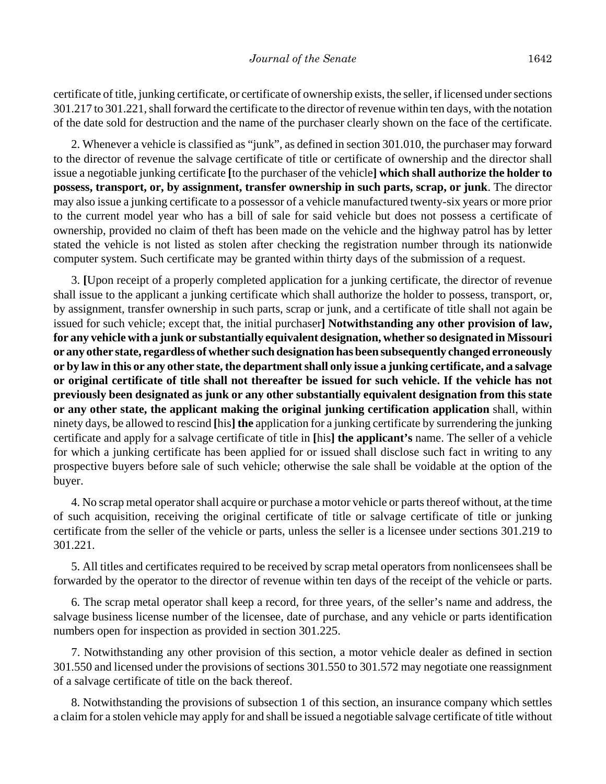certificate of title, junking certificate, or certificate of ownership exists, the seller, if licensed under sections 301.217 to 301.221, shall forward the certificate to the director of revenue within ten days, with the notation of the date sold for destruction and the name of the purchaser clearly shown on the face of the certificate.

2. Whenever a vehicle is classified as "junk", as defined in section 301.010, the purchaser may forward to the director of revenue the salvage certificate of title or certificate of ownership and the director shall issue a negotiable junking certificate **[**to the purchaser of the vehicle**] which shall authorize the holder to possess, transport, or, by assignment, transfer ownership in such parts, scrap, or junk**. The director may also issue a junking certificate to a possessor of a vehicle manufactured twenty-six years or more prior to the current model year who has a bill of sale for said vehicle but does not possess a certificate of ownership, provided no claim of theft has been made on the vehicle and the highway patrol has by letter stated the vehicle is not listed as stolen after checking the registration number through its nationwide computer system. Such certificate may be granted within thirty days of the submission of a request.

3. **[**Upon receipt of a properly completed application for a junking certificate, the director of revenue shall issue to the applicant a junking certificate which shall authorize the holder to possess, transport, or, by assignment, transfer ownership in such parts, scrap or junk, and a certificate of title shall not again be issued for such vehicle; except that, the initial purchaser**] Notwithstanding any other provision of law, for any vehicle with a junk or substantially equivalent designation, whether so designated in Missouri or any other state, regardless of whether such designation has been subsequently changed erroneously or by law in this or any other state, the department shall only issue a junking certificate, and a salvage or original certificate of title shall not thereafter be issued for such vehicle. If the vehicle has not previously been designated as junk or any other substantially equivalent designation from this state or any other state, the applicant making the original junking certification application** shall, within ninety days, be allowed to rescind **[**his**] the** application for a junking certificate by surrendering the junking certificate and apply for a salvage certificate of title in **[**his**] the applicant's** name. The seller of a vehicle for which a junking certificate has been applied for or issued shall disclose such fact in writing to any prospective buyers before sale of such vehicle; otherwise the sale shall be voidable at the option of the buyer.

4. No scrap metal operator shall acquire or purchase a motor vehicle or parts thereof without, at the time of such acquisition, receiving the original certificate of title or salvage certificate of title or junking certificate from the seller of the vehicle or parts, unless the seller is a licensee under sections 301.219 to 301.221.

5. All titles and certificates required to be received by scrap metal operators from nonlicensees shall be forwarded by the operator to the director of revenue within ten days of the receipt of the vehicle or parts.

6. The scrap metal operator shall keep a record, for three years, of the seller's name and address, the salvage business license number of the licensee, date of purchase, and any vehicle or parts identification numbers open for inspection as provided in section 301.225.

7. Notwithstanding any other provision of this section, a motor vehicle dealer as defined in section 301.550 and licensed under the provisions of sections 301.550 to 301.572 may negotiate one reassignment of a salvage certificate of title on the back thereof.

8. Notwithstanding the provisions of subsection 1 of this section, an insurance company which settles a claim for a stolen vehicle may apply for and shall be issued a negotiable salvage certificate of title without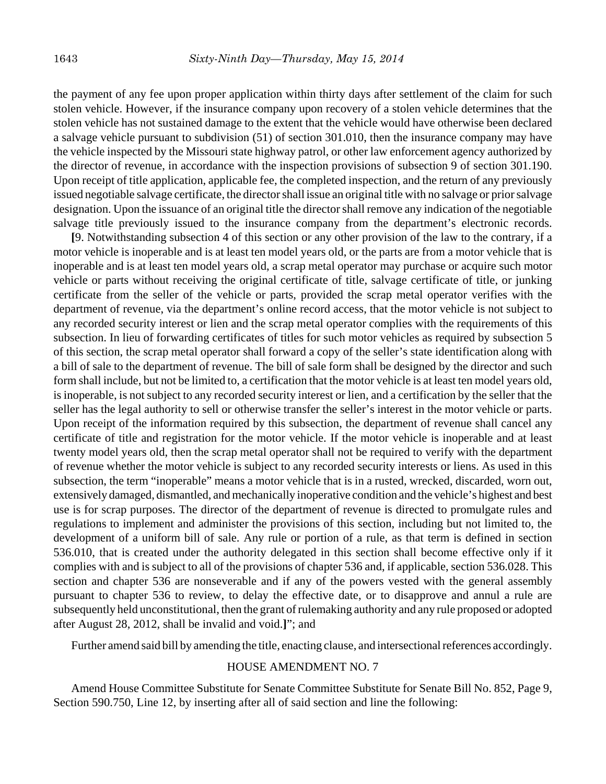the payment of any fee upon proper application within thirty days after settlement of the claim for such stolen vehicle. However, if the insurance company upon recovery of a stolen vehicle determines that the stolen vehicle has not sustained damage to the extent that the vehicle would have otherwise been declared a salvage vehicle pursuant to subdivision (51) of section 301.010, then the insurance company may have the vehicle inspected by the Missouri state highway patrol, or other law enforcement agency authorized by the director of revenue, in accordance with the inspection provisions of subsection 9 of section 301.190. Upon receipt of title application, applicable fee, the completed inspection, and the return of any previously issued negotiable salvage certificate, the director shall issue an original title with no salvage or prior salvage designation. Upon the issuance of an original title the director shall remove any indication of the negotiable salvage title previously issued to the insurance company from the department's electronic records.

**[**9. Notwithstanding subsection 4 of this section or any other provision of the law to the contrary, if a motor vehicle is inoperable and is at least ten model years old, or the parts are from a motor vehicle that is inoperable and is at least ten model years old, a scrap metal operator may purchase or acquire such motor vehicle or parts without receiving the original certificate of title, salvage certificate of title, or junking certificate from the seller of the vehicle or parts, provided the scrap metal operator verifies with the department of revenue, via the department's online record access, that the motor vehicle is not subject to any recorded security interest or lien and the scrap metal operator complies with the requirements of this subsection. In lieu of forwarding certificates of titles for such motor vehicles as required by subsection 5 of this section, the scrap metal operator shall forward a copy of the seller's state identification along with a bill of sale to the department of revenue. The bill of sale form shall be designed by the director and such form shall include, but not be limited to, a certification that the motor vehicle is at least ten model years old, is inoperable, is not subject to any recorded security interest or lien, and a certification by the seller that the seller has the legal authority to sell or otherwise transfer the seller's interest in the motor vehicle or parts. Upon receipt of the information required by this subsection, the department of revenue shall cancel any certificate of title and registration for the motor vehicle. If the motor vehicle is inoperable and at least twenty model years old, then the scrap metal operator shall not be required to verify with the department of revenue whether the motor vehicle is subject to any recorded security interests or liens. As used in this subsection, the term "inoperable" means a motor vehicle that is in a rusted, wrecked, discarded, worn out, extensively damaged, dismantled, and mechanically inoperative condition and the vehicle's highest and best use is for scrap purposes. The director of the department of revenue is directed to promulgate rules and regulations to implement and administer the provisions of this section, including but not limited to, the development of a uniform bill of sale. Any rule or portion of a rule, as that term is defined in section 536.010, that is created under the authority delegated in this section shall become effective only if it complies with and is subject to all of the provisions of chapter 536 and, if applicable, section 536.028. This section and chapter 536 are nonseverable and if any of the powers vested with the general assembly pursuant to chapter 536 to review, to delay the effective date, or to disapprove and annul a rule are subsequently held unconstitutional, then the grant of rulemaking authority and any rule proposed or adopted after August 28, 2012, shall be invalid and void.**]**"; and

Further amend said bill by amending the title, enacting clause, and intersectional references accordingly.

#### HOUSE AMENDMENT NO. 7

Amend House Committee Substitute for Senate Committee Substitute for Senate Bill No. 852, Page 9, Section 590.750, Line 12, by inserting after all of said section and line the following: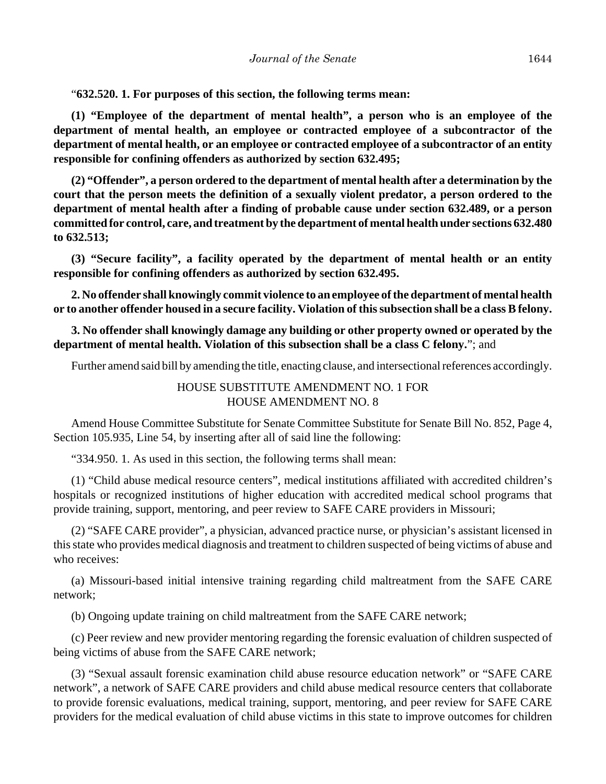"**632.520. 1. For purposes of this section, the following terms mean:**

**(1) "Employee of the department of mental health", a person who is an employee of the department of mental health, an employee or contracted employee of a subcontractor of the department of mental health, or an employee or contracted employee of a subcontractor of an entity responsible for confining offenders as authorized by section 632.495;**

**(2) "Offender", a person ordered to the department of mental health after a determination by the court that the person meets the definition of a sexually violent predator, a person ordered to the department of mental health after a finding of probable cause under section 632.489, or a person committed for control, care, and treatment by the department of mental health under sections 632.480 to 632.513;**

**(3) "Secure facility", a facility operated by the department of mental health or an entity responsible for confining offenders as authorized by section 632.495.**

**2. No offender shall knowingly commit violence to an employee of the department of mental health or to another offender housed in a secure facility. Violation of this subsection shall be a class B felony.**

**3. No offender shall knowingly damage any building or other property owned or operated by the department of mental health. Violation of this subsection shall be a class C felony.**"; and

Further amend said bill by amending the title, enacting clause, and intersectional references accordingly.

## HOUSE SUBSTITUTE AMENDMENT NO. 1 FOR HOUSE AMENDMENT NO. 8

Amend House Committee Substitute for Senate Committee Substitute for Senate Bill No. 852, Page 4, Section 105.935, Line 54, by inserting after all of said line the following:

"334.950. 1. As used in this section, the following terms shall mean:

(1) "Child abuse medical resource centers", medical institutions affiliated with accredited children's hospitals or recognized institutions of higher education with accredited medical school programs that provide training, support, mentoring, and peer review to SAFE CARE providers in Missouri;

(2) "SAFE CARE provider", a physician, advanced practice nurse, or physician's assistant licensed in this state who provides medical diagnosis and treatment to children suspected of being victims of abuse and who receives:

(a) Missouri-based initial intensive training regarding child maltreatment from the SAFE CARE network;

(b) Ongoing update training on child maltreatment from the SAFE CARE network;

(c) Peer review and new provider mentoring regarding the forensic evaluation of children suspected of being victims of abuse from the SAFE CARE network;

(3) "Sexual assault forensic examination child abuse resource education network" or "SAFE CARE network", a network of SAFE CARE providers and child abuse medical resource centers that collaborate to provide forensic evaluations, medical training, support, mentoring, and peer review for SAFE CARE providers for the medical evaluation of child abuse victims in this state to improve outcomes for children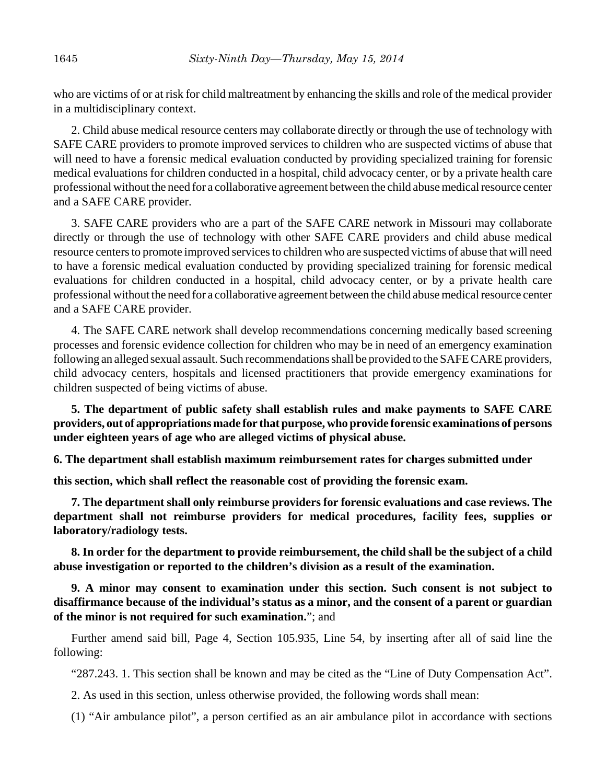who are victims of or at risk for child maltreatment by enhancing the skills and role of the medical provider in a multidisciplinary context.

2. Child abuse medical resource centers may collaborate directly or through the use of technology with SAFE CARE providers to promote improved services to children who are suspected victims of abuse that will need to have a forensic medical evaluation conducted by providing specialized training for forensic medical evaluations for children conducted in a hospital, child advocacy center, or by a private health care professional without the need for a collaborative agreement between the child abuse medical resource center and a SAFE CARE provider.

3. SAFE CARE providers who are a part of the SAFE CARE network in Missouri may collaborate directly or through the use of technology with other SAFE CARE providers and child abuse medical resource centers to promote improved services to children who are suspected victims of abuse that will need to have a forensic medical evaluation conducted by providing specialized training for forensic medical evaluations for children conducted in a hospital, child advocacy center, or by a private health care professional without the need for a collaborative agreement between the child abuse medical resource center and a SAFE CARE provider.

4. The SAFE CARE network shall develop recommendations concerning medically based screening processes and forensic evidence collection for children who may be in need of an emergency examination following an alleged sexual assault. Such recommendations shall be provided to the SAFE CARE providers, child advocacy centers, hospitals and licensed practitioners that provide emergency examinations for children suspected of being victims of abuse.

**5. The department of public safety shall establish rules and make payments to SAFE CARE providers, out of appropriations made for that purpose, who provide forensic examinations of persons under eighteen years of age who are alleged victims of physical abuse.**

**6. The department shall establish maximum reimbursement rates for charges submitted under** 

**this section, which shall reflect the reasonable cost of providing the forensic exam.**

**7. The department shall only reimburse providers for forensic evaluations and case reviews. The department shall not reimburse providers for medical procedures, facility fees, supplies or laboratory/radiology tests.** 

**8. In order for the department to provide reimbursement, the child shall be the subject of a child abuse investigation or reported to the children's division as a result of the examination.** 

**9. A minor may consent to examination under this section. Such consent is not subject to disaffirmance because of the individual's status as a minor, and the consent of a parent or guardian of the minor is not required for such examination.**"; and

Further amend said bill, Page 4, Section 105.935, Line 54, by inserting after all of said line the following:

"287.243. 1. This section shall be known and may be cited as the "Line of Duty Compensation Act".

2. As used in this section, unless otherwise provided, the following words shall mean:

(1) "Air ambulance pilot", a person certified as an air ambulance pilot in accordance with sections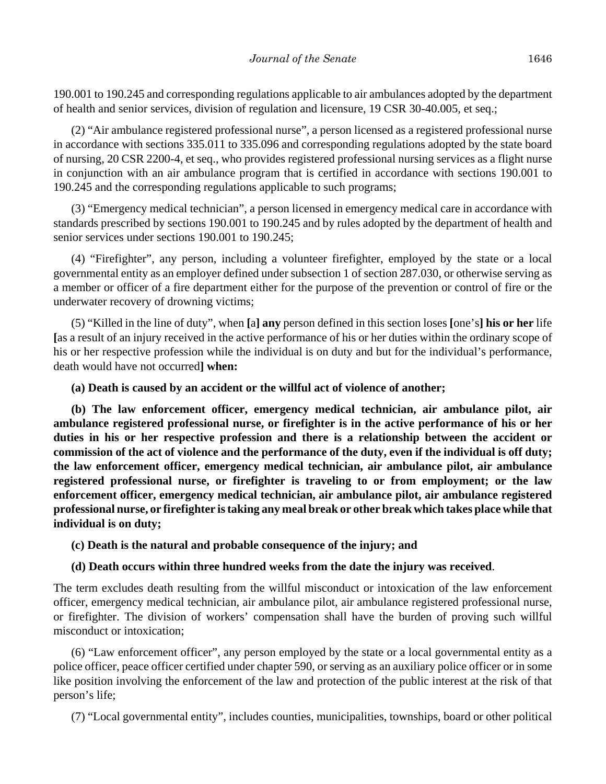190.001 to 190.245 and corresponding regulations applicable to air ambulances adopted by the department of health and senior services, division of regulation and licensure, 19 CSR 30-40.005, et seq.;

(2) "Air ambulance registered professional nurse", a person licensed as a registered professional nurse in accordance with sections 335.011 to 335.096 and corresponding regulations adopted by the state board of nursing, 20 CSR 2200-4, et seq., who provides registered professional nursing services as a flight nurse in conjunction with an air ambulance program that is certified in accordance with sections 190.001 to 190.245 and the corresponding regulations applicable to such programs;

(3) "Emergency medical technician", a person licensed in emergency medical care in accordance with standards prescribed by sections 190.001 to 190.245 and by rules adopted by the department of health and senior services under sections 190.001 to 190.245;

(4) "Firefighter", any person, including a volunteer firefighter, employed by the state or a local governmental entity as an employer defined under subsection 1 of section 287.030, or otherwise serving as a member or officer of a fire department either for the purpose of the prevention or control of fire or the underwater recovery of drowning victims;

(5) "Killed in the line of duty", when **[**a**] any** person defined in this section loses **[**one's**] his or her** life **[**as a result of an injury received in the active performance of his or her duties within the ordinary scope of his or her respective profession while the individual is on duty and but for the individual's performance, death would have not occurred**] when:**

## **(a) Death is caused by an accident or the willful act of violence of another;**

**(b) The law enforcement officer, emergency medical technician, air ambulance pilot, air ambulance registered professional nurse, or firefighter is in the active performance of his or her duties in his or her respective profession and there is a relationship between the accident or commission of the act of violence and the performance of the duty, even if the individual is off duty; the law enforcement officer, emergency medical technician, air ambulance pilot, air ambulance registered professional nurse, or firefighter is traveling to or from employment; or the law enforcement officer, emergency medical technician, air ambulance pilot, air ambulance registered professional nurse, or firefighter is taking any meal break or other break which takes place while that individual is on duty;**

## **(c) Death is the natural and probable consequence of the injury; and**

# **(d) Death occurs within three hundred weeks from the date the injury was received**.

The term excludes death resulting from the willful misconduct or intoxication of the law enforcement officer, emergency medical technician, air ambulance pilot, air ambulance registered professional nurse, or firefighter. The division of workers' compensation shall have the burden of proving such willful misconduct or intoxication;

(6) "Law enforcement officer", any person employed by the state or a local governmental entity as a police officer, peace officer certified under chapter 590, or serving as an auxiliary police officer or in some like position involving the enforcement of the law and protection of the public interest at the risk of that person's life;

(7) "Local governmental entity", includes counties, municipalities, townships, board or other political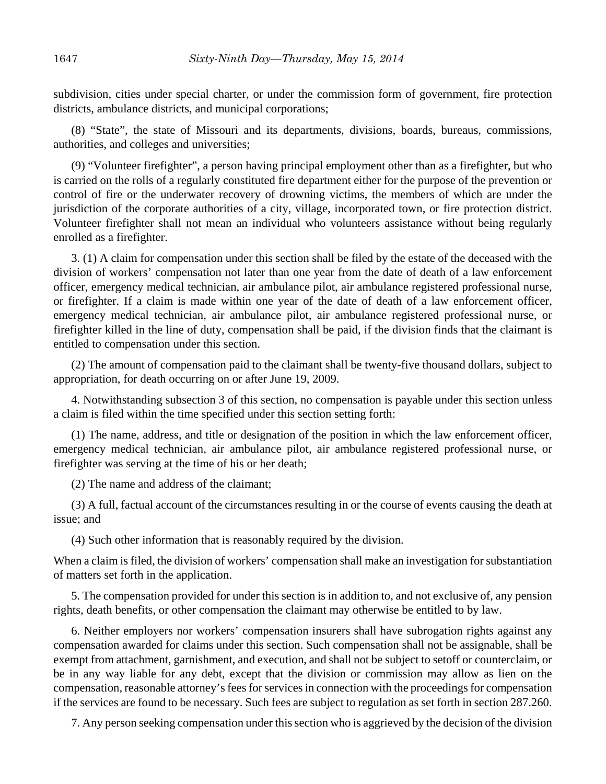subdivision, cities under special charter, or under the commission form of government, fire protection districts, ambulance districts, and municipal corporations;

(8) "State", the state of Missouri and its departments, divisions, boards, bureaus, commissions, authorities, and colleges and universities;

(9) "Volunteer firefighter", a person having principal employment other than as a firefighter, but who is carried on the rolls of a regularly constituted fire department either for the purpose of the prevention or control of fire or the underwater recovery of drowning victims, the members of which are under the jurisdiction of the corporate authorities of a city, village, incorporated town, or fire protection district. Volunteer firefighter shall not mean an individual who volunteers assistance without being regularly enrolled as a firefighter.

3. (1) A claim for compensation under this section shall be filed by the estate of the deceased with the division of workers' compensation not later than one year from the date of death of a law enforcement officer, emergency medical technician, air ambulance pilot, air ambulance registered professional nurse, or firefighter. If a claim is made within one year of the date of death of a law enforcement officer, emergency medical technician, air ambulance pilot, air ambulance registered professional nurse, or firefighter killed in the line of duty, compensation shall be paid, if the division finds that the claimant is entitled to compensation under this section.

(2) The amount of compensation paid to the claimant shall be twenty-five thousand dollars, subject to appropriation, for death occurring on or after June 19, 2009.

4. Notwithstanding subsection 3 of this section, no compensation is payable under this section unless a claim is filed within the time specified under this section setting forth:

(1) The name, address, and title or designation of the position in which the law enforcement officer, emergency medical technician, air ambulance pilot, air ambulance registered professional nurse, or firefighter was serving at the time of his or her death;

(2) The name and address of the claimant;

(3) A full, factual account of the circumstances resulting in or the course of events causing the death at issue; and

(4) Such other information that is reasonably required by the division.

When a claim is filed, the division of workers' compensation shall make an investigation for substantiation of matters set forth in the application.

5. The compensation provided for under this section is in addition to, and not exclusive of, any pension rights, death benefits, or other compensation the claimant may otherwise be entitled to by law.

6. Neither employers nor workers' compensation insurers shall have subrogation rights against any compensation awarded for claims under this section. Such compensation shall not be assignable, shall be exempt from attachment, garnishment, and execution, and shall not be subject to setoff or counterclaim, or be in any way liable for any debt, except that the division or commission may allow as lien on the compensation, reasonable attorney's fees for services in connection with the proceedings for compensation if the services are found to be necessary. Such fees are subject to regulation as set forth in section 287.260.

7. Any person seeking compensation under this section who is aggrieved by the decision of the division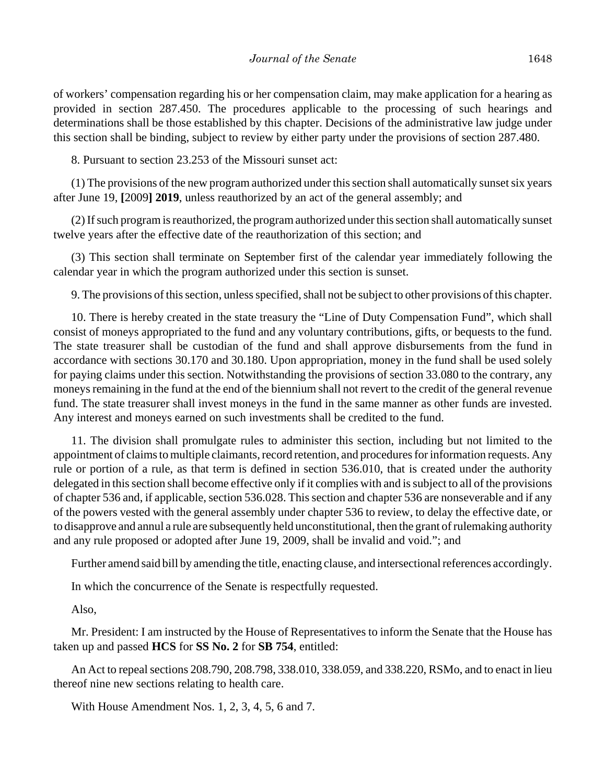of workers' compensation regarding his or her compensation claim, may make application for a hearing as provided in section 287.450. The procedures applicable to the processing of such hearings and determinations shall be those established by this chapter. Decisions of the administrative law judge under this section shall be binding, subject to review by either party under the provisions of section 287.480.

8. Pursuant to section 23.253 of the Missouri sunset act:

(1) The provisions of the new program authorized under this section shall automatically sunset six years after June 19, **[**2009**] 2019**, unless reauthorized by an act of the general assembly; and

(2) If such program is reauthorized, the program authorized under this section shall automatically sunset twelve years after the effective date of the reauthorization of this section; and

(3) This section shall terminate on September first of the calendar year immediately following the calendar year in which the program authorized under this section is sunset.

9. The provisions of this section, unless specified, shall not be subject to other provisions of this chapter.

10. There is hereby created in the state treasury the "Line of Duty Compensation Fund", which shall consist of moneys appropriated to the fund and any voluntary contributions, gifts, or bequests to the fund. The state treasurer shall be custodian of the fund and shall approve disbursements from the fund in accordance with sections 30.170 and 30.180. Upon appropriation, money in the fund shall be used solely for paying claims under this section. Notwithstanding the provisions of section 33.080 to the contrary, any moneys remaining in the fund at the end of the biennium shall not revert to the credit of the general revenue fund. The state treasurer shall invest moneys in the fund in the same manner as other funds are invested. Any interest and moneys earned on such investments shall be credited to the fund.

11. The division shall promulgate rules to administer this section, including but not limited to the appointment of claims to multiple claimants, record retention, and procedures for information requests. Any rule or portion of a rule, as that term is defined in section 536.010, that is created under the authority delegated in this section shall become effective only if it complies with and is subject to all of the provisions of chapter 536 and, if applicable, section 536.028. This section and chapter 536 are nonseverable and if any of the powers vested with the general assembly under chapter 536 to review, to delay the effective date, or to disapprove and annul a rule are subsequently held unconstitutional, then the grant of rulemaking authority and any rule proposed or adopted after June 19, 2009, shall be invalid and void."; and

Further amend said bill by amending the title, enacting clause, and intersectional references accordingly.

In which the concurrence of the Senate is respectfully requested.

Also,

Mr. President: I am instructed by the House of Representatives to inform the Senate that the House has taken up and passed **HCS** for **SS No. 2** for **SB 754**, entitled:

An Act to repeal sections 208.790, 208.798, 338.010, 338.059, and 338.220, RSMo, and to enact in lieu thereof nine new sections relating to health care.

With House Amendment Nos. 1, 2, 3, 4, 5, 6 and 7.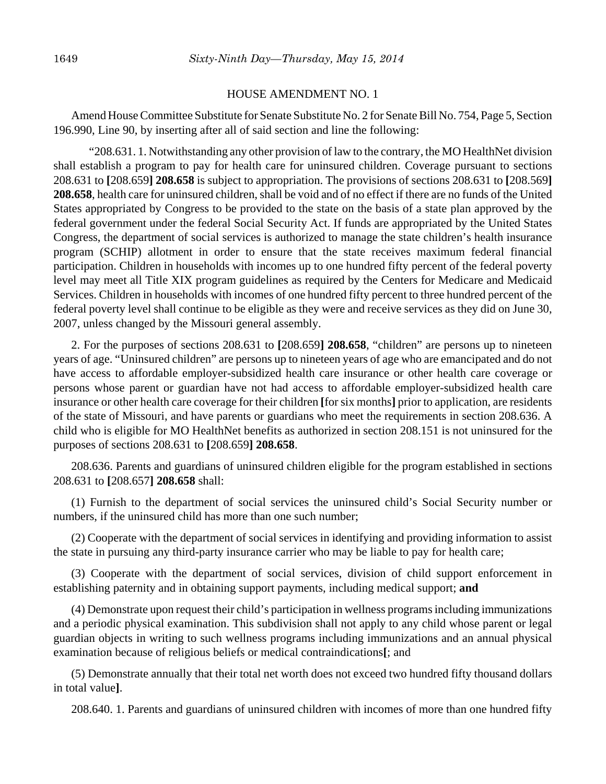#### HOUSE AMENDMENT NO. 1

Amend House Committee Substitute for Senate Substitute No. 2 for Senate Bill No. 754, Page 5, Section 196.990, Line 90, by inserting after all of said section and line the following:

"208.631. 1. Notwithstanding any other provision of law to the contrary, the MO HealthNet division shall establish a program to pay for health care for uninsured children. Coverage pursuant to sections 208.631 to **[**208.659**] 208.658** is subject to appropriation. The provisions of sections 208.631 to **[**208.569**] 208.658**, health care for uninsured children, shall be void and of no effect if there are no funds of the United States appropriated by Congress to be provided to the state on the basis of a state plan approved by the federal government under the federal Social Security Act. If funds are appropriated by the United States Congress, the department of social services is authorized to manage the state children's health insurance program (SCHIP) allotment in order to ensure that the state receives maximum federal financial participation. Children in households with incomes up to one hundred fifty percent of the federal poverty level may meet all Title XIX program guidelines as required by the Centers for Medicare and Medicaid Services. Children in households with incomes of one hundred fifty percent to three hundred percent of the federal poverty level shall continue to be eligible as they were and receive services as they did on June 30, 2007, unless changed by the Missouri general assembly.

2. For the purposes of sections 208.631 to **[**208.659**] 208.658**, "children" are persons up to nineteen years of age. "Uninsured children" are persons up to nineteen years of age who are emancipated and do not have access to affordable employer-subsidized health care insurance or other health care coverage or persons whose parent or guardian have not had access to affordable employer-subsidized health care insurance or other health care coverage for their children **[**for six months**]** prior to application, are residents of the state of Missouri, and have parents or guardians who meet the requirements in section 208.636. A child who is eligible for MO HealthNet benefits as authorized in section 208.151 is not uninsured for the purposes of sections 208.631 to **[**208.659**] 208.658**.

208.636. Parents and guardians of uninsured children eligible for the program established in sections 208.631 to **[**208.657**] 208.658** shall:

(1) Furnish to the department of social services the uninsured child's Social Security number or numbers, if the uninsured child has more than one such number;

(2) Cooperate with the department of social services in identifying and providing information to assist the state in pursuing any third-party insurance carrier who may be liable to pay for health care;

(3) Cooperate with the department of social services, division of child support enforcement in establishing paternity and in obtaining support payments, including medical support; **and**

(4) Demonstrate upon request their child's participation in wellness programs including immunizations and a periodic physical examination. This subdivision shall not apply to any child whose parent or legal guardian objects in writing to such wellness programs including immunizations and an annual physical examination because of religious beliefs or medical contraindications**[**; and

(5) Demonstrate annually that their total net worth does not exceed two hundred fifty thousand dollars in total value**]**.

208.640. 1. Parents and guardians of uninsured children with incomes of more than one hundred fifty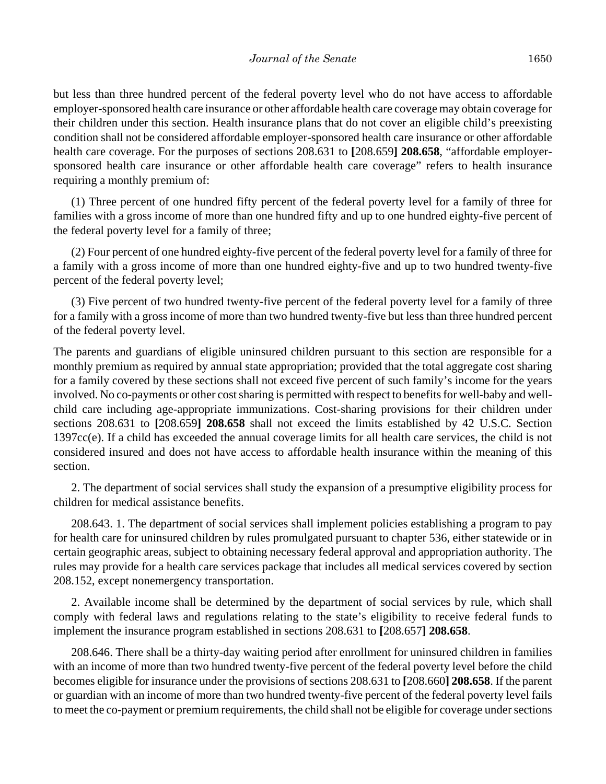but less than three hundred percent of the federal poverty level who do not have access to affordable employer-sponsored health care insurance or other affordable health care coverage may obtain coverage for their children under this section. Health insurance plans that do not cover an eligible child's preexisting condition shall not be considered affordable employer-sponsored health care insurance or other affordable health care coverage. For the purposes of sections 208.631 to **[**208.659**] 208.658**, "affordable employersponsored health care insurance or other affordable health care coverage" refers to health insurance requiring a monthly premium of:

(1) Three percent of one hundred fifty percent of the federal poverty level for a family of three for families with a gross income of more than one hundred fifty and up to one hundred eighty-five percent of the federal poverty level for a family of three;

(2) Four percent of one hundred eighty-five percent of the federal poverty level for a family of three for a family with a gross income of more than one hundred eighty-five and up to two hundred twenty-five percent of the federal poverty level;

(3) Five percent of two hundred twenty-five percent of the federal poverty level for a family of three for a family with a gross income of more than two hundred twenty-five but less than three hundred percent of the federal poverty level.

The parents and guardians of eligible uninsured children pursuant to this section are responsible for a monthly premium as required by annual state appropriation; provided that the total aggregate cost sharing for a family covered by these sections shall not exceed five percent of such family's income for the years involved. No co-payments or other cost sharing is permitted with respect to benefits for well-baby and wellchild care including age-appropriate immunizations. Cost-sharing provisions for their children under sections 208.631 to **[**208.659**] 208.658** shall not exceed the limits established by 42 U.S.C. Section 1397cc(e). If a child has exceeded the annual coverage limits for all health care services, the child is not considered insured and does not have access to affordable health insurance within the meaning of this section.

2. The department of social services shall study the expansion of a presumptive eligibility process for children for medical assistance benefits.

208.643. 1. The department of social services shall implement policies establishing a program to pay for health care for uninsured children by rules promulgated pursuant to chapter 536, either statewide or in certain geographic areas, subject to obtaining necessary federal approval and appropriation authority. The rules may provide for a health care services package that includes all medical services covered by section 208.152, except nonemergency transportation.

2. Available income shall be determined by the department of social services by rule, which shall comply with federal laws and regulations relating to the state's eligibility to receive federal funds to implement the insurance program established in sections 208.631 to **[**208.657**] 208.658**.

208.646. There shall be a thirty-day waiting period after enrollment for uninsured children in families with an income of more than two hundred twenty-five percent of the federal poverty level before the child becomes eligible for insurance under the provisions of sections 208.631 to **[**208.660**] 208.658**. If the parent or guardian with an income of more than two hundred twenty-five percent of the federal poverty level fails to meet the co-payment or premium requirements, the child shall not be eligible for coverage under sections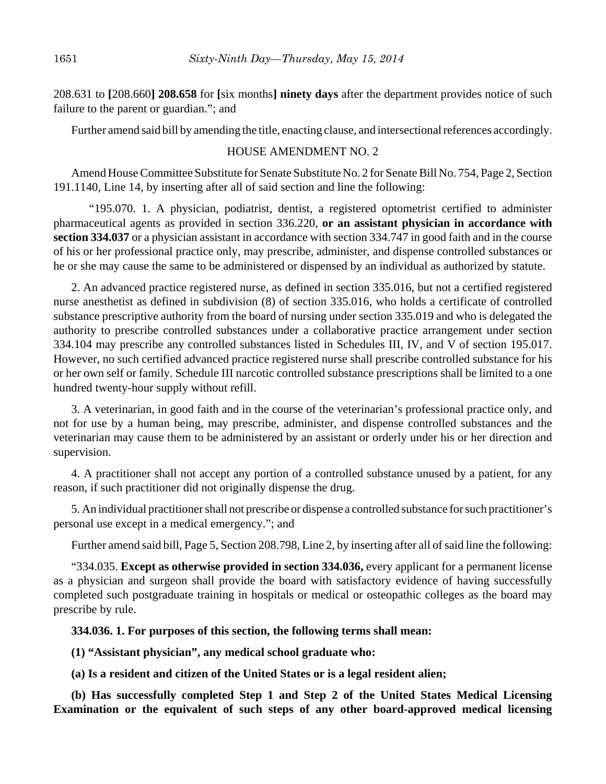208.631 to **[**208.660**] 208.658** for **[**six months**] ninety days** after the department provides notice of such failure to the parent or guardian."; and

Further amend said bill by amending the title, enacting clause, and intersectional references accordingly.

## HOUSE AMENDMENT NO. 2

Amend House Committee Substitute for Senate Substitute No. 2 for Senate Bill No. 754, Page 2, Section 191.1140, Line 14, by inserting after all of said section and line the following:

"195.070. 1. A physician, podiatrist, dentist, a registered optometrist certified to administer pharmaceutical agents as provided in section 336.220, **or an assistant physician in accordance with section 334.037** or a physician assistant in accordance with section 334.747 in good faith and in the course of his or her professional practice only, may prescribe, administer, and dispense controlled substances or he or she may cause the same to be administered or dispensed by an individual as authorized by statute.

2. An advanced practice registered nurse, as defined in section 335.016, but not a certified registered nurse anesthetist as defined in subdivision (8) of section 335.016, who holds a certificate of controlled substance prescriptive authority from the board of nursing under section 335.019 and who is delegated the authority to prescribe controlled substances under a collaborative practice arrangement under section 334.104 may prescribe any controlled substances listed in Schedules III, IV, and V of section 195.017. However, no such certified advanced practice registered nurse shall prescribe controlled substance for his or her own self or family. Schedule III narcotic controlled substance prescriptions shall be limited to a one hundred twenty-hour supply without refill.

3. A veterinarian, in good faith and in the course of the veterinarian's professional practice only, and not for use by a human being, may prescribe, administer, and dispense controlled substances and the veterinarian may cause them to be administered by an assistant or orderly under his or her direction and supervision.

4. A practitioner shall not accept any portion of a controlled substance unused by a patient, for any reason, if such practitioner did not originally dispense the drug.

5. An individual practitioner shall not prescribe or dispense a controlled substance for such practitioner's personal use except in a medical emergency."; and

Further amend said bill, Page 5, Section 208.798, Line 2, by inserting after all of said line the following:

"334.035. **Except as otherwise provided in section 334.036,** every applicant for a permanent license as a physician and surgeon shall provide the board with satisfactory evidence of having successfully completed such postgraduate training in hospitals or medical or osteopathic colleges as the board may prescribe by rule.

# **334.036. 1. For purposes of this section, the following terms shall mean:**

**(1) "Assistant physician", any medical school graduate who:**

**(a) Is a resident and citizen of the United States or is a legal resident alien;**

**(b) Has successfully completed Step 1 and Step 2 of the United States Medical Licensing Examination or the equivalent of such steps of any other board-approved medical licensing**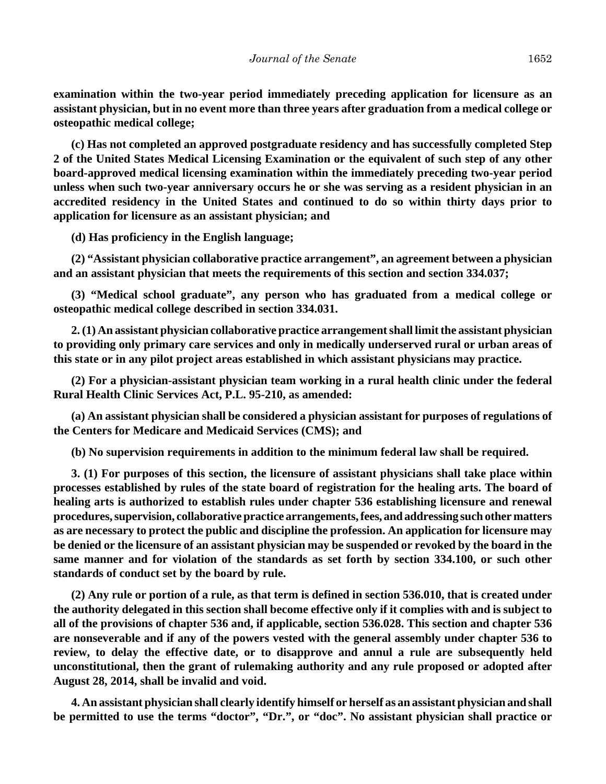**examination within the two-year period immediately preceding application for licensure as an assistant physician, but in no event more than three years after graduation from a medical college or osteopathic medical college;**

**(c) Has not completed an approved postgraduate residency and has successfully completed Step 2 of the United States Medical Licensing Examination or the equivalent of such step of any other board-approved medical licensing examination within the immediately preceding two-year period unless when such two-year anniversary occurs he or she was serving as a resident physician in an accredited residency in the United States and continued to do so within thirty days prior to application for licensure as an assistant physician; and**

**(d) Has proficiency in the English language;**

**(2) "Assistant physician collaborative practice arrangement", an agreement between a physician and an assistant physician that meets the requirements of this section and section 334.037;**

**(3) "Medical school graduate", any person who has graduated from a medical college or osteopathic medical college described in section 334.031.**

**2. (1) An assistant physician collaborative practice arrangement shall limit the assistant physician to providing only primary care services and only in medically underserved rural or urban areas of this state or in any pilot project areas established in which assistant physicians may practice.**

**(2) For a physician-assistant physician team working in a rural health clinic under the federal Rural Health Clinic Services Act, P.L. 95-210, as amended:**

**(a) An assistant physician shall be considered a physician assistant for purposes of regulations of the Centers for Medicare and Medicaid Services (CMS); and**

**(b) No supervision requirements in addition to the minimum federal law shall be required.**

**3. (1) For purposes of this section, the licensure of assistant physicians shall take place within processes established by rules of the state board of registration for the healing arts. The board of healing arts is authorized to establish rules under chapter 536 establishing licensure and renewal procedures, supervision, collaborative practice arrangements, fees, and addressing such other matters as are necessary to protect the public and discipline the profession. An application for licensure may be denied or the licensure of an assistant physician may be suspended or revoked by the board in the same manner and for violation of the standards as set forth by section 334.100, or such other standards of conduct set by the board by rule.**

**(2) Any rule or portion of a rule, as that term is defined in section 536.010, that is created under the authority delegated in this section shall become effective only if it complies with and is subject to all of the provisions of chapter 536 and, if applicable, section 536.028. This section and chapter 536 are nonseverable and if any of the powers vested with the general assembly under chapter 536 to review, to delay the effective date, or to disapprove and annul a rule are subsequently held unconstitutional, then the grant of rulemaking authority and any rule proposed or adopted after August 28, 2014, shall be invalid and void.**

**4. An assistant physician shall clearly identify himself or herself as an assistant physician and shall be permitted to use the terms "doctor", "Dr.", or "doc". No assistant physician shall practice or**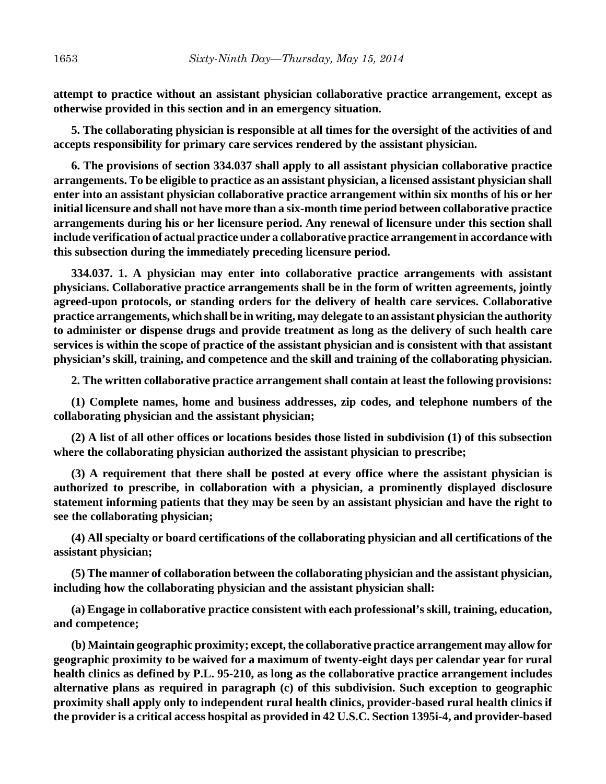**attempt to practice without an assistant physician collaborative practice arrangement, except as otherwise provided in this section and in an emergency situation.**

**5. The collaborating physician is responsible at all times for the oversight of the activities of and accepts responsibility for primary care services rendered by the assistant physician.**

**6. The provisions of section 334.037 shall apply to all assistant physician collaborative practice arrangements. To be eligible to practice as an assistant physician, a licensed assistant physician shall enter into an assistant physician collaborative practice arrangement within six months of his or her initial licensure and shall not have more than a six-month time period between collaborative practice arrangements during his or her licensure period. Any renewal of licensure under this section shall include verification of actual practice under a collaborative practice arrangement in accordance with this subsection during the immediately preceding licensure period.**

**334.037. 1. A physician may enter into collaborative practice arrangements with assistant physicians. Collaborative practice arrangements shall be in the form of written agreements, jointly agreed-upon protocols, or standing orders for the delivery of health care services. Collaborative practice arrangements, which shall be in writing, may delegate to an assistant physician the authority to administer or dispense drugs and provide treatment as long as the delivery of such health care services is within the scope of practice of the assistant physician and is consistent with that assistant physician's skill, training, and competence and the skill and training of the collaborating physician.**

**2. The written collaborative practice arrangement shall contain at least the following provisions:**

**(1) Complete names, home and business addresses, zip codes, and telephone numbers of the collaborating physician and the assistant physician;**

**(2) A list of all other offices or locations besides those listed in subdivision (1) of this subsection where the collaborating physician authorized the assistant physician to prescribe;**

**(3) A requirement that there shall be posted at every office where the assistant physician is authorized to prescribe, in collaboration with a physician, a prominently displayed disclosure statement informing patients that they may be seen by an assistant physician and have the right to see the collaborating physician;**

**(4) All specialty or board certifications of the collaborating physician and all certifications of the assistant physician;**

**(5) The manner of collaboration between the collaborating physician and the assistant physician, including how the collaborating physician and the assistant physician shall:**

**(a) Engage in collaborative practice consistent with each professional's skill, training, education, and competence;**

**(b) Maintain geographic proximity; except, the collaborative practice arrangement may allow for geographic proximity to be waived for a maximum of twenty-eight days per calendar year for rural health clinics as defined by P.L. 95-210, as long as the collaborative practice arrangement includes alternative plans as required in paragraph (c) of this subdivision. Such exception to geographic proximity shall apply only to independent rural health clinics, provider-based rural health clinics if the provider is a critical access hospital as provided in 42 U.S.C. Section 1395i-4, and provider-based**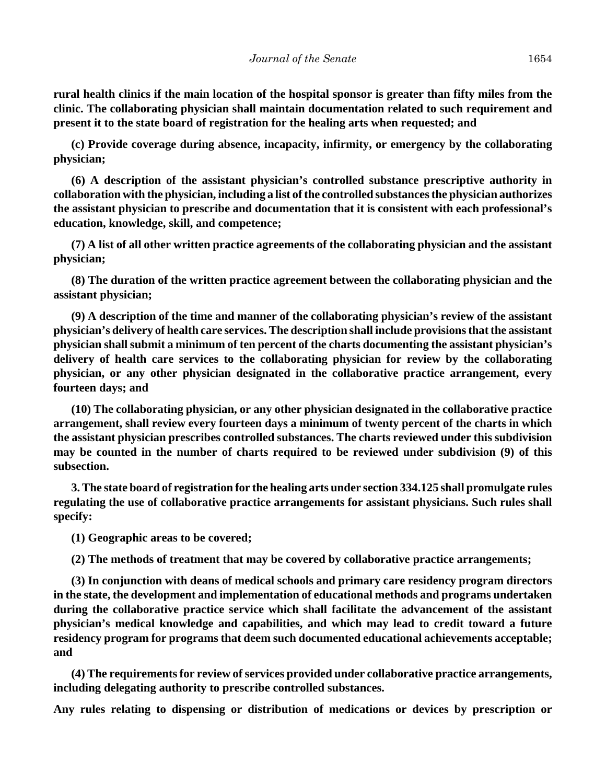**rural health clinics if the main location of the hospital sponsor is greater than fifty miles from the clinic. The collaborating physician shall maintain documentation related to such requirement and present it to the state board of registration for the healing arts when requested; and**

**(c) Provide coverage during absence, incapacity, infirmity, or emergency by the collaborating physician;**

**(6) A description of the assistant physician's controlled substance prescriptive authority in collaboration with the physician, including a list of the controlled substances the physician authorizes the assistant physician to prescribe and documentation that it is consistent with each professional's education, knowledge, skill, and competence;**

**(7) A list of all other written practice agreements of the collaborating physician and the assistant physician;**

**(8) The duration of the written practice agreement between the collaborating physician and the assistant physician;**

**(9) A description of the time and manner of the collaborating physician's review of the assistant physician's delivery of health care services. The description shall include provisions that the assistant physician shall submit a minimum of ten percent of the charts documenting the assistant physician's delivery of health care services to the collaborating physician for review by the collaborating physician, or any other physician designated in the collaborative practice arrangement, every fourteen days; and**

**(10) The collaborating physician, or any other physician designated in the collaborative practice arrangement, shall review every fourteen days a minimum of twenty percent of the charts in which the assistant physician prescribes controlled substances. The charts reviewed under this subdivision may be counted in the number of charts required to be reviewed under subdivision (9) of this subsection.**

**3. The state board of registration for the healing arts under section 334.125 shall promulgate rules regulating the use of collaborative practice arrangements for assistant physicians. Such rules shall specify:**

**(1) Geographic areas to be covered;**

**(2) The methods of treatment that may be covered by collaborative practice arrangements;**

**(3) In conjunction with deans of medical schools and primary care residency program directors in the state, the development and implementation of educational methods and programs undertaken during the collaborative practice service which shall facilitate the advancement of the assistant physician's medical knowledge and capabilities, and which may lead to credit toward a future residency program for programs that deem such documented educational achievements acceptable; and**

**(4) The requirements for review of services provided under collaborative practice arrangements, including delegating authority to prescribe controlled substances.**

**Any rules relating to dispensing or distribution of medications or devices by prescription or**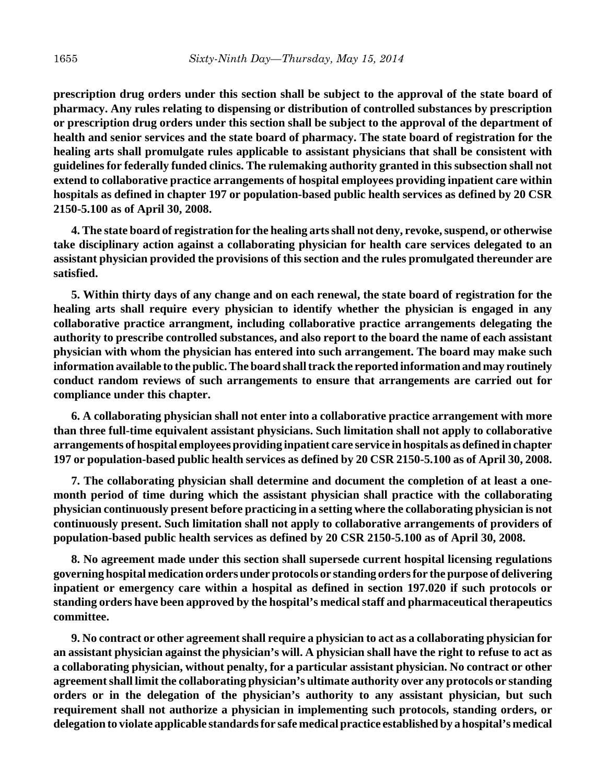**prescription drug orders under this section shall be subject to the approval of the state board of pharmacy. Any rules relating to dispensing or distribution of controlled substances by prescription or prescription drug orders under this section shall be subject to the approval of the department of health and senior services and the state board of pharmacy. The state board of registration for the healing arts shall promulgate rules applicable to assistant physicians that shall be consistent with guidelines for federally funded clinics. The rulemaking authority granted in this subsection shall not extend to collaborative practice arrangements of hospital employees providing inpatient care within hospitals as defined in chapter 197 or population-based public health services as defined by 20 CSR 2150-5.100 as of April 30, 2008.**

**4. The state board of registration for the healing arts shall not deny, revoke, suspend, or otherwise take disciplinary action against a collaborating physician for health care services delegated to an assistant physician provided the provisions of this section and the rules promulgated thereunder are satisfied.**

**5. Within thirty days of any change and on each renewal, the state board of registration for the healing arts shall require every physician to identify whether the physician is engaged in any collaborative practice arrangment, including collaborative practice arrangements delegating the authority to prescribe controlled substances, and also report to the board the name of each assistant physician with whom the physician has entered into such arrangement. The board may make such information available to the public. The board shall track the reported information and may routinely conduct random reviews of such arrangements to ensure that arrangements are carried out for compliance under this chapter.**

**6. A collaborating physician shall not enter into a collaborative practice arrangement with more than three full-time equivalent assistant physicians. Such limitation shall not apply to collaborative arrangements of hospital employees providing inpatient care service in hospitals as defined in chapter 197 or population-based public health services as defined by 20 CSR 2150-5.100 as of April 30, 2008.**

**7. The collaborating physician shall determine and document the completion of at least a onemonth period of time during which the assistant physician shall practice with the collaborating physician continuously present before practicing in a setting where the collaborating physician is not continuously present. Such limitation shall not apply to collaborative arrangements of providers of population-based public health services as defined by 20 CSR 2150-5.100 as of April 30, 2008.**

**8. No agreement made under this section shall supersede current hospital licensing regulations governing hospital medication orders under protocols or standing orders for the purpose of delivering inpatient or emergency care within a hospital as defined in section 197.020 if such protocols or standing orders have been approved by the hospital's medical staff and pharmaceutical therapeutics committee.**

**9. No contract or other agreement shall require a physician to act as a collaborating physician for an assistant physician against the physician's will. A physician shall have the right to refuse to act as a collaborating physician, without penalty, for a particular assistant physician. No contract or other agreement shall limit the collaborating physician's ultimate authority over any protocols or standing orders or in the delegation of the physician's authority to any assistant physician, but such requirement shall not authorize a physician in implementing such protocols, standing orders, or delegation to violate applicable standards for safe medical practice established by a hospital's medical**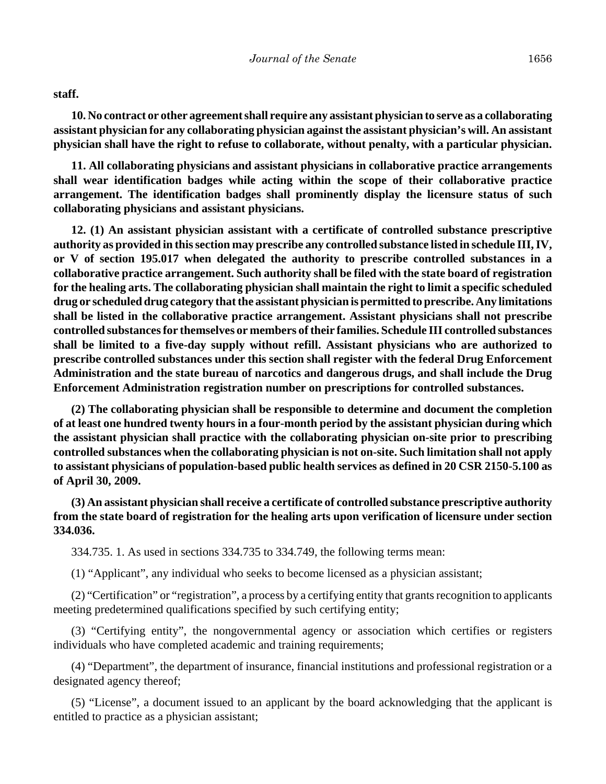**staff.**

**10. No contract or other agreement shall require any assistant physician to serve as a collaborating assistant physician for any collaborating physician against the assistant physician's will. An assistant physician shall have the right to refuse to collaborate, without penalty, with a particular physician.**

**11. All collaborating physicians and assistant physicians in collaborative practice arrangements shall wear identification badges while acting within the scope of their collaborative practice arrangement. The identification badges shall prominently display the licensure status of such collaborating physicians and assistant physicians.**

**12. (1) An assistant physician assistant with a certificate of controlled substance prescriptive authority as provided in this section may prescribe any controlled substance listed in schedule III, IV, or V of section 195.017 when delegated the authority to prescribe controlled substances in a collaborative practice arrangement. Such authority shall be filed with the state board of registration for the healing arts. The collaborating physician shall maintain the right to limit a specific scheduled drug or scheduled drug category that the assistant physician is permitted to prescribe. Any limitations shall be listed in the collaborative practice arrangement. Assistant physicians shall not prescribe controlled substances for themselves or members of their families. Schedule III controlled substances shall be limited to a five-day supply without refill. Assistant physicians who are authorized to prescribe controlled substances under this section shall register with the federal Drug Enforcement Administration and the state bureau of narcotics and dangerous drugs, and shall include the Drug Enforcement Administration registration number on prescriptions for controlled substances.**

**(2) The collaborating physician shall be responsible to determine and document the completion of at least one hundred twenty hours in a four-month period by the assistant physician during which the assistant physician shall practice with the collaborating physician on-site prior to prescribing controlled substances when the collaborating physician is not on-site. Such limitation shall not apply to assistant physicians of population-based public health services as defined in 20 CSR 2150-5.100 as of April 30, 2009.**

**(3) An assistant physician shall receive a certificate of controlled substance prescriptive authority from the state board of registration for the healing arts upon verification of licensure under section 334.036.**

334.735. 1. As used in sections 334.735 to 334.749, the following terms mean:

(1) "Applicant", any individual who seeks to become licensed as a physician assistant;

(2) "Certification" or "registration", a process by a certifying entity that grants recognition to applicants meeting predetermined qualifications specified by such certifying entity;

(3) "Certifying entity", the nongovernmental agency or association which certifies or registers individuals who have completed academic and training requirements;

(4) "Department", the department of insurance, financial institutions and professional registration or a designated agency thereof;

(5) "License", a document issued to an applicant by the board acknowledging that the applicant is entitled to practice as a physician assistant;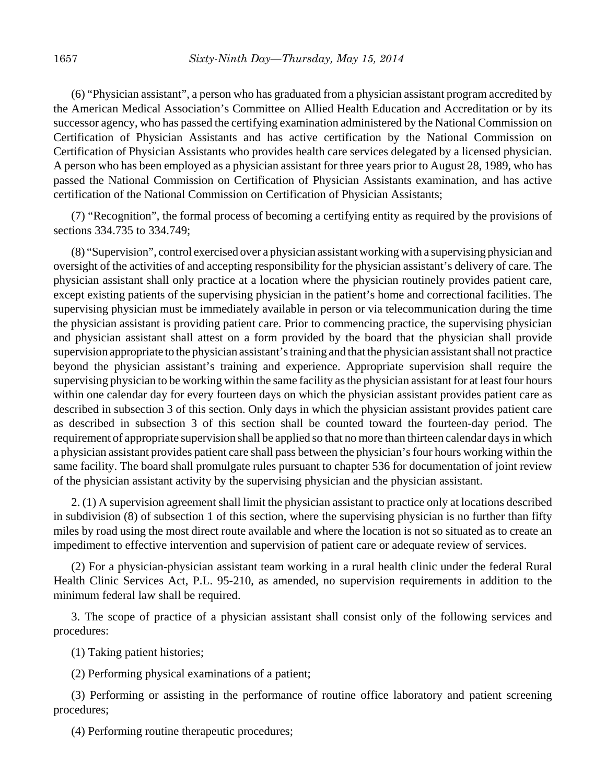(6) "Physician assistant", a person who has graduated from a physician assistant program accredited by the American Medical Association's Committee on Allied Health Education and Accreditation or by its successor agency, who has passed the certifying examination administered by the National Commission on Certification of Physician Assistants and has active certification by the National Commission on Certification of Physician Assistants who provides health care services delegated by a licensed physician. A person who has been employed as a physician assistant for three years prior to August 28, 1989, who has passed the National Commission on Certification of Physician Assistants examination, and has active certification of the National Commission on Certification of Physician Assistants;

(7) "Recognition", the formal process of becoming a certifying entity as required by the provisions of sections 334.735 to 334.749;

(8) "Supervision", control exercised over a physician assistant working with a supervising physician and oversight of the activities of and accepting responsibility for the physician assistant's delivery of care. The physician assistant shall only practice at a location where the physician routinely provides patient care, except existing patients of the supervising physician in the patient's home and correctional facilities. The supervising physician must be immediately available in person or via telecommunication during the time the physician assistant is providing patient care. Prior to commencing practice, the supervising physician and physician assistant shall attest on a form provided by the board that the physician shall provide supervision appropriate to the physician assistant's training and that the physician assistant shall not practice beyond the physician assistant's training and experience. Appropriate supervision shall require the supervising physician to be working within the same facility as the physician assistant for at least four hours within one calendar day for every fourteen days on which the physician assistant provides patient care as described in subsection 3 of this section. Only days in which the physician assistant provides patient care as described in subsection 3 of this section shall be counted toward the fourteen-day period. The requirement of appropriate supervision shall be applied so that no more than thirteen calendar days in which a physician assistant provides patient care shall pass between the physician's four hours working within the same facility. The board shall promulgate rules pursuant to chapter 536 for documentation of joint review of the physician assistant activity by the supervising physician and the physician assistant.

2. (1) A supervision agreement shall limit the physician assistant to practice only at locations described in subdivision (8) of subsection 1 of this section, where the supervising physician is no further than fifty miles by road using the most direct route available and where the location is not so situated as to create an impediment to effective intervention and supervision of patient care or adequate review of services.

(2) For a physician-physician assistant team working in a rural health clinic under the federal Rural Health Clinic Services Act, P.L. 95-210, as amended, no supervision requirements in addition to the minimum federal law shall be required.

3. The scope of practice of a physician assistant shall consist only of the following services and procedures:

(1) Taking patient histories;

(2) Performing physical examinations of a patient;

(3) Performing or assisting in the performance of routine office laboratory and patient screening procedures;

(4) Performing routine therapeutic procedures;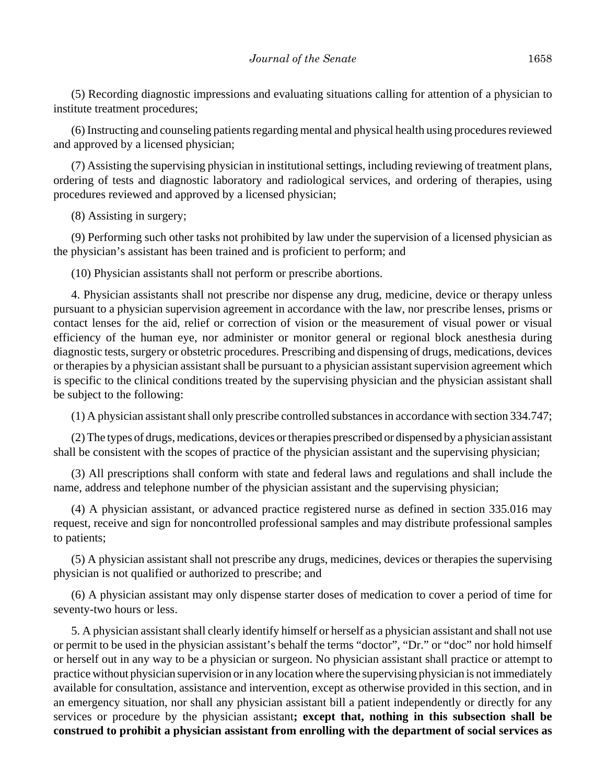(5) Recording diagnostic impressions and evaluating situations calling for attention of a physician to institute treatment procedures;

(6) Instructing and counseling patients regarding mental and physical health using procedures reviewed and approved by a licensed physician;

(7) Assisting the supervising physician in institutional settings, including reviewing of treatment plans, ordering of tests and diagnostic laboratory and radiological services, and ordering of therapies, using procedures reviewed and approved by a licensed physician;

(8) Assisting in surgery;

(9) Performing such other tasks not prohibited by law under the supervision of a licensed physician as the physician's assistant has been trained and is proficient to perform; and

(10) Physician assistants shall not perform or prescribe abortions.

4. Physician assistants shall not prescribe nor dispense any drug, medicine, device or therapy unless pursuant to a physician supervision agreement in accordance with the law, nor prescribe lenses, prisms or contact lenses for the aid, relief or correction of vision or the measurement of visual power or visual efficiency of the human eye, nor administer or monitor general or regional block anesthesia during diagnostic tests, surgery or obstetric procedures. Prescribing and dispensing of drugs, medications, devices or therapies by a physician assistant shall be pursuant to a physician assistant supervision agreement which is specific to the clinical conditions treated by the supervising physician and the physician assistant shall be subject to the following:

(1) A physician assistant shall only prescribe controlled substances in accordance with section 334.747;

(2) The types of drugs, medications, devices or therapies prescribed or dispensed by a physician assistant shall be consistent with the scopes of practice of the physician assistant and the supervising physician;

(3) All prescriptions shall conform with state and federal laws and regulations and shall include the name, address and telephone number of the physician assistant and the supervising physician;

(4) A physician assistant, or advanced practice registered nurse as defined in section 335.016 may request, receive and sign for noncontrolled professional samples and may distribute professional samples to patients;

(5) A physician assistant shall not prescribe any drugs, medicines, devices or therapies the supervising physician is not qualified or authorized to prescribe; and

(6) A physician assistant may only dispense starter doses of medication to cover a period of time for seventy-two hours or less.

5. A physician assistant shall clearly identify himself or herself as a physician assistant and shall not use or permit to be used in the physician assistant's behalf the terms "doctor", "Dr." or "doc" nor hold himself or herself out in any way to be a physician or surgeon. No physician assistant shall practice or attempt to practice without physician supervision or in any location where the supervising physician is not immediately available for consultation, assistance and intervention, except as otherwise provided in this section, and in an emergency situation, nor shall any physician assistant bill a patient independently or directly for any services or procedure by the physician assistant**; except that, nothing in this subsection shall be construed to prohibit a physician assistant from enrolling with the department of social services as**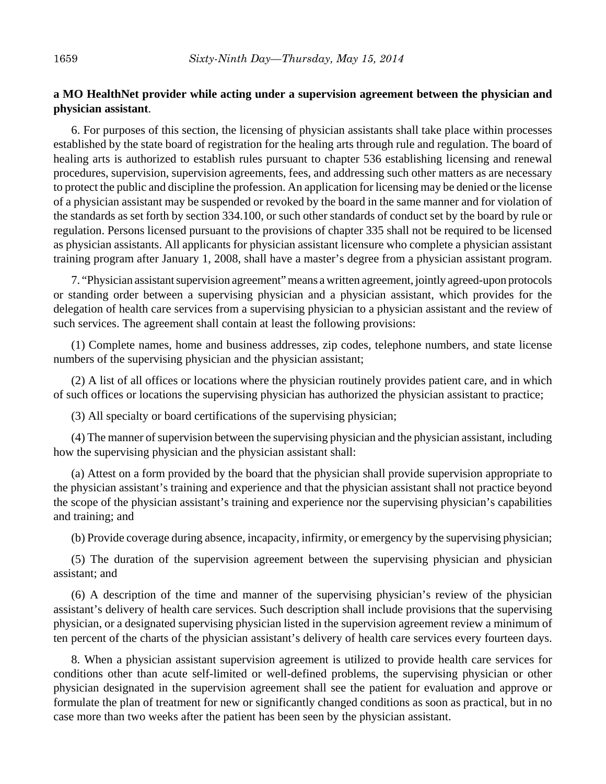## **a MO HealthNet provider while acting under a supervision agreement between the physician and physician assistant**.

6. For purposes of this section, the licensing of physician assistants shall take place within processes established by the state board of registration for the healing arts through rule and regulation. The board of healing arts is authorized to establish rules pursuant to chapter 536 establishing licensing and renewal procedures, supervision, supervision agreements, fees, and addressing such other matters as are necessary to protect the public and discipline the profession. An application for licensing may be denied or the license of a physician assistant may be suspended or revoked by the board in the same manner and for violation of the standards as set forth by section 334.100, or such other standards of conduct set by the board by rule or regulation. Persons licensed pursuant to the provisions of chapter 335 shall not be required to be licensed as physician assistants. All applicants for physician assistant licensure who complete a physician assistant training program after January 1, 2008, shall have a master's degree from a physician assistant program.

7. "Physician assistant supervision agreement" means a written agreement, jointly agreed-upon protocols or standing order between a supervising physician and a physician assistant, which provides for the delegation of health care services from a supervising physician to a physician assistant and the review of such services. The agreement shall contain at least the following provisions:

(1) Complete names, home and business addresses, zip codes, telephone numbers, and state license numbers of the supervising physician and the physician assistant;

(2) A list of all offices or locations where the physician routinely provides patient care, and in which of such offices or locations the supervising physician has authorized the physician assistant to practice;

(3) All specialty or board certifications of the supervising physician;

(4) The manner of supervision between the supervising physician and the physician assistant, including how the supervising physician and the physician assistant shall:

(a) Attest on a form provided by the board that the physician shall provide supervision appropriate to the physician assistant's training and experience and that the physician assistant shall not practice beyond the scope of the physician assistant's training and experience nor the supervising physician's capabilities and training; and

(b) Provide coverage during absence, incapacity, infirmity, or emergency by the supervising physician;

(5) The duration of the supervision agreement between the supervising physician and physician assistant; and

(6) A description of the time and manner of the supervising physician's review of the physician assistant's delivery of health care services. Such description shall include provisions that the supervising physician, or a designated supervising physician listed in the supervision agreement review a minimum of ten percent of the charts of the physician assistant's delivery of health care services every fourteen days.

8. When a physician assistant supervision agreement is utilized to provide health care services for conditions other than acute self-limited or well-defined problems, the supervising physician or other physician designated in the supervision agreement shall see the patient for evaluation and approve or formulate the plan of treatment for new or significantly changed conditions as soon as practical, but in no case more than two weeks after the patient has been seen by the physician assistant.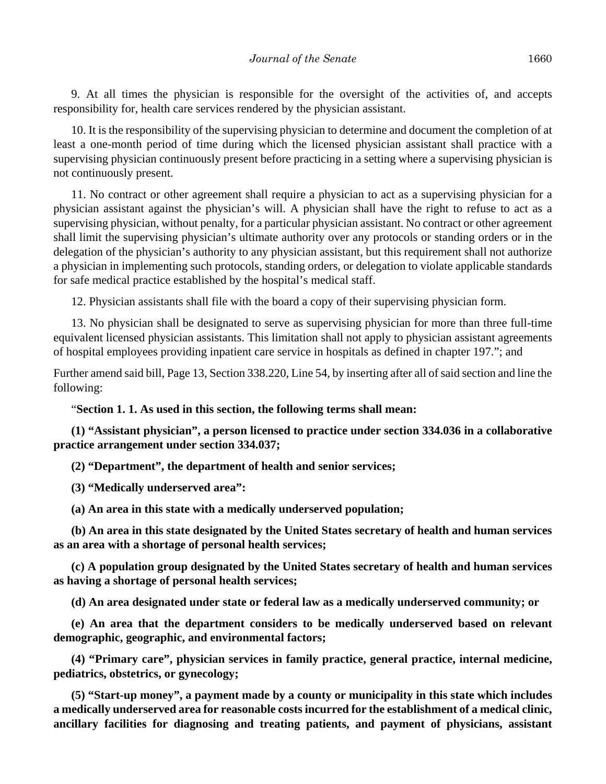9. At all times the physician is responsible for the oversight of the activities of, and accepts responsibility for, health care services rendered by the physician assistant.

10. It is the responsibility of the supervising physician to determine and document the completion of at least a one-month period of time during which the licensed physician assistant shall practice with a supervising physician continuously present before practicing in a setting where a supervising physician is not continuously present.

11. No contract or other agreement shall require a physician to act as a supervising physician for a physician assistant against the physician's will. A physician shall have the right to refuse to act as a supervising physician, without penalty, for a particular physician assistant. No contract or other agreement shall limit the supervising physician's ultimate authority over any protocols or standing orders or in the delegation of the physician's authority to any physician assistant, but this requirement shall not authorize a physician in implementing such protocols, standing orders, or delegation to violate applicable standards for safe medical practice established by the hospital's medical staff.

12. Physician assistants shall file with the board a copy of their supervising physician form.

13. No physician shall be designated to serve as supervising physician for more than three full-time equivalent licensed physician assistants. This limitation shall not apply to physician assistant agreements of hospital employees providing inpatient care service in hospitals as defined in chapter 197."; and

Further amend said bill, Page 13, Section 338.220, Line 54, by inserting after all of said section and line the following:

### "**Section 1. 1. As used in this section, the following terms shall mean:**

**(1) "Assistant physician", a person licensed to practice under section 334.036 in a collaborative practice arrangement under section 334.037;**

**(2) "Department", the department of health and senior services;**

**(3) "Medically underserved area":**

**(a) An area in this state with a medically underserved population;**

**(b) An area in this state designated by the United States secretary of health and human services as an area with a shortage of personal health services;**

**(c) A population group designated by the United States secretary of health and human services as having a shortage of personal health services;**

**(d) An area designated under state or federal law as a medically underserved community; or**

**(e) An area that the department considers to be medically underserved based on relevant demographic, geographic, and environmental factors;**

**(4) "Primary care", physician services in family practice, general practice, internal medicine, pediatrics, obstetrics, or gynecology;**

**(5) "Start-up money", a payment made by a county or municipality in this state which includes a medically underserved area for reasonable costs incurred for the establishment of a medical clinic, ancillary facilities for diagnosing and treating patients, and payment of physicians, assistant**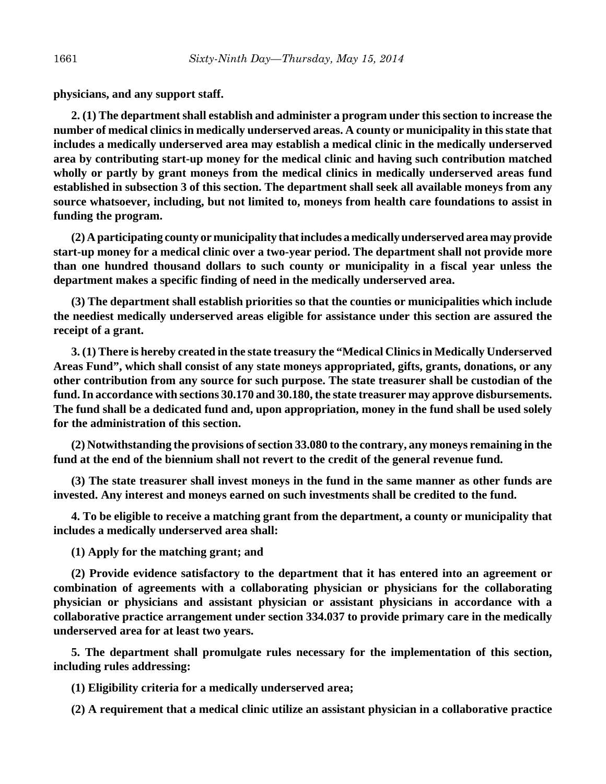**physicians, and any support staff.**

**2. (1) The department shall establish and administer a program under this section to increase the number of medical clinics in medically underserved areas. A county or municipality in this state that includes a medically underserved area may establish a medical clinic in the medically underserved area by contributing start-up money for the medical clinic and having such contribution matched wholly or partly by grant moneys from the medical clinics in medically underserved areas fund established in subsection 3 of this section. The department shall seek all available moneys from any source whatsoever, including, but not limited to, moneys from health care foundations to assist in funding the program.**

**(2) A participating county or municipality that includes a medically underserved area may provide start-up money for a medical clinic over a two-year period. The department shall not provide more than one hundred thousand dollars to such county or municipality in a fiscal year unless the department makes a specific finding of need in the medically underserved area.**

**(3) The department shall establish priorities so that the counties or municipalities which include the neediest medically underserved areas eligible for assistance under this section are assured the receipt of a grant.**

**3. (1) There is hereby created in the state treasury the "Medical Clinics in Medically Underserved Areas Fund", which shall consist of any state moneys appropriated, gifts, grants, donations, or any other contribution from any source for such purpose. The state treasurer shall be custodian of the fund. In accordance with sections 30.170 and 30.180, the state treasurer may approve disbursements. The fund shall be a dedicated fund and, upon appropriation, money in the fund shall be used solely for the administration of this section.**

**(2) Notwithstanding the provisions of section 33.080 to the contrary, any moneys remaining in the fund at the end of the biennium shall not revert to the credit of the general revenue fund.**

**(3) The state treasurer shall invest moneys in the fund in the same manner as other funds are invested. Any interest and moneys earned on such investments shall be credited to the fund.**

**4. To be eligible to receive a matching grant from the department, a county or municipality that includes a medically underserved area shall:**

**(1) Apply for the matching grant; and**

**(2) Provide evidence satisfactory to the department that it has entered into an agreement or combination of agreements with a collaborating physician or physicians for the collaborating physician or physicians and assistant physician or assistant physicians in accordance with a collaborative practice arrangement under section 334.037 to provide primary care in the medically underserved area for at least two years.**

**5. The department shall promulgate rules necessary for the implementation of this section, including rules addressing:**

**(1) Eligibility criteria for a medically underserved area;**

**(2) A requirement that a medical clinic utilize an assistant physician in a collaborative practice**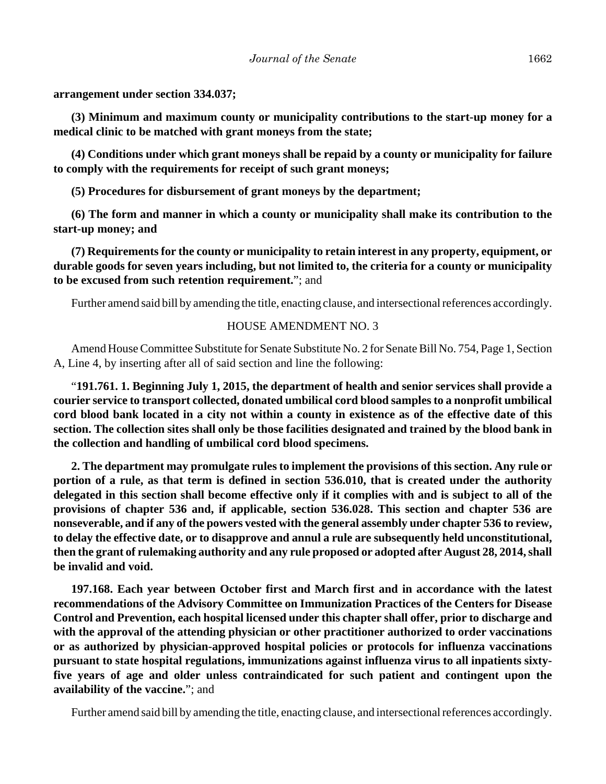#### **arrangement under section 334.037;**

**(3) Minimum and maximum county or municipality contributions to the start-up money for a medical clinic to be matched with grant moneys from the state;**

**(4) Conditions under which grant moneys shall be repaid by a county or municipality for failure to comply with the requirements for receipt of such grant moneys;**

**(5) Procedures for disbursement of grant moneys by the department;**

**(6) The form and manner in which a county or municipality shall make its contribution to the start-up money; and**

**(7) Requirements for the county or municipality to retain interest in any property, equipment, or durable goods for seven years including, but not limited to, the criteria for a county or municipality to be excused from such retention requirement.**"; and

Further amend said bill by amending the title, enacting clause, and intersectional references accordingly.

### HOUSE AMENDMENT NO. 3

Amend House Committee Substitute for Senate Substitute No. 2 for Senate Bill No. 754, Page 1, Section A, Line 4, by inserting after all of said section and line the following:

"**191.761. 1. Beginning July 1, 2015, the department of health and senior services shall provide a courier service to transport collected, donated umbilical cord blood samples to a nonprofit umbilical cord blood bank located in a city not within a county in existence as of the effective date of this section. The collection sites shall only be those facilities designated and trained by the blood bank in the collection and handling of umbilical cord blood specimens.**

**2. The department may promulgate rules to implement the provisions of this section. Any rule or portion of a rule, as that term is defined in section 536.010, that is created under the authority delegated in this section shall become effective only if it complies with and is subject to all of the provisions of chapter 536 and, if applicable, section 536.028. This section and chapter 536 are nonseverable, and if any of the powers vested with the general assembly under chapter 536 to review, to delay the effective date, or to disapprove and annul a rule are subsequently held unconstitutional, then the grant of rulemaking authority and any rule proposed or adopted after August 28, 2014, shall be invalid and void.**

**197.168. Each year between October first and March first and in accordance with the latest recommendations of the Advisory Committee on Immunization Practices of the Centers for Disease Control and Prevention, each hospital licensed under this chapter shall offer, prior to discharge and with the approval of the attending physician or other practitioner authorized to order vaccinations or as authorized by physician-approved hospital policies or protocols for influenza vaccinations pursuant to state hospital regulations, immunizations against influenza virus to all inpatients sixtyfive years of age and older unless contraindicated for such patient and contingent upon the availability of the vaccine.**"; and

Further amend said bill by amending the title, enacting clause, and intersectional references accordingly.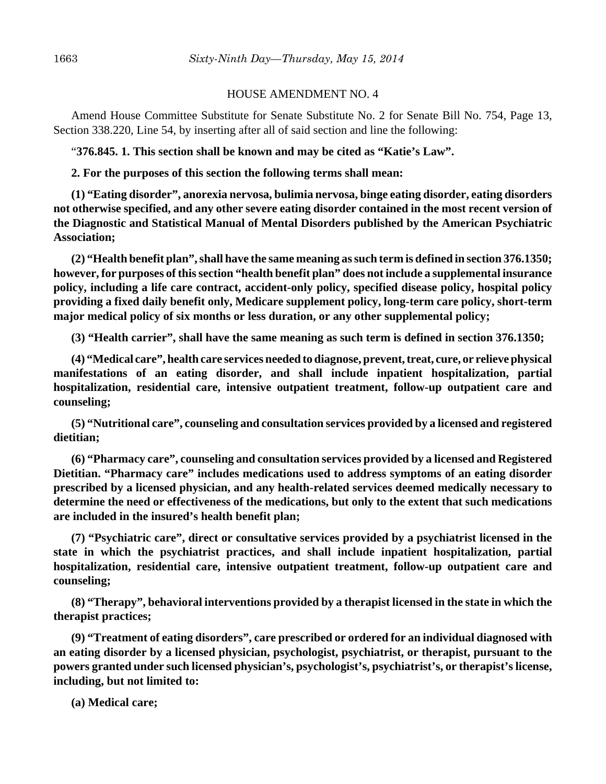### HOUSE AMENDMENT NO. 4

Amend House Committee Substitute for Senate Substitute No. 2 for Senate Bill No. 754, Page 13, Section 338.220, Line 54, by inserting after all of said section and line the following:

"**376.845. 1. This section shall be known and may be cited as "Katie's Law".**

**2. For the purposes of this section the following terms shall mean:**

**(1) "Eating disorder", anorexia nervosa, bulimia nervosa, binge eating disorder, eating disorders not otherwise specified, and any other severe eating disorder contained in the most recent version of the Diagnostic and Statistical Manual of Mental Disorders published by the American Psychiatric Association;**

**(2) "Health benefit plan", shall have the same meaning as such term is defined in section 376.1350; however, for purposes of this section "health benefit plan" does not include a supplemental insurance policy, including a life care contract, accident-only policy, specified disease policy, hospital policy providing a fixed daily benefit only, Medicare supplement policy, long-term care policy, short-term major medical policy of six months or less duration, or any other supplemental policy;**

**(3) "Health carrier", shall have the same meaning as such term is defined in section 376.1350;**

**(4) "Medical care", health care services needed to diagnose, prevent, treat, cure, or relieve physical manifestations of an eating disorder, and shall include inpatient hospitalization, partial hospitalization, residential care, intensive outpatient treatment, follow-up outpatient care and counseling;**

**(5) "Nutritional care", counseling and consultation services provided by a licensed and registered dietitian;**

**(6) "Pharmacy care", counseling and consultation services provided by a licensed and Registered Dietitian. "Pharmacy care" includes medications used to address symptoms of an eating disorder prescribed by a licensed physician, and any health-related services deemed medically necessary to determine the need or effectiveness of the medications, but only to the extent that such medications are included in the insured's health benefit plan;**

**(7) "Psychiatric care", direct or consultative services provided by a psychiatrist licensed in the state in which the psychiatrist practices, and shall include inpatient hospitalization, partial hospitalization, residential care, intensive outpatient treatment, follow-up outpatient care and counseling;**

**(8) "Therapy", behavioral interventions provided by a therapist licensed in the state in which the therapist practices;**

**(9) "Treatment of eating disorders", care prescribed or ordered for an individual diagnosed with an eating disorder by a licensed physician, psychologist, psychiatrist, or therapist, pursuant to the powers granted under such licensed physician's, psychologist's, psychiatrist's, or therapist's license, including, but not limited to:**

**(a) Medical care;**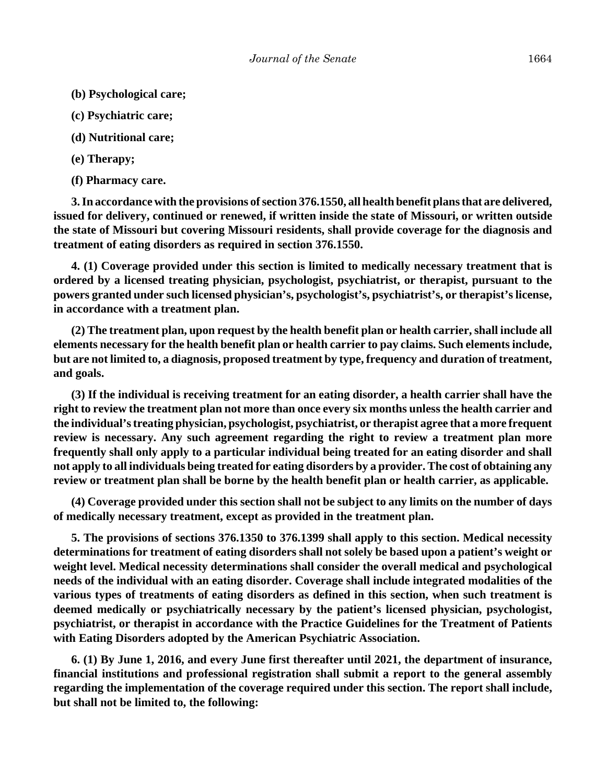- **(b) Psychological care;**
- **(c) Psychiatric care;**
- **(d) Nutritional care;**
- **(e) Therapy;**
- **(f) Pharmacy care.**

**3. In accordance with the provisions of section 376.1550, all health benefit plans that are delivered, issued for delivery, continued or renewed, if written inside the state of Missouri, or written outside the state of Missouri but covering Missouri residents, shall provide coverage for the diagnosis and treatment of eating disorders as required in section 376.1550.**

**4. (1) Coverage provided under this section is limited to medically necessary treatment that is ordered by a licensed treating physician, psychologist, psychiatrist, or therapist, pursuant to the powers granted under such licensed physician's, psychologist's, psychiatrist's, or therapist's license, in accordance with a treatment plan.**

**(2) The treatment plan, upon request by the health benefit plan or health carrier, shall include all elements necessary for the health benefit plan or health carrier to pay claims. Such elements include, but are not limited to, a diagnosis, proposed treatment by type, frequency and duration of treatment, and goals.**

**(3) If the individual is receiving treatment for an eating disorder, a health carrier shall have the right to review the treatment plan not more than once every six months unless the health carrier and the individual's treating physician, psychologist, psychiatrist, or therapist agree that a more frequent review is necessary. Any such agreement regarding the right to review a treatment plan more frequently shall only apply to a particular individual being treated for an eating disorder and shall not apply to all individuals being treated for eating disorders by a provider. The cost of obtaining any review or treatment plan shall be borne by the health benefit plan or health carrier, as applicable.**

**(4) Coverage provided under this section shall not be subject to any limits on the number of days of medically necessary treatment, except as provided in the treatment plan.**

**5. The provisions of sections 376.1350 to 376.1399 shall apply to this section. Medical necessity determinations for treatment of eating disorders shall not solely be based upon a patient's weight or weight level. Medical necessity determinations shall consider the overall medical and psychological needs of the individual with an eating disorder. Coverage shall include integrated modalities of the various types of treatments of eating disorders as defined in this section, when such treatment is deemed medically or psychiatrically necessary by the patient's licensed physician, psychologist, psychiatrist, or therapist in accordance with the Practice Guidelines for the Treatment of Patients with Eating Disorders adopted by the American Psychiatric Association.**

**6. (1) By June 1, 2016, and every June first thereafter until 2021, the department of insurance, financial institutions and professional registration shall submit a report to the general assembly regarding the implementation of the coverage required under this section. The report shall include, but shall not be limited to, the following:**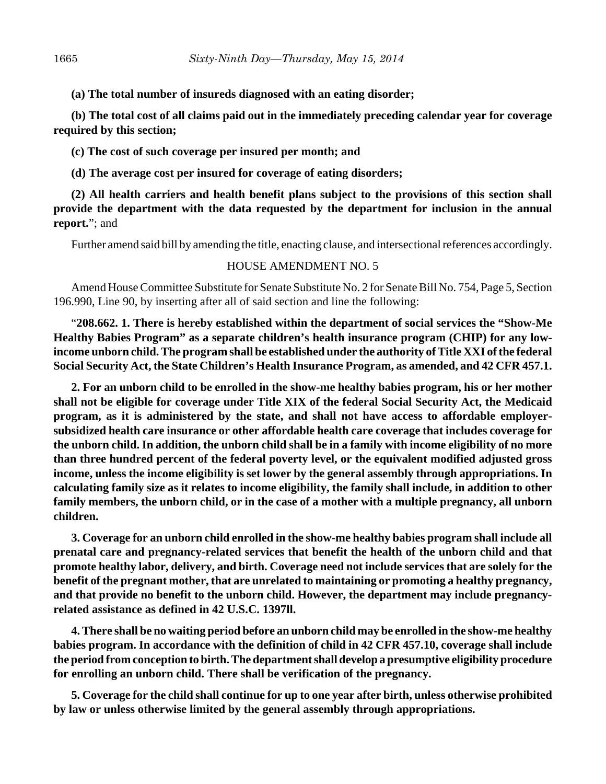**(a) The total number of insureds diagnosed with an eating disorder;**

**(b) The total cost of all claims paid out in the immediately preceding calendar year for coverage required by this section;**

**(c) The cost of such coverage per insured per month; and**

**(d) The average cost per insured for coverage of eating disorders;**

**(2) All health carriers and health benefit plans subject to the provisions of this section shall provide the department with the data requested by the department for inclusion in the annual report.**"; and

Further amend said bill by amending the title, enacting clause, and intersectional references accordingly.

### HOUSE AMENDMENT NO. 5

Amend House Committee Substitute for Senate Substitute No. 2 for Senate Bill No. 754, Page 5, Section 196.990, Line 90, by inserting after all of said section and line the following:

"**208.662. 1. There is hereby established within the department of social services the "Show-Me Healthy Babies Program" as a separate children's health insurance program (CHIP) for any lowincome unborn child. The program shall be established under the authority of Title XXI of the federal Social Security Act, the State Children's Health Insurance Program, as amended, and 42 CFR 457.1.**

**2. For an unborn child to be enrolled in the show-me healthy babies program, his or her mother shall not be eligible for coverage under Title XIX of the federal Social Security Act, the Medicaid program, as it is administered by the state, and shall not have access to affordable employersubsidized health care insurance or other affordable health care coverage that includes coverage for the unborn child. In addition, the unborn child shall be in a family with income eligibility of no more than three hundred percent of the federal poverty level, or the equivalent modified adjusted gross income, unless the income eligibility is set lower by the general assembly through appropriations. In calculating family size as it relates to income eligibility, the family shall include, in addition to other family members, the unborn child, or in the case of a mother with a multiple pregnancy, all unborn children.**

**3. Coverage for an unborn child enrolled in the show-me healthy babies program shall include all prenatal care and pregnancy-related services that benefit the health of the unborn child and that promote healthy labor, delivery, and birth. Coverage need not include services that are solely for the benefit of the pregnant mother, that are unrelated to maintaining or promoting a healthy pregnancy, and that provide no benefit to the unborn child. However, the department may include pregnancyrelated assistance as defined in 42 U.S.C. 1397ll.**

**4. There shall be no waiting period before an unborn child may be enrolled in the show-me healthy babies program. In accordance with the definition of child in 42 CFR 457.10, coverage shall include the period from conception to birth. The department shall develop a presumptive eligibility procedure for enrolling an unborn child. There shall be verification of the pregnancy.**

**5. Coverage for the child shall continue for up to one year after birth, unless otherwise prohibited by law or unless otherwise limited by the general assembly through appropriations.**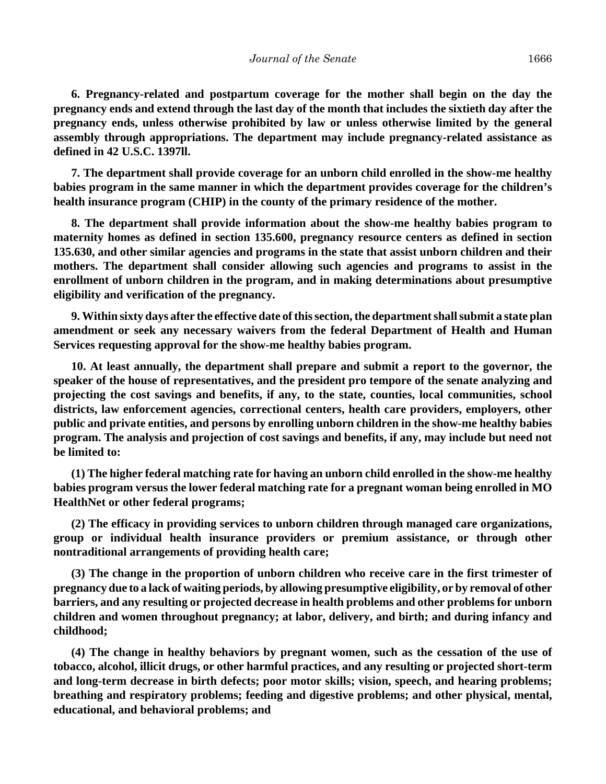**6. Pregnancy-related and postpartum coverage for the mother shall begin on the day the pregnancy ends and extend through the last day of the month that includes the sixtieth day after the pregnancy ends, unless otherwise prohibited by law or unless otherwise limited by the general assembly through appropriations. The department may include pregnancy-related assistance as defined in 42 U.S.C. 1397ll.**

**7. The department shall provide coverage for an unborn child enrolled in the show-me healthy babies program in the same manner in which the department provides coverage for the children's health insurance program (CHIP) in the county of the primary residence of the mother.**

**8. The department shall provide information about the show-me healthy babies program to maternity homes as defined in section 135.600, pregnancy resource centers as defined in section 135.630, and other similar agencies and programs in the state that assist unborn children and their mothers. The department shall consider allowing such agencies and programs to assist in the enrollment of unborn children in the program, and in making determinations about presumptive eligibility and verification of the pregnancy.**

**9. Within sixty days after the effective date of this section, the department shall submit a state plan amendment or seek any necessary waivers from the federal Department of Health and Human Services requesting approval for the show-me healthy babies program.**

**10. At least annually, the department shall prepare and submit a report to the governor, the speaker of the house of representatives, and the president pro tempore of the senate analyzing and projecting the cost savings and benefits, if any, to the state, counties, local communities, school districts, law enforcement agencies, correctional centers, health care providers, employers, other public and private entities, and persons by enrolling unborn children in the show-me healthy babies program. The analysis and projection of cost savings and benefits, if any, may include but need not be limited to:**

**(1) The higher federal matching rate for having an unborn child enrolled in the show-me healthy babies program versus the lower federal matching rate for a pregnant woman being enrolled in MO HealthNet or other federal programs;**

**(2) The efficacy in providing services to unborn children through managed care organizations, group or individual health insurance providers or premium assistance, or through other nontraditional arrangements of providing health care;**

**(3) The change in the proportion of unborn children who receive care in the first trimester of pregnancy due to a lack of waiting periods, by allowing presumptive eligibility, or by removal of other barriers, and any resulting or projected decrease in health problems and other problems for unborn children and women throughout pregnancy; at labor, delivery, and birth; and during infancy and childhood;**

**(4) The change in healthy behaviors by pregnant women, such as the cessation of the use of tobacco, alcohol, illicit drugs, or other harmful practices, and any resulting or projected short-term and long-term decrease in birth defects; poor motor skills; vision, speech, and hearing problems; breathing and respiratory problems; feeding and digestive problems; and other physical, mental, educational, and behavioral problems; and**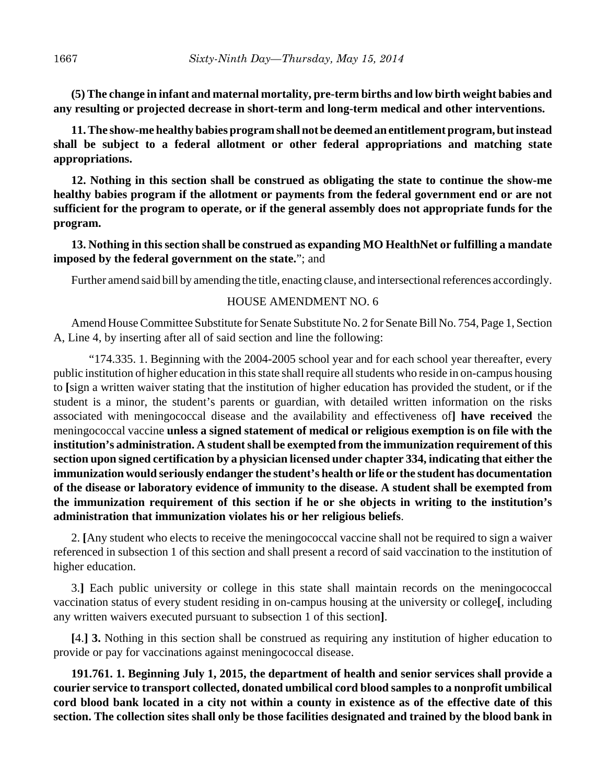**(5) The change in infant and maternal mortality, pre-term births and low birth weight babies and any resulting or projected decrease in short-term and long-term medical and other interventions.**

**11. The show-me healthy babies program shall not be deemed an entitlement program, but instead shall be subject to a federal allotment or other federal appropriations and matching state appropriations.**

**12. Nothing in this section shall be construed as obligating the state to continue the show-me healthy babies program if the allotment or payments from the federal government end or are not sufficient for the program to operate, or if the general assembly does not appropriate funds for the program.**

**13. Nothing in this section shall be construed as expanding MO HealthNet or fulfilling a mandate imposed by the federal government on the state.**"; and

Further amend said bill by amending the title, enacting clause, and intersectional references accordingly.

### HOUSE AMENDMENT NO. 6

Amend House Committee Substitute for Senate Substitute No. 2 for Senate Bill No. 754, Page 1, Section A, Line 4, by inserting after all of said section and line the following:

"174.335. 1. Beginning with the 2004-2005 school year and for each school year thereafter, every public institution of higher education in this state shall require all students who reside in on-campus housing to **[**sign a written waiver stating that the institution of higher education has provided the student, or if the student is a minor, the student's parents or guardian, with detailed written information on the risks associated with meningococcal disease and the availability and effectiveness of**] have received** the meningococcal vaccine **unless a signed statement of medical or religious exemption is on file with the institution's administration. A student shall be exempted from the immunization requirement of this section upon signed certification by a physician licensed under chapter 334, indicating that either the immunization would seriously endanger the student's health or life or the student has documentation of the disease or laboratory evidence of immunity to the disease. A student shall be exempted from the immunization requirement of this section if he or she objects in writing to the institution's administration that immunization violates his or her religious beliefs**.

2. **[**Any student who elects to receive the meningococcal vaccine shall not be required to sign a waiver referenced in subsection 1 of this section and shall present a record of said vaccination to the institution of higher education.

3.**]** Each public university or college in this state shall maintain records on the meningococcal vaccination status of every student residing in on-campus housing at the university or college**[**, including any written waivers executed pursuant to subsection 1 of this section**]**.

**[**4.**] 3.** Nothing in this section shall be construed as requiring any institution of higher education to provide or pay for vaccinations against meningococcal disease.

**191.761. 1. Beginning July 1, 2015, the department of health and senior services shall provide a courier service to transport collected, donated umbilical cord blood samples to a nonprofit umbilical cord blood bank located in a city not within a county in existence as of the effective date of this section. The collection sites shall only be those facilities designated and trained by the blood bank in**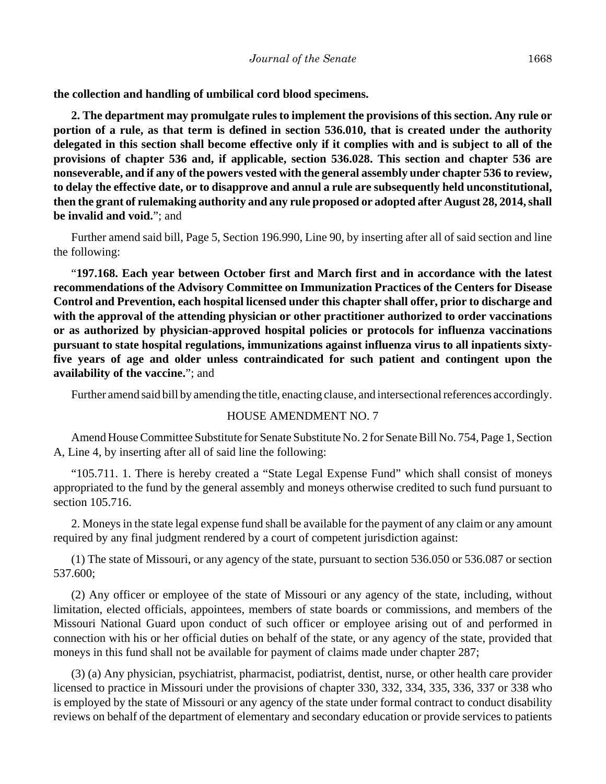**the collection and handling of umbilical cord blood specimens.**

**2. The department may promulgate rules to implement the provisions of this section. Any rule or portion of a rule, as that term is defined in section 536.010, that is created under the authority delegated in this section shall become effective only if it complies with and is subject to all of the provisions of chapter 536 and, if applicable, section 536.028. This section and chapter 536 are nonseverable, and if any of the powers vested with the general assembly under chapter 536 to review, to delay the effective date, or to disapprove and annul a rule are subsequently held unconstitutional, then the grant of rulemaking authority and any rule proposed or adopted after August 28, 2014, shall be invalid and void.**"; and

Further amend said bill, Page 5, Section 196.990, Line 90, by inserting after all of said section and line the following:

"**197.168. Each year between October first and March first and in accordance with the latest recommendations of the Advisory Committee on Immunization Practices of the Centers for Disease Control and Prevention, each hospital licensed under this chapter shall offer, prior to discharge and with the approval of the attending physician or other practitioner authorized to order vaccinations or as authorized by physician-approved hospital policies or protocols for influenza vaccinations pursuant to state hospital regulations, immunizations against influenza virus to all inpatients sixtyfive years of age and older unless contraindicated for such patient and contingent upon the availability of the vaccine.**"; and

Further amend said bill by amending the title, enacting clause, and intersectional references accordingly.

#### HOUSE AMENDMENT NO. 7

Amend House Committee Substitute for Senate Substitute No. 2 for Senate Bill No. 754, Page 1, Section A, Line 4, by inserting after all of said line the following:

"105.711. 1. There is hereby created a "State Legal Expense Fund" which shall consist of moneys appropriated to the fund by the general assembly and moneys otherwise credited to such fund pursuant to section 105.716.

2. Moneys in the state legal expense fund shall be available for the payment of any claim or any amount required by any final judgment rendered by a court of competent jurisdiction against:

(1) The state of Missouri, or any agency of the state, pursuant to section 536.050 or 536.087 or section 537.600;

(2) Any officer or employee of the state of Missouri or any agency of the state, including, without limitation, elected officials, appointees, members of state boards or commissions, and members of the Missouri National Guard upon conduct of such officer or employee arising out of and performed in connection with his or her official duties on behalf of the state, or any agency of the state, provided that moneys in this fund shall not be available for payment of claims made under chapter 287;

(3) (a) Any physician, psychiatrist, pharmacist, podiatrist, dentist, nurse, or other health care provider licensed to practice in Missouri under the provisions of chapter 330, 332, 334, 335, 336, 337 or 338 who is employed by the state of Missouri or any agency of the state under formal contract to conduct disability reviews on behalf of the department of elementary and secondary education or provide services to patients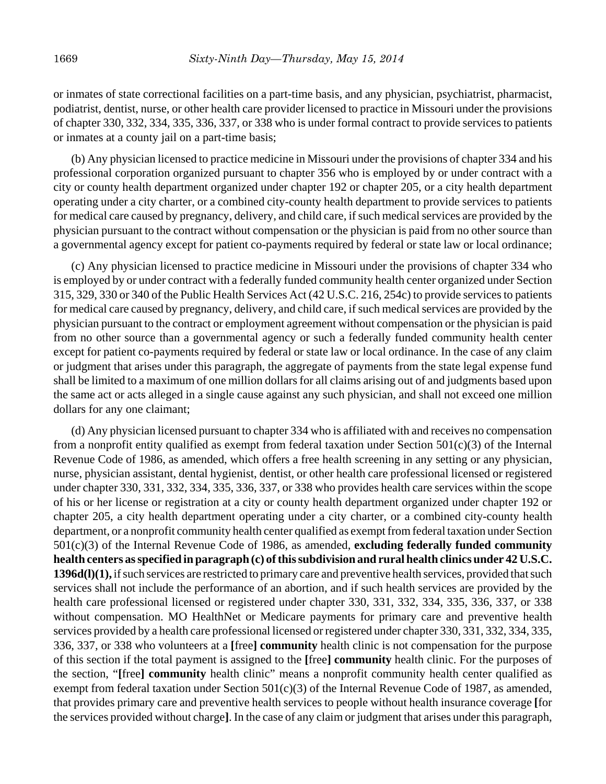or inmates of state correctional facilities on a part-time basis, and any physician, psychiatrist, pharmacist, podiatrist, dentist, nurse, or other health care provider licensed to practice in Missouri under the provisions of chapter 330, 332, 334, 335, 336, 337, or 338 who is under formal contract to provide services to patients or inmates at a county jail on a part-time basis;

(b) Any physician licensed to practice medicine in Missouri under the provisions of chapter 334 and his professional corporation organized pursuant to chapter 356 who is employed by or under contract with a city or county health department organized under chapter 192 or chapter 205, or a city health department operating under a city charter, or a combined city-county health department to provide services to patients for medical care caused by pregnancy, delivery, and child care, if such medical services are provided by the physician pursuant to the contract without compensation or the physician is paid from no other source than a governmental agency except for patient co-payments required by federal or state law or local ordinance;

(c) Any physician licensed to practice medicine in Missouri under the provisions of chapter 334 who is employed by or under contract with a federally funded community health center organized under Section 315, 329, 330 or 340 of the Public Health Services Act (42 U.S.C. 216, 254c) to provide services to patients for medical care caused by pregnancy, delivery, and child care, if such medical services are provided by the physician pursuant to the contract or employment agreement without compensation or the physician is paid from no other source than a governmental agency or such a federally funded community health center except for patient co-payments required by federal or state law or local ordinance. In the case of any claim or judgment that arises under this paragraph, the aggregate of payments from the state legal expense fund shall be limited to a maximum of one million dollars for all claims arising out of and judgments based upon the same act or acts alleged in a single cause against any such physician, and shall not exceed one million dollars for any one claimant;

(d) Any physician licensed pursuant to chapter 334 who is affiliated with and receives no compensation from a nonprofit entity qualified as exempt from federal taxation under Section  $501(c)(3)$  of the Internal Revenue Code of 1986, as amended, which offers a free health screening in any setting or any physician, nurse, physician assistant, dental hygienist, dentist, or other health care professional licensed or registered under chapter 330, 331, 332, 334, 335, 336, 337, or 338 who provides health care services within the scope of his or her license or registration at a city or county health department organized under chapter 192 or chapter 205, a city health department operating under a city charter, or a combined city-county health department, or a nonprofit community health center qualified as exempt from federal taxation under Section 501(c)(3) of the Internal Revenue Code of 1986, as amended, **excluding federally funded community health centers as specified in paragraph (c) of this subdivision and rural health clinics under 42 U.S.C. 1396d(l)(1),** if such services are restricted to primary care and preventive health services, provided that such services shall not include the performance of an abortion, and if such health services are provided by the health care professional licensed or registered under chapter 330, 331, 332, 334, 335, 336, 337, or 338 without compensation. MO HealthNet or Medicare payments for primary care and preventive health services provided by a health care professional licensed or registered under chapter 330, 331, 332, 334, 335, 336, 337, or 338 who volunteers at a **[**free**] community** health clinic is not compensation for the purpose of this section if the total payment is assigned to the **[**free**] community** health clinic. For the purposes of the section, "**[**free**] community** health clinic" means a nonprofit community health center qualified as exempt from federal taxation under Section 501(c)(3) of the Internal Revenue Code of 1987, as amended, that provides primary care and preventive health services to people without health insurance coverage **[**for the services provided without charge**]**. In the case of any claim or judgment that arises under this paragraph,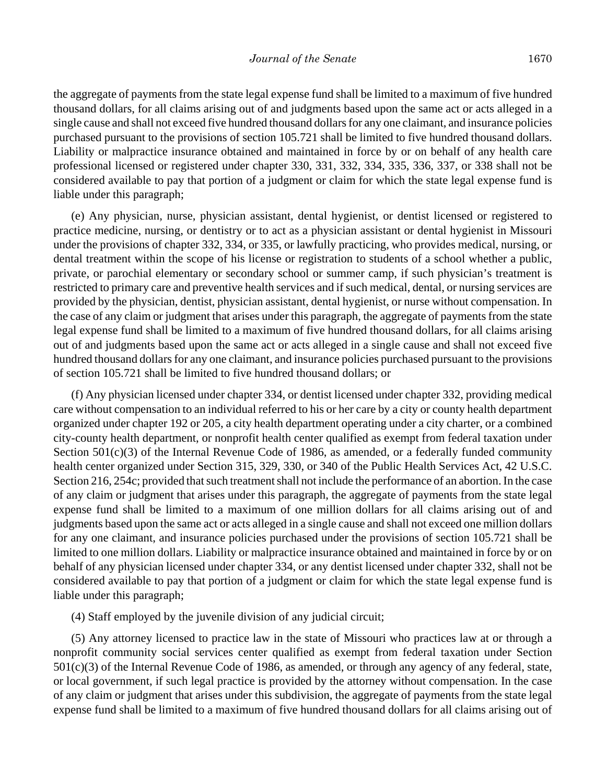the aggregate of payments from the state legal expense fund shall be limited to a maximum of five hundred thousand dollars, for all claims arising out of and judgments based upon the same act or acts alleged in a single cause and shall not exceed five hundred thousand dollars for any one claimant, and insurance policies purchased pursuant to the provisions of section 105.721 shall be limited to five hundred thousand dollars. Liability or malpractice insurance obtained and maintained in force by or on behalf of any health care professional licensed or registered under chapter 330, 331, 332, 334, 335, 336, 337, or 338 shall not be considered available to pay that portion of a judgment or claim for which the state legal expense fund is liable under this paragraph;

(e) Any physician, nurse, physician assistant, dental hygienist, or dentist licensed or registered to practice medicine, nursing, or dentistry or to act as a physician assistant or dental hygienist in Missouri under the provisions of chapter 332, 334, or 335, or lawfully practicing, who provides medical, nursing, or dental treatment within the scope of his license or registration to students of a school whether a public, private, or parochial elementary or secondary school or summer camp, if such physician's treatment is restricted to primary care and preventive health services and if such medical, dental, or nursing services are provided by the physician, dentist, physician assistant, dental hygienist, or nurse without compensation. In the case of any claim or judgment that arises under this paragraph, the aggregate of payments from the state legal expense fund shall be limited to a maximum of five hundred thousand dollars, for all claims arising out of and judgments based upon the same act or acts alleged in a single cause and shall not exceed five hundred thousand dollars for any one claimant, and insurance policies purchased pursuant to the provisions of section 105.721 shall be limited to five hundred thousand dollars; or

(f) Any physician licensed under chapter 334, or dentist licensed under chapter 332, providing medical care without compensation to an individual referred to his or her care by a city or county health department organized under chapter 192 or 205, a city health department operating under a city charter, or a combined city-county health department, or nonprofit health center qualified as exempt from federal taxation under Section  $501(c)(3)$  of the Internal Revenue Code of 1986, as amended, or a federally funded community health center organized under Section 315, 329, 330, or 340 of the Public Health Services Act, 42 U.S.C. Section 216, 254c; provided that such treatment shall not include the performance of an abortion. In the case of any claim or judgment that arises under this paragraph, the aggregate of payments from the state legal expense fund shall be limited to a maximum of one million dollars for all claims arising out of and judgments based upon the same act or acts alleged in a single cause and shall not exceed one million dollars for any one claimant, and insurance policies purchased under the provisions of section 105.721 shall be limited to one million dollars. Liability or malpractice insurance obtained and maintained in force by or on behalf of any physician licensed under chapter 334, or any dentist licensed under chapter 332, shall not be considered available to pay that portion of a judgment or claim for which the state legal expense fund is liable under this paragraph;

(4) Staff employed by the juvenile division of any judicial circuit;

(5) Any attorney licensed to practice law in the state of Missouri who practices law at or through a nonprofit community social services center qualified as exempt from federal taxation under Section 501(c)(3) of the Internal Revenue Code of 1986, as amended, or through any agency of any federal, state, or local government, if such legal practice is provided by the attorney without compensation. In the case of any claim or judgment that arises under this subdivision, the aggregate of payments from the state legal expense fund shall be limited to a maximum of five hundred thousand dollars for all claims arising out of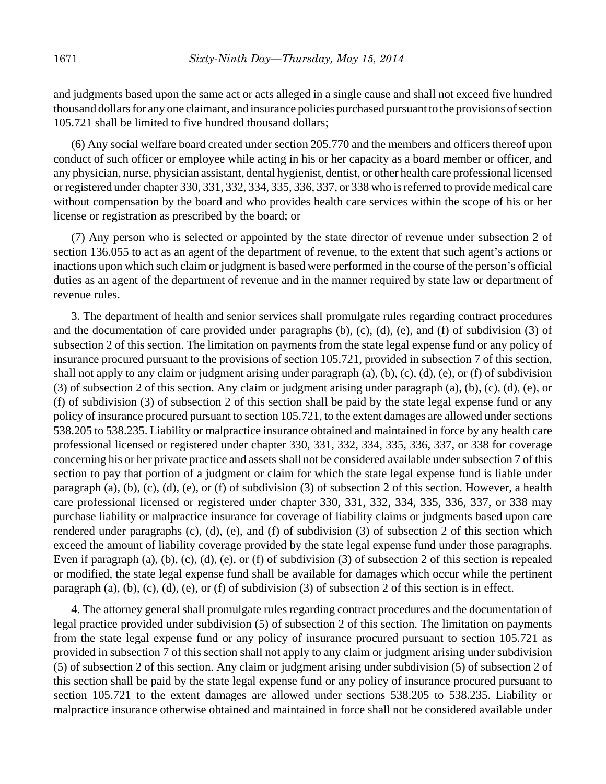and judgments based upon the same act or acts alleged in a single cause and shall not exceed five hundred thousand dollars for any one claimant, and insurance policies purchased pursuant to the provisions of section 105.721 shall be limited to five hundred thousand dollars;

(6) Any social welfare board created under section 205.770 and the members and officers thereof upon conduct of such officer or employee while acting in his or her capacity as a board member or officer, and any physician, nurse, physician assistant, dental hygienist, dentist, or other health care professional licensed or registered under chapter 330, 331, 332, 334, 335, 336, 337, or 338 who is referred to provide medical care without compensation by the board and who provides health care services within the scope of his or her license or registration as prescribed by the board; or

(7) Any person who is selected or appointed by the state director of revenue under subsection 2 of section 136.055 to act as an agent of the department of revenue, to the extent that such agent's actions or inactions upon which such claim or judgment is based were performed in the course of the person's official duties as an agent of the department of revenue and in the manner required by state law or department of revenue rules.

3. The department of health and senior services shall promulgate rules regarding contract procedures and the documentation of care provided under paragraphs (b), (c), (d), (e), and (f) of subdivision (3) of subsection 2 of this section. The limitation on payments from the state legal expense fund or any policy of insurance procured pursuant to the provisions of section 105.721, provided in subsection 7 of this section, shall not apply to any claim or judgment arising under paragraph (a), (b), (c), (d), (e), or (f) of subdivision (3) of subsection 2 of this section. Any claim or judgment arising under paragraph (a), (b), (c), (d), (e), or (f) of subdivision (3) of subsection 2 of this section shall be paid by the state legal expense fund or any policy of insurance procured pursuant to section 105.721, to the extent damages are allowed under sections 538.205 to 538.235. Liability or malpractice insurance obtained and maintained in force by any health care professional licensed or registered under chapter 330, 331, 332, 334, 335, 336, 337, or 338 for coverage concerning his or her private practice and assets shall not be considered available under subsection 7 of this section to pay that portion of a judgment or claim for which the state legal expense fund is liable under paragraph (a), (b), (c), (d), (e), or (f) of subdivision (3) of subsection 2 of this section. However, a health care professional licensed or registered under chapter 330, 331, 332, 334, 335, 336, 337, or 338 may purchase liability or malpractice insurance for coverage of liability claims or judgments based upon care rendered under paragraphs (c), (d), (e), and (f) of subdivision (3) of subsection 2 of this section which exceed the amount of liability coverage provided by the state legal expense fund under those paragraphs. Even if paragraph (a), (b), (c), (d), (e), or (f) of subdivision (3) of subsection 2 of this section is repealed or modified, the state legal expense fund shall be available for damages which occur while the pertinent paragraph (a), (b), (c), (d), (e), or (f) of subdivision (3) of subsection 2 of this section is in effect.

4. The attorney general shall promulgate rules regarding contract procedures and the documentation of legal practice provided under subdivision (5) of subsection 2 of this section. The limitation on payments from the state legal expense fund or any policy of insurance procured pursuant to section 105.721 as provided in subsection 7 of this section shall not apply to any claim or judgment arising under subdivision (5) of subsection 2 of this section. Any claim or judgment arising under subdivision (5) of subsection 2 of this section shall be paid by the state legal expense fund or any policy of insurance procured pursuant to section 105.721 to the extent damages are allowed under sections 538.205 to 538.235. Liability or malpractice insurance otherwise obtained and maintained in force shall not be considered available under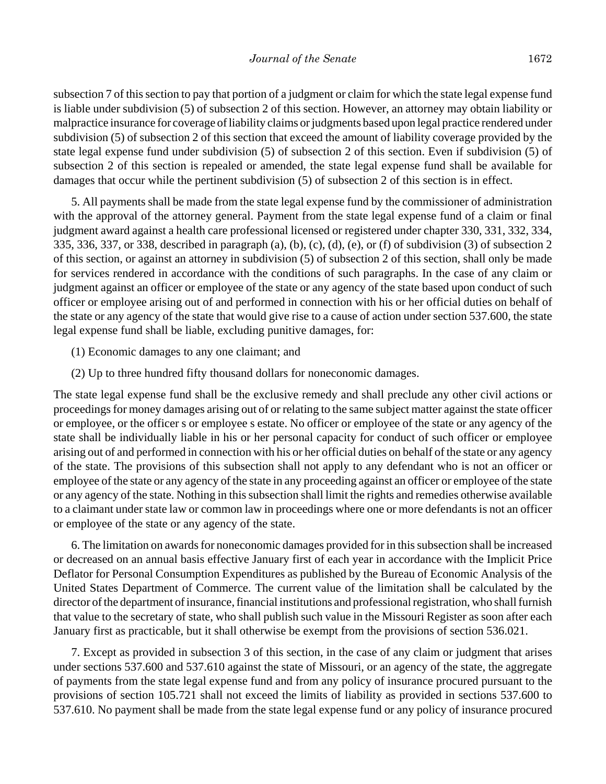subsection 7 of this section to pay that portion of a judgment or claim for which the state legal expense fund is liable under subdivision (5) of subsection 2 of this section. However, an attorney may obtain liability or malpractice insurance for coverage of liability claims or judgments based upon legal practice rendered under subdivision (5) of subsection 2 of this section that exceed the amount of liability coverage provided by the state legal expense fund under subdivision (5) of subsection 2 of this section. Even if subdivision (5) of subsection 2 of this section is repealed or amended, the state legal expense fund shall be available for damages that occur while the pertinent subdivision (5) of subsection 2 of this section is in effect.

5. All payments shall be made from the state legal expense fund by the commissioner of administration with the approval of the attorney general. Payment from the state legal expense fund of a claim or final judgment award against a health care professional licensed or registered under chapter 330, 331, 332, 334, 335, 336, 337, or 338, described in paragraph (a), (b), (c), (d), (e), or (f) of subdivision (3) of subsection 2 of this section, or against an attorney in subdivision (5) of subsection 2 of this section, shall only be made for services rendered in accordance with the conditions of such paragraphs. In the case of any claim or judgment against an officer or employee of the state or any agency of the state based upon conduct of such officer or employee arising out of and performed in connection with his or her official duties on behalf of the state or any agency of the state that would give rise to a cause of action under section 537.600, the state legal expense fund shall be liable, excluding punitive damages, for:

- (1) Economic damages to any one claimant; and
- (2) Up to three hundred fifty thousand dollars for noneconomic damages.

The state legal expense fund shall be the exclusive remedy and shall preclude any other civil actions or proceedings for money damages arising out of or relating to the same subject matter against the state officer or employee, or the officer s or employee s estate. No officer or employee of the state or any agency of the state shall be individually liable in his or her personal capacity for conduct of such officer or employee arising out of and performed in connection with his or her official duties on behalf of the state or any agency of the state. The provisions of this subsection shall not apply to any defendant who is not an officer or employee of the state or any agency of the state in any proceeding against an officer or employee of the state or any agency of the state. Nothing in this subsection shall limit the rights and remedies otherwise available to a claimant under state law or common law in proceedings where one or more defendants is not an officer or employee of the state or any agency of the state.

6. The limitation on awards for noneconomic damages provided for in this subsection shall be increased or decreased on an annual basis effective January first of each year in accordance with the Implicit Price Deflator for Personal Consumption Expenditures as published by the Bureau of Economic Analysis of the United States Department of Commerce. The current value of the limitation shall be calculated by the director of the department of insurance, financial institutions and professional registration, who shall furnish that value to the secretary of state, who shall publish such value in the Missouri Register as soon after each January first as practicable, but it shall otherwise be exempt from the provisions of section 536.021.

7. Except as provided in subsection 3 of this section, in the case of any claim or judgment that arises under sections 537.600 and 537.610 against the state of Missouri, or an agency of the state, the aggregate of payments from the state legal expense fund and from any policy of insurance procured pursuant to the provisions of section 105.721 shall not exceed the limits of liability as provided in sections 537.600 to 537.610. No payment shall be made from the state legal expense fund or any policy of insurance procured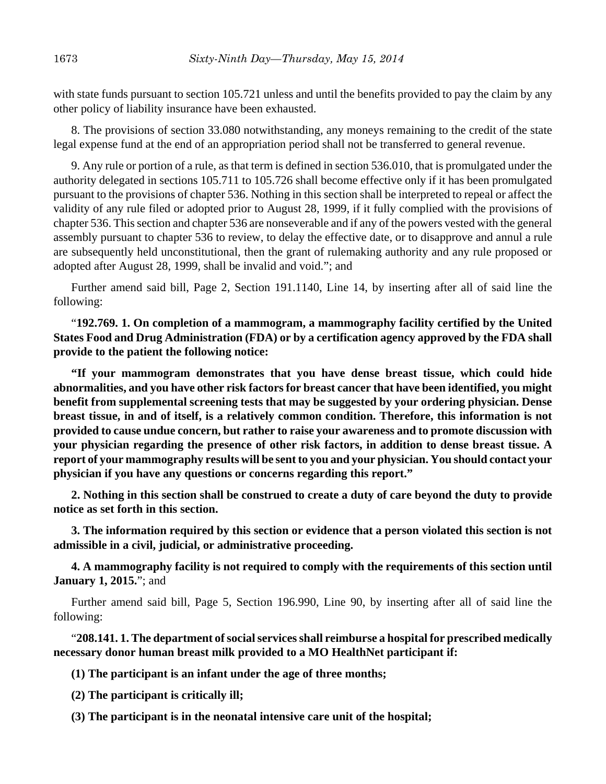with state funds pursuant to section 105.721 unless and until the benefits provided to pay the claim by any other policy of liability insurance have been exhausted.

8. The provisions of section 33.080 notwithstanding, any moneys remaining to the credit of the state legal expense fund at the end of an appropriation period shall not be transferred to general revenue.

9. Any rule or portion of a rule, as that term is defined in section 536.010, that is promulgated under the authority delegated in sections 105.711 to 105.726 shall become effective only if it has been promulgated pursuant to the provisions of chapter 536. Nothing in this section shall be interpreted to repeal or affect the validity of any rule filed or adopted prior to August 28, 1999, if it fully complied with the provisions of chapter 536. This section and chapter 536 are nonseverable and if any of the powers vested with the general assembly pursuant to chapter 536 to review, to delay the effective date, or to disapprove and annul a rule are subsequently held unconstitutional, then the grant of rulemaking authority and any rule proposed or adopted after August 28, 1999, shall be invalid and void."; and

Further amend said bill, Page 2, Section 191.1140, Line 14, by inserting after all of said line the following:

"**192.769. 1. On completion of a mammogram, a mammography facility certified by the United States Food and Drug Administration (FDA) or by a certification agency approved by the FDA shall provide to the patient the following notice:**

**"If your mammogram demonstrates that you have dense breast tissue, which could hide abnormalities, and you have other risk factors for breast cancer that have been identified, you might benefit from supplemental screening tests that may be suggested by your ordering physician. Dense breast tissue, in and of itself, is a relatively common condition. Therefore, this information is not provided to cause undue concern, but rather to raise your awareness and to promote discussion with your physician regarding the presence of other risk factors, in addition to dense breast tissue. A report of your mammography results will be sent to you and your physician. You should contact your physician if you have any questions or concerns regarding this report."**

**2. Nothing in this section shall be construed to create a duty of care beyond the duty to provide notice as set forth in this section.**

**3. The information required by this section or evidence that a person violated this section is not admissible in a civil, judicial, or administrative proceeding.**

**4. A mammography facility is not required to comply with the requirements of this section until January 1, 2015.**"; and

Further amend said bill, Page 5, Section 196.990, Line 90, by inserting after all of said line the following:

"**208.141. 1. The department of social services shall reimburse a hospital for prescribed medically necessary donor human breast milk provided to a MO HealthNet participant if:**

**(1) The participant is an infant under the age of three months;**

**(2) The participant is critically ill;**

**(3) The participant is in the neonatal intensive care unit of the hospital;**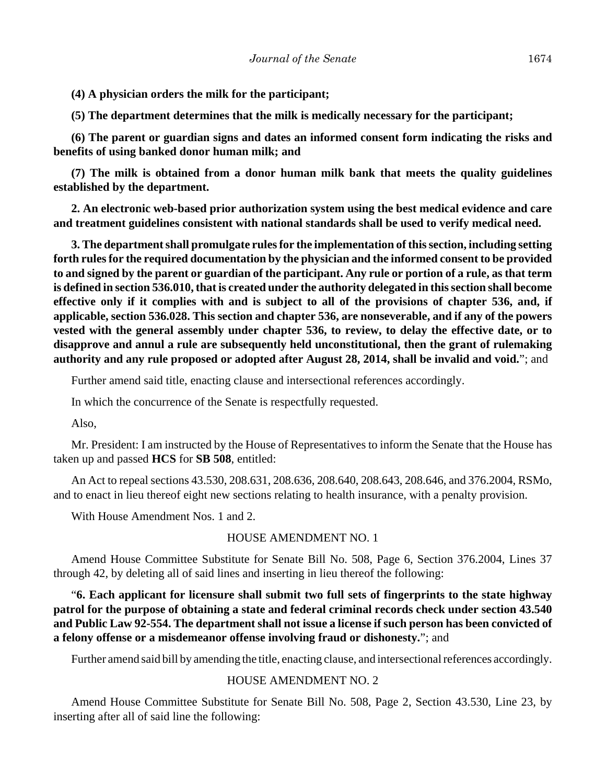**(4) A physician orders the milk for the participant;**

**(5) The department determines that the milk is medically necessary for the participant;**

**(6) The parent or guardian signs and dates an informed consent form indicating the risks and benefits of using banked donor human milk; and**

**(7) The milk is obtained from a donor human milk bank that meets the quality guidelines established by the department.**

**2. An electronic web-based prior authorization system using the best medical evidence and care and treatment guidelines consistent with national standards shall be used to verify medical need.**

**3. The department shall promulgate rules for the implementation of this section, including setting forth rules for the required documentation by the physician and the informed consent to be provided to and signed by the parent or guardian of the participant. Any rule or portion of a rule, as that term is defined in section 536.010, that is created under the authority delegated in this section shall become effective only if it complies with and is subject to all of the provisions of chapter 536, and, if applicable, section 536.028. This section and chapter 536, are nonseverable, and if any of the powers vested with the general assembly under chapter 536, to review, to delay the effective date, or to disapprove and annul a rule are subsequently held unconstitutional, then the grant of rulemaking authority and any rule proposed or adopted after August 28, 2014, shall be invalid and void.**"; and

Further amend said title, enacting clause and intersectional references accordingly.

In which the concurrence of the Senate is respectfully requested.

Also,

Mr. President: I am instructed by the House of Representatives to inform the Senate that the House has taken up and passed **HCS** for **SB 508**, entitled:

An Act to repeal sections 43.530, 208.631, 208.636, 208.640, 208.643, 208.646, and 376.2004, RSMo, and to enact in lieu thereof eight new sections relating to health insurance, with a penalty provision.

With House Amendment Nos. 1 and 2.

#### HOUSE AMENDMENT NO. 1

Amend House Committee Substitute for Senate Bill No. 508, Page 6, Section 376.2004, Lines 37 through 42, by deleting all of said lines and inserting in lieu thereof the following:

"**6. Each applicant for licensure shall submit two full sets of fingerprints to the state highway patrol for the purpose of obtaining a state and federal criminal records check under section 43.540 and Public Law 92-554. The department shall not issue a license if such person has been convicted of a felony offense or a misdemeanor offense involving fraud or dishonesty.**"; and

Further amend said bill by amending the title, enacting clause, and intersectional references accordingly.

### HOUSE AMENDMENT NO. 2

Amend House Committee Substitute for Senate Bill No. 508, Page 2, Section 43.530, Line 23, by inserting after all of said line the following: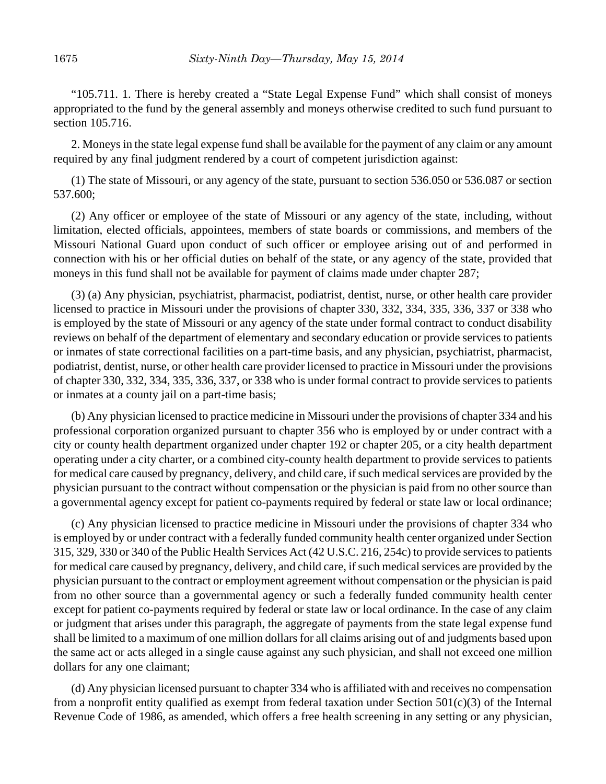"105.711. 1. There is hereby created a "State Legal Expense Fund" which shall consist of moneys appropriated to the fund by the general assembly and moneys otherwise credited to such fund pursuant to section 105.716.

2. Moneys in the state legal expense fund shall be available for the payment of any claim or any amount required by any final judgment rendered by a court of competent jurisdiction against:

(1) The state of Missouri, or any agency of the state, pursuant to section 536.050 or 536.087 or section 537.600;

(2) Any officer or employee of the state of Missouri or any agency of the state, including, without limitation, elected officials, appointees, members of state boards or commissions, and members of the Missouri National Guard upon conduct of such officer or employee arising out of and performed in connection with his or her official duties on behalf of the state, or any agency of the state, provided that moneys in this fund shall not be available for payment of claims made under chapter 287;

(3) (a) Any physician, psychiatrist, pharmacist, podiatrist, dentist, nurse, or other health care provider licensed to practice in Missouri under the provisions of chapter 330, 332, 334, 335, 336, 337 or 338 who is employed by the state of Missouri or any agency of the state under formal contract to conduct disability reviews on behalf of the department of elementary and secondary education or provide services to patients or inmates of state correctional facilities on a part-time basis, and any physician, psychiatrist, pharmacist, podiatrist, dentist, nurse, or other health care provider licensed to practice in Missouri under the provisions of chapter 330, 332, 334, 335, 336, 337, or 338 who is under formal contract to provide services to patients or inmates at a county jail on a part-time basis;

(b) Any physician licensed to practice medicine in Missouri under the provisions of chapter 334 and his professional corporation organized pursuant to chapter 356 who is employed by or under contract with a city or county health department organized under chapter 192 or chapter 205, or a city health department operating under a city charter, or a combined city-county health department to provide services to patients for medical care caused by pregnancy, delivery, and child care, if such medical services are provided by the physician pursuant to the contract without compensation or the physician is paid from no other source than a governmental agency except for patient co-payments required by federal or state law or local ordinance;

(c) Any physician licensed to practice medicine in Missouri under the provisions of chapter 334 who is employed by or under contract with a federally funded community health center organized under Section 315, 329, 330 or 340 of the Public Health Services Act (42 U.S.C. 216, 254c) to provide services to patients for medical care caused by pregnancy, delivery, and child care, if such medical services are provided by the physician pursuant to the contract or employment agreement without compensation or the physician is paid from no other source than a governmental agency or such a federally funded community health center except for patient co-payments required by federal or state law or local ordinance. In the case of any claim or judgment that arises under this paragraph, the aggregate of payments from the state legal expense fund shall be limited to a maximum of one million dollars for all claims arising out of and judgments based upon the same act or acts alleged in a single cause against any such physician, and shall not exceed one million dollars for any one claimant;

(d) Any physician licensed pursuant to chapter 334 who is affiliated with and receives no compensation from a nonprofit entity qualified as exempt from federal taxation under Section  $501(c)(3)$  of the Internal Revenue Code of 1986, as amended, which offers a free health screening in any setting or any physician,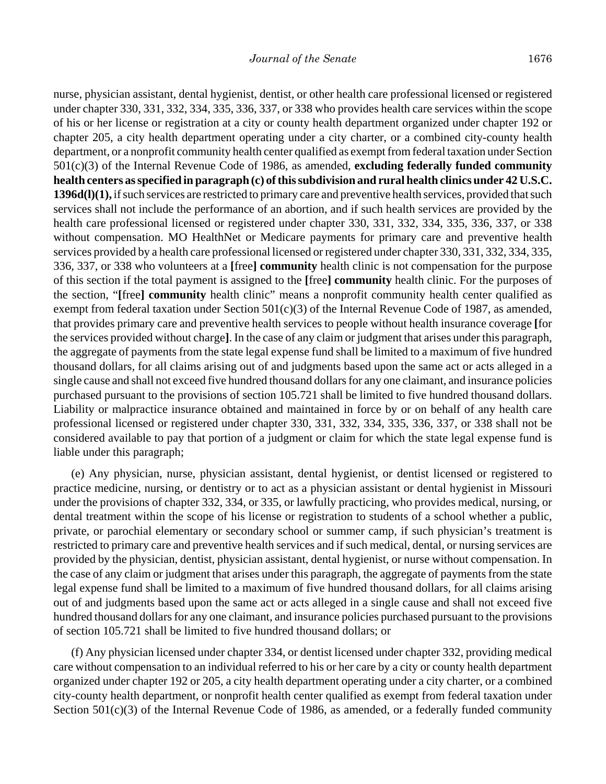nurse, physician assistant, dental hygienist, dentist, or other health care professional licensed or registered under chapter 330, 331, 332, 334, 335, 336, 337, or 338 who provides health care services within the scope of his or her license or registration at a city or county health department organized under chapter 192 or chapter 205, a city health department operating under a city charter, or a combined city-county health department, or a nonprofit community health center qualified as exempt from federal taxation under Section 501(c)(3) of the Internal Revenue Code of 1986, as amended, **excluding federally funded community health centers as specified in paragraph (c) of this subdivision and rural health clinics under 42 U.S.C. 1396d(l)(1),** if such services are restricted to primary care and preventive health services, provided that such services shall not include the performance of an abortion, and if such health services are provided by the health care professional licensed or registered under chapter 330, 331, 332, 334, 335, 336, 337, or 338 without compensation. MO HealthNet or Medicare payments for primary care and preventive health services provided by a health care professional licensed or registered under chapter 330, 331, 332, 334, 335, 336, 337, or 338 who volunteers at a **[**free**] community** health clinic is not compensation for the purpose of this section if the total payment is assigned to the **[**free**] community** health clinic. For the purposes of the section, "**[**free**] community** health clinic" means a nonprofit community health center qualified as exempt from federal taxation under Section 501(c)(3) of the Internal Revenue Code of 1987, as amended, that provides primary care and preventive health services to people without health insurance coverage **[**for the services provided without charge**]**. In the case of any claim or judgment that arises under this paragraph, the aggregate of payments from the state legal expense fund shall be limited to a maximum of five hundred thousand dollars, for all claims arising out of and judgments based upon the same act or acts alleged in a single cause and shall not exceed five hundred thousand dollars for any one claimant, and insurance policies purchased pursuant to the provisions of section 105.721 shall be limited to five hundred thousand dollars. Liability or malpractice insurance obtained and maintained in force by or on behalf of any health care professional licensed or registered under chapter 330, 331, 332, 334, 335, 336, 337, or 338 shall not be considered available to pay that portion of a judgment or claim for which the state legal expense fund is liable under this paragraph;

(e) Any physician, nurse, physician assistant, dental hygienist, or dentist licensed or registered to practice medicine, nursing, or dentistry or to act as a physician assistant or dental hygienist in Missouri under the provisions of chapter 332, 334, or 335, or lawfully practicing, who provides medical, nursing, or dental treatment within the scope of his license or registration to students of a school whether a public, private, or parochial elementary or secondary school or summer camp, if such physician's treatment is restricted to primary care and preventive health services and if such medical, dental, or nursing services are provided by the physician, dentist, physician assistant, dental hygienist, or nurse without compensation. In the case of any claim or judgment that arises under this paragraph, the aggregate of payments from the state legal expense fund shall be limited to a maximum of five hundred thousand dollars, for all claims arising out of and judgments based upon the same act or acts alleged in a single cause and shall not exceed five hundred thousand dollars for any one claimant, and insurance policies purchased pursuant to the provisions of section 105.721 shall be limited to five hundred thousand dollars; or

(f) Any physician licensed under chapter 334, or dentist licensed under chapter 332, providing medical care without compensation to an individual referred to his or her care by a city or county health department organized under chapter 192 or 205, a city health department operating under a city charter, or a combined city-county health department, or nonprofit health center qualified as exempt from federal taxation under Section 501(c)(3) of the Internal Revenue Code of 1986, as amended, or a federally funded community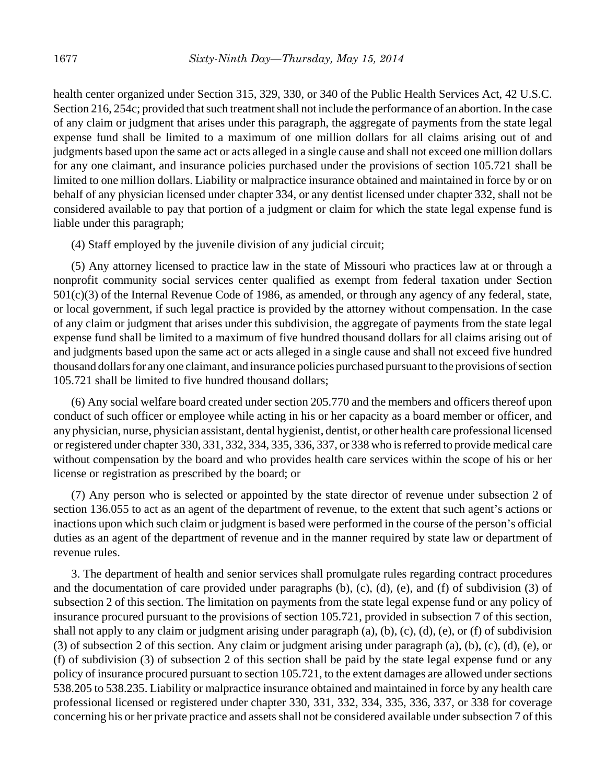health center organized under Section 315, 329, 330, or 340 of the Public Health Services Act, 42 U.S.C. Section 216, 254c; provided that such treatment shall not include the performance of an abortion. In the case of any claim or judgment that arises under this paragraph, the aggregate of payments from the state legal expense fund shall be limited to a maximum of one million dollars for all claims arising out of and judgments based upon the same act or acts alleged in a single cause and shall not exceed one million dollars for any one claimant, and insurance policies purchased under the provisions of section 105.721 shall be limited to one million dollars. Liability or malpractice insurance obtained and maintained in force by or on behalf of any physician licensed under chapter 334, or any dentist licensed under chapter 332, shall not be considered available to pay that portion of a judgment or claim for which the state legal expense fund is liable under this paragraph;

(4) Staff employed by the juvenile division of any judicial circuit;

(5) Any attorney licensed to practice law in the state of Missouri who practices law at or through a nonprofit community social services center qualified as exempt from federal taxation under Section 501(c)(3) of the Internal Revenue Code of 1986, as amended, or through any agency of any federal, state, or local government, if such legal practice is provided by the attorney without compensation. In the case of any claim or judgment that arises under this subdivision, the aggregate of payments from the state legal expense fund shall be limited to a maximum of five hundred thousand dollars for all claims arising out of and judgments based upon the same act or acts alleged in a single cause and shall not exceed five hundred thousand dollars for any one claimant, and insurance policies purchased pursuant to the provisions of section 105.721 shall be limited to five hundred thousand dollars;

(6) Any social welfare board created under section 205.770 and the members and officers thereof upon conduct of such officer or employee while acting in his or her capacity as a board member or officer, and any physician, nurse, physician assistant, dental hygienist, dentist, or other health care professional licensed or registered under chapter 330, 331, 332, 334, 335, 336, 337, or 338 who is referred to provide medical care without compensation by the board and who provides health care services within the scope of his or her license or registration as prescribed by the board; or

(7) Any person who is selected or appointed by the state director of revenue under subsection 2 of section 136.055 to act as an agent of the department of revenue, to the extent that such agent's actions or inactions upon which such claim or judgment is based were performed in the course of the person's official duties as an agent of the department of revenue and in the manner required by state law or department of revenue rules.

3. The department of health and senior services shall promulgate rules regarding contract procedures and the documentation of care provided under paragraphs (b), (c), (d), (e), and (f) of subdivision (3) of subsection 2 of this section. The limitation on payments from the state legal expense fund or any policy of insurance procured pursuant to the provisions of section 105.721, provided in subsection 7 of this section, shall not apply to any claim or judgment arising under paragraph (a), (b), (c), (d), (e), or (f) of subdivision (3) of subsection 2 of this section. Any claim or judgment arising under paragraph (a), (b), (c), (d), (e), or (f) of subdivision (3) of subsection 2 of this section shall be paid by the state legal expense fund or any policy of insurance procured pursuant to section 105.721, to the extent damages are allowed under sections 538.205 to 538.235. Liability or malpractice insurance obtained and maintained in force by any health care professional licensed or registered under chapter 330, 331, 332, 334, 335, 336, 337, or 338 for coverage concerning his or her private practice and assets shall not be considered available under subsection 7 of this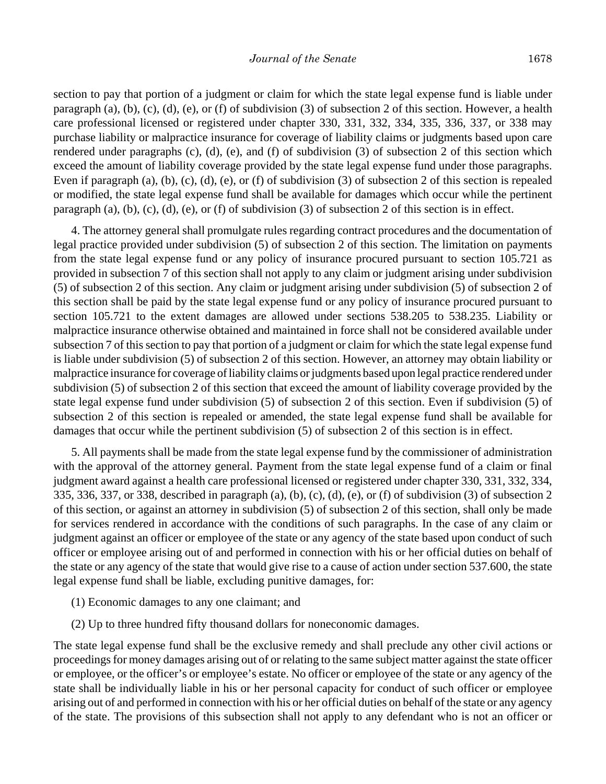section to pay that portion of a judgment or claim for which the state legal expense fund is liable under paragraph (a), (b), (c), (d), (e), or (f) of subdivision (3) of subsection 2 of this section. However, a health care professional licensed or registered under chapter 330, 331, 332, 334, 335, 336, 337, or 338 may purchase liability or malpractice insurance for coverage of liability claims or judgments based upon care rendered under paragraphs (c), (d), (e), and (f) of subdivision (3) of subsection 2 of this section which exceed the amount of liability coverage provided by the state legal expense fund under those paragraphs. Even if paragraph (a), (b), (c), (d), (e), or (f) of subdivision (3) of subsection 2 of this section is repealed or modified, the state legal expense fund shall be available for damages which occur while the pertinent paragraph (a), (b), (c), (d), (e), or (f) of subdivision (3) of subsection 2 of this section is in effect.

4. The attorney general shall promulgate rules regarding contract procedures and the documentation of legal practice provided under subdivision (5) of subsection 2 of this section. The limitation on payments from the state legal expense fund or any policy of insurance procured pursuant to section 105.721 as provided in subsection 7 of this section shall not apply to any claim or judgment arising under subdivision (5) of subsection 2 of this section. Any claim or judgment arising under subdivision (5) of subsection 2 of this section shall be paid by the state legal expense fund or any policy of insurance procured pursuant to section 105.721 to the extent damages are allowed under sections 538.205 to 538.235. Liability or malpractice insurance otherwise obtained and maintained in force shall not be considered available under subsection 7 of this section to pay that portion of a judgment or claim for which the state legal expense fund is liable under subdivision (5) of subsection 2 of this section. However, an attorney may obtain liability or malpractice insurance for coverage of liability claims or judgments based upon legal practice rendered under subdivision (5) of subsection 2 of this section that exceed the amount of liability coverage provided by the state legal expense fund under subdivision (5) of subsection 2 of this section. Even if subdivision (5) of subsection 2 of this section is repealed or amended, the state legal expense fund shall be available for damages that occur while the pertinent subdivision (5) of subsection 2 of this section is in effect.

5. All payments shall be made from the state legal expense fund by the commissioner of administration with the approval of the attorney general. Payment from the state legal expense fund of a claim or final judgment award against a health care professional licensed or registered under chapter 330, 331, 332, 334, 335, 336, 337, or 338, described in paragraph (a), (b), (c), (d), (e), or (f) of subdivision (3) of subsection 2 of this section, or against an attorney in subdivision (5) of subsection 2 of this section, shall only be made for services rendered in accordance with the conditions of such paragraphs. In the case of any claim or judgment against an officer or employee of the state or any agency of the state based upon conduct of such officer or employee arising out of and performed in connection with his or her official duties on behalf of the state or any agency of the state that would give rise to a cause of action under section 537.600, the state legal expense fund shall be liable, excluding punitive damages, for:

- (1) Economic damages to any one claimant; and
- (2) Up to three hundred fifty thousand dollars for noneconomic damages.

The state legal expense fund shall be the exclusive remedy and shall preclude any other civil actions or proceedings for money damages arising out of or relating to the same subject matter against the state officer or employee, or the officer's or employee's estate. No officer or employee of the state or any agency of the state shall be individually liable in his or her personal capacity for conduct of such officer or employee arising out of and performed in connection with his or her official duties on behalf of the state or any agency of the state. The provisions of this subsection shall not apply to any defendant who is not an officer or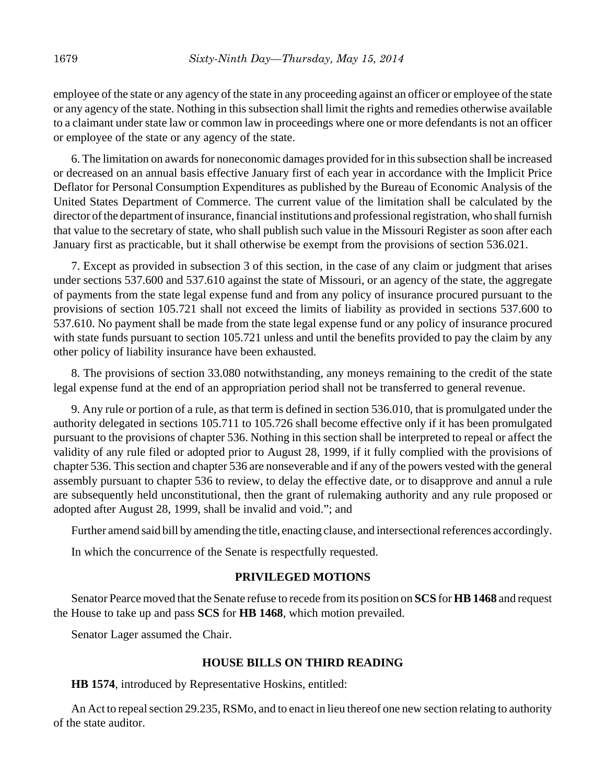employee of the state or any agency of the state in any proceeding against an officer or employee of the state or any agency of the state. Nothing in this subsection shall limit the rights and remedies otherwise available to a claimant under state law or common law in proceedings where one or more defendants is not an officer or employee of the state or any agency of the state.

6. The limitation on awards for noneconomic damages provided for in this subsection shall be increased or decreased on an annual basis effective January first of each year in accordance with the Implicit Price Deflator for Personal Consumption Expenditures as published by the Bureau of Economic Analysis of the United States Department of Commerce. The current value of the limitation shall be calculated by the director of the department of insurance, financial institutions and professional registration, who shall furnish that value to the secretary of state, who shall publish such value in the Missouri Register as soon after each January first as practicable, but it shall otherwise be exempt from the provisions of section 536.021.

7. Except as provided in subsection 3 of this section, in the case of any claim or judgment that arises under sections 537.600 and 537.610 against the state of Missouri, or an agency of the state, the aggregate of payments from the state legal expense fund and from any policy of insurance procured pursuant to the provisions of section 105.721 shall not exceed the limits of liability as provided in sections 537.600 to 537.610. No payment shall be made from the state legal expense fund or any policy of insurance procured with state funds pursuant to section 105.721 unless and until the benefits provided to pay the claim by any other policy of liability insurance have been exhausted.

8. The provisions of section 33.080 notwithstanding, any moneys remaining to the credit of the state legal expense fund at the end of an appropriation period shall not be transferred to general revenue.

9. Any rule or portion of a rule, as that term is defined in section 536.010, that is promulgated under the authority delegated in sections 105.711 to 105.726 shall become effective only if it has been promulgated pursuant to the provisions of chapter 536. Nothing in this section shall be interpreted to repeal or affect the validity of any rule filed or adopted prior to August 28, 1999, if it fully complied with the provisions of chapter 536. This section and chapter 536 are nonseverable and if any of the powers vested with the general assembly pursuant to chapter 536 to review, to delay the effective date, or to disapprove and annul a rule are subsequently held unconstitutional, then the grant of rulemaking authority and any rule proposed or adopted after August 28, 1999, shall be invalid and void."; and

Further amend said bill by amending the title, enacting clause, and intersectional references accordingly.

In which the concurrence of the Senate is respectfully requested.

### **PRIVILEGED MOTIONS**

Senator Pearce moved that the Senate refuse to recede from its position on **SCS** for **HB 1468** and request the House to take up and pass **SCS** for **HB 1468**, which motion prevailed.

Senator Lager assumed the Chair.

### **HOUSE BILLS ON THIRD READING**

**HB 1574**, introduced by Representative Hoskins, entitled:

An Act to repeal section 29.235, RSMo, and to enact in lieu thereof one new section relating to authority of the state auditor.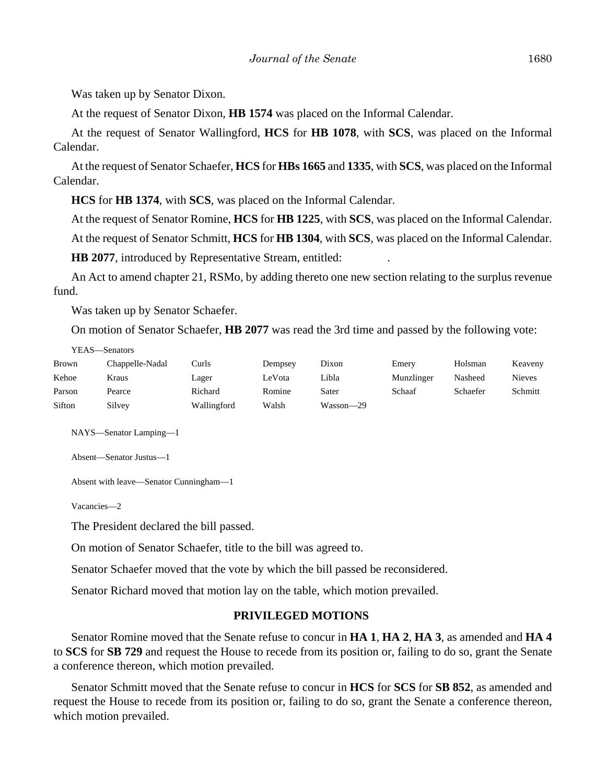Was taken up by Senator Dixon.

At the request of Senator Dixon, **HB 1574** was placed on the Informal Calendar.

At the request of Senator Wallingford, **HCS** for **HB 1078**, with **SCS**, was placed on the Informal Calendar.

At the request of Senator Schaefer, **HCS** for **HBs 1665** and **1335**, with **SCS**, was placed on the Informal Calendar.

**HCS** for **HB 1374**, with **SCS**, was placed on the Informal Calendar.

At the request of Senator Romine, **HCS** for **HB 1225**, with **SCS**, was placed on the Informal Calendar.

At the request of Senator Schmitt, **HCS** for **HB 1304**, with **SCS**, was placed on the Informal Calendar.

**HB 2077**, introduced by Representative Stream, entitled:

An Act to amend chapter 21, RSMo, by adding thereto one new section relating to the surplus revenue fund.

Was taken up by Senator Schaefer.

On motion of Senator Schaefer, **HB 2077** was read the 3rd time and passed by the following vote:

YEAS—Senators

| <b>Brown</b> | Chappelle-Nadal | Curls       | Dempsey | Dixon     | Emery      | Holsman  | Keaveny |
|--------------|-----------------|-------------|---------|-----------|------------|----------|---------|
| Kehoe        | Kraus           | Lager       | LeVota  | Libla     | Munzlinger | Nasheed  | Nieves  |
| Parson       | Pearce          | Richard     | Romine  | Sater     | Schaaf     | Schaefer | Schmitt |
| Sifton       | Silvey          | Wallingford | Walsh   | Wasson-29 |            |          |         |

NAYS—Senator Lamping—1

```
Absent—Senator Justus—1
```
Absent with leave—Senator Cunningham—1

Vacancies—2

The President declared the bill passed.

On motion of Senator Schaefer, title to the bill was agreed to.

Senator Schaefer moved that the vote by which the bill passed be reconsidered.

Senator Richard moved that motion lay on the table, which motion prevailed.

### **PRIVILEGED MOTIONS**

Senator Romine moved that the Senate refuse to concur in **HA 1**, **HA 2**, **HA 3**, as amended and **HA 4** to **SCS** for **SB 729** and request the House to recede from its position or, failing to do so, grant the Senate a conference thereon, which motion prevailed.

Senator Schmitt moved that the Senate refuse to concur in **HCS** for **SCS** for **SB 852**, as amended and request the House to recede from its position or, failing to do so, grant the Senate a conference thereon, which motion prevailed.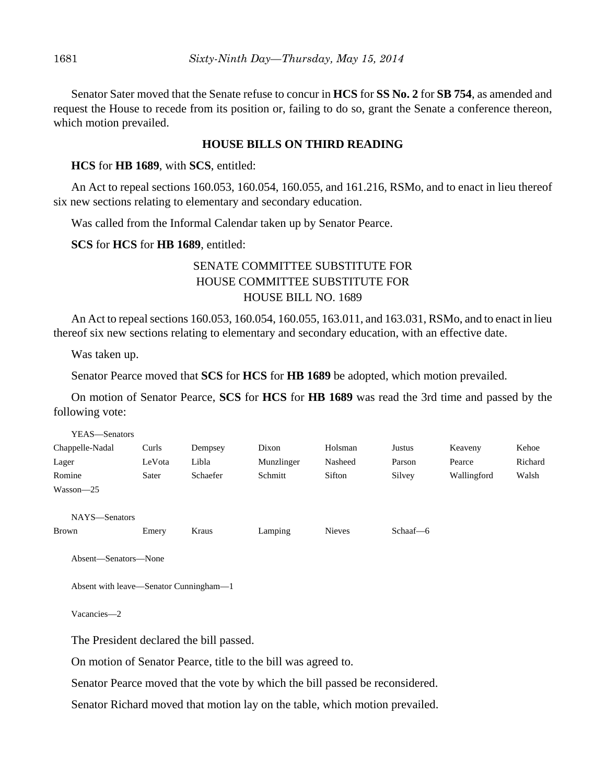Senator Sater moved that the Senate refuse to concur in **HCS** for **SS No. 2** for **SB 754**, as amended and request the House to recede from its position or, failing to do so, grant the Senate a conference thereon, which motion prevailed.

## **HOUSE BILLS ON THIRD READING**

## **HCS** for **HB 1689**, with **SCS**, entitled:

An Act to repeal sections 160.053, 160.054, 160.055, and 161.216, RSMo, and to enact in lieu thereof six new sections relating to elementary and secondary education.

Was called from the Informal Calendar taken up by Senator Pearce.

**SCS** for **HCS** for **HB 1689**, entitled:

# SENATE COMMITTEE SUBSTITUTE FOR HOUSE COMMITTEE SUBSTITUTE FOR HOUSE BILL NO. 1689

An Act to repeal sections 160.053, 160.054, 160.055, 163.011, and 163.031, RSMo, and to enact in lieu thereof six new sections relating to elementary and secondary education, with an effective date.

Was taken up.

Senator Pearce moved that **SCS** for **HCS** for **HB 1689** be adopted, which motion prevailed.

On motion of Senator Pearce, **SCS** for **HCS** for **HB 1689** was read the 3rd time and passed by the following vote:

| YEAS—Senators   |        |          |            |               |          |             |         |
|-----------------|--------|----------|------------|---------------|----------|-------------|---------|
| Chappelle-Nadal | Curls  | Dempsey  | Dixon      | Holsman       | Justus   | Keaveny     | Kehoe   |
| Lager           | LeVota | Libla    | Munzlinger | Nasheed       | Parson   | Pearce      | Richard |
| Romine          | Sater  | Schaefer | Schmitt    | Sifton        | Silvey   | Wallingford | Walsh   |
| Wasson-25       |        |          |            |               |          |             |         |
| NAYS-Senators   |        |          |            |               |          |             |         |
| <b>Brown</b>    | Emery  | Kraus    | Lamping    | <b>Nieves</b> | Schaaf-6 |             |         |
|                 |        |          |            |               |          |             |         |

Absent—Senators—None

Absent with leave—Senator Cunningham—1

Vacancies—2

The President declared the bill passed.

On motion of Senator Pearce, title to the bill was agreed to.

Senator Pearce moved that the vote by which the bill passed be reconsidered.

Senator Richard moved that motion lay on the table, which motion prevailed.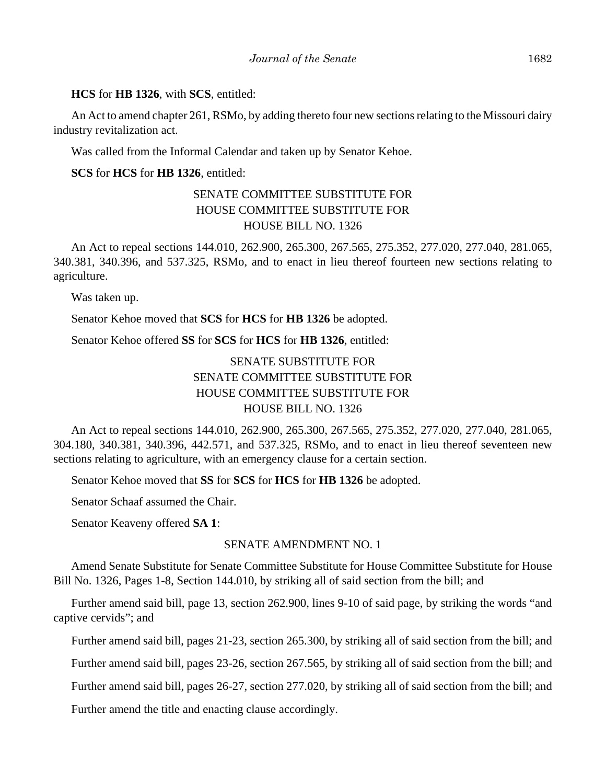### **HCS** for **HB 1326**, with **SCS**, entitled:

An Act to amend chapter 261, RSMo, by adding thereto four new sections relating to the Missouri dairy industry revitalization act.

Was called from the Informal Calendar and taken up by Senator Kehoe.

### **SCS** for **HCS** for **HB 1326**, entitled:

## SENATE COMMITTEE SUBSTITUTE FOR HOUSE COMMITTEE SUBSTITUTE FOR HOUSE BILL NO. 1326

An Act to repeal sections 144.010, 262.900, 265.300, 267.565, 275.352, 277.020, 277.040, 281.065, 340.381, 340.396, and 537.325, RSMo, and to enact in lieu thereof fourteen new sections relating to agriculture.

Was taken up.

Senator Kehoe moved that **SCS** for **HCS** for **HB 1326** be adopted.

Senator Kehoe offered **SS** for **SCS** for **HCS** for **HB 1326**, entitled:

# SENATE SUBSTITUTE FOR SENATE COMMITTEE SUBSTITUTE FOR HOUSE COMMITTEE SUBSTITUTE FOR HOUSE BILL NO. 1326

An Act to repeal sections 144.010, 262.900, 265.300, 267.565, 275.352, 277.020, 277.040, 281.065, 304.180, 340.381, 340.396, 442.571, and 537.325, RSMo, and to enact in lieu thereof seventeen new sections relating to agriculture, with an emergency clause for a certain section.

Senator Kehoe moved that **SS** for **SCS** for **HCS** for **HB 1326** be adopted.

Senator Schaaf assumed the Chair.

Senator Keaveny offered **SA 1**:

### SENATE AMENDMENT NO. 1

Amend Senate Substitute for Senate Committee Substitute for House Committee Substitute for House Bill No. 1326, Pages 1-8, Section 144.010, by striking all of said section from the bill; and

Further amend said bill, page 13, section 262.900, lines 9-10 of said page, by striking the words "and captive cervids"; and

Further amend said bill, pages 21-23, section 265.300, by striking all of said section from the bill; and

Further amend said bill, pages 23-26, section 267.565, by striking all of said section from the bill; and

Further amend said bill, pages 26-27, section 277.020, by striking all of said section from the bill; and

Further amend the title and enacting clause accordingly.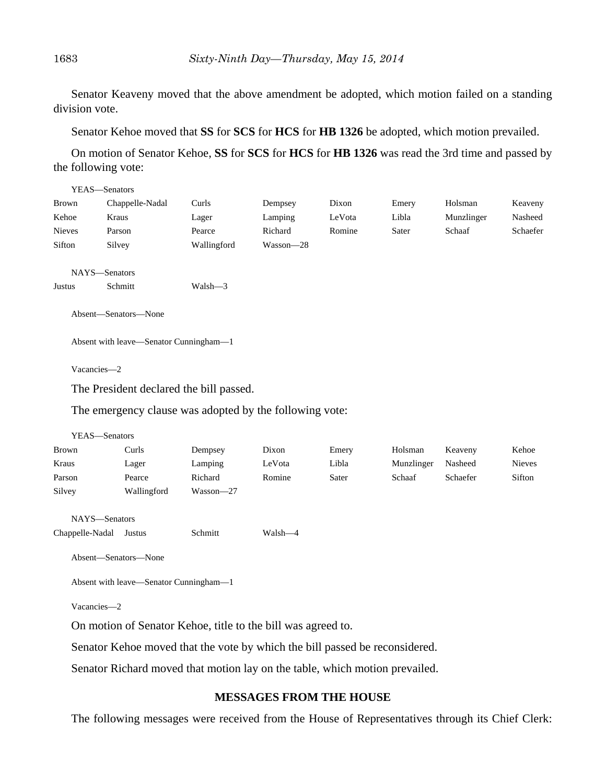Senator Keaveny moved that the above amendment be adopted, which motion failed on a standing division vote.

Senator Kehoe moved that **SS** for **SCS** for **HCS** for **HB 1326** be adopted, which motion prevailed.

On motion of Senator Kehoe, **SS** for **SCS** for **HCS** for **HB 1326** was read the 3rd time and passed by the following vote:

| YEAS-Senators   |                                                              |             |           |        |            |            |               |
|-----------------|--------------------------------------------------------------|-------------|-----------|--------|------------|------------|---------------|
| <b>Brown</b>    | Chappelle-Nadal                                              | Curls       | Dempsey   | Dixon  | Emery      | Holsman    | Keaveny       |
| Kehoe           | Kraus                                                        | Lager       | Lamping   | LeVota | Libla      | Munzlinger | Nasheed       |
| <b>Nieves</b>   | Parson                                                       | Pearce      | Richard   | Romine | Sater      | Schaaf     | Schaefer      |
| Sifton          | Silvey                                                       | Wallingford | Wasson-28 |        |            |            |               |
| NAYS-Senators   |                                                              |             |           |        |            |            |               |
| Justus          | Schmitt                                                      | Walsh-3     |           |        |            |            |               |
|                 | Absent-Senators-None                                         |             |           |        |            |            |               |
|                 | Absent with leave-Senator Cunningham-1                       |             |           |        |            |            |               |
| Vacancies-2     |                                                              |             |           |        |            |            |               |
|                 | The President declared the bill passed.                      |             |           |        |            |            |               |
|                 | The emergency clause was adopted by the following vote:      |             |           |        |            |            |               |
| YEAS-Senators   |                                                              |             |           |        |            |            |               |
| Brown           | Curls                                                        | Dempsey     | Dixon     | Emery  | Holsman    | Keaveny    | Kehoe         |
| Kraus           | Lager                                                        | Lamping     | LeVota    | Libla  | Munzlinger | Nasheed    | <b>Nieves</b> |
| Parson          | Pearce                                                       | Richard     | Romine    | Sater  | Schaaf     | Schaefer   | Sifton        |
| Silvey          | Wallingford                                                  | Wasson-27   |           |        |            |            |               |
| NAYS-Senators   |                                                              |             |           |        |            |            |               |
| Chappelle-Nadal | Justus                                                       | Schmitt     | Walsh-4   |        |            |            |               |
|                 | Absent-Senators-None                                         |             |           |        |            |            |               |
|                 | Absent with leave-Senator Cunningham-1                       |             |           |        |            |            |               |
| Vacancies-2     |                                                              |             |           |        |            |            |               |
|                 | On motion of Senator Kehoe, title to the bill was agreed to. |             |           |        |            |            |               |

Senator Kehoe moved that the vote by which the bill passed be reconsidered.

Senator Richard moved that motion lay on the table, which motion prevailed.

### **MESSAGES FROM THE HOUSE**

The following messages were received from the House of Representatives through its Chief Clerk: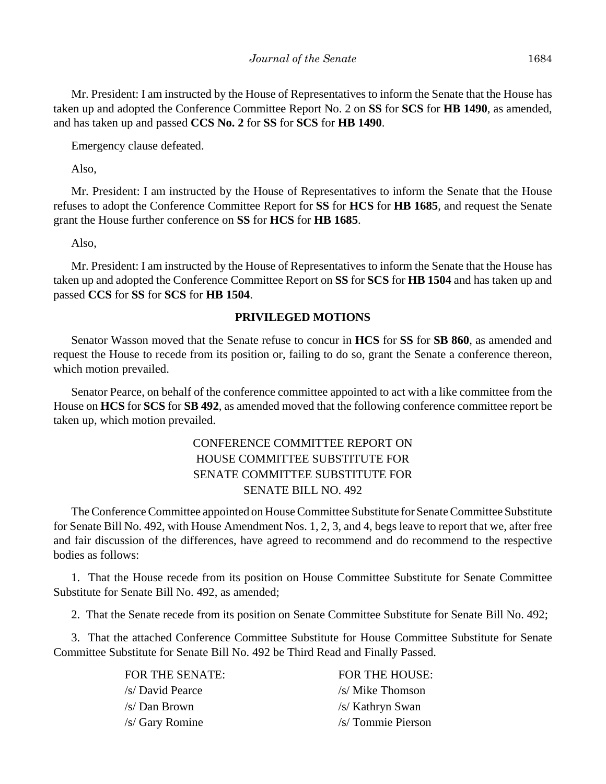Mr. President: I am instructed by the House of Representatives to inform the Senate that the House has taken up and adopted the Conference Committee Report No. 2 on **SS** for **SCS** for **HB 1490**, as amended, and has taken up and passed **CCS No. 2** for **SS** for **SCS** for **HB 1490**.

Emergency clause defeated.

Also,

Mr. President: I am instructed by the House of Representatives to inform the Senate that the House refuses to adopt the Conference Committee Report for **SS** for **HCS** for **HB 1685**, and request the Senate grant the House further conference on **SS** for **HCS** for **HB 1685**.

Also,

Mr. President: I am instructed by the House of Representatives to inform the Senate that the House has taken up and adopted the Conference Committee Report on **SS** for **SCS** for **HB 1504** and has taken up and passed **CCS** for **SS** for **SCS** for **HB 1504**.

### **PRIVILEGED MOTIONS**

Senator Wasson moved that the Senate refuse to concur in **HCS** for **SS** for **SB 860**, as amended and request the House to recede from its position or, failing to do so, grant the Senate a conference thereon, which motion prevailed.

Senator Pearce, on behalf of the conference committee appointed to act with a like committee from the House on **HCS** for **SCS** for **SB 492**, as amended moved that the following conference committee report be taken up, which motion prevailed.

# CONFERENCE COMMITTEE REPORT ON HOUSE COMMITTEE SUBSTITUTE FOR SENATE COMMITTEE SUBSTITUTE FOR SENATE BILL NO. 492

The Conference Committee appointed on House Committee Substitute for Senate Committee Substitute for Senate Bill No. 492, with House Amendment Nos. 1, 2, 3, and 4, begs leave to report that we, after free and fair discussion of the differences, have agreed to recommend and do recommend to the respective bodies as follows:

1. That the House recede from its position on House Committee Substitute for Senate Committee Substitute for Senate Bill No. 492, as amended;

2. That the Senate recede from its position on Senate Committee Substitute for Senate Bill No. 492;

3. That the attached Conference Committee Substitute for House Committee Substitute for Senate Committee Substitute for Senate Bill No. 492 be Third Read and Finally Passed.

> /s/ David Pearce /s/ Mike Thomson /s/ Dan Brown /s/ Kathryn Swan /s/ Gary Romine /s/ Tommie Pierson

> FOR THE SENATE: FOR THE HOUSE: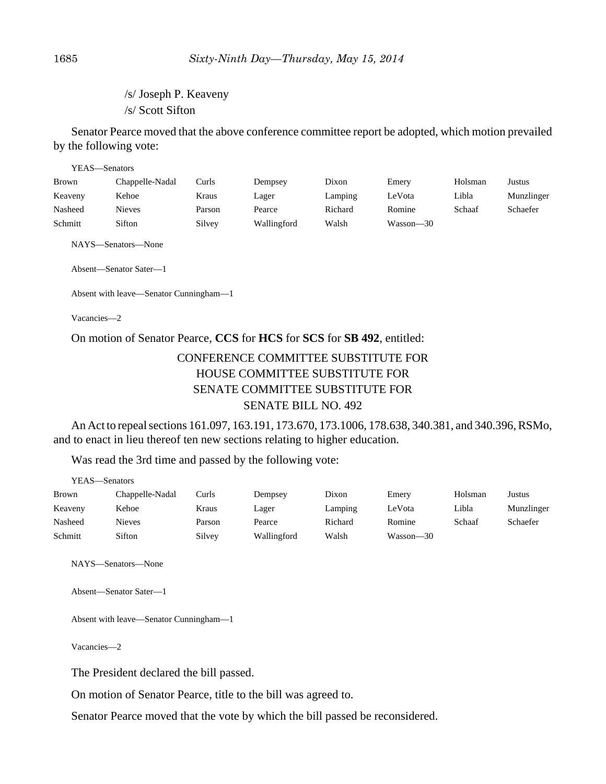/s/ Joseph P. Keaveny /s/ Scott Sifton

Senator Pearce moved that the above conference committee report be adopted, which motion prevailed by the following vote:

| YEAS—Senators |                 |        |             |         |           |         |            |
|---------------|-----------------|--------|-------------|---------|-----------|---------|------------|
| Brown         | Chappelle-Nadal | Curls  | Dempsey     | Dixon   | Emery     | Holsman | Justus     |
| Keaveny       | Kehoe           | Kraus  | Lager       | Lamping | LeVota    | Libla   | Munzlinger |
| Nasheed       | <b>Nieves</b>   | Parson | Pearce      | Richard | Romine    | Schaaf  | Schaefer   |
| Schmitt       | Sifton          | Silvey | Wallingford | Walsh   | Wasson—30 |         |            |

NAYS—Senators—None

Absent—Senator Sater—1

Absent with leave—Senator Cunningham—1

Vacancies—2

On motion of Senator Pearce, **CCS** for **HCS** for **SCS** for **SB 492**, entitled:

## CONFERENCE COMMITTEE SUBSTITUTE FOR HOUSE COMMITTEE SUBSTITUTE FOR SENATE COMMITTEE SUBSTITUTE FOR SENATE BILL NO. 492

An Act to repeal sections 161.097, 163.191, 173.670, 173.1006, 178.638, 340.381, and 340.396, RSMo, and to enact in lieu thereof ten new sections relating to higher education.

Was read the 3rd time and passed by the following vote:

| YEAS—Senators |                 |        |             |         |           |         |            |
|---------------|-----------------|--------|-------------|---------|-----------|---------|------------|
| <b>Brown</b>  | Chappelle-Nadal | Curls  | Dempsey     | Dixon   | Emery     | Holsman | Justus     |
| Keaveny       | Kehoe           | Kraus  | Lager       | Lamping | LeVota    | Libla   | Munzlinger |
| Nasheed       | <b>Nieves</b>   | Parson | Pearce      | Richard | Romine    | Schaaf  | Schaefer   |
| Schmitt       | Sifton          | Silvey | Wallingford | Walsh   | Wasson-30 |         |            |

NAYS—Senators—None

Absent—Senator Sater—1

Absent with leave—Senator Cunningham—1

Vacancies—2

The President declared the bill passed.

On motion of Senator Pearce, title to the bill was agreed to.

Senator Pearce moved that the vote by which the bill passed be reconsidered.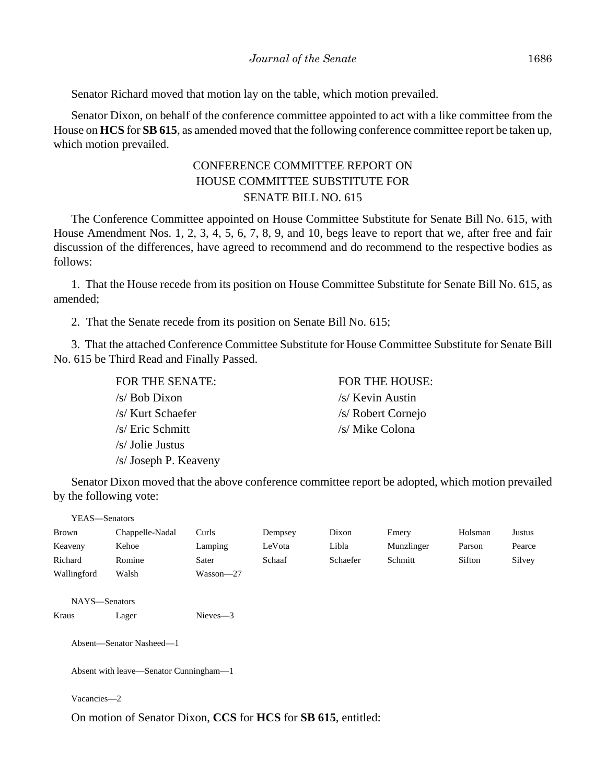Senator Richard moved that motion lay on the table, which motion prevailed.

Senator Dixon, on behalf of the conference committee appointed to act with a like committee from the House on **HCS** for **SB 615**, as amended moved that the following conference committee report be taken up, which motion prevailed.

## CONFERENCE COMMITTEE REPORT ON HOUSE COMMITTEE SUBSTITUTE FOR SENATE BILL NO. 615

The Conference Committee appointed on House Committee Substitute for Senate Bill No. 615, with House Amendment Nos. 1, 2, 3, 4, 5, 6, 7, 8, 9, and 10, begs leave to report that we, after free and fair discussion of the differences, have agreed to recommend and do recommend to the respective bodies as follows:

1. That the House recede from its position on House Committee Substitute for Senate Bill No. 615, as amended;

2. That the Senate recede from its position on Senate Bill No. 615;

3. That the attached Conference Committee Substitute for House Committee Substitute for Senate Bill No. 615 be Third Read and Finally Passed.

Senator Dixon moved that the above conference committee report be adopted, which motion prevailed

FOR THE SENATE: FOR THE HOUSE: /s/ Bob Dixon /s/ Kevin Austin /s/ Kurt Schaefer /s/ Robert Cornejo /s/ Eric Schmitt /s/ Mike Colona /s/ Jolie Justus /s/ Joseph P. Keaveny

Brown Chappelle-Nadal Curls Dempsey Dixon Emery Holsman Justus Keaveny Kehoe Lamping LeVota Libla Munzlinger Parson Pearce

Richard Romine Sater Schaaf Schaefer Schmitt Sifton Silvey

NAYS—Senators Kraus Lager Nieves-3

by the following vote:

YEAS—Senators

Absent—Senator Nasheed—1

Absent with leave—Senator Cunningham—1

Wallingford Walsh Wasson—27

Vacancies—2

On motion of Senator Dixon, **CCS** for **HCS** for **SB 615**, entitled: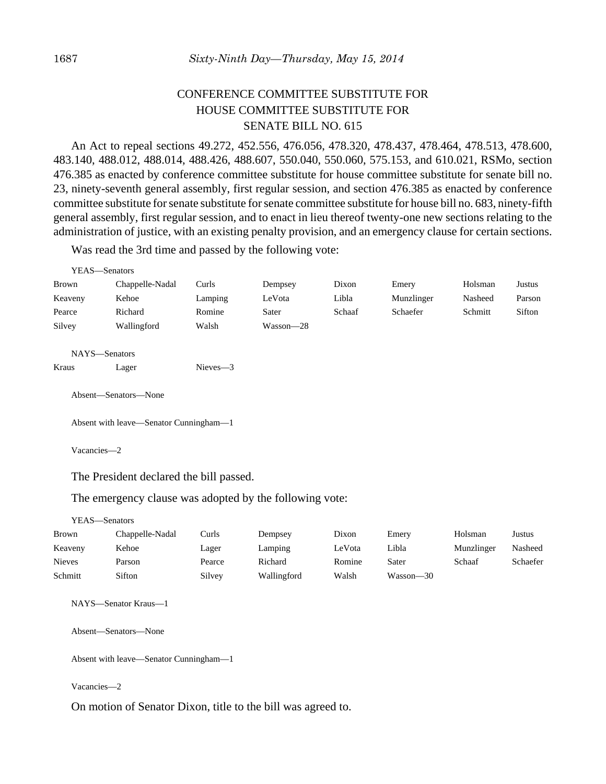# CONFERENCE COMMITTEE SUBSTITUTE FOR HOUSE COMMITTEE SUBSTITUTE FOR SENATE BILL NO. 615

An Act to repeal sections 49.272, 452.556, 476.056, 478.320, 478.437, 478.464, 478.513, 478.600, 483.140, 488.012, 488.014, 488.426, 488.607, 550.040, 550.060, 575.153, and 610.021, RSMo, section 476.385 as enacted by conference committee substitute for house committee substitute for senate bill no. 23, ninety-seventh general assembly, first regular session, and section 476.385 as enacted by conference committee substitute for senate substitute for senate committee substitute for house bill no. 683, ninety-fifth general assembly, first regular session, and to enact in lieu thereof twenty-one new sections relating to the administration of justice, with an existing penalty provision, and an emergency clause for certain sections.

Was read the 3rd time and passed by the following vote:

|             | YEAS—Senators                           |             |           |        |            |         |        |
|-------------|-----------------------------------------|-------------|-----------|--------|------------|---------|--------|
| Brown       | Chappelle-Nadal                         | Curls       | Dempsey   | Dixon  | Emery      | Holsman | Justus |
| Keaveny     | Kehoe                                   | Lamping     | LeVota    | Libla  | Munzlinger | Nasheed | Parson |
| Pearce      | Richard                                 | Romine      | Sater     | Schaaf | Schaefer   | Schmitt | Sifton |
| Silvey      | Wallingford                             | Walsh       | Wasson-28 |        |            |         |        |
|             | NAYS-Senators                           |             |           |        |            |         |        |
| Kraus       | Lager                                   | $Nieves -3$ |           |        |            |         |        |
|             | Absent-Senators-None                    |             |           |        |            |         |        |
|             | Absent with leave—Senator Cunningham—1  |             |           |        |            |         |        |
| Vacancies-2 |                                         |             |           |        |            |         |        |
|             | The President declared the bill passed. |             |           |        |            |         |        |

The emergency clause was adopted by the following vote:

YEAS—Senators

| Brown         | Chappelle-Nadal | 2urls  | Dempsey     | Dixon  | Emery     | Holsman    | Justus   |
|---------------|-----------------|--------|-------------|--------|-----------|------------|----------|
| Keaveny       | Kehoe           | Lager  | Lamping     | LeVota | Libla     | Munzlinger | Nasheed  |
| <b>Nieves</b> | Parson          | Pearce | Richard     | Romine | Sater     | Schaaf     | Schaefer |
| Schmitt       | Sifton          | Silvey | Wallingford | Walsh  | Wasson-30 |            |          |

NAYS—Senator Kraus—1

Absent—Senators—None

Absent with leave—Senator Cunningham—1

Vacancies—2

On motion of Senator Dixon, title to the bill was agreed to.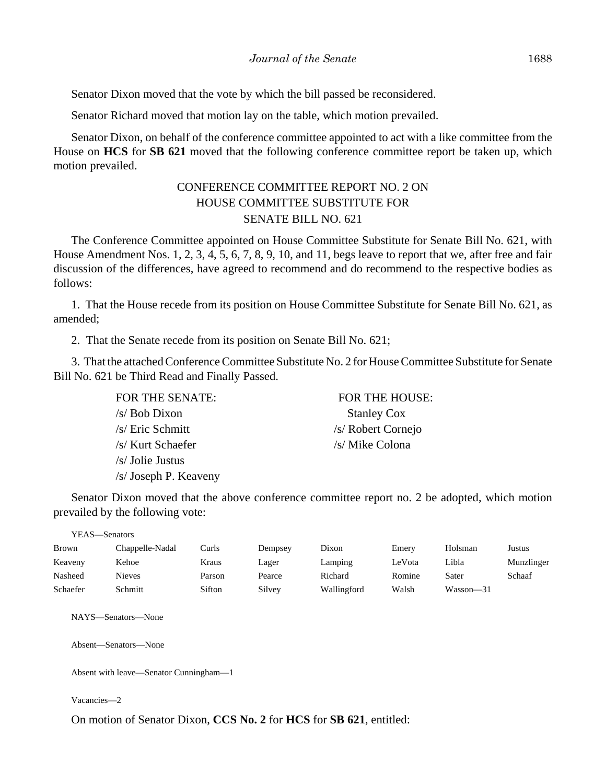Senator Dixon moved that the vote by which the bill passed be reconsidered.

Senator Richard moved that motion lay on the table, which motion prevailed.

Senator Dixon, on behalf of the conference committee appointed to act with a like committee from the House on **HCS** for **SB 621** moved that the following conference committee report be taken up, which motion prevailed.

## CONFERENCE COMMITTEE REPORT NO. 2 ON HOUSE COMMITTEE SUBSTITUTE FOR SENATE BILL NO. 621

The Conference Committee appointed on House Committee Substitute for Senate Bill No. 621, with House Amendment Nos. 1, 2, 3, 4, 5, 6, 7, 8, 9, 10, and 11, begs leave to report that we, after free and fair discussion of the differences, have agreed to recommend and do recommend to the respective bodies as follows:

1. That the House recede from its position on House Committee Substitute for Senate Bill No. 621, as amended;

2. That the Senate recede from its position on Senate Bill No. 621;

3. That the attached Conference Committee Substitute No. 2 for House Committee Substitute for Senate Bill No. 621 be Third Read and Finally Passed.

> FOR THE SENATE: FOR THE HOUSE: /s/ Bob Dixon Stanley Cox /s/ Eric Schmitt /s/ Robert Cornejo /s/ Kurt Schaefer /s/ Mike Colona /s/ Jolie Justus /s/ Joseph P. Keaveny

Senator Dixon moved that the above conference committee report no. 2 be adopted, which motion prevailed by the following vote:

YEAS—Senators

| <b>Brown</b> | Chappelle-Nadal | Curls - | Dempsey | Dixon       | Emery  | Holsman   | Justus     |
|--------------|-----------------|---------|---------|-------------|--------|-----------|------------|
| Keaveny      | Kehoe           | Kraus   | Lager   | Lamping     | LeVota | Libla     | Munzlinger |
| Nasheed      | <b>Nieves</b>   | Parson  | Pearce  | Richard     | Romine | Sater     | Schaaf     |
| Schaefer     | Schmitt         | Sifton  | Silvey  | Wallingford | Walsh  | Wasson-31 |            |

NAYS—Senators—None

Absent—Senators—None

Absent with leave—Senator Cunningham—1

Vacancies—2

On motion of Senator Dixon, **CCS No. 2** for **HCS** for **SB 621**, entitled: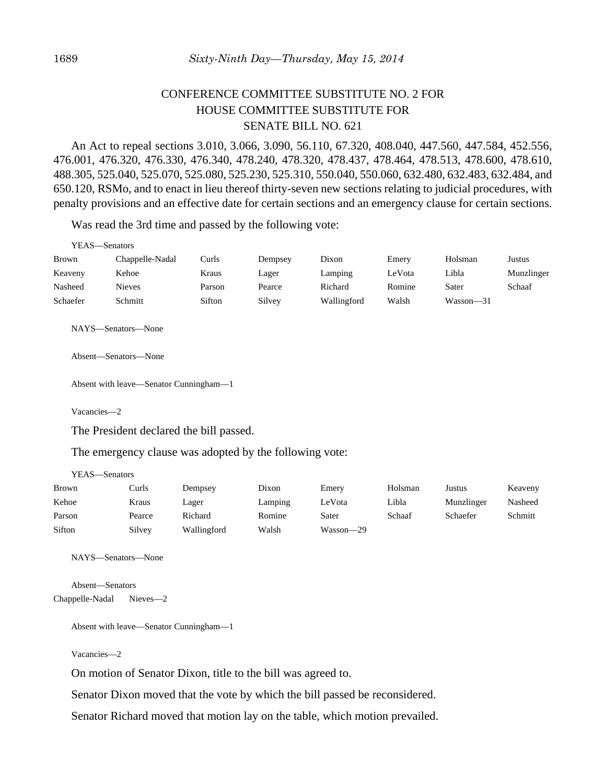# CONFERENCE COMMITTEE SUBSTITUTE NO. 2 FOR HOUSE COMMITTEE SUBSTITUTE FOR SENATE BILL NO. 621

An Act to repeal sections 3.010, 3.066, 3.090, 56.110, 67.320, 408.040, 447.560, 447.584, 452.556, 476.001, 476.320, 476.330, 476.340, 478.240, 478.320, 478.437, 478.464, 478.513, 478.600, 478.610, 488.305, 525.040, 525.070, 525.080, 525.230, 525.310, 550.040, 550.060, 632.480, 632.483, 632.484, and 650.120, RSMo, and to enact in lieu thereof thirty-seven new sections relating to judicial procedures, with penalty provisions and an effective date for certain sections and an emergency clause for certain sections.

Was read the 3rd time and passed by the following vote:

| YEAS—Senators |                 |        |         |             |        |               |            |
|---------------|-----------------|--------|---------|-------------|--------|---------------|------------|
| Brown         | Chappelle-Nadal | Curls  | Dempsey | Dixon       | Emery  | Holsman       | Justus     |
| Keaveny       | Kehoe           | Kraus  | Lager   | Lamping     | LeVota | Libla         | Munzlinger |
| Nasheed       | Nieves          | Parson | Pearce  | Richard     | Romine | Sater         | Schaaf     |
| Schaefer      | Schmitt         | Sifton | Silvey  | Wallingford | Walsh  | $Wasson - 31$ |            |

NAYS—Senators—None

Absent—Senators—None

Absent with leave—Senator Cunningham—1

Vacancies—2

 $Y_{\text{H}}$   $\alpha$   $\beta$ 

The President declared the bill passed.

The emergency clause was adopted by the following vote:

| 1 LAS—SCHAUTS |        |             |         |           |         |            |         |
|---------------|--------|-------------|---------|-----------|---------|------------|---------|
| Brown         | Curls  | Dempsey     | Dixon   | Emery     | Holsman | Justus     | Keaveny |
| Kehoe         | Kraus  | Lager       | Lamping | LeVota    | Libla   | Munzlinger | Nasheed |
| Parson        | Pearce | Richard     | Romine  | Sater     | Schaaf  | Schaefer   | Schmitt |
| Sifton        | Silvey | Wallingford | Walsh   | Wasson—29 |         |            |         |

NAYS—Senators—None

Absent—Senators Chappelle-Nadal Nieves—2

```
Absent with leave—Senator Cunningham—1
```
Vacancies—2

On motion of Senator Dixon, title to the bill was agreed to.

Senator Dixon moved that the vote by which the bill passed be reconsidered.

Senator Richard moved that motion lay on the table, which motion prevailed.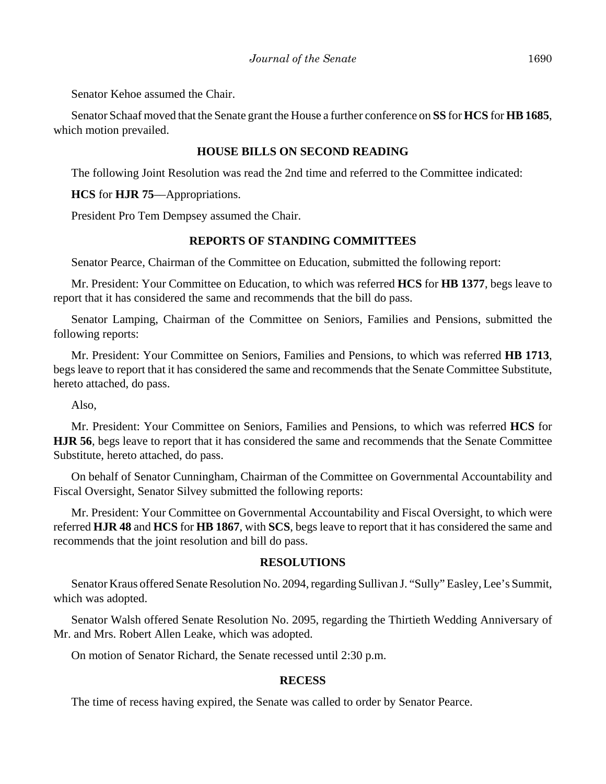Senator Kehoe assumed the Chair.

Senator Schaaf moved that the Senate grant the House a further conference on **SS** for **HCS** for **HB 1685**, which motion prevailed.

### **HOUSE BILLS ON SECOND READING**

The following Joint Resolution was read the 2nd time and referred to the Committee indicated:

**HCS** for **HJR 75**––Appropriations.

President Pro Tem Dempsey assumed the Chair.

### **REPORTS OF STANDING COMMITTEES**

Senator Pearce, Chairman of the Committee on Education, submitted the following report:

Mr. President: Your Committee on Education, to which was referred **HCS** for **HB 1377**, begs leave to report that it has considered the same and recommends that the bill do pass.

Senator Lamping, Chairman of the Committee on Seniors, Families and Pensions, submitted the following reports:

Mr. President: Your Committee on Seniors, Families and Pensions, to which was referred **HB 1713**, begs leave to report that it has considered the same and recommends that the Senate Committee Substitute, hereto attached, do pass.

Also,

Mr. President: Your Committee on Seniors, Families and Pensions, to which was referred **HCS** for **HJR 56**, begs leave to report that it has considered the same and recommends that the Senate Committee Substitute, hereto attached, do pass.

On behalf of Senator Cunningham, Chairman of the Committee on Governmental Accountability and Fiscal Oversight, Senator Silvey submitted the following reports:

Mr. President: Your Committee on Governmental Accountability and Fiscal Oversight, to which were referred **HJR 48** and **HCS** for **HB 1867**, with **SCS**, begs leave to report that it has considered the same and recommends that the joint resolution and bill do pass.

#### **RESOLUTIONS**

Senator Kraus offered Senate Resolution No. 2094, regarding Sullivan J. "Sully" Easley, Lee's Summit, which was adopted.

Senator Walsh offered Senate Resolution No. 2095, regarding the Thirtieth Wedding Anniversary of Mr. and Mrs. Robert Allen Leake, which was adopted.

On motion of Senator Richard, the Senate recessed until 2:30 p.m.

## **RECESS**

The time of recess having expired, the Senate was called to order by Senator Pearce.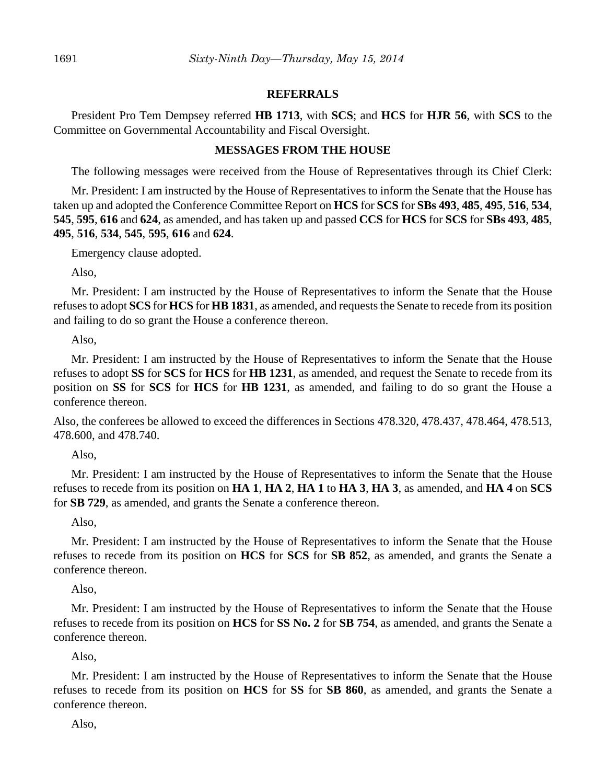### **REFERRALS**

President Pro Tem Dempsey referred **HB 1713**, with **SCS**; and **HCS** for **HJR 56**, with **SCS** to the Committee on Governmental Accountability and Fiscal Oversight.

## **MESSAGES FROM THE HOUSE**

The following messages were received from the House of Representatives through its Chief Clerk:

Mr. President: I am instructed by the House of Representatives to inform the Senate that the House has taken up and adopted the Conference Committee Report on **HCS** for **SCS** for **SBs 493**, **485**, **495**, **516**, **534**, **545**, **595**, **616** and **624**, as amended, and has taken up and passed **CCS** for **HCS** for **SCS** for **SBs 493**, **485**, **495**, **516**, **534**, **545**, **595**, **616** and **624**.

Emergency clause adopted.

Also,

Mr. President: I am instructed by the House of Representatives to inform the Senate that the House refuses to adopt **SCS** for **HCS** for **HB 1831**, as amended, and requests the Senate to recede from its position and failing to do so grant the House a conference thereon.

Also,

Mr. President: I am instructed by the House of Representatives to inform the Senate that the House refuses to adopt **SS** for **SCS** for **HCS** for **HB 1231**, as amended, and request the Senate to recede from its position on **SS** for **SCS** for **HCS** for **HB 1231**, as amended, and failing to do so grant the House a conference thereon.

Also, the conferees be allowed to exceed the differences in Sections 478.320, 478.437, 478.464, 478.513, 478.600, and 478.740.

Also,

Mr. President: I am instructed by the House of Representatives to inform the Senate that the House refuses to recede from its position on **HA 1**, **HA 2**, **HA 1** to **HA 3**, **HA 3**, as amended, and **HA 4** on **SCS** for **SB 729**, as amended, and grants the Senate a conference thereon.

Also,

Mr. President: I am instructed by the House of Representatives to inform the Senate that the House refuses to recede from its position on **HCS** for **SCS** for **SB 852**, as amended, and grants the Senate a conference thereon.

Also,

Mr. President: I am instructed by the House of Representatives to inform the Senate that the House refuses to recede from its position on **HCS** for **SS No. 2** for **SB 754**, as amended, and grants the Senate a conference thereon.

Also,

Mr. President: I am instructed by the House of Representatives to inform the Senate that the House refuses to recede from its position on **HCS** for **SS** for **SB 860**, as amended, and grants the Senate a conference thereon.

Also,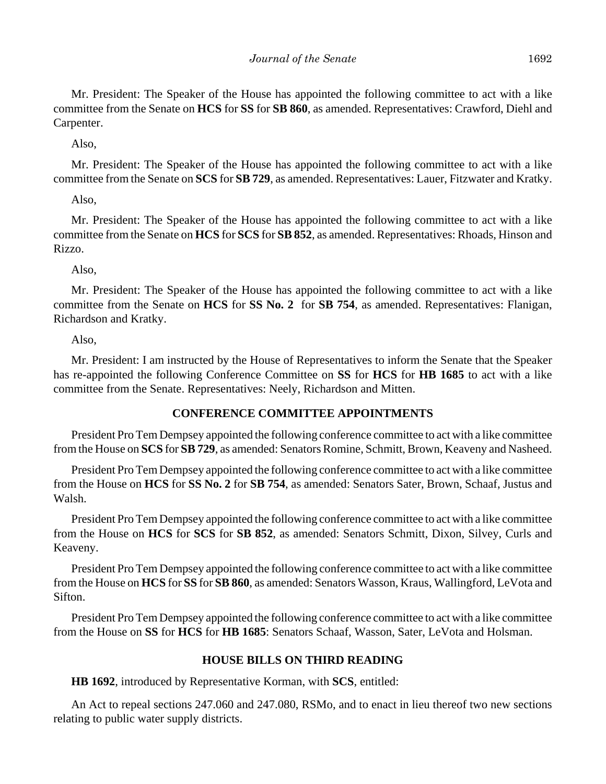Mr. President: The Speaker of the House has appointed the following committee to act with a like committee from the Senate on **HCS** for **SS** for **SB 860**, as amended. Representatives: Crawford, Diehl and Carpenter.

Also,

Mr. President: The Speaker of the House has appointed the following committee to act with a like committee from the Senate on **SCS** for **SB 729**, as amended. Representatives: Lauer, Fitzwater and Kratky.

Also,

Mr. President: The Speaker of the House has appointed the following committee to act with a like committee from the Senate on **HCS** for **SCS** for **SB 852**, as amended. Representatives: Rhoads, Hinson and Rizzo.

Also,

Mr. President: The Speaker of the House has appointed the following committee to act with a like committee from the Senate on **HCS** for **SS No. 2** for **SB 754**, as amended. Representatives: Flanigan, Richardson and Kratky.

Also,

Mr. President: I am instructed by the House of Representatives to inform the Senate that the Speaker has re-appointed the following Conference Committee on **SS** for **HCS** for **HB 1685** to act with a like committee from the Senate. Representatives: Neely, Richardson and Mitten.

# **CONFERENCE COMMITTEE APPOINTMENTS**

President Pro Tem Dempsey appointed the following conference committee to act with a like committee from the House on **SCS** for **SB 729**, as amended: Senators Romine, Schmitt, Brown, Keaveny and Nasheed.

President Pro Tem Dempsey appointed the following conference committee to act with a like committee from the House on **HCS** for **SS No. 2** for **SB 754**, as amended: Senators Sater, Brown, Schaaf, Justus and Walsh.

President Pro Tem Dempsey appointed the following conference committee to act with a like committee from the House on **HCS** for **SCS** for **SB 852**, as amended: Senators Schmitt, Dixon, Silvey, Curls and Keaveny.

President Pro Tem Dempsey appointed the following conference committee to act with a like committee from the House on **HCS** for **SS** for **SB 860**, as amended: Senators Wasson, Kraus, Wallingford, LeVota and Sifton.

President Pro Tem Dempsey appointed the following conference committee to act with a like committee from the House on **SS** for **HCS** for **HB 1685**: Senators Schaaf, Wasson, Sater, LeVota and Holsman.

## **HOUSE BILLS ON THIRD READING**

**HB 1692**, introduced by Representative Korman, with **SCS**, entitled:

An Act to repeal sections 247.060 and 247.080, RSMo, and to enact in lieu thereof two new sections relating to public water supply districts.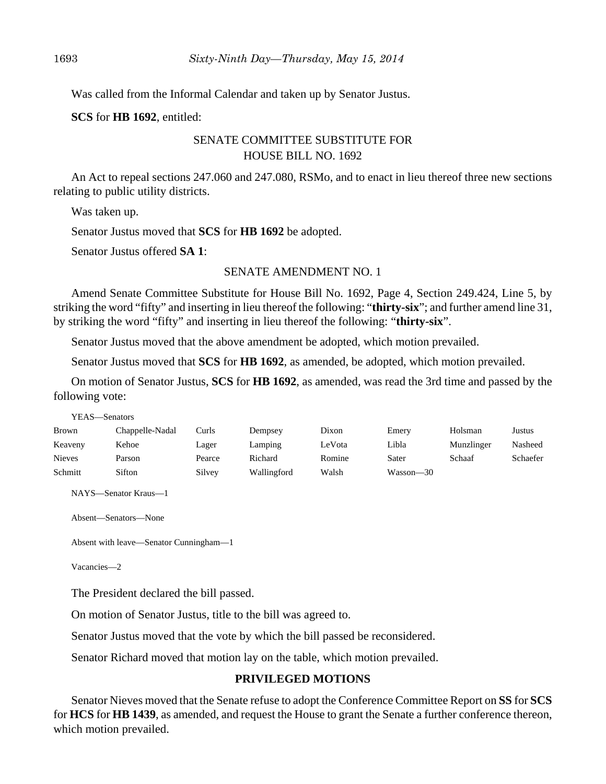Was called from the Informal Calendar and taken up by Senator Justus.

**SCS** for **HB 1692**, entitled:

# SENATE COMMITTEE SUBSTITUTE FOR HOUSE BILL NO. 1692

An Act to repeal sections 247.060 and 247.080, RSMo, and to enact in lieu thereof three new sections relating to public utility districts.

Was taken up.

Senator Justus moved that **SCS** for **HB 1692** be adopted.

Senator Justus offered **SA 1**:

## SENATE AMENDMENT NO. 1

Amend Senate Committee Substitute for House Bill No. 1692, Page 4, Section 249.424, Line 5, by striking the word "fifty" and inserting in lieu thereof the following: "**thirty-six**"; and further amend line 31, by striking the word "fifty" and inserting in lieu thereof the following: "**thirty-six**".

Senator Justus moved that the above amendment be adopted, which motion prevailed.

Senator Justus moved that **SCS** for **HB 1692**, as amended, be adopted, which motion prevailed.

On motion of Senator Justus, **SCS** for **HB 1692**, as amended, was read the 3rd time and passed by the following vote:

YEAS—Senators

| <b>Brown</b>  | Chappelle-Nadal | Curls: | Dempsey     | Dixon  | Emery     | Holsman    | Justus   |
|---------------|-----------------|--------|-------------|--------|-----------|------------|----------|
| Keaveny       | Kehoe           | Lager  | Lamping     | LeVota | Libla     | Munzlinger | Nasheed  |
| <b>Nieves</b> | Parson          | Pearce | Richard     | Romine | Sater     | Schaaf     | Schaefer |
| Schmitt       | Sifton          | Silvey | Wallingford | Walsh  | Wasson—30 |            |          |

NAYS—Senator Kraus—1

```
Absent—Senators—None
```

```
Absent with leave—Senator Cunningham—1
```
Vacancies—2

The President declared the bill passed.

On motion of Senator Justus, title to the bill was agreed to.

Senator Justus moved that the vote by which the bill passed be reconsidered.

Senator Richard moved that motion lay on the table, which motion prevailed.

# **PRIVILEGED MOTIONS**

Senator Nieves moved that the Senate refuse to adopt the Conference Committee Report on **SS** for **SCS** for **HCS** for **HB 1439**, as amended, and request the House to grant the Senate a further conference thereon, which motion prevailed.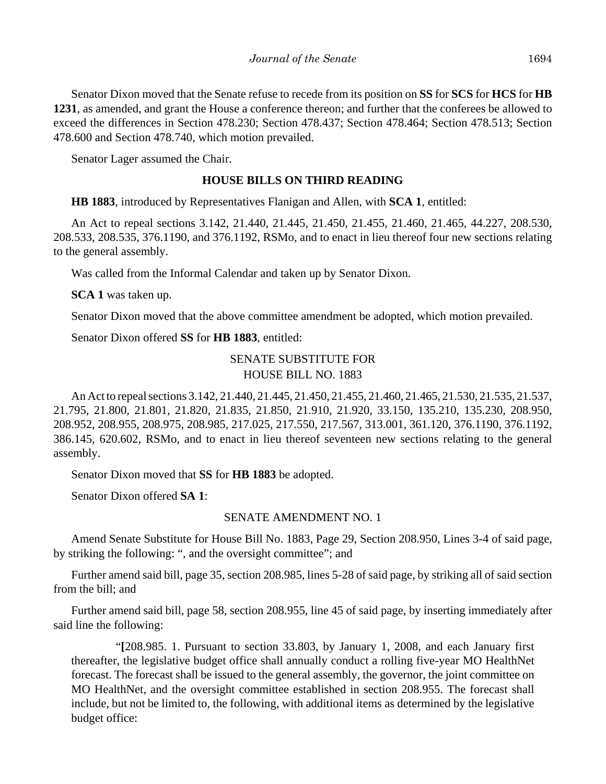Senator Dixon moved that the Senate refuse to recede from its position on **SS** for **SCS** for **HCS** for **HB 1231**, as amended, and grant the House a conference thereon; and further that the conferees be allowed to exceed the differences in Section 478.230; Section 478.437; Section 478.464; Section 478.513; Section 478.600 and Section 478.740, which motion prevailed.

Senator Lager assumed the Chair.

# **HOUSE BILLS ON THIRD READING**

**HB 1883**, introduced by Representatives Flanigan and Allen, with **SCA 1**, entitled:

An Act to repeal sections 3.142, 21.440, 21.445, 21.450, 21.455, 21.460, 21.465, 44.227, 208.530, 208.533, 208.535, 376.1190, and 376.1192, RSMo, and to enact in lieu thereof four new sections relating to the general assembly.

Was called from the Informal Calendar and taken up by Senator Dixon.

**SCA 1** was taken up.

Senator Dixon moved that the above committee amendment be adopted, which motion prevailed.

Senator Dixon offered **SS** for **HB 1883**, entitled:

# SENATE SUBSTITUTE FOR HOUSE BILL NO. 1883

An Act to repeal sections 3.142, 21.440, 21.445, 21.450, 21.455, 21.460, 21.465, 21.530, 21.535, 21.537, 21.795, 21.800, 21.801, 21.820, 21.835, 21.850, 21.910, 21.920, 33.150, 135.210, 135.230, 208.950, 208.952, 208.955, 208.975, 208.985, 217.025, 217.550, 217.567, 313.001, 361.120, 376.1190, 376.1192, 386.145, 620.602, RSMo, and to enact in lieu thereof seventeen new sections relating to the general assembly.

Senator Dixon moved that **SS** for **HB 1883** be adopted.

Senator Dixon offered **SA 1**:

# SENATE AMENDMENT NO. 1

Amend Senate Substitute for House Bill No. 1883, Page 29, Section 208.950, Lines 3-4 of said page, by striking the following: ", and the oversight committee"; and

Further amend said bill, page 35, section 208.985, lines 5-28 of said page, by striking all of said section from the bill; and

Further amend said bill, page 58, section 208.955, line 45 of said page, by inserting immediately after said line the following:

"**[**208.985. 1. Pursuant to section 33.803, by January 1, 2008, and each January first thereafter, the legislative budget office shall annually conduct a rolling five-year MO HealthNet forecast. The forecast shall be issued to the general assembly, the governor, the joint committee on MO HealthNet, and the oversight committee established in section 208.955. The forecast shall include, but not be limited to, the following, with additional items as determined by the legislative budget office: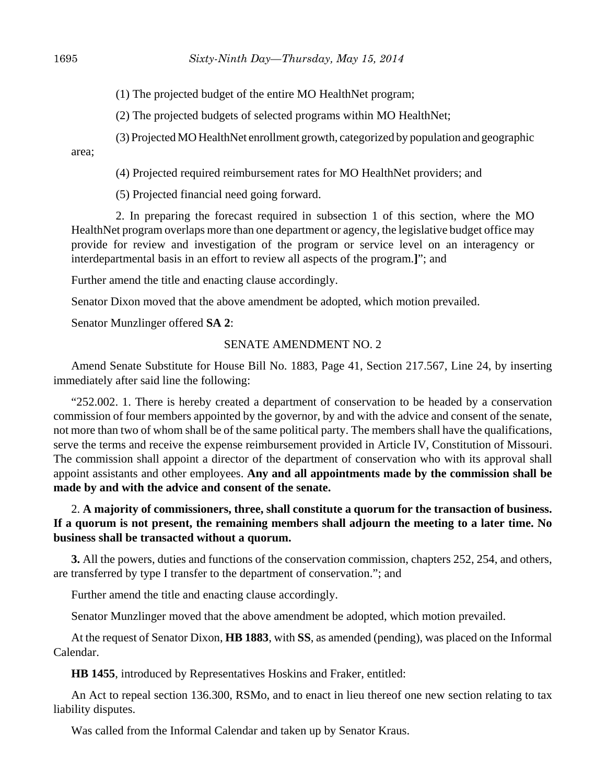- (1) The projected budget of the entire MO HealthNet program;
- (2) The projected budgets of selected programs within MO HealthNet;
- (3) Projected MO HealthNet enrollment growth, categorized by population and geographic area;
	- (4) Projected required reimbursement rates for MO HealthNet providers; and
	- (5) Projected financial need going forward.

2. In preparing the forecast required in subsection 1 of this section, where the MO HealthNet program overlaps more than one department or agency, the legislative budget office may provide for review and investigation of the program or service level on an interagency or interdepartmental basis in an effort to review all aspects of the program.**]**"; and

Further amend the title and enacting clause accordingly.

Senator Dixon moved that the above amendment be adopted, which motion prevailed.

Senator Munzlinger offered **SA 2**:

# SENATE AMENDMENT NO. 2

Amend Senate Substitute for House Bill No. 1883, Page 41, Section 217.567, Line 24, by inserting immediately after said line the following:

"252.002. 1. There is hereby created a department of conservation to be headed by a conservation commission of four members appointed by the governor, by and with the advice and consent of the senate, not more than two of whom shall be of the same political party. The members shall have the qualifications, serve the terms and receive the expense reimbursement provided in Article IV, Constitution of Missouri. The commission shall appoint a director of the department of conservation who with its approval shall appoint assistants and other employees. **Any and all appointments made by the commission shall be made by and with the advice and consent of the senate.**

# 2. **A majority of commissioners, three, shall constitute a quorum for the transaction of business. If a quorum is not present, the remaining members shall adjourn the meeting to a later time. No business shall be transacted without a quorum.**

**3.** All the powers, duties and functions of the conservation commission, chapters 252, 254, and others, are transferred by type I transfer to the department of conservation."; and

Further amend the title and enacting clause accordingly.

Senator Munzlinger moved that the above amendment be adopted, which motion prevailed.

At the request of Senator Dixon, **HB 1883**, with **SS**, as amended (pending), was placed on the Informal Calendar.

**HB 1455**, introduced by Representatives Hoskins and Fraker, entitled:

An Act to repeal section 136.300, RSMo, and to enact in lieu thereof one new section relating to tax liability disputes.

Was called from the Informal Calendar and taken up by Senator Kraus.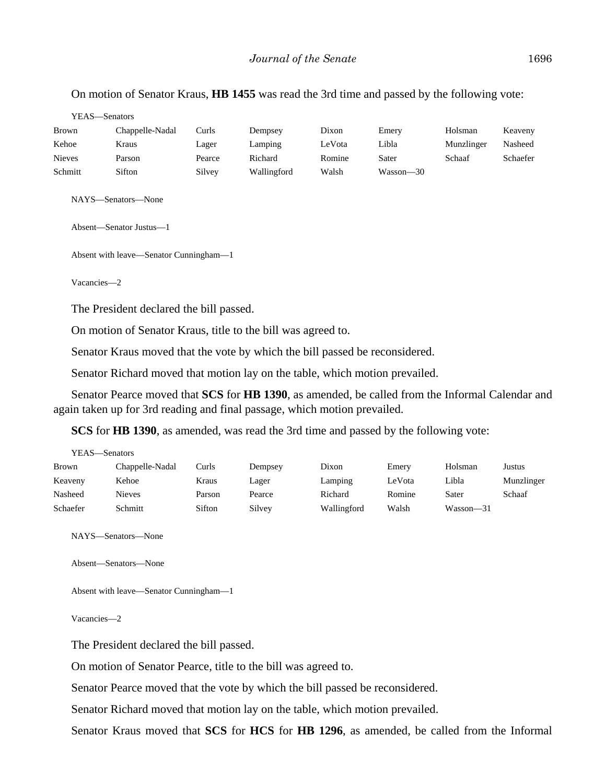#### On motion of Senator Kraus, **HB 1455** was read the 3rd time and passed by the following vote:

| Brown         | Chappelle-Nadal | Curls  | Dempsey     | Dixon  | Emery     | Holsman    | Keaveny  |
|---------------|-----------------|--------|-------------|--------|-----------|------------|----------|
| Kehoe         | Kraus           | Lager  | Lamping     | LeVota | Libla     | Munzlinger | Nasheed  |
| <b>Nieves</b> | Parson          | Pearce | Richard     | Romine | Sater     | Schaaf     | Schaefer |
| Schmitt       | Sifton          | Silvey | Wallingford | Walsh  | Wasson-30 |            |          |
|               |                 |        |             |        |           |            |          |

NAYS—Senators—None

Absent—Senator Justus—1

Absent with leave—Senator Cunningham—1

Vacancies—2

The President declared the bill passed.

On motion of Senator Kraus, title to the bill was agreed to.

Senator Kraus moved that the vote by which the bill passed be reconsidered.

Senator Richard moved that motion lay on the table, which motion prevailed.

Senator Pearce moved that **SCS** for **HB 1390**, as amended, be called from the Informal Calendar and again taken up for 3rd reading and final passage, which motion prevailed.

**SCS** for **HB 1390**, as amended, was read the 3rd time and passed by the following vote:

| YEAS—Senators |                 |        |         |             |        |           |            |  |
|---------------|-----------------|--------|---------|-------------|--------|-----------|------------|--|
| <b>Brown</b>  | Chappelle-Nadal | Curls  | Dempsey | Dixon       | Emery  | Holsman   | Justus     |  |
| Keaveny       | Kehoe           | Kraus  | Lager   | Lamping     | LeVota | Libla     | Munzlinger |  |
| Nasheed       | <b>Nieves</b>   | Parson | Pearce  | Richard     | Romine | Sater     | Schaaf     |  |
| Schaefer      | Schmitt         | Sifton | Silvey  | Wallingford | Walsh  | Wasson—31 |            |  |

NAYS—Senators—None

```
Absent—Senators—None
```

```
Absent with leave—Senator Cunningham—1
```
Vacancies—2

The President declared the bill passed.

On motion of Senator Pearce, title to the bill was agreed to.

Senator Pearce moved that the vote by which the bill passed be reconsidered.

Senator Richard moved that motion lay on the table, which motion prevailed.

Senator Kraus moved that **SCS** for **HCS** for **HB 1296**, as amended, be called from the Informal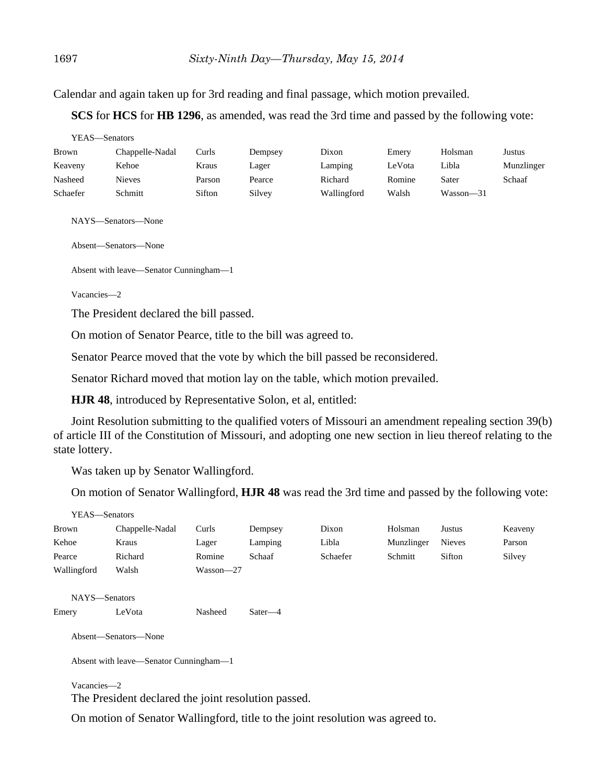Calendar and again taken up for 3rd reading and final passage, which motion prevailed.

**SCS** for **HCS** for **HB 1296**, as amended, was read the 3rd time and passed by the following vote:

| YEAS—Senators |                 |        |         |             |        |           |            |  |
|---------------|-----------------|--------|---------|-------------|--------|-----------|------------|--|
| Brown         | Chappelle-Nadal | Curls  | Dempsey | Dixon       | Emery  | Holsman   | Justus     |  |
| Keaveny       | Kehoe           | Kraus  | Lager   | Lamping     | LeVota | Libla     | Munzlinger |  |
| Nasheed       | <b>Nieves</b>   | Parson | Pearce  | Richard     | Romine | Sater     | Schaaf     |  |
| Schaefer      | Schmitt         | Sifton | Silvey  | Wallingford | Walsh  | Wasson—31 |            |  |

NAYS—Senators—None

Absent—Senators—None

Absent with leave—Senator Cunningham—1

Vacancies—2

The President declared the bill passed.

On motion of Senator Pearce, title to the bill was agreed to.

Senator Pearce moved that the vote by which the bill passed be reconsidered.

Senator Richard moved that motion lay on the table, which motion prevailed.

**HJR 48**, introduced by Representative Solon, et al, entitled:

Joint Resolution submitting to the qualified voters of Missouri an amendment repealing section 39(b) of article III of the Constitution of Missouri, and adopting one new section in lieu thereof relating to the state lottery.

Was taken up by Senator Wallingford.

On motion of Senator Wallingford, **HJR 48** was read the 3rd time and passed by the following vote:

| YEAS-Senators |                      |               |             |          |            |               |         |
|---------------|----------------------|---------------|-------------|----------|------------|---------------|---------|
| <b>Brown</b>  | Chappelle-Nadal      | Curls         | Dempsey     | Dixon    | Holsman    | Justus        | Keaveny |
| Kehoe         | Kraus                | Lager         | Lamping     | Libla    | Munzlinger | <b>Nieves</b> | Parson  |
| Pearce        | Richard              | Romine        | Schaaf      | Schaefer | Schmitt    | Sifton        | Silvey  |
| Wallingford   | Walsh                | $Wasson - 27$ |             |          |            |               |         |
| NAYS-Senators |                      |               |             |          |            |               |         |
| Emery         | LeVota               | Nasheed       | $Sater - 4$ |          |            |               |         |
|               | Absent—Senators—None |               |             |          |            |               |         |

Absent with leave—Senator Cunningham—1

Vacancies—2

The President declared the joint resolution passed.

On motion of Senator Wallingford, title to the joint resolution was agreed to.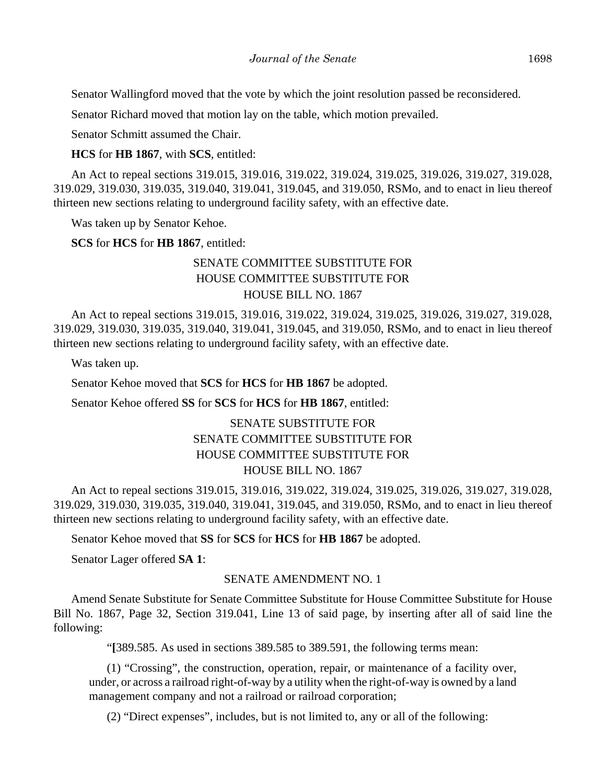Senator Wallingford moved that the vote by which the joint resolution passed be reconsidered.

Senator Richard moved that motion lay on the table, which motion prevailed.

Senator Schmitt assumed the Chair.

**HCS** for **HB 1867**, with **SCS**, entitled:

An Act to repeal sections 319.015, 319.016, 319.022, 319.024, 319.025, 319.026, 319.027, 319.028, 319.029, 319.030, 319.035, 319.040, 319.041, 319.045, and 319.050, RSMo, and to enact in lieu thereof thirteen new sections relating to underground facility safety, with an effective date.

Was taken up by Senator Kehoe.

**SCS** for **HCS** for **HB 1867**, entitled:

# SENATE COMMITTEE SUBSTITUTE FOR HOUSE COMMITTEE SUBSTITUTE FOR HOUSE BILL NO. 1867

An Act to repeal sections 319.015, 319.016, 319.022, 319.024, 319.025, 319.026, 319.027, 319.028, 319.029, 319.030, 319.035, 319.040, 319.041, 319.045, and 319.050, RSMo, and to enact in lieu thereof thirteen new sections relating to underground facility safety, with an effective date.

Was taken up.

Senator Kehoe moved that **SCS** for **HCS** for **HB 1867** be adopted.

Senator Kehoe offered **SS** for **SCS** for **HCS** for **HB 1867**, entitled:

# SENATE SUBSTITUTE FOR SENATE COMMITTEE SUBSTITUTE FOR HOUSE COMMITTEE SUBSTITUTE FOR HOUSE BILL NO. 1867

An Act to repeal sections 319.015, 319.016, 319.022, 319.024, 319.025, 319.026, 319.027, 319.028, 319.029, 319.030, 319.035, 319.040, 319.041, 319.045, and 319.050, RSMo, and to enact in lieu thereof thirteen new sections relating to underground facility safety, with an effective date.

Senator Kehoe moved that **SS** for **SCS** for **HCS** for **HB 1867** be adopted.

Senator Lager offered **SA 1**:

## SENATE AMENDMENT NO. 1

Amend Senate Substitute for Senate Committee Substitute for House Committee Substitute for House Bill No. 1867, Page 32, Section 319.041, Line 13 of said page, by inserting after all of said line the following:

"**[**389.585. As used in sections 389.585 to 389.591, the following terms mean:

(1) "Crossing", the construction, operation, repair, or maintenance of a facility over, under, or across a railroad right-of-way by a utility when the right-of-way is owned by a land management company and not a railroad or railroad corporation;

(2) "Direct expenses", includes, but is not limited to, any or all of the following: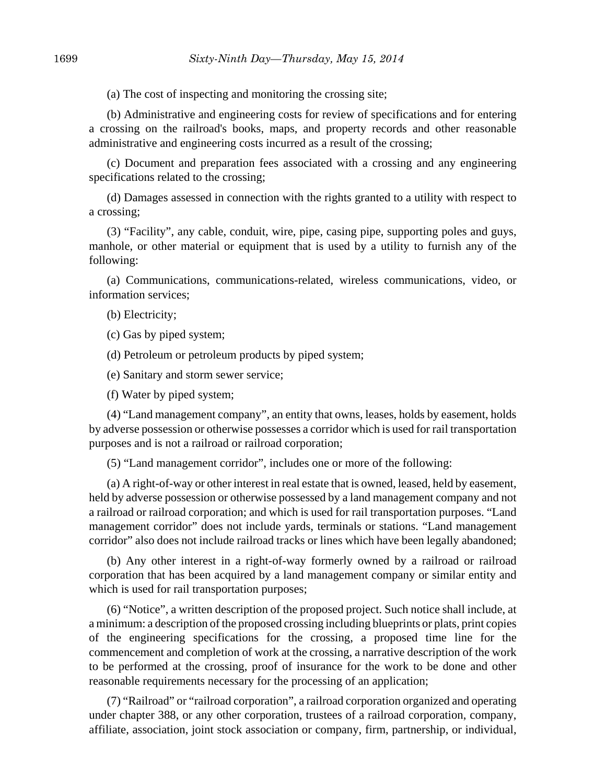(a) The cost of inspecting and monitoring the crossing site;

(b) Administrative and engineering costs for review of specifications and for entering a crossing on the railroad's books, maps, and property records and other reasonable administrative and engineering costs incurred as a result of the crossing;

(c) Document and preparation fees associated with a crossing and any engineering specifications related to the crossing;

(d) Damages assessed in connection with the rights granted to a utility with respect to a crossing;

(3) "Facility", any cable, conduit, wire, pipe, casing pipe, supporting poles and guys, manhole, or other material or equipment that is used by a utility to furnish any of the following:

(a) Communications, communications-related, wireless communications, video, or information services;

(b) Electricity;

(c) Gas by piped system;

(d) Petroleum or petroleum products by piped system;

(e) Sanitary and storm sewer service;

(f) Water by piped system;

(4) "Land management company", an entity that owns, leases, holds by easement, holds by adverse possession or otherwise possesses a corridor which is used for rail transportation purposes and is not a railroad or railroad corporation;

(5) "Land management corridor", includes one or more of the following:

(a) A right-of-way or other interest in real estate that is owned, leased, held by easement, held by adverse possession or otherwise possessed by a land management company and not a railroad or railroad corporation; and which is used for rail transportation purposes. "Land management corridor" does not include yards, terminals or stations. "Land management corridor" also does not include railroad tracks or lines which have been legally abandoned;

(b) Any other interest in a right-of-way formerly owned by a railroad or railroad corporation that has been acquired by a land management company or similar entity and which is used for rail transportation purposes;

(6) "Notice", a written description of the proposed project. Such notice shall include, at a minimum: a description of the proposed crossing including blueprints or plats, print copies of the engineering specifications for the crossing, a proposed time line for the commencement and completion of work at the crossing, a narrative description of the work to be performed at the crossing, proof of insurance for the work to be done and other reasonable requirements necessary for the processing of an application;

(7) "Railroad" or "railroad corporation", a railroad corporation organized and operating under chapter 388, or any other corporation, trustees of a railroad corporation, company, affiliate, association, joint stock association or company, firm, partnership, or individual,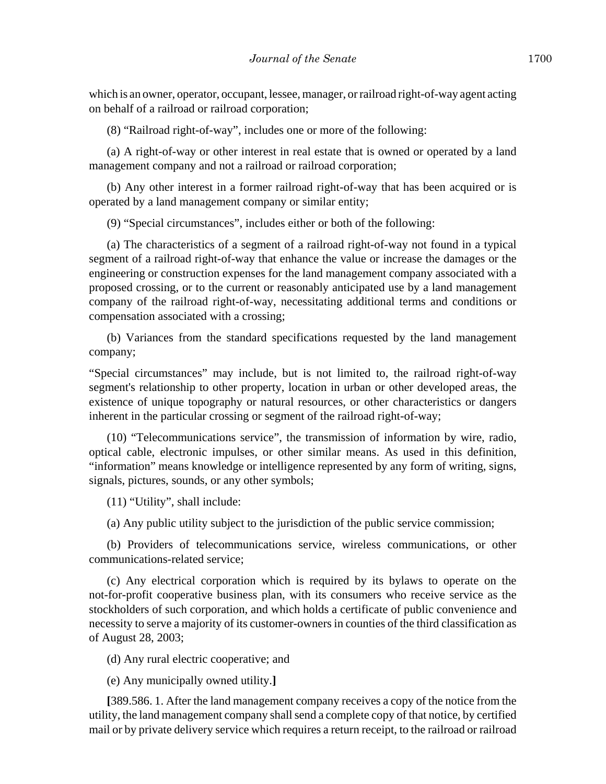which is an owner, operator, occupant, lessee, manager, or railroad right-of-way agent acting on behalf of a railroad or railroad corporation;

(8) "Railroad right-of-way", includes one or more of the following:

(a) A right-of-way or other interest in real estate that is owned or operated by a land management company and not a railroad or railroad corporation;

(b) Any other interest in a former railroad right-of-way that has been acquired or is operated by a land management company or similar entity;

(9) "Special circumstances", includes either or both of the following:

(a) The characteristics of a segment of a railroad right-of-way not found in a typical segment of a railroad right-of-way that enhance the value or increase the damages or the engineering or construction expenses for the land management company associated with a proposed crossing, or to the current or reasonably anticipated use by a land management company of the railroad right-of-way, necessitating additional terms and conditions or compensation associated with a crossing;

(b) Variances from the standard specifications requested by the land management company;

"Special circumstances" may include, but is not limited to, the railroad right-of-way segment's relationship to other property, location in urban or other developed areas, the existence of unique topography or natural resources, or other characteristics or dangers inherent in the particular crossing or segment of the railroad right-of-way;

(10) "Telecommunications service", the transmission of information by wire, radio, optical cable, electronic impulses, or other similar means. As used in this definition, "information" means knowledge or intelligence represented by any form of writing, signs, signals, pictures, sounds, or any other symbols;

(11) "Utility", shall include:

(a) Any public utility subject to the jurisdiction of the public service commission;

(b) Providers of telecommunications service, wireless communications, or other communications-related service;

(c) Any electrical corporation which is required by its bylaws to operate on the not-for-profit cooperative business plan, with its consumers who receive service as the stockholders of such corporation, and which holds a certificate of public convenience and necessity to serve a majority of its customer-owners in counties of the third classification as of August 28, 2003;

(d) Any rural electric cooperative; and

(e) Any municipally owned utility.**]**

**[**389.586. 1. After the land management company receives a copy of the notice from the utility, the land management company shall send a complete copy of that notice, by certified mail or by private delivery service which requires a return receipt, to the railroad or railroad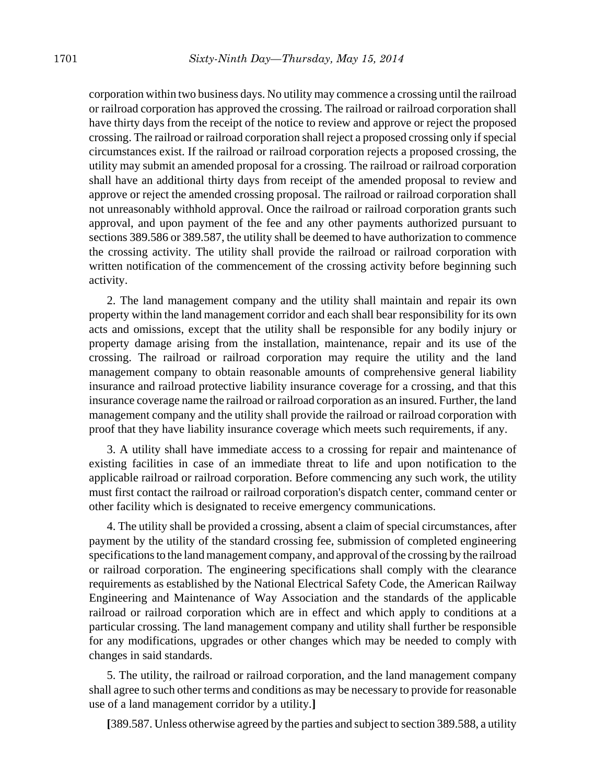corporation within two business days. No utility may commence a crossing until the railroad or railroad corporation has approved the crossing. The railroad or railroad corporation shall have thirty days from the receipt of the notice to review and approve or reject the proposed crossing. The railroad or railroad corporation shall reject a proposed crossing only if special circumstances exist. If the railroad or railroad corporation rejects a proposed crossing, the utility may submit an amended proposal for a crossing. The railroad or railroad corporation shall have an additional thirty days from receipt of the amended proposal to review and approve or reject the amended crossing proposal. The railroad or railroad corporation shall not unreasonably withhold approval. Once the railroad or railroad corporation grants such approval, and upon payment of the fee and any other payments authorized pursuant to sections 389.586 or 389.587, the utility shall be deemed to have authorization to commence the crossing activity. The utility shall provide the railroad or railroad corporation with written notification of the commencement of the crossing activity before beginning such activity.

2. The land management company and the utility shall maintain and repair its own property within the land management corridor and each shall bear responsibility for its own acts and omissions, except that the utility shall be responsible for any bodily injury or property damage arising from the installation, maintenance, repair and its use of the crossing. The railroad or railroad corporation may require the utility and the land management company to obtain reasonable amounts of comprehensive general liability insurance and railroad protective liability insurance coverage for a crossing, and that this insurance coverage name the railroad or railroad corporation as an insured. Further, the land management company and the utility shall provide the railroad or railroad corporation with proof that they have liability insurance coverage which meets such requirements, if any.

3. A utility shall have immediate access to a crossing for repair and maintenance of existing facilities in case of an immediate threat to life and upon notification to the applicable railroad or railroad corporation. Before commencing any such work, the utility must first contact the railroad or railroad corporation's dispatch center, command center or other facility which is designated to receive emergency communications.

4. The utility shall be provided a crossing, absent a claim of special circumstances, after payment by the utility of the standard crossing fee, submission of completed engineering specifications to the land management company, and approval of the crossing by the railroad or railroad corporation. The engineering specifications shall comply with the clearance requirements as established by the National Electrical Safety Code, the American Railway Engineering and Maintenance of Way Association and the standards of the applicable railroad or railroad corporation which are in effect and which apply to conditions at a particular crossing. The land management company and utility shall further be responsible for any modifications, upgrades or other changes which may be needed to comply with changes in said standards.

5. The utility, the railroad or railroad corporation, and the land management company shall agree to such other terms and conditions as may be necessary to provide for reasonable use of a land management corridor by a utility.**]**

**[**389.587. Unless otherwise agreed by the parties and subject to section 389.588, a utility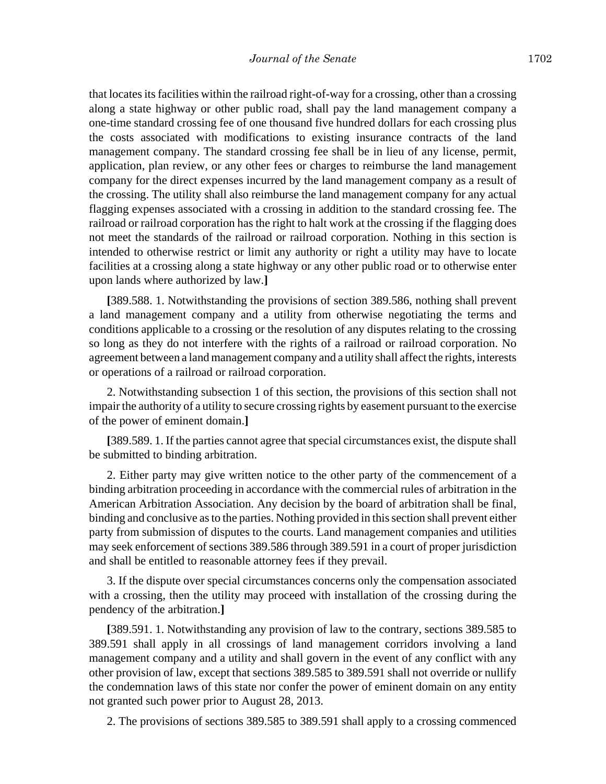that locates its facilities within the railroad right-of-way for a crossing, other than a crossing along a state highway or other public road, shall pay the land management company a one-time standard crossing fee of one thousand five hundred dollars for each crossing plus the costs associated with modifications to existing insurance contracts of the land management company. The standard crossing fee shall be in lieu of any license, permit, application, plan review, or any other fees or charges to reimburse the land management company for the direct expenses incurred by the land management company as a result of the crossing. The utility shall also reimburse the land management company for any actual flagging expenses associated with a crossing in addition to the standard crossing fee. The railroad or railroad corporation has the right to halt work at the crossing if the flagging does not meet the standards of the railroad or railroad corporation. Nothing in this section is intended to otherwise restrict or limit any authority or right a utility may have to locate facilities at a crossing along a state highway or any other public road or to otherwise enter upon lands where authorized by law.**]**

**[**389.588. 1. Notwithstanding the provisions of section 389.586, nothing shall prevent a land management company and a utility from otherwise negotiating the terms and conditions applicable to a crossing or the resolution of any disputes relating to the crossing so long as they do not interfere with the rights of a railroad or railroad corporation. No agreement between a land management company and a utility shall affect the rights, interests or operations of a railroad or railroad corporation.

2. Notwithstanding subsection 1 of this section, the provisions of this section shall not impair the authority of a utility to secure crossing rights by easement pursuant to the exercise of the power of eminent domain.**]**

**[**389.589. 1. If the parties cannot agree that special circumstances exist, the dispute shall be submitted to binding arbitration.

2. Either party may give written notice to the other party of the commencement of a binding arbitration proceeding in accordance with the commercial rules of arbitration in the American Arbitration Association. Any decision by the board of arbitration shall be final, binding and conclusive as to the parties. Nothing provided in this section shall prevent either party from submission of disputes to the courts. Land management companies and utilities may seek enforcement of sections 389.586 through 389.591 in a court of proper jurisdiction and shall be entitled to reasonable attorney fees if they prevail.

3. If the dispute over special circumstances concerns only the compensation associated with a crossing, then the utility may proceed with installation of the crossing during the pendency of the arbitration.**]**

**[**389.591. 1. Notwithstanding any provision of law to the contrary, sections 389.585 to 389.591 shall apply in all crossings of land management corridors involving a land management company and a utility and shall govern in the event of any conflict with any other provision of law, except that sections 389.585 to 389.591 shall not override or nullify the condemnation laws of this state nor confer the power of eminent domain on any entity not granted such power prior to August 28, 2013.

2. The provisions of sections 389.585 to 389.591 shall apply to a crossing commenced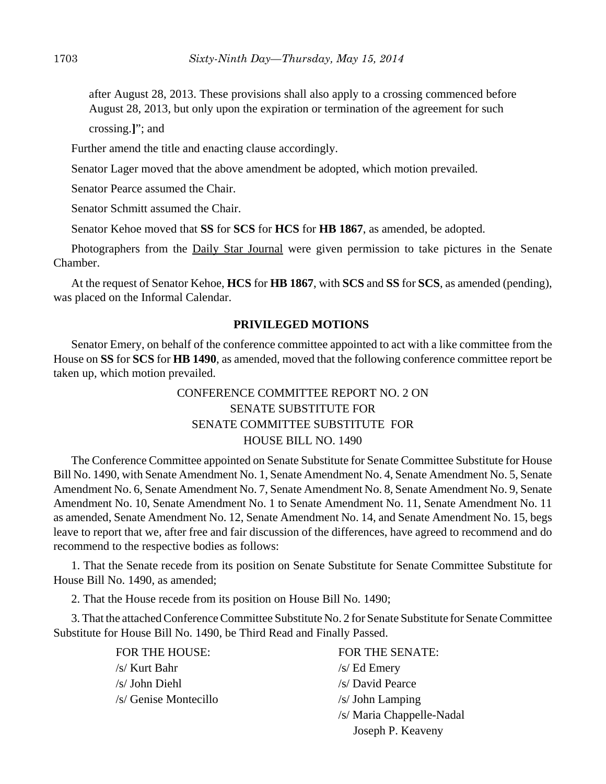after August 28, 2013. These provisions shall also apply to a crossing commenced before August 28, 2013, but only upon the expiration or termination of the agreement for such

crossing.**]**"; and

Further amend the title and enacting clause accordingly.

Senator Lager moved that the above amendment be adopted, which motion prevailed.

Senator Pearce assumed the Chair.

Senator Schmitt assumed the Chair.

Senator Kehoe moved that **SS** for **SCS** for **HCS** for **HB 1867**, as amended, be adopted.

Photographers from the Daily Star Journal were given permission to take pictures in the Senate Chamber.

At the request of Senator Kehoe, **HCS** for **HB 1867**, with **SCS** and **SS** for **SCS**, as amended (pending), was placed on the Informal Calendar.

### **PRIVILEGED MOTIONS**

Senator Emery, on behalf of the conference committee appointed to act with a like committee from the House on **SS** for **SCS** for **HB 1490**, as amended, moved that the following conference committee report be taken up, which motion prevailed.

# CONFERENCE COMMITTEE REPORT NO. 2 ON SENATE SUBSTITUTE FOR SENATE COMMITTEE SUBSTITUTE FOR HOUSE BILL NO. 1490

The Conference Committee appointed on Senate Substitute for Senate Committee Substitute for House Bill No. 1490, with Senate Amendment No. 1, Senate Amendment No. 4, Senate Amendment No. 5, Senate Amendment No. 6, Senate Amendment No. 7, Senate Amendment No. 8, Senate Amendment No. 9, Senate Amendment No. 10, Senate Amendment No. 1 to Senate Amendment No. 11, Senate Amendment No. 11 as amended, Senate Amendment No. 12, Senate Amendment No. 14, and Senate Amendment No. 15, begs leave to report that we, after free and fair discussion of the differences, have agreed to recommend and do recommend to the respective bodies as follows:

1. That the Senate recede from its position on Senate Substitute for Senate Committee Substitute for House Bill No. 1490, as amended;

2. That the House recede from its position on House Bill No. 1490;

3. That the attached Conference Committee Substitute No. 2 for Senate Substitute for Senate Committee Substitute for House Bill No. 1490, be Third Read and Finally Passed.

| FOR THE HOUSE:        | <b>FOR THE SENATE:</b>    |
|-----------------------|---------------------------|
| /s/ Kurt Bahr         | $/s$ Ed Emery             |
| /s/ John Diehl        | /s/ David Pearce          |
| /s/ Genise Montecillo | $/s$ John Lamping         |
|                       | /s/ Maria Chappelle-Nadal |
|                       | Joseph P. Keaveny         |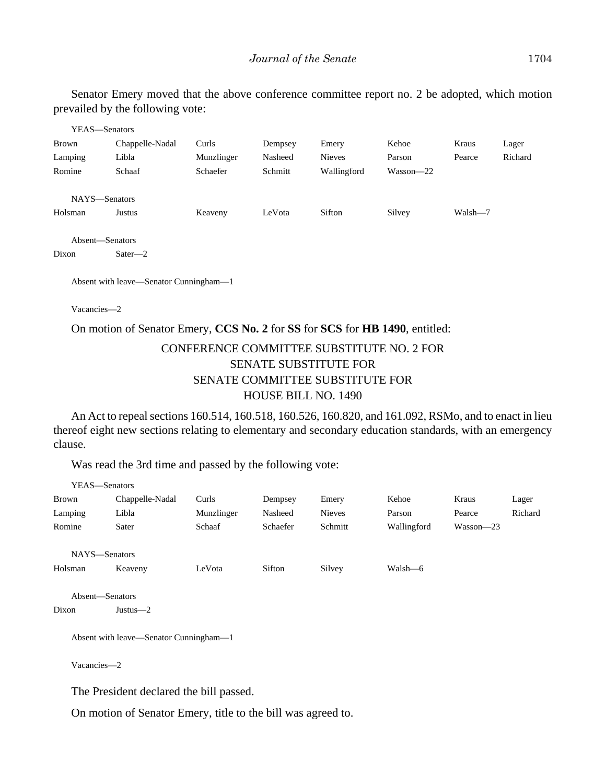Senator Emery moved that the above conference committee report no. 2 be adopted, which motion prevailed by the following vote:

| YEAS—Senators            |                 |            |         |               |           |         |         |
|--------------------------|-----------------|------------|---------|---------------|-----------|---------|---------|
| Brown                    | Chappelle-Nadal | Curls      | Dempsey | Emery         | Kehoe     | Kraus   | Lager   |
| Lamping                  | Libla           | Munzlinger | Nasheed | <b>Nieves</b> | Parson    | Pearce  | Richard |
| Romine                   | Schaaf          | Schaefer   | Schmitt | Wallingford   | Wasson-22 |         |         |
| NAYS-Senators<br>Holsman | Justus          | Keaveny    | LeVota  | Sifton        | Silvey    | Walsh-7 |         |
| Absent-Senators          |                 |            |         |               |           |         |         |
| Dixon                    | $Sater - 2$     |            |         |               |           |         |         |
|                          |                 |            |         |               |           |         |         |

Absent with leave—Senator Cunningham—1

Vacancies—2

#### On motion of Senator Emery, **CCS No. 2** for **SS** for **SCS** for **HB 1490**, entitled:

# CONFERENCE COMMITTEE SUBSTITUTE NO. 2 FOR SENATE SUBSTITUTE FOR SENATE COMMITTEE SUBSTITUTE FOR HOUSE BILL NO. 1490

An Act to repeal sections 160.514, 160.518, 160.526, 160.820, and 161.092, RSMo, and to enact in lieu thereof eight new sections relating to elementary and secondary education standards, with an emergency clause.

Was read the 3rd time and passed by the following vote:

| YEAS-Senators |                                         |            |          |               |             |           |         |
|---------------|-----------------------------------------|------------|----------|---------------|-------------|-----------|---------|
| Brown         | Chappelle-Nadal                         | Curls      | Dempsey  | Emery         | Kehoe       | Kraus     | Lager   |
| Lamping       | Libla                                   | Munzlinger | Nasheed  | <b>Nieves</b> | Parson      | Pearce    | Richard |
| Romine        | Sater                                   | Schaaf     | Schaefer | Schmitt       | Wallingford | Wasson-23 |         |
| NAYS-Senators |                                         |            |          |               |             |           |         |
| Holsman       | Keaveny                                 | LeVota     | Sifton   | Silvey        | Walsh-6     |           |         |
|               | Absent-Senators                         |            |          |               |             |           |         |
| Dixon         | $Justus -2$                             |            |          |               |             |           |         |
|               | Absent with leave—Senator Cunningham—1  |            |          |               |             |           |         |
| Vacancies-2   |                                         |            |          |               |             |           |         |
|               | The President declared the bill passed. |            |          |               |             |           |         |

On motion of Senator Emery, title to the bill was agreed to.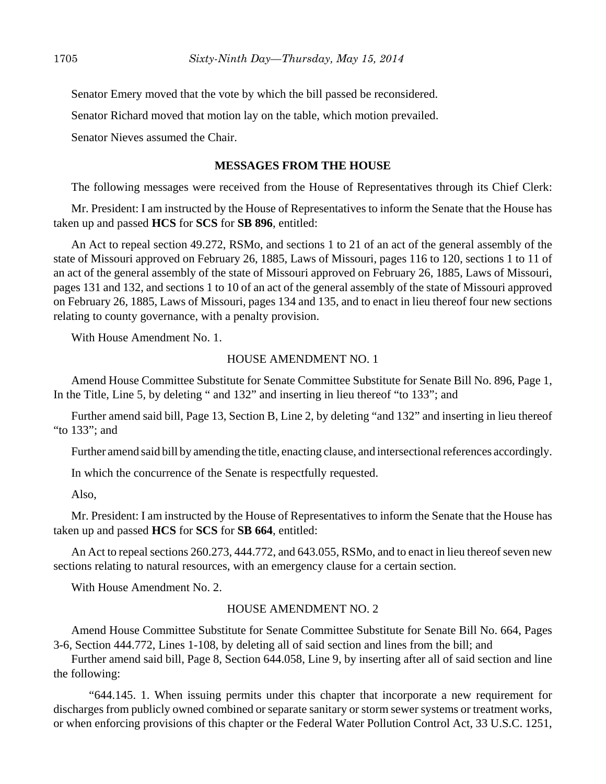Senator Emery moved that the vote by which the bill passed be reconsidered.

Senator Richard moved that motion lay on the table, which motion prevailed.

Senator Nieves assumed the Chair.

#### **MESSAGES FROM THE HOUSE**

The following messages were received from the House of Representatives through its Chief Clerk:

Mr. President: I am instructed by the House of Representatives to inform the Senate that the House has taken up and passed **HCS** for **SCS** for **SB 896**, entitled:

An Act to repeal section 49.272, RSMo, and sections 1 to 21 of an act of the general assembly of the state of Missouri approved on February 26, 1885, Laws of Missouri, pages 116 to 120, sections 1 to 11 of an act of the general assembly of the state of Missouri approved on February 26, 1885, Laws of Missouri, pages 131 and 132, and sections 1 to 10 of an act of the general assembly of the state of Missouri approved on February 26, 1885, Laws of Missouri, pages 134 and 135, and to enact in lieu thereof four new sections relating to county governance, with a penalty provision.

With House Amendment No. 1.

## HOUSE AMENDMENT NO. 1

Amend House Committee Substitute for Senate Committee Substitute for Senate Bill No. 896, Page 1, In the Title, Line 5, by deleting " and 132" and inserting in lieu thereof "to 133"; and

Further amend said bill, Page 13, Section B, Line 2, by deleting "and 132" and inserting in lieu thereof "to 133"; and

Further amend said bill by amending the title, enacting clause, and intersectional references accordingly.

In which the concurrence of the Senate is respectfully requested.

Also,

Mr. President: I am instructed by the House of Representatives to inform the Senate that the House has taken up and passed **HCS** for **SCS** for **SB 664**, entitled:

An Act to repeal sections 260.273, 444.772, and 643.055, RSMo, and to enact in lieu thereof seven new sections relating to natural resources, with an emergency clause for a certain section.

With House Amendment No. 2.

#### HOUSE AMENDMENT NO. 2

Amend House Committee Substitute for Senate Committee Substitute for Senate Bill No. 664, Pages 3-6, Section 444.772, Lines 1-108, by deleting all of said section and lines from the bill; and

Further amend said bill, Page 8, Section 644.058, Line 9, by inserting after all of said section and line the following:

"644.145. 1. When issuing permits under this chapter that incorporate a new requirement for discharges from publicly owned combined or separate sanitary or storm sewer systems or treatment works, or when enforcing provisions of this chapter or the Federal Water Pollution Control Act, 33 U.S.C. 1251,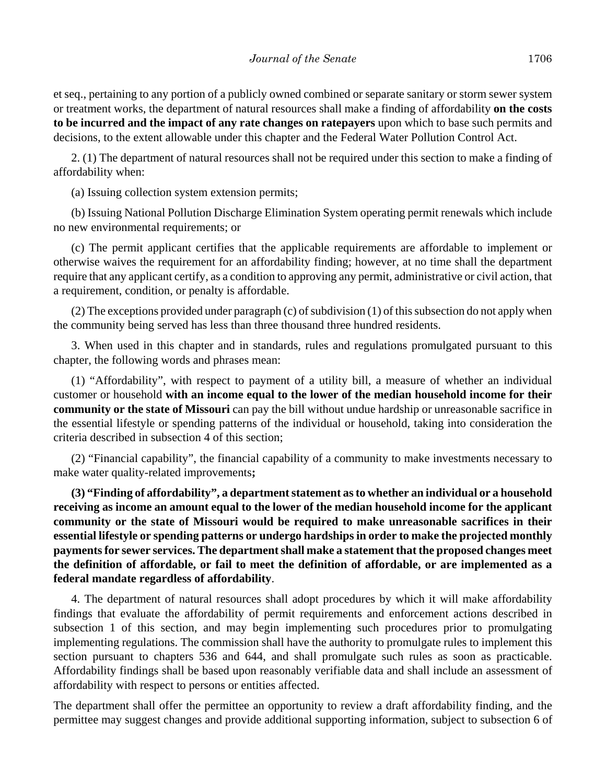et seq., pertaining to any portion of a publicly owned combined or separate sanitary or storm sewer system or treatment works, the department of natural resources shall make a finding of affordability **on the costs to be incurred and the impact of any rate changes on ratepayers** upon which to base such permits and decisions, to the extent allowable under this chapter and the Federal Water Pollution Control Act.

2. (1) The department of natural resources shall not be required under this section to make a finding of affordability when:

(a) Issuing collection system extension permits;

(b) Issuing National Pollution Discharge Elimination System operating permit renewals which include no new environmental requirements; or

(c) The permit applicant certifies that the applicable requirements are affordable to implement or otherwise waives the requirement for an affordability finding; however, at no time shall the department require that any applicant certify, as a condition to approving any permit, administrative or civil action, that a requirement, condition, or penalty is affordable.

(2) The exceptions provided under paragraph (c) of subdivision (1) of this subsection do not apply when the community being served has less than three thousand three hundred residents.

3. When used in this chapter and in standards, rules and regulations promulgated pursuant to this chapter, the following words and phrases mean:

(1) "Affordability", with respect to payment of a utility bill, a measure of whether an individual customer or household **with an income equal to the lower of the median household income for their community or the state of Missouri** can pay the bill without undue hardship or unreasonable sacrifice in the essential lifestyle or spending patterns of the individual or household, taking into consideration the criteria described in subsection 4 of this section;

(2) "Financial capability", the financial capability of a community to make investments necessary to make water quality-related improvements**;**

**(3) "Finding of affordability", a department statement as to whether an individual or a household receiving as income an amount equal to the lower of the median household income for the applicant community or the state of Missouri would be required to make unreasonable sacrifices in their essential lifestyle or spending patterns or undergo hardships in order to make the projected monthly payments for sewer services. The department shall make a statement that the proposed changes meet the definition of affordable, or fail to meet the definition of affordable, or are implemented as a federal mandate regardless of affordability**.

4. The department of natural resources shall adopt procedures by which it will make affordability findings that evaluate the affordability of permit requirements and enforcement actions described in subsection 1 of this section, and may begin implementing such procedures prior to promulgating implementing regulations. The commission shall have the authority to promulgate rules to implement this section pursuant to chapters 536 and 644, and shall promulgate such rules as soon as practicable. Affordability findings shall be based upon reasonably verifiable data and shall include an assessment of affordability with respect to persons or entities affected.

The department shall offer the permittee an opportunity to review a draft affordability finding, and the permittee may suggest changes and provide additional supporting information, subject to subsection 6 of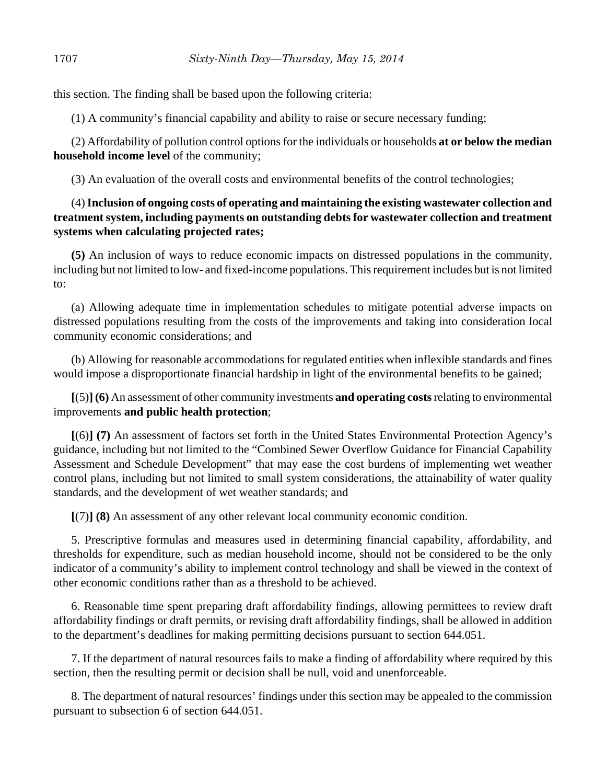this section. The finding shall be based upon the following criteria:

(1) A community's financial capability and ability to raise or secure necessary funding;

(2) Affordability of pollution control options for the individuals or households **at or below the median household income level** of the community;

(3) An evaluation of the overall costs and environmental benefits of the control technologies;

# (4) **Inclusion of ongoing costs of operating and maintaining the existing wastewater collection and treatment system, including payments on outstanding debts for wastewater collection and treatment systems when calculating projected rates;**

**(5)** An inclusion of ways to reduce economic impacts on distressed populations in the community, including but not limited to low- and fixed-income populations. This requirement includes but is not limited to:

(a) Allowing adequate time in implementation schedules to mitigate potential adverse impacts on distressed populations resulting from the costs of the improvements and taking into consideration local community economic considerations; and

(b) Allowing for reasonable accommodations for regulated entities when inflexible standards and fines would impose a disproportionate financial hardship in light of the environmental benefits to be gained;

**[**(5)**] (6)** An assessment of other community investments **and operating costs** relating to environmental improvements **and public health protection**;

**[**(6)**] (7)** An assessment of factors set forth in the United States Environmental Protection Agency's guidance, including but not limited to the "Combined Sewer Overflow Guidance for Financial Capability Assessment and Schedule Development" that may ease the cost burdens of implementing wet weather control plans, including but not limited to small system considerations, the attainability of water quality standards, and the development of wet weather standards; and

**[**(7)**] (8)** An assessment of any other relevant local community economic condition.

5. Prescriptive formulas and measures used in determining financial capability, affordability, and thresholds for expenditure, such as median household income, should not be considered to be the only indicator of a community's ability to implement control technology and shall be viewed in the context of other economic conditions rather than as a threshold to be achieved.

6. Reasonable time spent preparing draft affordability findings, allowing permittees to review draft affordability findings or draft permits, or revising draft affordability findings, shall be allowed in addition to the department's deadlines for making permitting decisions pursuant to section 644.051.

7. If the department of natural resources fails to make a finding of affordability where required by this section, then the resulting permit or decision shall be null, void and unenforceable.

8. The department of natural resources' findings under this section may be appealed to the commission pursuant to subsection 6 of section 644.051.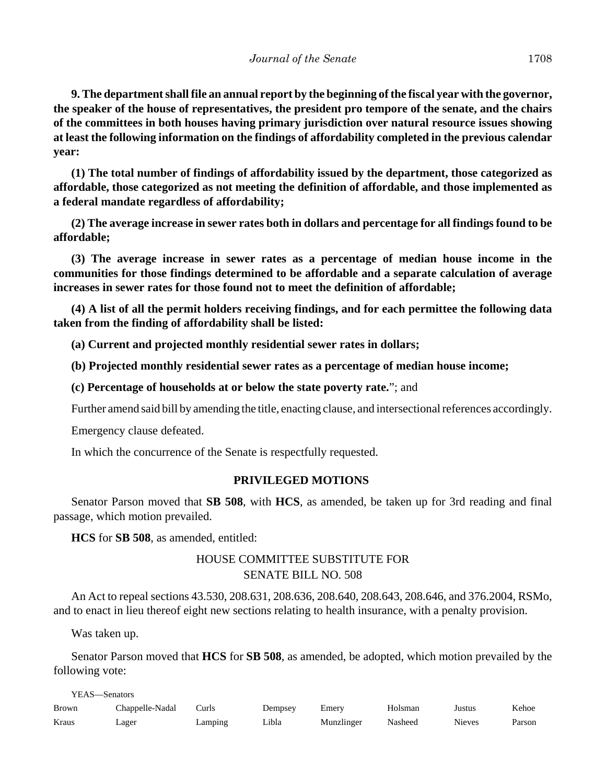**9. The department shall file an annual report by the beginning of the fiscal year with the governor, the speaker of the house of representatives, the president pro tempore of the senate, and the chairs of the committees in both houses having primary jurisdiction over natural resource issues showing at least the following information on the findings of affordability completed in the previous calendar year:**

**(1) The total number of findings of affordability issued by the department, those categorized as affordable, those categorized as not meeting the definition of affordable, and those implemented as a federal mandate regardless of affordability;**

**(2) The average increase in sewer rates both in dollars and percentage for all findings found to be affordable;**

**(3) The average increase in sewer rates as a percentage of median house income in the communities for those findings determined to be affordable and a separate calculation of average increases in sewer rates for those found not to meet the definition of affordable;**

**(4) A list of all the permit holders receiving findings, and for each permittee the following data taken from the finding of affordability shall be listed:**

**(a) Current and projected monthly residential sewer rates in dollars;**

**(b) Projected monthly residential sewer rates as a percentage of median house income;**

**(c) Percentage of households at or below the state poverty rate.**"; and

Further amend said bill by amending the title, enacting clause, and intersectional references accordingly.

Emergency clause defeated.

In which the concurrence of the Senate is respectfully requested.

## **PRIVILEGED MOTIONS**

Senator Parson moved that **SB 508**, with **HCS**, as amended, be taken up for 3rd reading and final passage, which motion prevailed.

**HCS** for **SB 508**, as amended, entitled:

# HOUSE COMMITTEE SUBSTITUTE FOR SENATE BILL NO. 508

An Act to repeal sections 43.530, 208.631, 208.636, 208.640, 208.643, 208.646, and 376.2004, RSMo, and to enact in lieu thereof eight new sections relating to health insurance, with a penalty provision.

Was taken up.

Senator Parson moved that **HCS** for **SB 508**, as amended, be adopted, which motion prevailed by the following vote:

YEAS—Senators

| Brown | Chappelle-Nadal | Curls      | Dempsey | Emery      | Holsman | Justus        | Kehoe  |
|-------|-----------------|------------|---------|------------|---------|---------------|--------|
| Kraus | ∟ager           | $L$ amping | Libla   | Munzlinger | Nasheed | <b>Nieves</b> | Parson |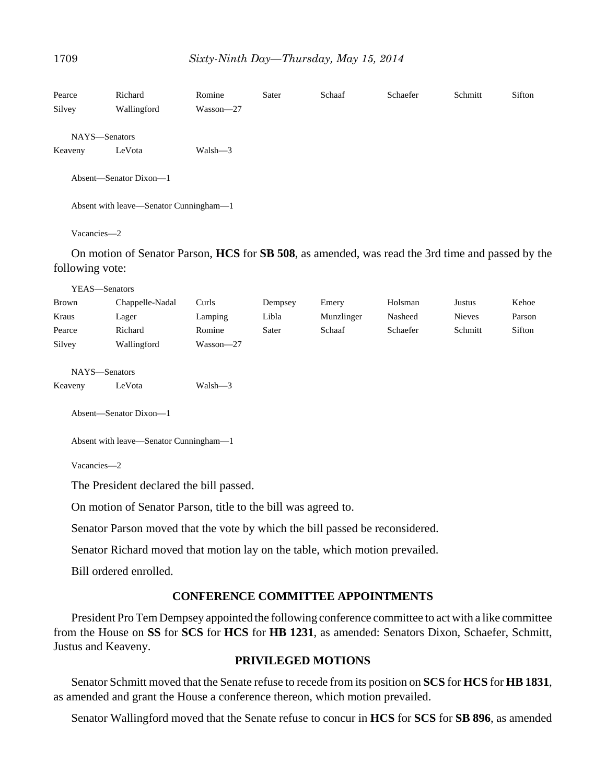| Pearce<br>Silvey                       | Richard<br>Wallingford | Romine<br>Wasson-27 | Sater | Schaaf | Schaefer | Schmitt | Sifton |  |
|----------------------------------------|------------------------|---------------------|-------|--------|----------|---------|--------|--|
| NAYS-Senators                          |                        |                     |       |        |          |         |        |  |
| Keaveny                                | LeVota                 | Walsh-3             |       |        |          |         |        |  |
|                                        | Absent—Senator Dixon—1 |                     |       |        |          |         |        |  |
| Absent with leave—Senator Cunningham—1 |                        |                     |       |        |          |         |        |  |

Vacancies—2

YEAS—Senators

On motion of Senator Parson, **HCS** for **SB 508**, as amended, was read the 3rd time and passed by the following vote:

| 1 LAS—SCHAUTS |                 |           |         |            |          |               |        |
|---------------|-----------------|-----------|---------|------------|----------|---------------|--------|
| Brown         | Chappelle-Nadal | Curls     | Dempsey | Emery      | Holsman  | Justus        | Kehoe  |
| Kraus         | Lager           | Lamping   | Libla   | Munzlinger | Nasheed  | <b>Nieves</b> | Parson |
| Pearce        | Richard         | Romine    | Sater   | Schaaf     | Schaefer | Schmitt       | Sifton |
| Silvey        | Wallingford     | Wasson-27 |         |            |          |               |        |
|               |                 |           |         |            |          |               |        |
| NAYS-Senators |                 |           |         |            |          |               |        |
| Keaveny       | LeVota          | Walsh-3   |         |            |          |               |        |
|               |                 |           |         |            |          |               |        |

Absent—Senator Dixon—1

Absent with leave—Senator Cunningham—1

Vacancies—2

The President declared the bill passed.

On motion of Senator Parson, title to the bill was agreed to.

Senator Parson moved that the vote by which the bill passed be reconsidered.

Senator Richard moved that motion lay on the table, which motion prevailed.

Bill ordered enrolled.

#### **CONFERENCE COMMITTEE APPOINTMENTS**

President Pro Tem Dempsey appointed the following conference committee to act with a like committee from the House on **SS** for **SCS** for **HCS** for **HB 1231**, as amended: Senators Dixon, Schaefer, Schmitt, Justus and Keaveny.

### **PRIVILEGED MOTIONS**

Senator Schmitt moved that the Senate refuse to recede from its position on **SCS** for **HCS** for **HB 1831**, as amended and grant the House a conference thereon, which motion prevailed.

Senator Wallingford moved that the Senate refuse to concur in **HCS** for **SCS** for **SB 896**, as amended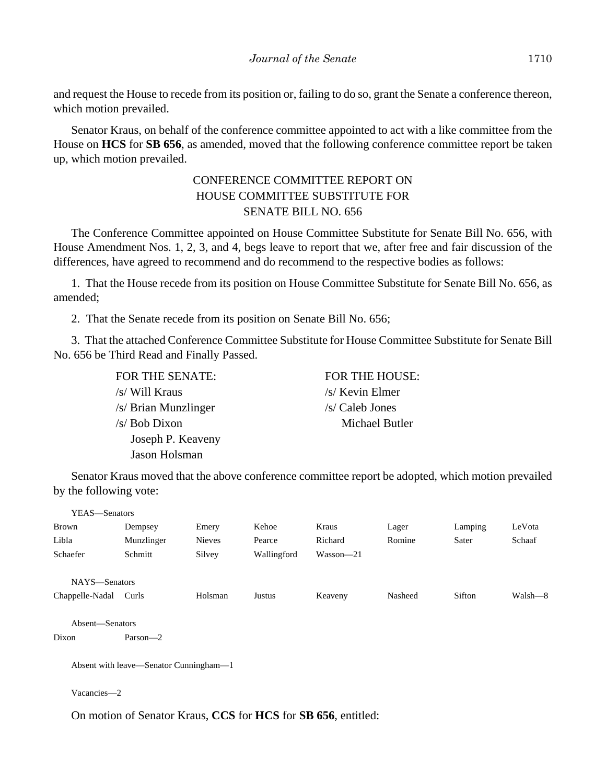and request the House to recede from its position or, failing to do so, grant the Senate a conference thereon, which motion prevailed.

Senator Kraus, on behalf of the conference committee appointed to act with a like committee from the House on **HCS** for **SB 656**, as amended, moved that the following conference committee report be taken up, which motion prevailed.

# CONFERENCE COMMITTEE REPORT ON HOUSE COMMITTEE SUBSTITUTE FOR SENATE BILL NO. 656

The Conference Committee appointed on House Committee Substitute for Senate Bill No. 656, with House Amendment Nos. 1, 2, 3, and 4, begs leave to report that we, after free and fair discussion of the differences, have agreed to recommend and do recommend to the respective bodies as follows:

1. That the House recede from its position on House Committee Substitute for Senate Bill No. 656, as amended;

2. That the Senate recede from its position on Senate Bill No. 656;

3. That the attached Conference Committee Substitute for House Committee Substitute for Senate Bill No. 656 be Third Read and Finally Passed.

> FOR THE SENATE: FOR THE HOUSE: /s/ Will Kraus /s/ Kevin Elmer /s/ Brian Munzlinger /s/ Caleb Jones /s/ Bob Dixon Michael Butler Joseph P. Keaveny Jason Holsman

Senator Kraus moved that the above conference committee report be adopted, which motion prevailed by the following vote:

| YEAS—Senators   |               |                                        |               |         |         |         |
|-----------------|---------------|----------------------------------------|---------------|---------|---------|---------|
| Dempsey         | Emery         | Kehoe                                  | Kraus         | Lager   | Lamping | LeVota  |
| Munzlinger      | <b>Nieves</b> | Pearce                                 | Richard       | Romine  | Sater   | Schaaf  |
| Schmitt         | Silvey        | Wallingford                            | $Wasson - 21$ |         |         |         |
|                 |               |                                        |               |         |         |         |
| NAYS-Senators   |               |                                        |               |         |         |         |
| Curls           | Holsman       | Justus                                 | Keaveny       | Nasheed | Sifton  | Walsh—8 |
| Absent-Senators |               |                                        |               |         |         |         |
| $Parson-2$      |               |                                        |               |         |         |         |
|                 |               |                                        |               |         |         |         |
|                 |               | Absent with leave—Senator Cunningham—1 |               |         |         |         |

bsent with leave—Senator Cunni

Vacancies—2

On motion of Senator Kraus, **CCS** for **HCS** for **SB 656**, entitled: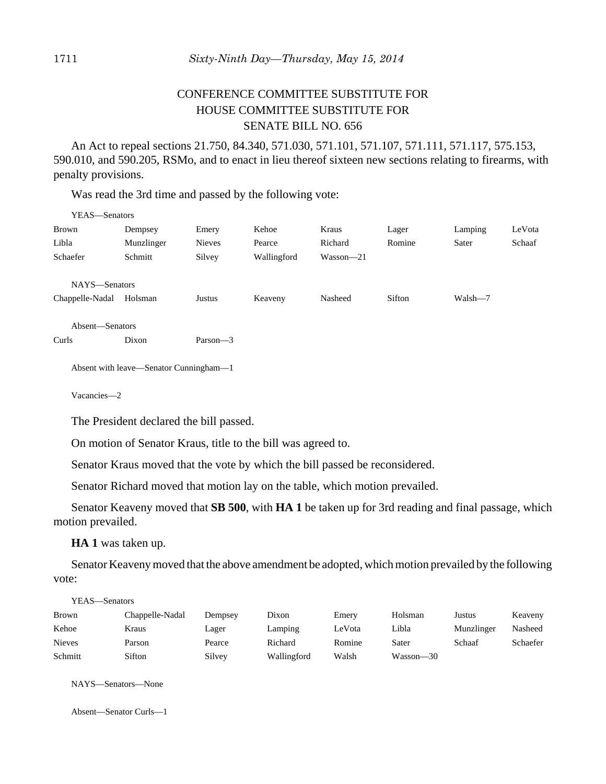# CONFERENCE COMMITTEE SUBSTITUTE FOR HOUSE COMMITTEE SUBSTITUTE FOR SENATE BILL NO. 656

An Act to repeal sections 21.750, 84.340, 571.030, 571.101, 571.107, 571.111, 571.117, 575.153, 590.010, and 590.205, RSMo, and to enact in lieu thereof sixteen new sections relating to firearms, with penalty provisions.

Was read the 3rd time and passed by the following vote:

| YEAS—Senators   |                                        |               |             |               |        |         |        |
|-----------------|----------------------------------------|---------------|-------------|---------------|--------|---------|--------|
| Brown           | Dempsey                                | Emery         | Kehoe       | Kraus         | Lager  | Lamping | LeVota |
| Libla           | Munzlinger                             | <b>Nieves</b> | Pearce      | Richard       | Romine | Sater   | Schaaf |
| Schaefer        | Schmitt                                | Silvey        | Wallingford | $Wasson - 21$ |        |         |        |
|                 |                                        |               |             |               |        |         |        |
| NAYS-Senators   |                                        |               |             |               |        |         |        |
| Chappelle-Nadal | Holsman                                | Justus        | Keaveny     | Nasheed       | Sifton | Walsh-7 |        |
|                 |                                        |               |             |               |        |         |        |
| Absent—Senators |                                        |               |             |               |        |         |        |
| Curls           | Dixon                                  | Parson-3      |             |               |        |         |        |
|                 |                                        |               |             |               |        |         |        |
|                 | Absent with leave—Senator Cunningham—1 |               |             |               |        |         |        |
|                 |                                        |               |             |               |        |         |        |

Vacancies—2

The President declared the bill passed.

On motion of Senator Kraus, title to the bill was agreed to.

Senator Kraus moved that the vote by which the bill passed be reconsidered.

Senator Richard moved that motion lay on the table, which motion prevailed.

Senator Keaveny moved that **SB 500**, with **HA 1** be taken up for 3rd reading and final passage, which motion prevailed.

**HA 1** was taken up.

Senator Keaveny moved that the above amendment be adopted, which motion prevailed by the following vote:

| YEAS—Senators |                 |         |             |        |           |            |          |
|---------------|-----------------|---------|-------------|--------|-----------|------------|----------|
| <b>Brown</b>  | Chappelle-Nadal | Dempsey | Dixon       | Emery  | Holsman   | Justus     | Keaveny  |
| Kehoe         | Kraus           | Lager   | Lamping     | LeVota | Libla     | Munzlinger | Nasheed  |
| <b>Nieves</b> | Parson          | Pearce  | Richard     | Romine | Sater     | Schaaf     | Schaefer |
| Schmitt       | Sifton          | Silvey  | Wallingford | Walsh  | Wasson—30 |            |          |

NAYS—Senators—None

Absent—Senator Curls—1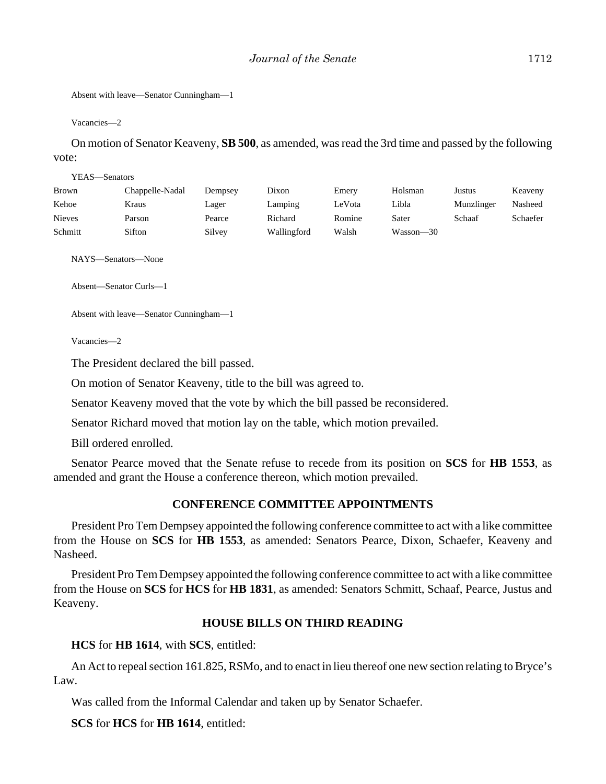```
Absent with leave—Senator Cunningham—1
```
Vacancies—2

On motion of Senator Keaveny, **SB 500**, as amended, was read the 3rd time and passed by the following vote:

YEAS—Senators

| <b>Brown</b>  | Chappelle-Nadal | Dempsev | Dixon       | Emery  | Holsman   | Justus     | Keaveny  |
|---------------|-----------------|---------|-------------|--------|-----------|------------|----------|
| Kehoe         | Kraus           | Lager   | Lamping     | LeVota | Libla     | Munzlinger | Nasheed  |
| <b>Nieves</b> | Parson          | Pearce  | Richard     | Romine | Sater     | Schaaf     | Schaefer |
| Schmitt       | Sifton          | Silvey  | Wallingford | Walsh  | Wasson—30 |            |          |

NAYS—Senators—None

Absent—Senator Curls—1

```
Absent with leave—Senator Cunningham—1
```
Vacancies—2

The President declared the bill passed.

On motion of Senator Keaveny, title to the bill was agreed to.

Senator Keaveny moved that the vote by which the bill passed be reconsidered.

Senator Richard moved that motion lay on the table, which motion prevailed.

Bill ordered enrolled.

Senator Pearce moved that the Senate refuse to recede from its position on **SCS** for **HB 1553**, as amended and grant the House a conference thereon, which motion prevailed.

### **CONFERENCE COMMITTEE APPOINTMENTS**

President Pro Tem Dempsey appointed the following conference committee to act with a like committee from the House on **SCS** for **HB 1553**, as amended: Senators Pearce, Dixon, Schaefer, Keaveny and Nasheed.

President Pro Tem Dempsey appointed the following conference committee to act with a like committee from the House on **SCS** for **HCS** for **HB 1831**, as amended: Senators Schmitt, Schaaf, Pearce, Justus and Keaveny.

## **HOUSE BILLS ON THIRD READING**

**HCS** for **HB 1614**, with **SCS**, entitled:

An Act to repeal section 161.825, RSMo, and to enact in lieu thereof one new section relating to Bryce's Law.

Was called from the Informal Calendar and taken up by Senator Schaefer.

**SCS** for **HCS** for **HB 1614**, entitled: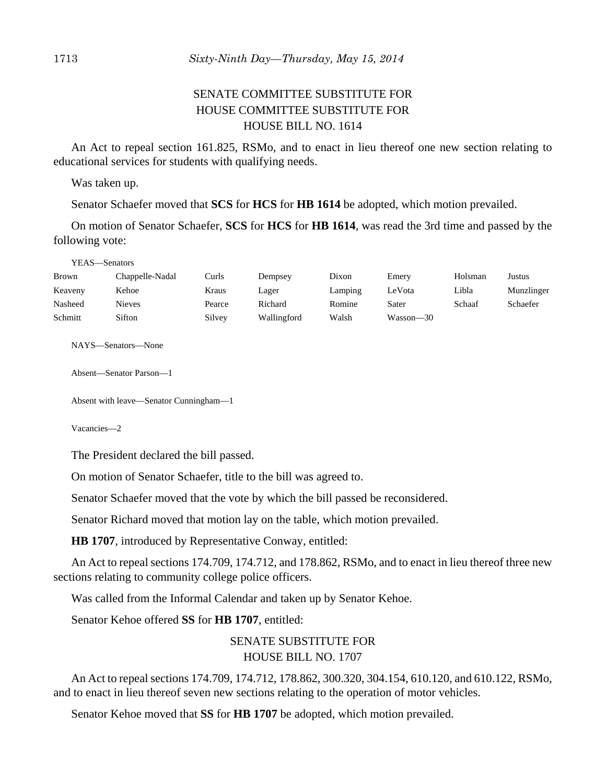# SENATE COMMITTEE SUBSTITUTE FOR HOUSE COMMITTEE SUBSTITUTE FOR HOUSE BILL NO. 1614

An Act to repeal section 161.825, RSMo, and to enact in lieu thereof one new section relating to educational services for students with qualifying needs.

Was taken up.

Senator Schaefer moved that **SCS** for **HCS** for **HB 1614** be adopted, which motion prevailed.

On motion of Senator Schaefer, **SCS** for **HCS** for **HB 1614**, was read the 3rd time and passed by the following vote:

| -Senators<br>YEAS- |
|--------------------|
|--------------------|

| Brown   | Chappelle-Nadal | Curls  | Dempsey     | Dixon   | Emery     | Holsman | Justus     |
|---------|-----------------|--------|-------------|---------|-----------|---------|------------|
| Keaveny | Kehoe           | Kraus  | Lager       | Lamping | LeVota    | Libla   | Munzlinger |
| Nasheed | Nieves          | Pearce | Richard     | Romine  | Sater     | Schaaf  | Schaefer   |
| Schmitt | Sifton          | Silvey | Wallingford | Walsh   | Wasson—30 |         |            |

NAYS—Senators—None

Absent—Senator Parson—1

Absent with leave—Senator Cunningham—1

Vacancies—2

The President declared the bill passed.

On motion of Senator Schaefer, title to the bill was agreed to.

Senator Schaefer moved that the vote by which the bill passed be reconsidered.

Senator Richard moved that motion lay on the table, which motion prevailed.

**HB 1707**, introduced by Representative Conway, entitled:

An Act to repeal sections 174.709, 174.712, and 178.862, RSMo, and to enact in lieu thereof three new sections relating to community college police officers.

Was called from the Informal Calendar and taken up by Senator Kehoe.

Senator Kehoe offered **SS** for **HB 1707**, entitled:

# SENATE SUBSTITUTE FOR HOUSE BILL NO. 1707

An Act to repeal sections 174.709, 174.712, 178.862, 300.320, 304.154, 610.120, and 610.122, RSMo, and to enact in lieu thereof seven new sections relating to the operation of motor vehicles.

Senator Kehoe moved that **SS** for **HB 1707** be adopted, which motion prevailed.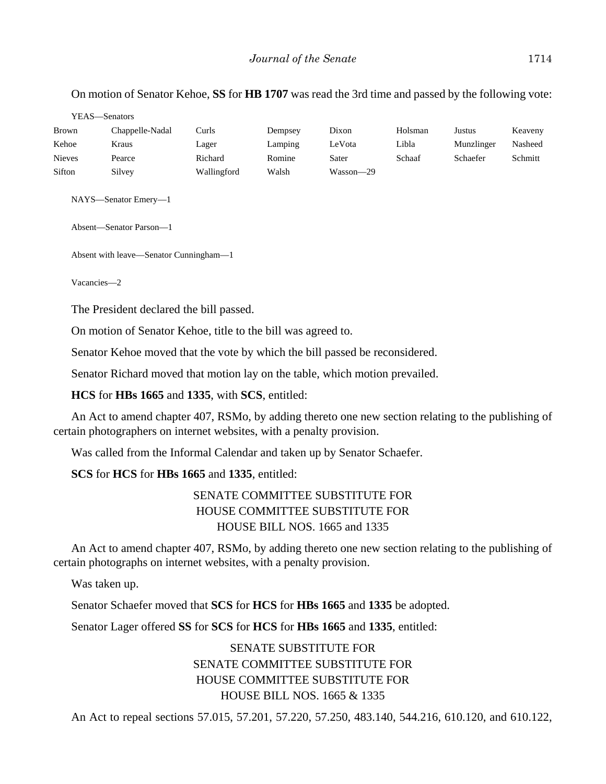On motion of Senator Kehoe, **SS** for **HB 1707** was read the 3rd time and passed by the following vote:

| Chappelle-Nadal | Curls         | Dempsey | Dixon     | Holsman | Justus     | Keaveny |
|-----------------|---------------|---------|-----------|---------|------------|---------|
| Kraus           | Lager         | Lamping | LeVota    | Libla   | Munzlinger | Nasheed |
| Pearce          | Richard       | Romine  | Sater     | Schaaf  | Schaefer   | Schmitt |
| Silvey          | Wallingford   | Walsh   | Wasson-29 |         |            |         |
|                 | YEAS—Senators |         |           |         |            |         |

NAYS—Senator Emery—1

Absent—Senator Parson—1

Absent with leave—Senator Cunningham—1

Vacancies—2

The President declared the bill passed.

On motion of Senator Kehoe, title to the bill was agreed to.

Senator Kehoe moved that the vote by which the bill passed be reconsidered.

Senator Richard moved that motion lay on the table, which motion prevailed.

**HCS** for **HBs 1665** and **1335**, with **SCS**, entitled:

An Act to amend chapter 407, RSMo, by adding thereto one new section relating to the publishing of certain photographers on internet websites, with a penalty provision.

Was called from the Informal Calendar and taken up by Senator Schaefer.

### **SCS** for **HCS** for **HBs 1665** and **1335**, entitled:

# SENATE COMMITTEE SUBSTITUTE FOR HOUSE COMMITTEE SUBSTITUTE FOR HOUSE BILL NOS. 1665 and 1335

An Act to amend chapter 407, RSMo, by adding thereto one new section relating to the publishing of certain photographs on internet websites, with a penalty provision.

Was taken up.

Senator Schaefer moved that **SCS** for **HCS** for **HBs 1665** and **1335** be adopted.

Senator Lager offered **SS** for **SCS** for **HCS** for **HBs 1665** and **1335**, entitled:

# SENATE SUBSTITUTE FOR SENATE COMMITTEE SUBSTITUTE FOR HOUSE COMMITTEE SUBSTITUTE FOR HOUSE BILL NOS. 1665 & 1335

An Act to repeal sections 57.015, 57.201, 57.220, 57.250, 483.140, 544.216, 610.120, and 610.122,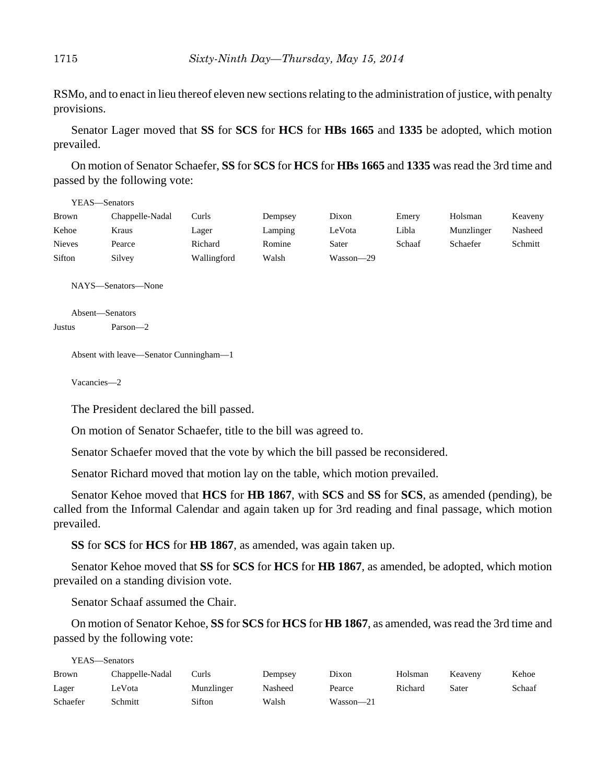RSMo, and to enact in lieu thereof eleven new sections relating to the administration of justice, with penalty provisions.

Senator Lager moved that **SS** for **SCS** for **HCS** for **HBs 1665** and **1335** be adopted, which motion prevailed.

On motion of Senator Schaefer, **SS** for **SCS** for **HCS** for **HBs 1665** and **1335** was read the 3rd time and passed by the following vote:

| YEAS—Senators |                 |             |         |           |        |            |         |
|---------------|-----------------|-------------|---------|-----------|--------|------------|---------|
| <b>Brown</b>  | Chappelle-Nadal | Curls       | Dempsey | Dixon     | Emery  | Holsman    | Keaveny |
| Kehoe         | Kraus           | Lager       | Lamping | LeVota    | Libla  | Munzlinger | Nasheed |
| <b>Nieves</b> | Pearce          | Richard     | Romine  | Sater     | Schaaf | Schaefer   | Schmitt |
| Sifton        | Silvey          | Wallingford | Walsh   | Wasson—29 |        |            |         |

NAYS—Senators—None

```
Absent—Senators
```
Justus Parson—2

Absent with leave—Senator Cunningham—1

Vacancies—2

The President declared the bill passed.

On motion of Senator Schaefer, title to the bill was agreed to.

Senator Schaefer moved that the vote by which the bill passed be reconsidered.

Senator Richard moved that motion lay on the table, which motion prevailed.

Senator Kehoe moved that **HCS** for **HB 1867**, with **SCS** and **SS** for **SCS**, as amended (pending), be called from the Informal Calendar and again taken up for 3rd reading and final passage, which motion prevailed.

**SS** for **SCS** for **HCS** for **HB 1867**, as amended, was again taken up.

Senator Kehoe moved that **SS** for **SCS** for **HCS** for **HB 1867**, as amended, be adopted, which motion prevailed on a standing division vote.

Senator Schaaf assumed the Chair.

On motion of Senator Kehoe, **SS** for **SCS** for **HCS** for **HB 1867**, as amended, was read the 3rd time and passed by the following vote:

| YEAS—Senators |                 |            |         |             |         |         |        |
|---------------|-----------------|------------|---------|-------------|---------|---------|--------|
| <b>Brown</b>  | Chappelle-Nadal | Curls      | Dempsey | Dixon       | Holsman | Keaveny | Kehoe  |
| Lager         | LeVota          | Munzlinger | Nasheed | Pearce      | Richard | Sater   | Schaaf |
| Schaefer      | Schmitt         | Sifton     | Walsh   | $Wasson-21$ |         |         |        |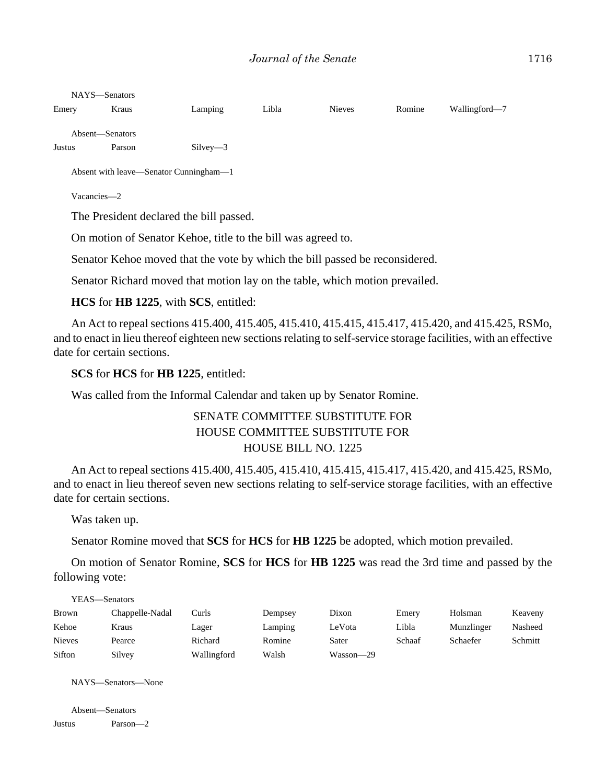| NAYS-Senators             |        |            |       |               |        |               |
|---------------------------|--------|------------|-------|---------------|--------|---------------|
| Emery                     | Kraus  | Lamping    | Libla | <b>Nieves</b> | Romine | Wallingford-7 |
| Absent—Senators<br>Justus | Parson | $Silvey-3$ |       |               |        |               |
|                           |        |            |       |               |        |               |

Absent with leave—Senator Cunningham—1

Vacancies—2

The President declared the bill passed.

On motion of Senator Kehoe, title to the bill was agreed to.

Senator Kehoe moved that the vote by which the bill passed be reconsidered.

Senator Richard moved that motion lay on the table, which motion prevailed.

### **HCS** for **HB 1225**, with **SCS**, entitled:

An Act to repeal sections 415.400, 415.405, 415.410, 415.415, 415.417, 415.420, and 415.425, RSMo, and to enact in lieu thereof eighteen new sections relating to self-service storage facilities, with an effective date for certain sections.

**SCS** for **HCS** for **HB 1225**, entitled:

Was called from the Informal Calendar and taken up by Senator Romine.

# SENATE COMMITTEE SUBSTITUTE FOR HOUSE COMMITTEE SUBSTITUTE FOR HOUSE BILL NO. 1225

An Act to repeal sections 415.400, 415.405, 415.410, 415.415, 415.417, 415.420, and 415.425, RSMo, and to enact in lieu thereof seven new sections relating to self-service storage facilities, with an effective date for certain sections.

Was taken up.

Senator Romine moved that **SCS** for **HCS** for **HB 1225** be adopted, which motion prevailed.

On motion of Senator Romine, **SCS** for **HCS** for **HB 1225** was read the 3rd time and passed by the following vote:

| YEAS—Senators |                 |             |         |           |        |            |         |
|---------------|-----------------|-------------|---------|-----------|--------|------------|---------|
| <b>Brown</b>  | Chappelle-Nadal | Curls       | Dempsey | Dixon     | Emery  | Holsman    | Keaveny |
| Kehoe         | Kraus           | Lager       | Lamping | LeVota    | Libla  | Munzlinger | Nasheed |
| <b>Nieves</b> | Pearce          | Richard     | Romine  | Sater     | Schaaf | Schaefer   | Schmitt |
| Sifton        | Silvey          | Wallingford | Walsh   | Wasson—29 |        |            |         |

NAYS—Senators—None

Absent—Senators Justus Parson—2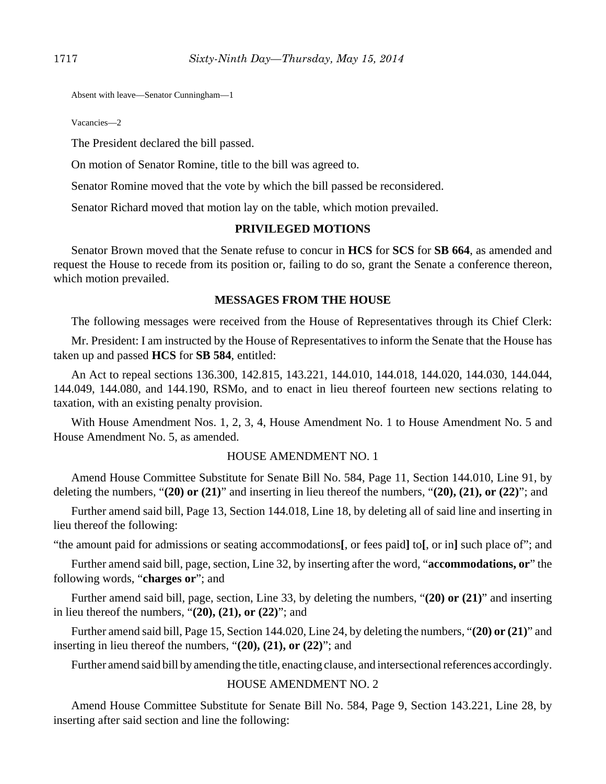Absent with leave—Senator Cunningham—1

Vacancies—2

The President declared the bill passed.

On motion of Senator Romine, title to the bill was agreed to.

Senator Romine moved that the vote by which the bill passed be reconsidered.

Senator Richard moved that motion lay on the table, which motion prevailed.

## **PRIVILEGED MOTIONS**

Senator Brown moved that the Senate refuse to concur in **HCS** for **SCS** for **SB 664**, as amended and request the House to recede from its position or, failing to do so, grant the Senate a conference thereon, which motion prevailed.

#### **MESSAGES FROM THE HOUSE**

The following messages were received from the House of Representatives through its Chief Clerk:

Mr. President: I am instructed by the House of Representatives to inform the Senate that the House has taken up and passed **HCS** for **SB 584**, entitled:

An Act to repeal sections 136.300, 142.815, 143.221, 144.010, 144.018, 144.020, 144.030, 144.044, 144.049, 144.080, and 144.190, RSMo, and to enact in lieu thereof fourteen new sections relating to taxation, with an existing penalty provision.

With House Amendment Nos. 1, 2, 3, 4, House Amendment No. 1 to House Amendment No. 5 and House Amendment No. 5, as amended.

### HOUSE AMENDMENT NO. 1

Amend House Committee Substitute for Senate Bill No. 584, Page 11, Section 144.010, Line 91, by deleting the numbers, "**(20) or (21)**" and inserting in lieu thereof the numbers, "**(20), (21), or (22)**"; and

Further amend said bill, Page 13, Section 144.018, Line 18, by deleting all of said line and inserting in lieu thereof the following:

"the amount paid for admissions or seating accommodations**[**, or fees paid**]** to**[**, or in**]** such place of"; and

Further amend said bill, page, section, Line 32, by inserting after the word, "**accommodations, or**" the following words, "**charges or**"; and

Further amend said bill, page, section, Line 33, by deleting the numbers, "**(20) or (21)**" and inserting in lieu thereof the numbers, "**(20), (21), or (22)**"; and

Further amend said bill, Page 15, Section 144.020, Line 24, by deleting the numbers, "**(20) or (21)**" and inserting in lieu thereof the numbers, "**(20), (21), or (22)**"; and

Further amend said bill by amending the title, enacting clause, and intersectional references accordingly.

#### HOUSE AMENDMENT NO. 2

Amend House Committee Substitute for Senate Bill No. 584, Page 9, Section 143.221, Line 28, by inserting after said section and line the following: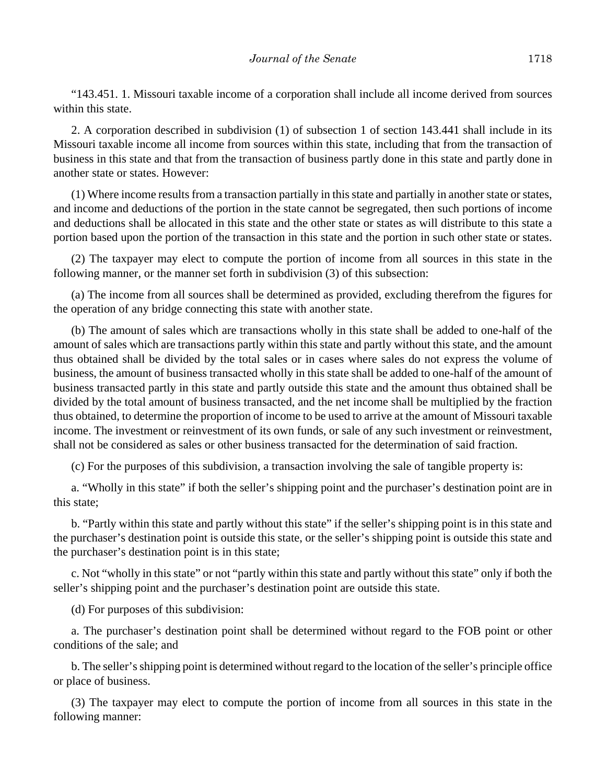"143.451. 1. Missouri taxable income of a corporation shall include all income derived from sources within this state.

2. A corporation described in subdivision (1) of subsection 1 of section 143.441 shall include in its Missouri taxable income all income from sources within this state, including that from the transaction of business in this state and that from the transaction of business partly done in this state and partly done in another state or states. However:

(1) Where income results from a transaction partially in this state and partially in another state or states, and income and deductions of the portion in the state cannot be segregated, then such portions of income and deductions shall be allocated in this state and the other state or states as will distribute to this state a portion based upon the portion of the transaction in this state and the portion in such other state or states.

(2) The taxpayer may elect to compute the portion of income from all sources in this state in the following manner, or the manner set forth in subdivision (3) of this subsection:

(a) The income from all sources shall be determined as provided, excluding therefrom the figures for the operation of any bridge connecting this state with another state.

(b) The amount of sales which are transactions wholly in this state shall be added to one-half of the amount of sales which are transactions partly within this state and partly without this state, and the amount thus obtained shall be divided by the total sales or in cases where sales do not express the volume of business, the amount of business transacted wholly in this state shall be added to one-half of the amount of business transacted partly in this state and partly outside this state and the amount thus obtained shall be divided by the total amount of business transacted, and the net income shall be multiplied by the fraction thus obtained, to determine the proportion of income to be used to arrive at the amount of Missouri taxable income. The investment or reinvestment of its own funds, or sale of any such investment or reinvestment, shall not be considered as sales or other business transacted for the determination of said fraction.

(c) For the purposes of this subdivision, a transaction involving the sale of tangible property is:

a. "Wholly in this state" if both the seller's shipping point and the purchaser's destination point are in this state;

b. "Partly within this state and partly without this state" if the seller's shipping point is in this state and the purchaser's destination point is outside this state, or the seller's shipping point is outside this state and the purchaser's destination point is in this state;

c. Not "wholly in this state" or not "partly within this state and partly without this state" only if both the seller's shipping point and the purchaser's destination point are outside this state.

(d) For purposes of this subdivision:

a. The purchaser's destination point shall be determined without regard to the FOB point or other conditions of the sale; and

b. The seller's shipping point is determined without regard to the location of the seller's principle office or place of business.

(3) The taxpayer may elect to compute the portion of income from all sources in this state in the following manner: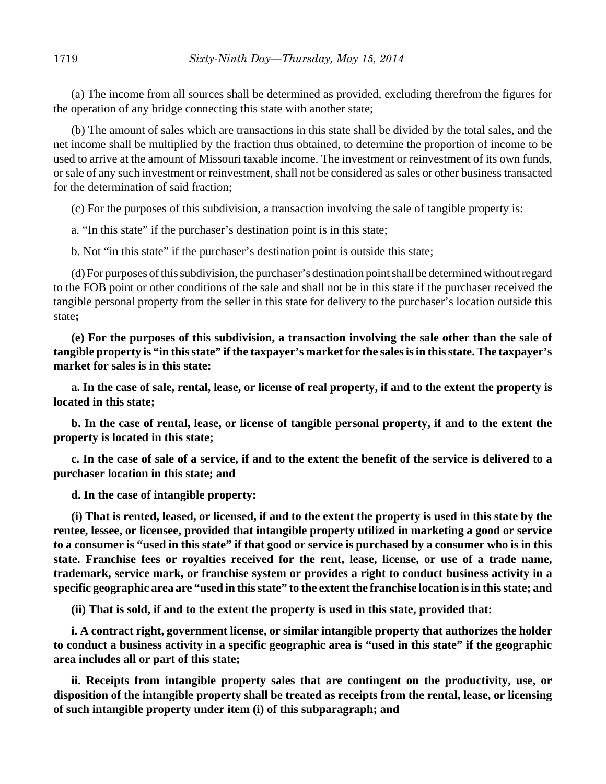(a) The income from all sources shall be determined as provided, excluding therefrom the figures for the operation of any bridge connecting this state with another state;

(b) The amount of sales which are transactions in this state shall be divided by the total sales, and the net income shall be multiplied by the fraction thus obtained, to determine the proportion of income to be used to arrive at the amount of Missouri taxable income. The investment or reinvestment of its own funds, or sale of any such investment or reinvestment, shall not be considered as sales or other business transacted for the determination of said fraction;

(c) For the purposes of this subdivision, a transaction involving the sale of tangible property is:

a. "In this state" if the purchaser's destination point is in this state;

b. Not "in this state" if the purchaser's destination point is outside this state;

(d) For purposes of this subdivision, the purchaser's destination point shall be determined without regard to the FOB point or other conditions of the sale and shall not be in this state if the purchaser received the tangible personal property from the seller in this state for delivery to the purchaser's location outside this state**;**

**(e) For the purposes of this subdivision, a transaction involving the sale other than the sale of tangible property is "in this state" if the taxpayer's market for the sales is in this state. The taxpayer's market for sales is in this state:**

**a. In the case of sale, rental, lease, or license of real property, if and to the extent the property is located in this state;**

**b. In the case of rental, lease, or license of tangible personal property, if and to the extent the property is located in this state;**

**c. In the case of sale of a service, if and to the extent the benefit of the service is delivered to a purchaser location in this state; and**

**d. In the case of intangible property:**

**(i) That is rented, leased, or licensed, if and to the extent the property is used in this state by the rentee, lessee, or licensee, provided that intangible property utilized in marketing a good or service to a consumer is "used in this state" if that good or service is purchased by a consumer who is in this state. Franchise fees or royalties received for the rent, lease, license, or use of a trade name, trademark, service mark, or franchise system or provides a right to conduct business activity in a specific geographic area are "used in this state" to the extent the franchise location is in this state; and**

**(ii) That is sold, if and to the extent the property is used in this state, provided that:**

**i. A contract right, government license, or similar intangible property that authorizes the holder to conduct a business activity in a specific geographic area is "used in this state" if the geographic area includes all or part of this state;**

**ii. Receipts from intangible property sales that are contingent on the productivity, use, or disposition of the intangible property shall be treated as receipts from the rental, lease, or licensing of such intangible property under item (i) of this subparagraph; and**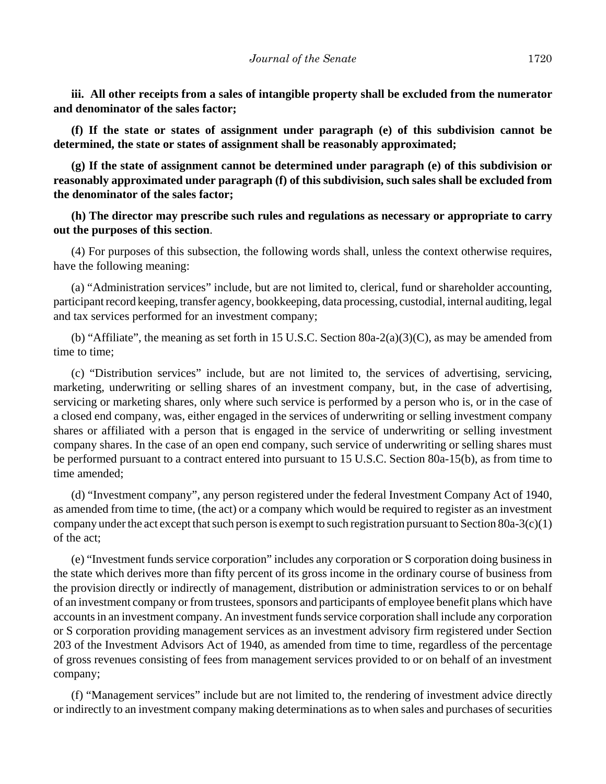**iii. All other receipts from a sales of intangible property shall be excluded from the numerator and denominator of the sales factor;**

**(f) If the state or states of assignment under paragraph (e) of this subdivision cannot be determined, the state or states of assignment shall be reasonably approximated;**

**(g) If the state of assignment cannot be determined under paragraph (e) of this subdivision or reasonably approximated under paragraph (f) of this subdivision, such sales shall be excluded from the denominator of the sales factor;**

**(h) The director may prescribe such rules and regulations as necessary or appropriate to carry out the purposes of this section**.

(4) For purposes of this subsection, the following words shall, unless the context otherwise requires, have the following meaning:

(a) "Administration services" include, but are not limited to, clerical, fund or shareholder accounting, participant record keeping, transfer agency, bookkeeping, data processing, custodial, internal auditing, legal and tax services performed for an investment company;

(b) "Affiliate", the meaning as set forth in 15 U.S.C. Section 80a-2(a)(3)(C), as may be amended from time to time;

(c) "Distribution services" include, but are not limited to, the services of advertising, servicing, marketing, underwriting or selling shares of an investment company, but, in the case of advertising, servicing or marketing shares, only where such service is performed by a person who is, or in the case of a closed end company, was, either engaged in the services of underwriting or selling investment company shares or affiliated with a person that is engaged in the service of underwriting or selling investment company shares. In the case of an open end company, such service of underwriting or selling shares must be performed pursuant to a contract entered into pursuant to 15 U.S.C. Section 80a-15(b), as from time to time amended;

(d) "Investment company", any person registered under the federal Investment Company Act of 1940, as amended from time to time, (the act) or a company which would be required to register as an investment company under the act except that such person is exempt to such registration pursuant to Section 80a-3(c)(1) of the act;

(e) "Investment funds service corporation" includes any corporation or S corporation doing business in the state which derives more than fifty percent of its gross income in the ordinary course of business from the provision directly or indirectly of management, distribution or administration services to or on behalf of an investment company or from trustees, sponsors and participants of employee benefit plans which have accounts in an investment company. An investment funds service corporation shall include any corporation or S corporation providing management services as an investment advisory firm registered under Section 203 of the Investment Advisors Act of 1940, as amended from time to time, regardless of the percentage of gross revenues consisting of fees from management services provided to or on behalf of an investment company;

(f) "Management services" include but are not limited to, the rendering of investment advice directly or indirectly to an investment company making determinations as to when sales and purchases of securities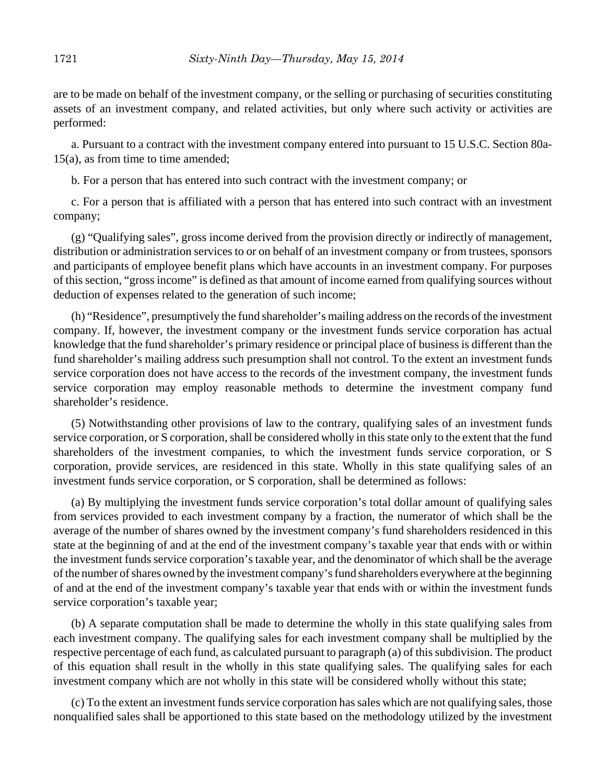are to be made on behalf of the investment company, or the selling or purchasing of securities constituting assets of an investment company, and related activities, but only where such activity or activities are performed:

a. Pursuant to a contract with the investment company entered into pursuant to 15 U.S.C. Section 80a-15(a), as from time to time amended;

b. For a person that has entered into such contract with the investment company; or

c. For a person that is affiliated with a person that has entered into such contract with an investment company;

(g) "Qualifying sales", gross income derived from the provision directly or indirectly of management, distribution or administration services to or on behalf of an investment company or from trustees, sponsors and participants of employee benefit plans which have accounts in an investment company. For purposes of this section, "gross income" is defined as that amount of income earned from qualifying sources without deduction of expenses related to the generation of such income;

(h) "Residence", presumptively the fund shareholder's mailing address on the records of the investment company. If, however, the investment company or the investment funds service corporation has actual knowledge that the fund shareholder's primary residence or principal place of business is different than the fund shareholder's mailing address such presumption shall not control. To the extent an investment funds service corporation does not have access to the records of the investment company, the investment funds service corporation may employ reasonable methods to determine the investment company fund shareholder's residence.

(5) Notwithstanding other provisions of law to the contrary, qualifying sales of an investment funds service corporation, or S corporation, shall be considered wholly in this state only to the extent that the fund shareholders of the investment companies, to which the investment funds service corporation, or S corporation, provide services, are residenced in this state. Wholly in this state qualifying sales of an investment funds service corporation, or S corporation, shall be determined as follows:

(a) By multiplying the investment funds service corporation's total dollar amount of qualifying sales from services provided to each investment company by a fraction, the numerator of which shall be the average of the number of shares owned by the investment company's fund shareholders residenced in this state at the beginning of and at the end of the investment company's taxable year that ends with or within the investment funds service corporation's taxable year, and the denominator of which shall be the average of the number of shares owned by the investment company's fund shareholders everywhere at the beginning of and at the end of the investment company's taxable year that ends with or within the investment funds service corporation's taxable year;

(b) A separate computation shall be made to determine the wholly in this state qualifying sales from each investment company. The qualifying sales for each investment company shall be multiplied by the respective percentage of each fund, as calculated pursuant to paragraph (a) of this subdivision. The product of this equation shall result in the wholly in this state qualifying sales. The qualifying sales for each investment company which are not wholly in this state will be considered wholly without this state;

(c) To the extent an investment funds service corporation has sales which are not qualifying sales, those nonqualified sales shall be apportioned to this state based on the methodology utilized by the investment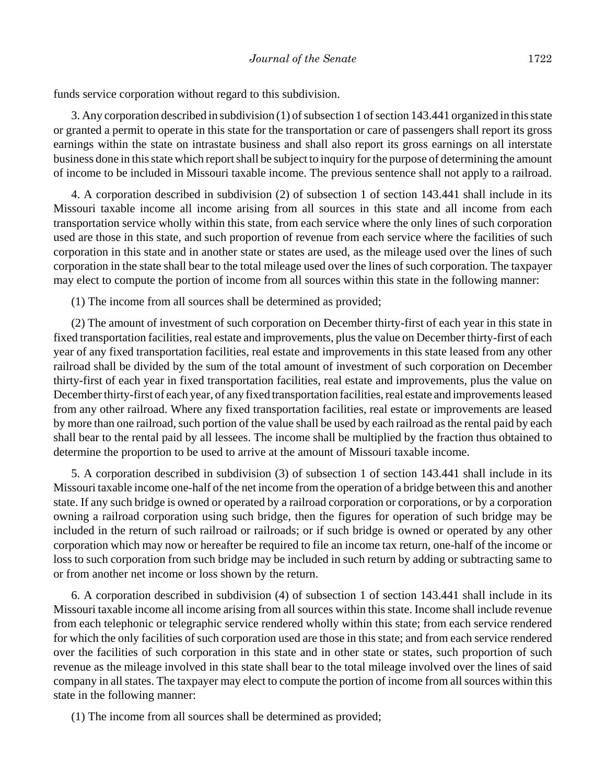funds service corporation without regard to this subdivision.

3. Any corporation described in subdivision (1) of subsection 1 of section 143.441 organized in this state or granted a permit to operate in this state for the transportation or care of passengers shall report its gross earnings within the state on intrastate business and shall also report its gross earnings on all interstate business done in this state which report shall be subject to inquiry for the purpose of determining the amount of income to be included in Missouri taxable income. The previous sentence shall not apply to a railroad.

4. A corporation described in subdivision (2) of subsection 1 of section 143.441 shall include in its Missouri taxable income all income arising from all sources in this state and all income from each transportation service wholly within this state, from each service where the only lines of such corporation used are those in this state, and such proportion of revenue from each service where the facilities of such corporation in this state and in another state or states are used, as the mileage used over the lines of such corporation in the state shall bear to the total mileage used over the lines of such corporation. The taxpayer may elect to compute the portion of income from all sources within this state in the following manner:

(1) The income from all sources shall be determined as provided;

(2) The amount of investment of such corporation on December thirty-first of each year in this state in fixed transportation facilities, real estate and improvements, plus the value on December thirty-first of each year of any fixed transportation facilities, real estate and improvements in this state leased from any other railroad shall be divided by the sum of the total amount of investment of such corporation on December thirty-first of each year in fixed transportation facilities, real estate and improvements, plus the value on December thirty-first of each year, of any fixed transportation facilities, real estate and improvements leased from any other railroad. Where any fixed transportation facilities, real estate or improvements are leased by more than one railroad, such portion of the value shall be used by each railroad as the rental paid by each shall bear to the rental paid by all lessees. The income shall be multiplied by the fraction thus obtained to determine the proportion to be used to arrive at the amount of Missouri taxable income.

5. A corporation described in subdivision (3) of subsection 1 of section 143.441 shall include in its Missouri taxable income one-half of the net income from the operation of a bridge between this and another state. If any such bridge is owned or operated by a railroad corporation or corporations, or by a corporation owning a railroad corporation using such bridge, then the figures for operation of such bridge may be included in the return of such railroad or railroads; or if such bridge is owned or operated by any other corporation which may now or hereafter be required to file an income tax return, one-half of the income or loss to such corporation from such bridge may be included in such return by adding or subtracting same to or from another net income or loss shown by the return.

6. A corporation described in subdivision (4) of subsection 1 of section 143.441 shall include in its Missouri taxable income all income arising from all sources within this state. Income shall include revenue from each telephonic or telegraphic service rendered wholly within this state; from each service rendered for which the only facilities of such corporation used are those in this state; and from each service rendered over the facilities of such corporation in this state and in other state or states, such proportion of such revenue as the mileage involved in this state shall bear to the total mileage involved over the lines of said company in all states. The taxpayer may elect to compute the portion of income from all sources within this state in the following manner:

(1) The income from all sources shall be determined as provided;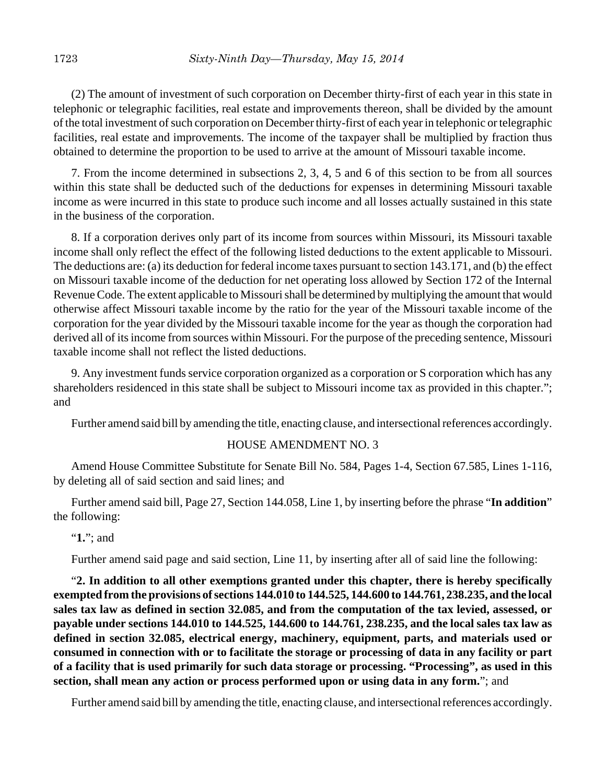(2) The amount of investment of such corporation on December thirty-first of each year in this state in telephonic or telegraphic facilities, real estate and improvements thereon, shall be divided by the amount of the total investment of such corporation on December thirty-first of each year in telephonic or telegraphic facilities, real estate and improvements. The income of the taxpayer shall be multiplied by fraction thus obtained to determine the proportion to be used to arrive at the amount of Missouri taxable income.

7. From the income determined in subsections 2, 3, 4, 5 and 6 of this section to be from all sources within this state shall be deducted such of the deductions for expenses in determining Missouri taxable income as were incurred in this state to produce such income and all losses actually sustained in this state in the business of the corporation.

8. If a corporation derives only part of its income from sources within Missouri, its Missouri taxable income shall only reflect the effect of the following listed deductions to the extent applicable to Missouri. The deductions are: (a) its deduction for federal income taxes pursuant to section 143.171, and (b) the effect on Missouri taxable income of the deduction for net operating loss allowed by Section 172 of the Internal Revenue Code. The extent applicable to Missouri shall be determined by multiplying the amount that would otherwise affect Missouri taxable income by the ratio for the year of the Missouri taxable income of the corporation for the year divided by the Missouri taxable income for the year as though the corporation had derived all of its income from sources within Missouri. For the purpose of the preceding sentence, Missouri taxable income shall not reflect the listed deductions.

9. Any investment funds service corporation organized as a corporation or S corporation which has any shareholders residenced in this state shall be subject to Missouri income tax as provided in this chapter."; and

Further amend said bill by amending the title, enacting clause, and intersectional references accordingly.

## HOUSE AMENDMENT NO. 3

Amend House Committee Substitute for Senate Bill No. 584, Pages 1-4, Section 67.585, Lines 1-116, by deleting all of said section and said lines; and

Further amend said bill, Page 27, Section 144.058, Line 1, by inserting before the phrase "**In addition**" the following:

"**1.**"; and

Further amend said page and said section, Line 11, by inserting after all of said line the following:

"**2. In addition to all other exemptions granted under this chapter, there is hereby specifically exempted from the provisions of sections 144.010 to 144.525, 144.600 to 144.761, 238.235, and the local sales tax law as defined in section 32.085, and from the computation of the tax levied, assessed, or payable under sections 144.010 to 144.525, 144.600 to 144.761, 238.235, and the local sales tax law as defined in section 32.085, electrical energy, machinery, equipment, parts, and materials used or consumed in connection with or to facilitate the storage or processing of data in any facility or part of a facility that is used primarily for such data storage or processing. "Processing", as used in this section, shall mean any action or process performed upon or using data in any form.**"; and

Further amend said bill by amending the title, enacting clause, and intersectional references accordingly.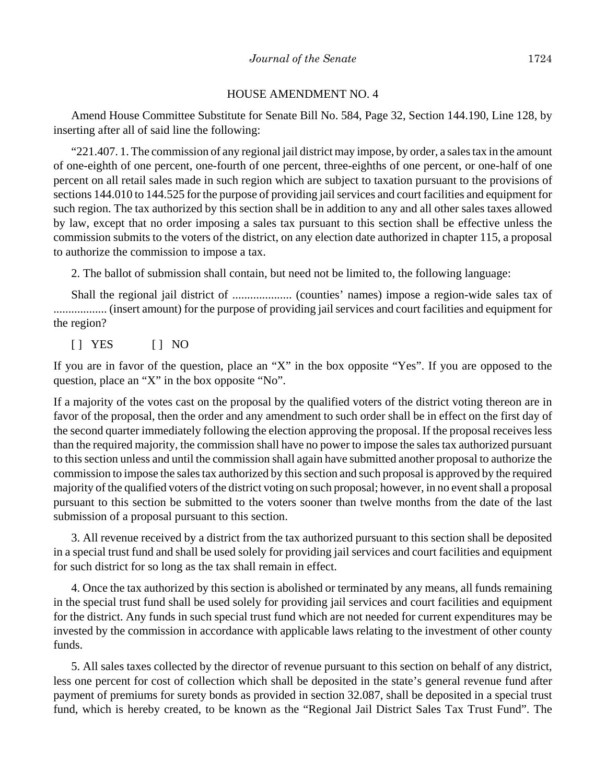### HOUSE AMENDMENT NO. 4

Amend House Committee Substitute for Senate Bill No. 584, Page 32, Section 144.190, Line 128, by inserting after all of said line the following:

"221.407. 1. The commission of any regional jail district may impose, by order, a sales tax in the amount of one-eighth of one percent, one-fourth of one percent, three-eighths of one percent, or one-half of one percent on all retail sales made in such region which are subject to taxation pursuant to the provisions of sections 144.010 to 144.525 for the purpose of providing jail services and court facilities and equipment for such region. The tax authorized by this section shall be in addition to any and all other sales taxes allowed by law, except that no order imposing a sales tax pursuant to this section shall be effective unless the commission submits to the voters of the district, on any election date authorized in chapter 115, a proposal to authorize the commission to impose a tax.

2. The ballot of submission shall contain, but need not be limited to, the following language:

Shall the regional jail district of .................... (counties' names) impose a region-wide sales tax of .................. (insert amount) for the purpose of providing jail services and court facilities and equipment for the region?

[ ] YES[ ] NO

If you are in favor of the question, place an "X" in the box opposite "Yes". If you are opposed to the question, place an "X" in the box opposite "No".

If a majority of the votes cast on the proposal by the qualified voters of the district voting thereon are in favor of the proposal, then the order and any amendment to such order shall be in effect on the first day of the second quarter immediately following the election approving the proposal. If the proposal receives less than the required majority, the commission shall have no power to impose the sales tax authorized pursuant to this section unless and until the commission shall again have submitted another proposal to authorize the commission to impose the sales tax authorized by this section and such proposal is approved by the required majority of the qualified voters of the district voting on such proposal; however, in no event shall a proposal pursuant to this section be submitted to the voters sooner than twelve months from the date of the last submission of a proposal pursuant to this section.

3. All revenue received by a district from the tax authorized pursuant to this section shall be deposited in a special trust fund and shall be used solely for providing jail services and court facilities and equipment for such district for so long as the tax shall remain in effect.

4. Once the tax authorized by this section is abolished or terminated by any means, all funds remaining in the special trust fund shall be used solely for providing jail services and court facilities and equipment for the district. Any funds in such special trust fund which are not needed for current expenditures may be invested by the commission in accordance with applicable laws relating to the investment of other county funds.

5. All sales taxes collected by the director of revenue pursuant to this section on behalf of any district, less one percent for cost of collection which shall be deposited in the state's general revenue fund after payment of premiums for surety bonds as provided in section 32.087, shall be deposited in a special trust fund, which is hereby created, to be known as the "Regional Jail District Sales Tax Trust Fund". The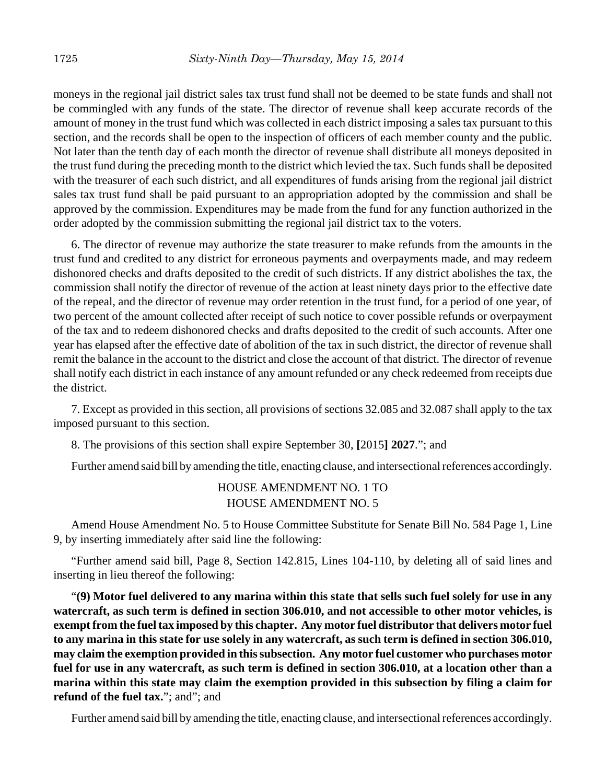moneys in the regional jail district sales tax trust fund shall not be deemed to be state funds and shall not be commingled with any funds of the state. The director of revenue shall keep accurate records of the amount of money in the trust fund which was collected in each district imposing a sales tax pursuant to this section, and the records shall be open to the inspection of officers of each member county and the public. Not later than the tenth day of each month the director of revenue shall distribute all moneys deposited in the trust fund during the preceding month to the district which levied the tax. Such funds shall be deposited with the treasurer of each such district, and all expenditures of funds arising from the regional jail district sales tax trust fund shall be paid pursuant to an appropriation adopted by the commission and shall be approved by the commission. Expenditures may be made from the fund for any function authorized in the order adopted by the commission submitting the regional jail district tax to the voters.

6. The director of revenue may authorize the state treasurer to make refunds from the amounts in the trust fund and credited to any district for erroneous payments and overpayments made, and may redeem dishonored checks and drafts deposited to the credit of such districts. If any district abolishes the tax, the commission shall notify the director of revenue of the action at least ninety days prior to the effective date of the repeal, and the director of revenue may order retention in the trust fund, for a period of one year, of two percent of the amount collected after receipt of such notice to cover possible refunds or overpayment of the tax and to redeem dishonored checks and drafts deposited to the credit of such accounts. After one year has elapsed after the effective date of abolition of the tax in such district, the director of revenue shall remit the balance in the account to the district and close the account of that district. The director of revenue shall notify each district in each instance of any amount refunded or any check redeemed from receipts due the district.

7. Except as provided in this section, all provisions of sections 32.085 and 32.087 shall apply to the tax imposed pursuant to this section.

8. The provisions of this section shall expire September 30, **[**2015**] 2027**."; and

Further amend said bill by amending the title, enacting clause, and intersectional references accordingly.

HOUSE AMENDMENT NO. 1 TO HOUSE AMENDMENT NO. 5

Amend House Amendment No. 5 to House Committee Substitute for Senate Bill No. 584 Page 1, Line 9, by inserting immediately after said line the following:

"Further amend said bill, Page 8, Section 142.815, Lines 104-110, by deleting all of said lines and inserting in lieu thereof the following:

"**(9) Motor fuel delivered to any marina within this state that sells such fuel solely for use in any watercraft, as such term is defined in section 306.010, and not accessible to other motor vehicles, is exempt from the fuel tax imposed by this chapter. Any motor fuel distributor that delivers motor fuel to any marina in this state for use solely in any watercraft, as such term is defined in section 306.010, may claim the exemption provided in this subsection. Any motor fuel customer who purchases motor fuel for use in any watercraft, as such term is defined in section 306.010, at a location other than a marina within this state may claim the exemption provided in this subsection by filing a claim for** refund of the fuel tax."; and"; and

Further amend said bill by amending the title, enacting clause, and intersectional references accordingly.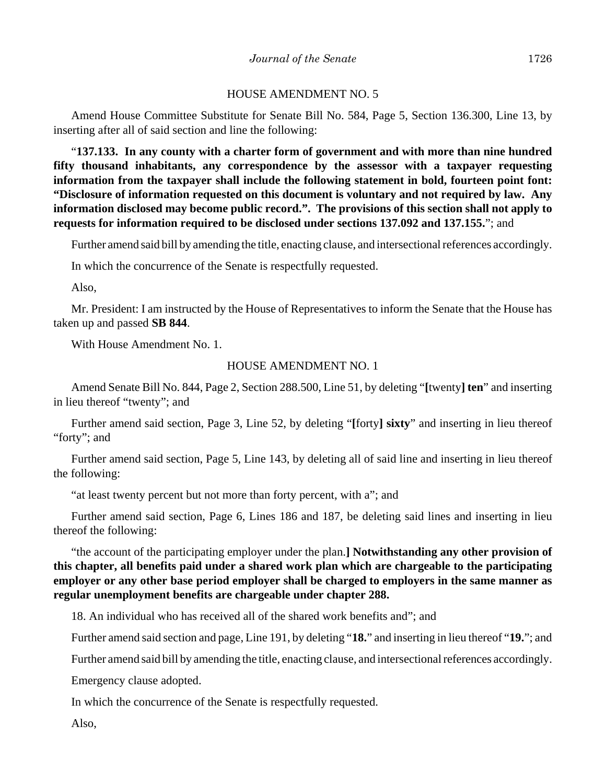### HOUSE AMENDMENT NO. 5

Amend House Committee Substitute for Senate Bill No. 584, Page 5, Section 136.300, Line 13, by inserting after all of said section and line the following:

"**137.133. In any county with a charter form of government and with more than nine hundred fifty thousand inhabitants, any correspondence by the assessor with a taxpayer requesting information from the taxpayer shall include the following statement in bold, fourteen point font: "Disclosure of information requested on this document is voluntary and not required by law. Any information disclosed may become public record.". The provisions of this section shall not apply to requests for information required to be disclosed under sections 137.092 and 137.155.**"; and

Further amend said bill by amending the title, enacting clause, and intersectional references accordingly.

In which the concurrence of the Senate is respectfully requested.

Also,

Mr. President: I am instructed by the House of Representatives to inform the Senate that the House has taken up and passed **SB 844**.

With House Amendment No. 1.

## HOUSE AMENDMENT NO. 1

Amend Senate Bill No. 844, Page 2, Section 288.500, Line 51, by deleting "**[**twenty**] ten**" and inserting in lieu thereof "twenty"; and

Further amend said section, Page 3, Line 52, by deleting "**[**forty**] sixty**" and inserting in lieu thereof "forty"; and

Further amend said section, Page 5, Line 143, by deleting all of said line and inserting in lieu thereof the following:

"at least twenty percent but not more than forty percent, with a"; and

Further amend said section, Page 6, Lines 186 and 187, be deleting said lines and inserting in lieu thereof the following:

"the account of the participating employer under the plan.**] Notwithstanding any other provision of this chapter, all benefits paid under a shared work plan which are chargeable to the participating employer or any other base period employer shall be charged to employers in the same manner as regular unemployment benefits are chargeable under chapter 288.**

18. An individual who has received all of the shared work benefits and"; and

Further amend said section and page, Line 191, by deleting "**18.**" and inserting in lieu thereof "**19.**"; and

Further amend said bill by amending the title, enacting clause, and intersectional references accordingly.

Emergency clause adopted.

In which the concurrence of the Senate is respectfully requested.

Also,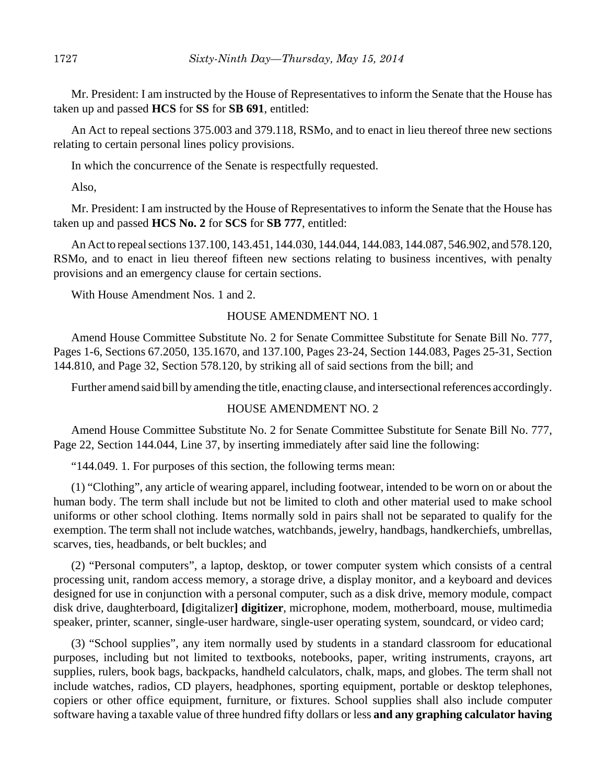Mr. President: I am instructed by the House of Representatives to inform the Senate that the House has taken up and passed **HCS** for **SS** for **SB 691**, entitled:

An Act to repeal sections 375.003 and 379.118, RSMo, and to enact in lieu thereof three new sections relating to certain personal lines policy provisions.

In which the concurrence of the Senate is respectfully requested.

Also,

Mr. President: I am instructed by the House of Representatives to inform the Senate that the House has taken up and passed **HCS No. 2** for **SCS** for **SB 777**, entitled:

An Act to repeal sections 137.100, 143.451, 144.030, 144.044, 144.083, 144.087, 546.902, and 578.120, RSMo, and to enact in lieu thereof fifteen new sections relating to business incentives, with penalty provisions and an emergency clause for certain sections.

With House Amendment Nos. 1 and 2.

# HOUSE AMENDMENT NO. 1

Amend House Committee Substitute No. 2 for Senate Committee Substitute for Senate Bill No. 777, Pages 1-6, Sections 67.2050, 135.1670, and 137.100, Pages 23-24, Section 144.083, Pages 25-31, Section 144.810, and Page 32, Section 578.120, by striking all of said sections from the bill; and

Further amend said bill by amending the title, enacting clause, and intersectional references accordingly.

# HOUSE AMENDMENT NO. 2

Amend House Committee Substitute No. 2 for Senate Committee Substitute for Senate Bill No. 777, Page 22, Section 144.044, Line 37, by inserting immediately after said line the following:

"144.049. 1. For purposes of this section, the following terms mean:

(1) "Clothing", any article of wearing apparel, including footwear, intended to be worn on or about the human body. The term shall include but not be limited to cloth and other material used to make school uniforms or other school clothing. Items normally sold in pairs shall not be separated to qualify for the exemption. The term shall not include watches, watchbands, jewelry, handbags, handkerchiefs, umbrellas, scarves, ties, headbands, or belt buckles; and

(2) "Personal computers", a laptop, desktop, or tower computer system which consists of a central processing unit, random access memory, a storage drive, a display monitor, and a keyboard and devices designed for use in conjunction with a personal computer, such as a disk drive, memory module, compact disk drive, daughterboard, **[**digitalizer**] digitizer**, microphone, modem, motherboard, mouse, multimedia speaker, printer, scanner, single-user hardware, single-user operating system, soundcard, or video card;

(3) "School supplies", any item normally used by students in a standard classroom for educational purposes, including but not limited to textbooks, notebooks, paper, writing instruments, crayons, art supplies, rulers, book bags, backpacks, handheld calculators, chalk, maps, and globes. The term shall not include watches, radios, CD players, headphones, sporting equipment, portable or desktop telephones, copiers or other office equipment, furniture, or fixtures. School supplies shall also include computer software having a taxable value of three hundred fifty dollars or less **and any graphing calculator having**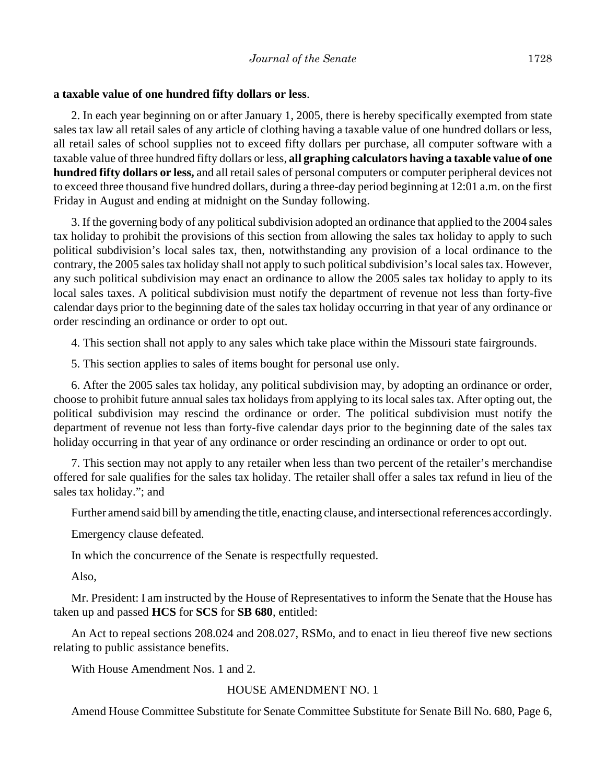## **a taxable value of one hundred fifty dollars or less**.

2. In each year beginning on or after January 1, 2005, there is hereby specifically exempted from state sales tax law all retail sales of any article of clothing having a taxable value of one hundred dollars or less, all retail sales of school supplies not to exceed fifty dollars per purchase, all computer software with a taxable value of three hundred fifty dollars or less, **all graphing calculators having a taxable value of one hundred fifty dollars or less,** and all retail sales of personal computers or computer peripheral devices not to exceed three thousand five hundred dollars, during a three-day period beginning at 12:01 a.m. on the first Friday in August and ending at midnight on the Sunday following.

3. If the governing body of any political subdivision adopted an ordinance that applied to the 2004 sales tax holiday to prohibit the provisions of this section from allowing the sales tax holiday to apply to such political subdivision's local sales tax, then, notwithstanding any provision of a local ordinance to the contrary, the 2005 sales tax holiday shall not apply to such political subdivision's local sales tax. However, any such political subdivision may enact an ordinance to allow the 2005 sales tax holiday to apply to its local sales taxes. A political subdivision must notify the department of revenue not less than forty-five calendar days prior to the beginning date of the sales tax holiday occurring in that year of any ordinance or order rescinding an ordinance or order to opt out.

4. This section shall not apply to any sales which take place within the Missouri state fairgrounds.

5. This section applies to sales of items bought for personal use only.

6. After the 2005 sales tax holiday, any political subdivision may, by adopting an ordinance or order, choose to prohibit future annual sales tax holidays from applying to its local sales tax. After opting out, the political subdivision may rescind the ordinance or order. The political subdivision must notify the department of revenue not less than forty-five calendar days prior to the beginning date of the sales tax holiday occurring in that year of any ordinance or order rescinding an ordinance or order to opt out.

7. This section may not apply to any retailer when less than two percent of the retailer's merchandise offered for sale qualifies for the sales tax holiday. The retailer shall offer a sales tax refund in lieu of the sales tax holiday."; and

Further amend said bill by amending the title, enacting clause, and intersectional references accordingly.

Emergency clause defeated.

In which the concurrence of the Senate is respectfully requested.

Also,

Mr. President: I am instructed by the House of Representatives to inform the Senate that the House has taken up and passed **HCS** for **SCS** for **SB 680**, entitled:

An Act to repeal sections 208.024 and 208.027, RSMo, and to enact in lieu thereof five new sections relating to public assistance benefits.

With House Amendment Nos. 1 and 2.

## HOUSE AMENDMENT NO. 1

Amend House Committee Substitute for Senate Committee Substitute for Senate Bill No. 680, Page 6,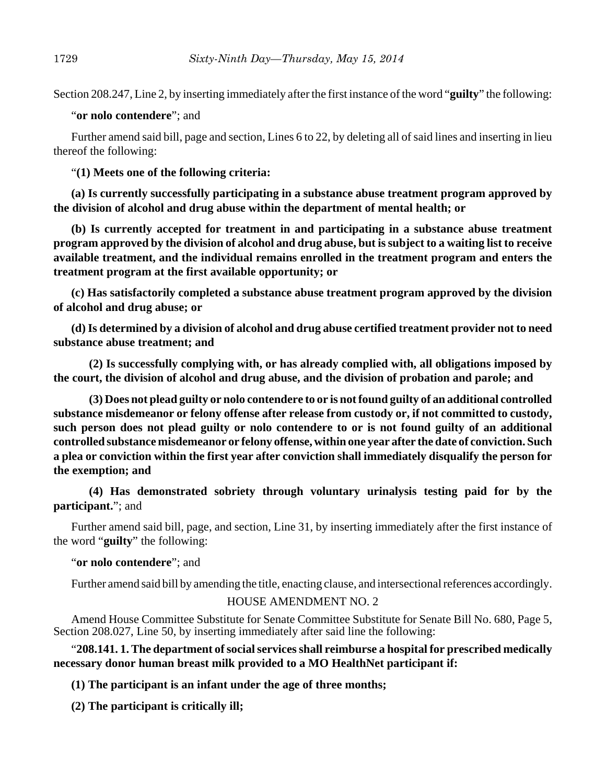Section 208.247, Line 2, by inserting immediately after the first instance of the word "**guilty**" the following:

"**or nolo contendere**"; and

Further amend said bill, page and section, Lines 6 to 22, by deleting all of said lines and inserting in lieu thereof the following:

"**(1) Meets one of the following criteria:**

**(a) Is currently successfully participating in a substance abuse treatment program approved by the division of alcohol and drug abuse within the department of mental health; or**

**(b) Is currently accepted for treatment in and participating in a substance abuse treatment program approved by the division of alcohol and drug abuse, but is subject to a waiting list to receive available treatment, and the individual remains enrolled in the treatment program and enters the treatment program at the first available opportunity; or**

**(c) Has satisfactorily completed a substance abuse treatment program approved by the division of alcohol and drug abuse; or**

**(d) Is determined by a division of alcohol and drug abuse certified treatment provider not to need substance abuse treatment; and**

**(2) Is successfully complying with, or has already complied with, all obligations imposed by the court, the division of alcohol and drug abuse, and the division of probation and parole; and** 

**(3) Does not plead guilty or nolo contendere to or is not found guilty of an additional controlled substance misdemeanor or felony offense after release from custody or, if not committed to custody, such person does not plead guilty or nolo contendere to or is not found guilty of an additional controlled substance misdemeanor or felony offense, within one year after the date of conviction. Such a plea or conviction within the first year after conviction shall immediately disqualify the person for the exemption; and**

**(4) Has demonstrated sobriety through voluntary urinalysis testing paid for by the participant.**"; and

Further amend said bill, page, and section, Line 31, by inserting immediately after the first instance of the word "**guilty**" the following:

# "**or nolo contendere**"; and

Further amend said bill by amending the title, enacting clause, and intersectional references accordingly.

# HOUSE AMENDMENT NO. 2

Amend House Committee Substitute for Senate Committee Substitute for Senate Bill No. 680, Page 5, Section 208.027, Line 50, by inserting immediately after said line the following:

"**208.141. 1. The department of social services shall reimburse a hospital for prescribed medically necessary donor human breast milk provided to a MO HealthNet participant if:**

**(1) The participant is an infant under the age of three months;**

**(2) The participant is critically ill;**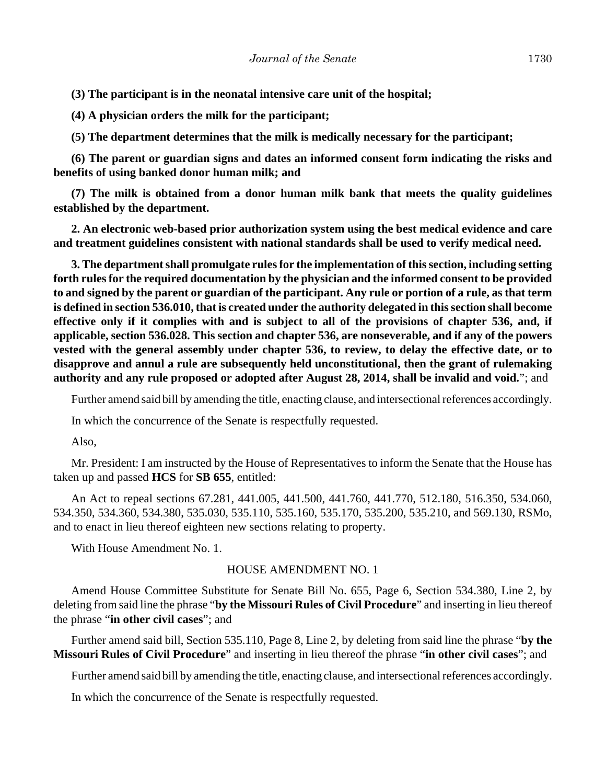**(3) The participant is in the neonatal intensive care unit of the hospital;**

**(4) A physician orders the milk for the participant;**

**(5) The department determines that the milk is medically necessary for the participant;**

**(6) The parent or guardian signs and dates an informed consent form indicating the risks and benefits of using banked donor human milk; and**

**(7) The milk is obtained from a donor human milk bank that meets the quality guidelines established by the department.**

**2. An electronic web-based prior authorization system using the best medical evidence and care and treatment guidelines consistent with national standards shall be used to verify medical need.**

**3. The department shall promulgate rules for the implementation of this section, including setting forth rules for the required documentation by the physician and the informed consent to be provided to and signed by the parent or guardian of the participant. Any rule or portion of a rule, as that term is defined in section 536.010, that is created under the authority delegated in this section shall become effective only if it complies with and is subject to all of the provisions of chapter 536, and, if applicable, section 536.028. This section and chapter 536, are nonseverable, and if any of the powers vested with the general assembly under chapter 536, to review, to delay the effective date, or to disapprove and annul a rule are subsequently held unconstitutional, then the grant of rulemaking authority and any rule proposed or adopted after August 28, 2014, shall be invalid and void.**"; and

Further amend said bill by amending the title, enacting clause, and intersectional references accordingly.

In which the concurrence of the Senate is respectfully requested.

Also,

Mr. President: I am instructed by the House of Representatives to inform the Senate that the House has taken up and passed **HCS** for **SB 655**, entitled:

An Act to repeal sections 67.281, 441.005, 441.500, 441.760, 441.770, 512.180, 516.350, 534.060, 534.350, 534.360, 534.380, 535.030, 535.110, 535.160, 535.170, 535.200, 535.210, and 569.130, RSMo, and to enact in lieu thereof eighteen new sections relating to property.

With House Amendment No. 1.

# HOUSE AMENDMENT NO. 1

Amend House Committee Substitute for Senate Bill No. 655, Page 6, Section 534.380, Line 2, by deleting from said line the phrase "**by the Missouri Rules of Civil Procedure**" and inserting in lieu thereof the phrase "**in other civil cases**"; and

Further amend said bill, Section 535.110, Page 8, Line 2, by deleting from said line the phrase "**by the Missouri Rules of Civil Procedure**" and inserting in lieu thereof the phrase "**in other civil cases**"; and

Further amend said bill by amending the title, enacting clause, and intersectional references accordingly.

In which the concurrence of the Senate is respectfully requested.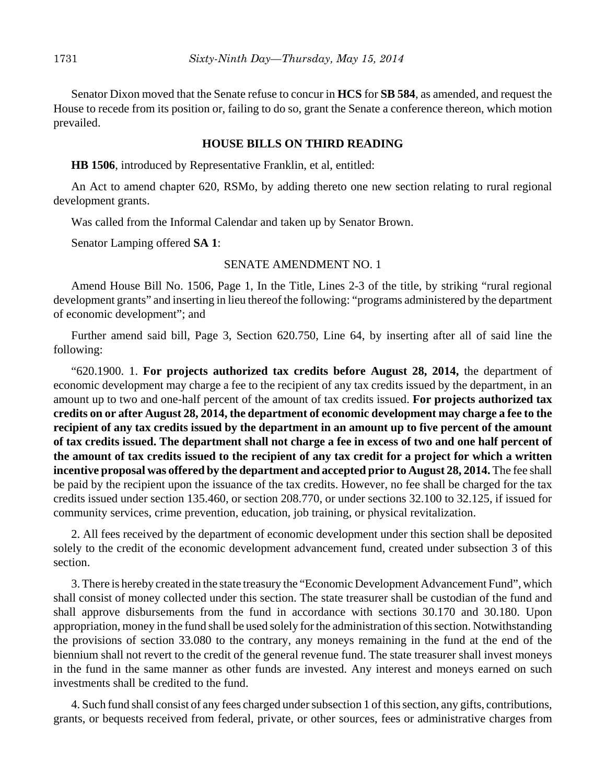Senator Dixon moved that the Senate refuse to concur in **HCS** for **SB 584**, as amended, and request the House to recede from its position or, failing to do so, grant the Senate a conference thereon, which motion prevailed.

#### **HOUSE BILLS ON THIRD READING**

**HB 1506**, introduced by Representative Franklin, et al, entitled:

An Act to amend chapter 620, RSMo, by adding thereto one new section relating to rural regional development grants.

Was called from the Informal Calendar and taken up by Senator Brown.

Senator Lamping offered **SA 1**:

### SENATE AMENDMENT NO. 1

Amend House Bill No. 1506, Page 1, In the Title, Lines 2-3 of the title, by striking "rural regional development grants" and inserting in lieu thereof the following: "programs administered by the department of economic development"; and

Further amend said bill, Page 3, Section 620.750, Line 64, by inserting after all of said line the following:

"620.1900. 1. **For projects authorized tax credits before August 28, 2014,** the department of economic development may charge a fee to the recipient of any tax credits issued by the department, in an amount up to two and one-half percent of the amount of tax credits issued. **For projects authorized tax credits on or after August 28, 2014, the department of economic development may charge a fee to the recipient of any tax credits issued by the department in an amount up to five percent of the amount of tax credits issued. The department shall not charge a fee in excess of two and one half percent of the amount of tax credits issued to the recipient of any tax credit for a project for which a written incentive proposal was offered by the department and accepted prior to August 28, 2014.** The fee shall be paid by the recipient upon the issuance of the tax credits. However, no fee shall be charged for the tax credits issued under section 135.460, or section 208.770, or under sections 32.100 to 32.125, if issued for community services, crime prevention, education, job training, or physical revitalization.

2. All fees received by the department of economic development under this section shall be deposited solely to the credit of the economic development advancement fund, created under subsection 3 of this section.

3. There is hereby created in the state treasury the "Economic Development Advancement Fund", which shall consist of money collected under this section. The state treasurer shall be custodian of the fund and shall approve disbursements from the fund in accordance with sections 30.170 and 30.180. Upon appropriation, money in the fund shall be used solely for the administration of this section. Notwithstanding the provisions of section 33.080 to the contrary, any moneys remaining in the fund at the end of the biennium shall not revert to the credit of the general revenue fund. The state treasurer shall invest moneys in the fund in the same manner as other funds are invested. Any interest and moneys earned on such investments shall be credited to the fund.

4. Such fund shall consist of any fees charged under subsection 1 of this section, any gifts, contributions, grants, or bequests received from federal, private, or other sources, fees or administrative charges from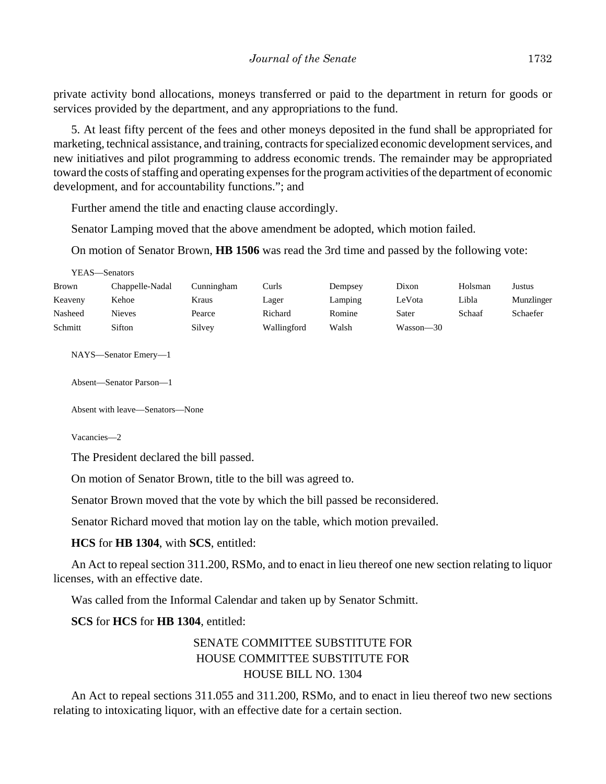private activity bond allocations, moneys transferred or paid to the department in return for goods or services provided by the department, and any appropriations to the fund.

5. At least fifty percent of the fees and other moneys deposited in the fund shall be appropriated for marketing, technical assistance, and training, contracts for specialized economic development services, and new initiatives and pilot programming to address economic trends. The remainder may be appropriated toward the costs of staffing and operating expenses for the program activities of the department of economic development, and for accountability functions."; and

Further amend the title and enacting clause accordingly.

Senator Lamping moved that the above amendment be adopted, which motion failed.

On motion of Senator Brown, **HB 1506** was read the 3rd time and passed by the following vote:

| <b>Brown</b> | Chappelle-Nadal | Cunningham | Curls       | Dempsey | Dixon     | Holsman | Justus     |
|--------------|-----------------|------------|-------------|---------|-----------|---------|------------|
| Keaveny      | Kehoe           | Kraus      | Lager       | Lamping | LeVota    | ∟ibla   | Munzlinger |
| Nasheed      | Nieves          | Pearce     | Richard     | Romine  | Sater     | Schaaf  | Schaefer   |
| Schmitt      | Sifton          | Silvey     | Wallingford | Walsh   | Wasson—30 |         |            |

NAYS—Senator Emery—1

Absent—Senator Parson—1

Absent with leave—Senators—None

Vacancies—2

The President declared the bill passed.

On motion of Senator Brown, title to the bill was agreed to.

Senator Brown moved that the vote by which the bill passed be reconsidered.

Senator Richard moved that motion lay on the table, which motion prevailed.

**HCS** for **HB 1304**, with **SCS**, entitled:

An Act to repeal section 311.200, RSMo, and to enact in lieu thereof one new section relating to liquor licenses, with an effective date.

Was called from the Informal Calendar and taken up by Senator Schmitt.

**SCS** for **HCS** for **HB 1304**, entitled:

# SENATE COMMITTEE SUBSTITUTE FOR HOUSE COMMITTEE SUBSTITUTE FOR HOUSE BILL NO. 1304

An Act to repeal sections 311.055 and 311.200, RSMo, and to enact in lieu thereof two new sections relating to intoxicating liquor, with an effective date for a certain section.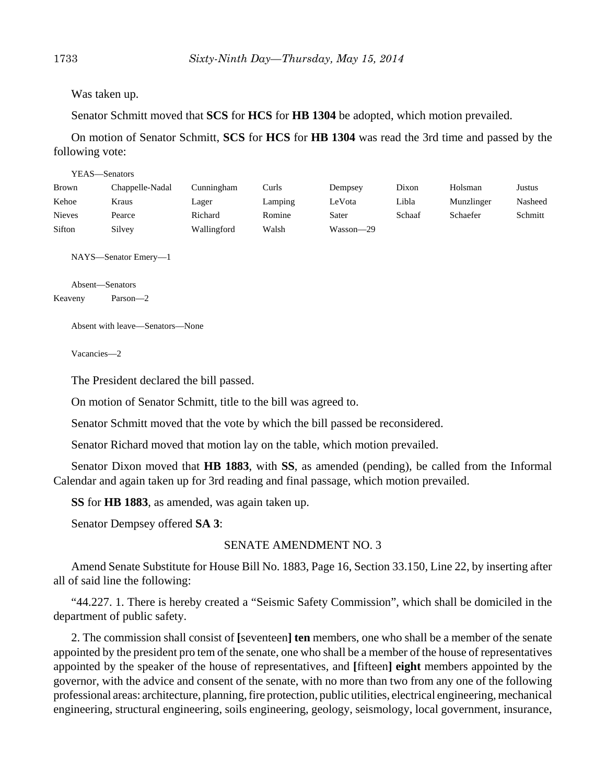Was taken up.

Senator Schmitt moved that **SCS** for **HCS** for **HB 1304** be adopted, which motion prevailed.

On motion of Senator Schmitt, **SCS** for **HCS** for **HB 1304** was read the 3rd time and passed by the following vote:

| YEAS—Senators        |                 |             |         |           |        |            |         |  |
|----------------------|-----------------|-------------|---------|-----------|--------|------------|---------|--|
| <b>Brown</b>         | Chappelle-Nadal | Cunningham  | Curls   | Dempsey   | Dixon  | Holsman    | Justus  |  |
| Kehoe                | Kraus           | Lager       | Lamping | LeVota    | Libla  | Munzlinger | Nasheed |  |
| <b>Nieves</b>        | Pearce          | Richard     | Romine  | Sater     | Schaaf | Schaefer   | Schmitt |  |
| Sifton               | Silvey          | Wallingford | Walsh   | Wasson-29 |        |            |         |  |
| NAYS—Senator Emery—1 |                 |             |         |           |        |            |         |  |

Absent—Senators

Keaveny Parson—2

Absent with leave—Senators—None

Vacancies—2

The President declared the bill passed.

On motion of Senator Schmitt, title to the bill was agreed to.

Senator Schmitt moved that the vote by which the bill passed be reconsidered.

Senator Richard moved that motion lay on the table, which motion prevailed.

Senator Dixon moved that **HB 1883**, with **SS**, as amended (pending), be called from the Informal Calendar and again taken up for 3rd reading and final passage, which motion prevailed.

**SS** for **HB 1883**, as amended, was again taken up.

Senator Dempsey offered **SA 3**:

## SENATE AMENDMENT NO. 3

Amend Senate Substitute for House Bill No. 1883, Page 16, Section 33.150, Line 22, by inserting after all of said line the following:

"44.227. 1. There is hereby created a "Seismic Safety Commission", which shall be domiciled in the department of public safety.

2. The commission shall consist of **[**seventeen**] ten** members, one who shall be a member of the senate appointed by the president pro tem of the senate, one who shall be a member of the house of representatives appointed by the speaker of the house of representatives, and **[**fifteen**] eight** members appointed by the governor, with the advice and consent of the senate, with no more than two from any one of the following professional areas: architecture, planning, fire protection, public utilities, electrical engineering, mechanical engineering, structural engineering, soils engineering, geology, seismology, local government, insurance,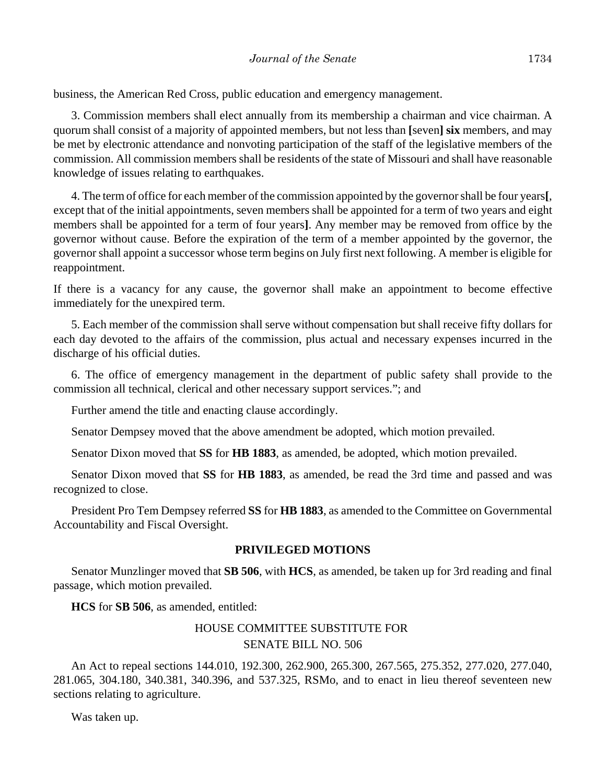business, the American Red Cross, public education and emergency management.

3. Commission members shall elect annually from its membership a chairman and vice chairman. A quorum shall consist of a majority of appointed members, but not less than **[**seven**] six** members, and may be met by electronic attendance and nonvoting participation of the staff of the legislative members of the commission. All commission members shall be residents of the state of Missouri and shall have reasonable knowledge of issues relating to earthquakes.

4. The term of office for each member of the commission appointed by the governor shall be four years**[**, except that of the initial appointments, seven members shall be appointed for a term of two years and eight members shall be appointed for a term of four years**]**. Any member may be removed from office by the governor without cause. Before the expiration of the term of a member appointed by the governor, the governor shall appoint a successor whose term begins on July first next following. A member is eligible for reappointment.

If there is a vacancy for any cause, the governor shall make an appointment to become effective immediately for the unexpired term.

5. Each member of the commission shall serve without compensation but shall receive fifty dollars for each day devoted to the affairs of the commission, plus actual and necessary expenses incurred in the discharge of his official duties.

6. The office of emergency management in the department of public safety shall provide to the commission all technical, clerical and other necessary support services."; and

Further amend the title and enacting clause accordingly.

Senator Dempsey moved that the above amendment be adopted, which motion prevailed.

Senator Dixon moved that **SS** for **HB 1883**, as amended, be adopted, which motion prevailed.

Senator Dixon moved that **SS** for **HB 1883**, as amended, be read the 3rd time and passed and was recognized to close.

President Pro Tem Dempsey referred **SS** for **HB 1883**, as amended to the Committee on Governmental Accountability and Fiscal Oversight.

# **PRIVILEGED MOTIONS**

Senator Munzlinger moved that **SB 506**, with **HCS**, as amended, be taken up for 3rd reading and final passage, which motion prevailed.

**HCS** for **SB 506**, as amended, entitled:

# HOUSE COMMITTEE SUBSTITUTE FOR SENATE BILL NO. 506

An Act to repeal sections 144.010, 192.300, 262.900, 265.300, 267.565, 275.352, 277.020, 277.040, 281.065, 304.180, 340.381, 340.396, and 537.325, RSMo, and to enact in lieu thereof seventeen new sections relating to agriculture.

Was taken up.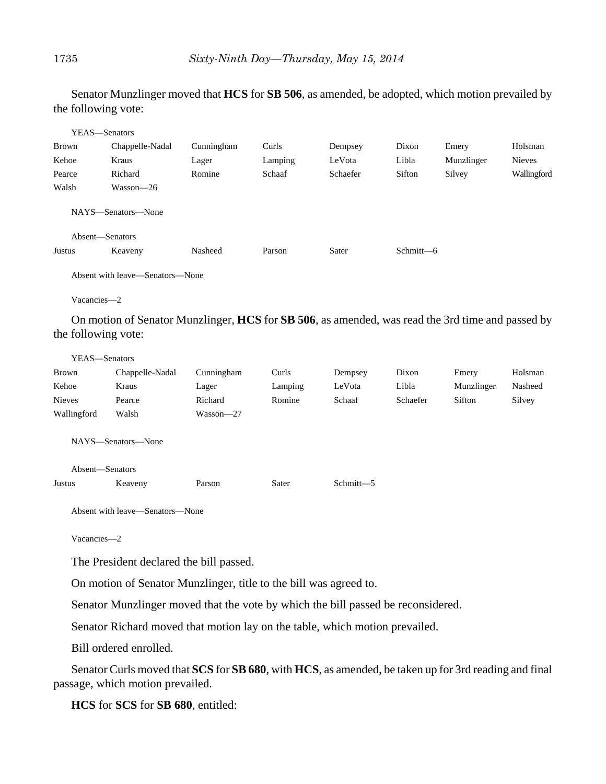Senator Munzlinger moved that **HCS** for **SB 506**, as amended, be adopted, which motion prevailed by the following vote:

| YEAS-Senators       |                                                                                                  |            |         |           |           |            |             |
|---------------------|--------------------------------------------------------------------------------------------------|------------|---------|-----------|-----------|------------|-------------|
| <b>Brown</b>        | Chappelle-Nadal                                                                                  | Cunningham | Curls   | Dempsey   | Dixon     | Emery      | Holsman     |
| Kehoe               | Kraus                                                                                            | Lager      | Lamping | LeVota    | Libla     | Munzlinger | Nieves      |
| Pearce              | Richard                                                                                          | Romine     | Schaaf  | Schaefer  | Sifton    | Silvey     | Wallingford |
| Walsh               | Wasson-26                                                                                        |            |         |           |           |            |             |
|                     | NAYS-Senators-None                                                                               |            |         |           |           |            |             |
| Absent-Senators     |                                                                                                  |            |         |           |           |            |             |
| <b>Justus</b>       | Keaveny                                                                                          | Nasheed    | Parson  | Sater     | Schmitt-6 |            |             |
|                     | Absent with leave—Senators—None                                                                  |            |         |           |           |            |             |
| Vacancies-2         |                                                                                                  |            |         |           |           |            |             |
|                     | On motion of Senator Munzlinger, HCS for SB 506, as amended, was read the 3rd time and passed by |            |         |           |           |            |             |
| the following vote: |                                                                                                  |            |         |           |           |            |             |
| YEAS-Senators       |                                                                                                  |            |         |           |           |            |             |
| <b>Brown</b>        | Chappelle-Nadal                                                                                  | Cunningham | Curls   | Dempsey   | Dixon     | Emery      | Holsman     |
| Kehoe               | Kraus                                                                                            | Lager      | Lamping | LeVota    | Libla     | Munzlinger | Nasheed     |
| <b>Nieves</b>       | Pearce                                                                                           | Richard    | Romine  | Schaaf    | Schaefer  | Sifton     | Silvey      |
| Wallingford         | Walsh                                                                                            | Wasson-27  |         |           |           |            |             |
|                     | NAYS-Senators-None                                                                               |            |         |           |           |            |             |
| Absent-Senators     |                                                                                                  |            |         |           |           |            |             |
| <b>Justus</b>       | Keaveny                                                                                          | Parson     | Sater   | Schmitt-5 |           |            |             |

Absent with leave—Senators—None

Vacancies—2

The President declared the bill passed.

On motion of Senator Munzlinger, title to the bill was agreed to.

Senator Munzlinger moved that the vote by which the bill passed be reconsidered.

Senator Richard moved that motion lay on the table, which motion prevailed.

Bill ordered enrolled.

Senator Curls moved that **SCS** for **SB 680**, with **HCS**, as amended, be taken up for 3rd reading and final passage, which motion prevailed.

**HCS** for **SCS** for **SB 680**, entitled: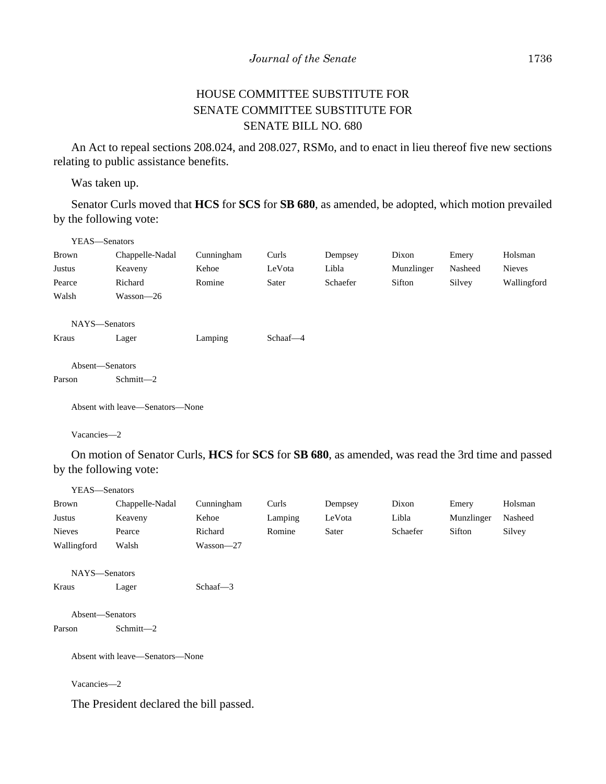# HOUSE COMMITTEE SUBSTITUTE FOR SENATE COMMITTEE SUBSTITUTE FOR SENATE BILL NO. 680

An Act to repeal sections 208.024, and 208.027, RSMo, and to enact in lieu thereof five new sections relating to public assistance benefits.

Was taken up.

Senator Curls moved that **HCS** for **SCS** for **SB 680**, as amended, be adopted, which motion prevailed by the following vote:

| YEAS—Senators             |                                 |            |          |          |            |         |               |
|---------------------------|---------------------------------|------------|----------|----------|------------|---------|---------------|
| <b>Brown</b>              | Chappelle-Nadal                 | Cunningham | Curls    | Dempsey  | Dixon      | Emery   | Holsman       |
| <b>Justus</b>             | Keaveny                         | Kehoe      | LeVota   | Libla    | Munzlinger | Nasheed | <b>Nieves</b> |
| Pearce                    | Richard                         | Romine     | Sater    | Schaefer | Sifton     | Silvey  | Wallingford   |
| Walsh                     | Wasson-26                       |            |          |          |            |         |               |
| NAYS-Senators             |                                 |            |          |          |            |         |               |
| Kraus                     | Lager                           | Lamping    | Schaaf-4 |          |            |         |               |
| Absent-Senators<br>Parson | Schmitt-2                       |            |          |          |            |         |               |
|                           |                                 |            |          |          |            |         |               |
|                           | Absent with leave—Senators—None |            |          |          |            |         |               |

Vacancies—2

On motion of Senator Curls, **HCS** for **SCS** for **SB 680**, as amended, was read the 3rd time and passed by the following vote:

| YEAS-Senators   |                                 |              |         |         |          |            |         |
|-----------------|---------------------------------|--------------|---------|---------|----------|------------|---------|
| Brown           | Chappelle-Nadal                 | Cunningham   | Curls   | Dempsey | Dixon    | Emery      | Holsman |
| Justus          | Keaveny                         | Kehoe        | Lamping | LeVota  | Libla    | Munzlinger | Nasheed |
| <b>Nieves</b>   | Pearce                          | Richard      | Romine  | Sater   | Schaefer | Sifton     | Silvey  |
| Wallingford     | Walsh                           | Wasson-27    |         |         |          |            |         |
| NAYS-Senators   |                                 |              |         |         |          |            |         |
| Kraus           | Lager                           | $Schaaf - 3$ |         |         |          |            |         |
| Absent-Senators |                                 |              |         |         |          |            |         |
| Parson          | Schmitt-2                       |              |         |         |          |            |         |
|                 | Absent with leave—Senators—None |              |         |         |          |            |         |
| Vacancies-2     |                                 |              |         |         |          |            |         |

The President declared the bill passed.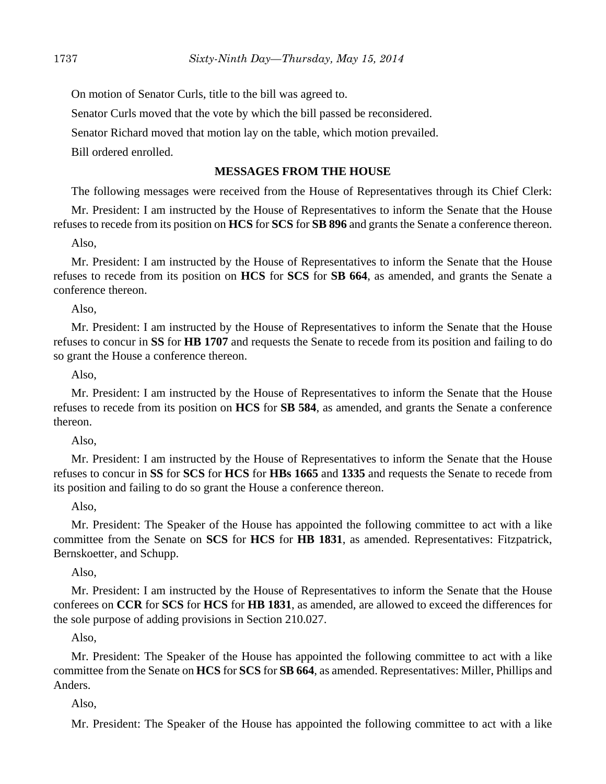On motion of Senator Curls, title to the bill was agreed to.

Senator Curls moved that the vote by which the bill passed be reconsidered.

Senator Richard moved that motion lay on the table, which motion prevailed.

Bill ordered enrolled.

# **MESSAGES FROM THE HOUSE**

The following messages were received from the House of Representatives through its Chief Clerk:

Mr. President: I am instructed by the House of Representatives to inform the Senate that the House refuses to recede from its position on **HCS** for **SCS** for **SB 896** and grants the Senate a conference thereon.

## Also,

Mr. President: I am instructed by the House of Representatives to inform the Senate that the House refuses to recede from its position on **HCS** for **SCS** for **SB 664**, as amended, and grants the Senate a conference thereon.

### Also,

Mr. President: I am instructed by the House of Representatives to inform the Senate that the House refuses to concur in **SS** for **HB 1707** and requests the Senate to recede from its position and failing to do so grant the House a conference thereon.

# Also,

Mr. President: I am instructed by the House of Representatives to inform the Senate that the House refuses to recede from its position on **HCS** for **SB 584**, as amended, and grants the Senate a conference thereon.

# Also,

Mr. President: I am instructed by the House of Representatives to inform the Senate that the House refuses to concur in **SS** for **SCS** for **HCS** for **HBs 1665** and **1335** and requests the Senate to recede from its position and failing to do so grant the House a conference thereon.

## Also,

Mr. President: The Speaker of the House has appointed the following committee to act with a like committee from the Senate on **SCS** for **HCS** for **HB 1831**, as amended. Representatives: Fitzpatrick, Bernskoetter, and Schupp.

# Also,

Mr. President: I am instructed by the House of Representatives to inform the Senate that the House conferees on **CCR** for **SCS** for **HCS** for **HB 1831**, as amended, are allowed to exceed the differences for the sole purpose of adding provisions in Section 210.027.

# Also,

Mr. President: The Speaker of the House has appointed the following committee to act with a like committee from the Senate on **HCS** for **SCS** for **SB 664**, as amended. Representatives: Miller, Phillips and Anders.

## Also,

Mr. President: The Speaker of the House has appointed the following committee to act with a like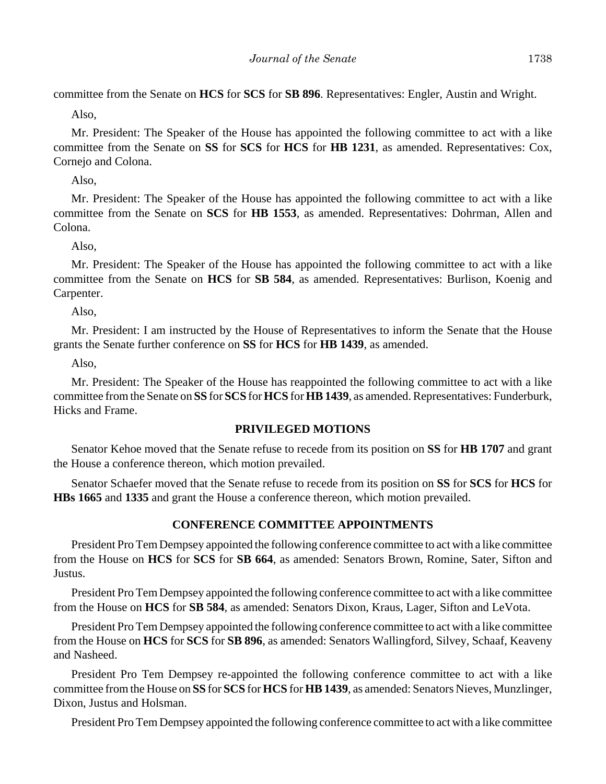committee from the Senate on **HCS** for **SCS** for **SB 896**. Representatives: Engler, Austin and Wright.

Also,

Mr. President: The Speaker of the House has appointed the following committee to act with a like committee from the Senate on **SS** for **SCS** for **HCS** for **HB 1231**, as amended. Representatives: Cox, Cornejo and Colona.

Also,

Mr. President: The Speaker of the House has appointed the following committee to act with a like committee from the Senate on **SCS** for **HB 1553**, as amended. Representatives: Dohrman, Allen and Colona.

Also,

Mr. President: The Speaker of the House has appointed the following committee to act with a like committee from the Senate on **HCS** for **SB 584**, as amended. Representatives: Burlison, Koenig and Carpenter.

Also,

Mr. President: I am instructed by the House of Representatives to inform the Senate that the House grants the Senate further conference on **SS** for **HCS** for **HB 1439**, as amended.

Also,

Mr. President: The Speaker of the House has reappointed the following committee to act with a like committee from the Senate on **SS** for **SCS** for **HCS** for **HB 1439**, as amended. Representatives: Funderburk, Hicks and Frame.

## **PRIVILEGED MOTIONS**

Senator Kehoe moved that the Senate refuse to recede from its position on **SS** for **HB 1707** and grant the House a conference thereon, which motion prevailed.

Senator Schaefer moved that the Senate refuse to recede from its position on **SS** for **SCS** for **HCS** for **HBs 1665** and **1335** and grant the House a conference thereon, which motion prevailed.

# **CONFERENCE COMMITTEE APPOINTMENTS**

President Pro Tem Dempsey appointed the following conference committee to act with a like committee from the House on **HCS** for **SCS** for **SB 664**, as amended: Senators Brown, Romine, Sater, Sifton and Justus.

President Pro Tem Dempsey appointed the following conference committee to act with a like committee from the House on **HCS** for **SB 584**, as amended: Senators Dixon, Kraus, Lager, Sifton and LeVota.

President Pro Tem Dempsey appointed the following conference committee to act with a like committee from the House on **HCS** for **SCS** for **SB 896**, as amended: Senators Wallingford, Silvey, Schaaf, Keaveny and Nasheed.

President Pro Tem Dempsey re-appointed the following conference committee to act with a like committee from the House on **SS** for **SCS** for **HCS** for **HB 1439**, as amended: Senators Nieves, Munzlinger, Dixon, Justus and Holsman.

President Pro Tem Dempsey appointed the following conference committee to act with a like committee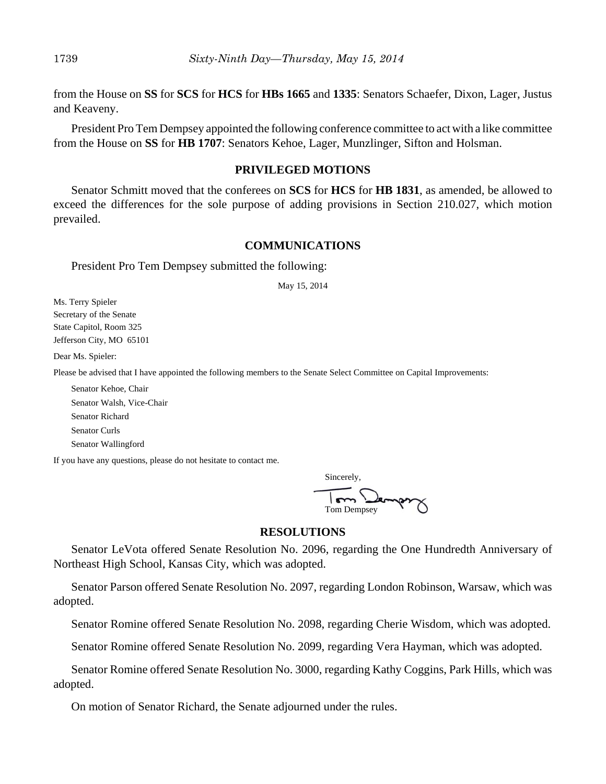from the House on **SS** for **SCS** for **HCS** for **HBs 1665** and **1335**: Senators Schaefer, Dixon, Lager, Justus and Keaveny.

President Pro Tem Dempsey appointed the following conference committee to act with a like committee from the House on **SS** for **HB 1707**: Senators Kehoe, Lager, Munzlinger, Sifton and Holsman.

### **PRIVILEGED MOTIONS**

Senator Schmitt moved that the conferees on **SCS** for **HCS** for **HB 1831**, as amended, be allowed to exceed the differences for the sole purpose of adding provisions in Section 210.027, which motion prevailed.

### **COMMUNICATIONS**

#### President Pro Tem Dempsey submitted the following:

May 15, 2014

Ms. Terry Spieler Secretary of the Senate State Capitol, Room 325 Jefferson City, MO 65101

Dear Ms. Spieler:

Please be advised that I have appointed the following members to the Senate Select Committee on Capital Improvements:

Senator Kehoe, Chair Senator Walsh, Vice-Chair Senator Richard Senator Curls Senator Wallingford

If you have any questions, please do not hesitate to contact me.

Sincerely, Tom Dempsey

#### **RESOLUTIONS**

Senator LeVota offered Senate Resolution No. 2096, regarding the One Hundredth Anniversary of Northeast High School, Kansas City, which was adopted.

Senator Parson offered Senate Resolution No. 2097, regarding London Robinson, Warsaw, which was adopted.

Senator Romine offered Senate Resolution No. 2098, regarding Cherie Wisdom, which was adopted.

Senator Romine offered Senate Resolution No. 2099, regarding Vera Hayman, which was adopted.

Senator Romine offered Senate Resolution No. 3000, regarding Kathy Coggins, Park Hills, which was adopted.

On motion of Senator Richard, the Senate adjourned under the rules.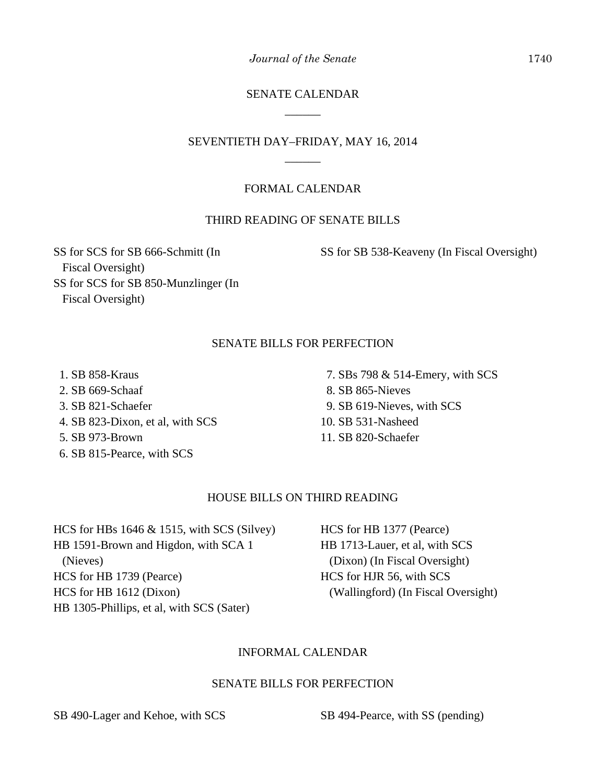*Journal of the Senate* 1740

# SENATE CALENDAR \_\_\_\_\_\_

# SEVENTIETH DAY–FRIDAY, MAY 16, 2014 \_\_\_\_\_\_

# FORMAL CALENDAR

# THIRD READING OF SENATE BILLS

SS for SCS for SB 666-Schmitt (In Fiscal Oversight) SS for SCS for SB 850-Munzlinger (In Fiscal Oversight)

SS for SB 538-Keaveny (In Fiscal Oversight)

# SENATE BILLS FOR PERFECTION

 1. SB 858-Kraus 2. SB 669-Schaaf 3. SB 821-Schaefer 4. SB 823-Dixon, et al, with SCS 5. SB 973-Brown 6. SB 815-Pearce, with SCS

 7. SBs 798 & 514-Emery, with SCS 8. SB 865-Nieves 9. SB 619-Nieves, with SCS 10. SB 531-Nasheed 11. SB 820-Schaefer

# HOUSE BILLS ON THIRD READING

HCS for HBs 1646 & 1515, with SCS (Silvey) HB 1591-Brown and Higdon, with SCA 1 (Nieves) HCS for HB 1739 (Pearce) HCS for HB 1612 (Dixon) HB 1305-Phillips, et al, with SCS (Sater)

HCS for HB 1377 (Pearce) HB 1713-Lauer, et al, with SCS (Dixon) (In Fiscal Oversight) HCS for HJR 56, with SCS (Wallingford) (In Fiscal Oversight)

# INFORMAL CALENDAR

## SENATE BILLS FOR PERFECTION

SB 490-Lager and Kehoe, with SCS SB 494-Pearce, with SS (pending)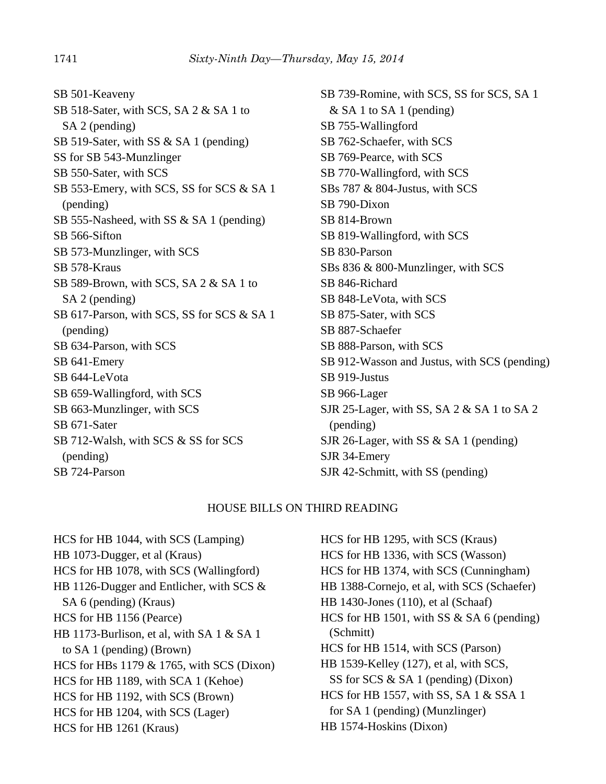SB 501-Keaveny SB 518-Sater, with SCS, SA 2 & SA 1 to SA 2 (pending) SB 519-Sater, with SS & SA 1 (pending) SS for SB 543-Munzlinger SB 550-Sater, with SCS SB 553-Emery, with SCS, SS for SCS & SA 1 (pending) SB 555-Nasheed, with SS & SA 1 (pending) SB 566-Sifton SB 573-Munzlinger, with SCS SB 578-Kraus SB 589-Brown, with SCS, SA 2 & SA 1 to SA 2 (pending) SB 617-Parson, with SCS, SS for SCS & SA 1 (pending) SB 634-Parson, with SCS SB 641-Emery SB 644-LeVota SB 659-Wallingford, with SCS SB 663-Munzlinger, with SCS SB 671-Sater SB 712-Walsh, with SCS & SS for SCS (pending) SB 724-Parson

SB 739-Romine, with SCS, SS for SCS, SA 1 & SA 1 to SA 1 (pending) SB 755-Wallingford SB 762-Schaefer, with SCS SB 769-Pearce, with SCS SB 770-Wallingford, with SCS SBs 787 & 804-Justus, with SCS SB 790-Dixon SB 814-Brown SB 819-Wallingford, with SCS SB 830-Parson SBs 836 & 800-Munzlinger, with SCS SB 846-Richard SB 848-LeVota, with SCS SB 875-Sater, with SCS SB 887-Schaefer SB 888-Parson, with SCS SB 912-Wasson and Justus, with SCS (pending) SB 919-Justus SB 966-Lager SJR 25-Lager, with SS, SA 2 & SA 1 to SA 2 (pending) SJR 26-Lager, with SS & SA 1 (pending) SJR 34-Emery SJR 42-Schmitt, with SS (pending)

#### HOUSE BILLS ON THIRD READING

HCS for HB 1044, with SCS (Lamping) HB 1073-Dugger, et al (Kraus) HCS for HB 1078, with SCS (Wallingford) HB 1126-Dugger and Entlicher, with SCS & SA 6 (pending) (Kraus) HCS for HB 1156 (Pearce) HB 1173-Burlison, et al, with SA 1 & SA 1 to SA 1 (pending) (Brown) HCS for HBs 1179 & 1765, with SCS (Dixon) HCS for HB 1189, with SCA 1 (Kehoe) HCS for HB 1192, with SCS (Brown) HCS for HB 1204, with SCS (Lager) HCS for HB 1261 (Kraus)

HCS for HB 1295, with SCS (Kraus) HCS for HB 1336, with SCS (Wasson) HCS for HB 1374, with SCS (Cunningham) HB 1388-Cornejo, et al, with SCS (Schaefer) HB 1430-Jones (110), et al (Schaaf) HCS for HB 1501, with SS  $&$  SA 6 (pending) (Schmitt) HCS for HB 1514, with SCS (Parson) HB 1539-Kelley (127), et al, with SCS, SS for SCS & SA 1 (pending) (Dixon) HCS for HB 1557, with SS, SA 1 & SSA 1 for SA 1 (pending) (Munzlinger) HB 1574-Hoskins (Dixon)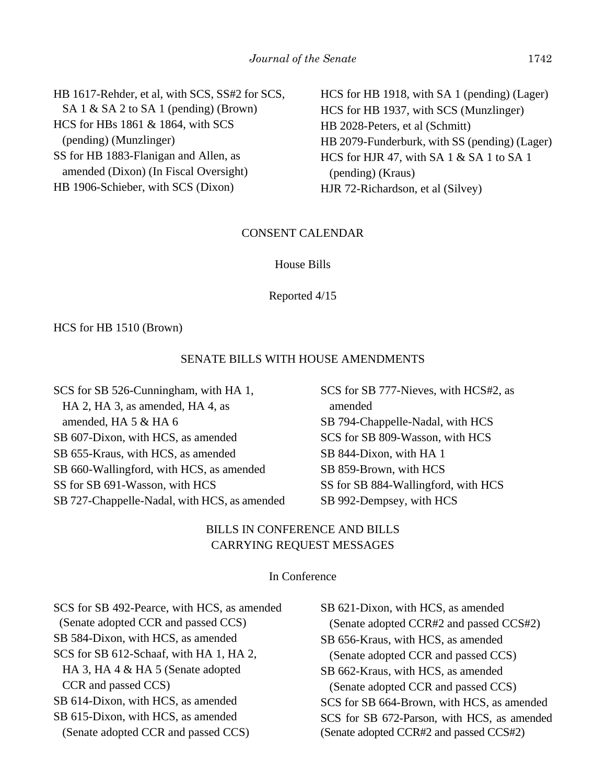HB 1617-Rehder, et al, with SCS, SS#2 for SCS, SA 1 & SA 2 to SA 1 (pending) (Brown) HCS for HBs 1861 & 1864, with SCS (pending) (Munzlinger) SS for HB 1883-Flanigan and Allen, as amended (Dixon) (In Fiscal Oversight) HB 1906-Schieber, with SCS (Dixon)

HCS for HB 1918, with SA 1 (pending) (Lager) HCS for HB 1937, with SCS (Munzlinger) HB 2028-Peters, et al (Schmitt) HB 2079-Funderburk, with SS (pending) (Lager) HCS for HJR 47, with SA 1 & SA 1 to SA 1 (pending) (Kraus) HJR 72-Richardson, et al (Silvey)

## CONSENT CALENDAR

## House Bills

### Reported 4/15

HCS for HB 1510 (Brown)

# SENATE BILLS WITH HOUSE AMENDMENTS

SCS for SB 526-Cunningham, with HA 1, HA 2, HA 3, as amended, HA 4, as amended, HA 5 & HA 6 SB 607-Dixon, with HCS, as amended SB 655-Kraus, with HCS, as amended SB 660-Wallingford, with HCS, as amended SS for SB 691-Wasson, with HCS SB 727-Chappelle-Nadal, with HCS, as amended SCS for SB 777-Nieves, with HCS#2, as amended SB 794-Chappelle-Nadal, with HCS SCS for SB 809-Wasson, with HCS SB 844-Dixon, with HA 1 SB 859-Brown, with HCS SS for SB 884-Wallingford, with HCS SB 992-Dempsey, with HCS

# BILLS IN CONFERENCE AND BILLS CARRYING REQUEST MESSAGES

# In Conference

SCS for SB 492-Pearce, with HCS, as amended (Senate adopted CCR and passed CCS) SB 584-Dixon, with HCS, as amended SCS for SB 612-Schaaf, with HA 1, HA 2, HA 3, HA 4 & HA 5 (Senate adopted CCR and passed CCS) SB 614-Dixon, with HCS, as amended SB 615-Dixon, with HCS, as amended (Senate adopted CCR and passed CCS)

SB 621-Dixon, with HCS, as amended (Senate adopted CCR#2 and passed CCS#2) SB 656-Kraus, with HCS, as amended (Senate adopted CCR and passed CCS) SB 662-Kraus, with HCS, as amended (Senate adopted CCR and passed CCS) SCS for SB 664-Brown, with HCS, as amended SCS for SB 672-Parson, with HCS, as amended (Senate adopted CCR#2 and passed CCS#2)